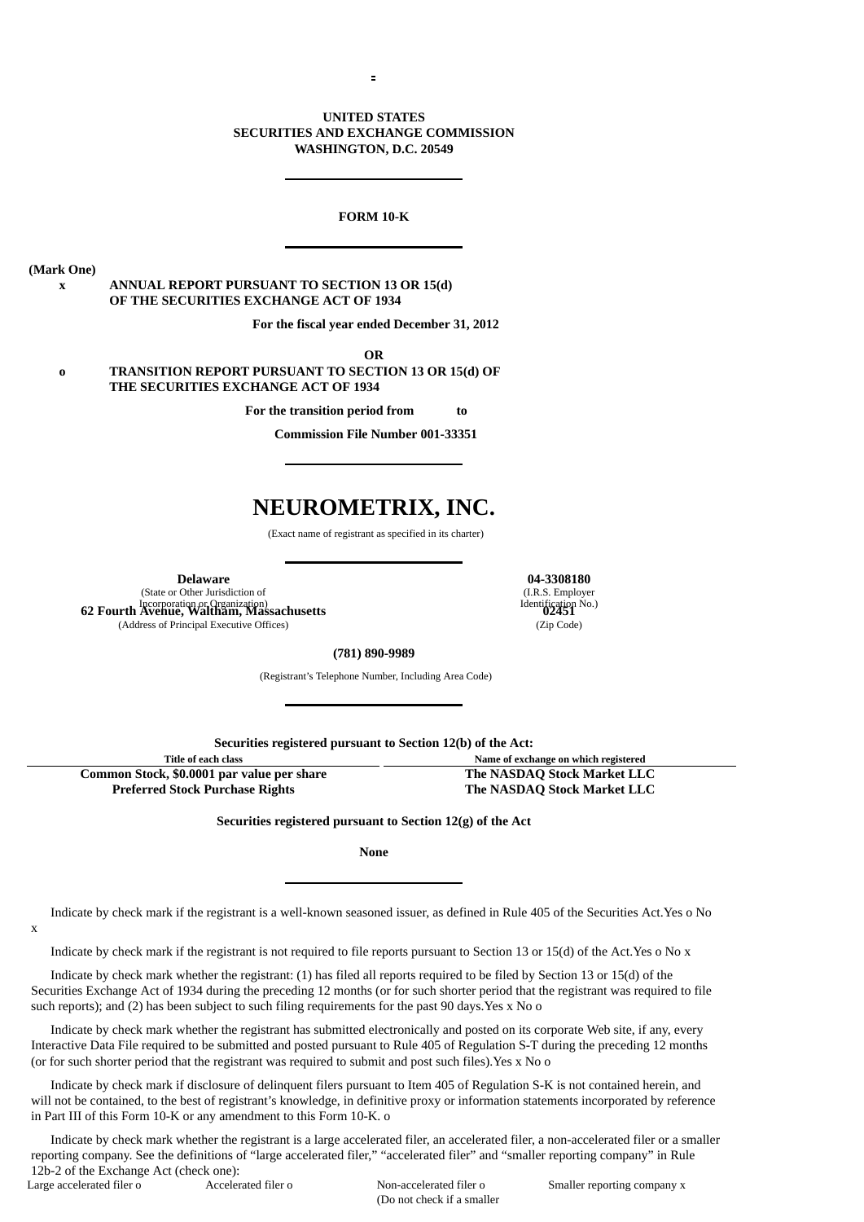### **UNITED STATES SECURITIES AND EXCHANGE COMMISSION WASHINGTON, D.C. 20549**

### **FORM 10-K**

**(Mark One)**

x

### **x ANNUAL REPORT PURSUANT TO SECTION 13 OR 15(d) OF THE SECURITIES EXCHANGE ACT OF 1934**

**For the fiscal year ended December 31, 2012**

**OR**

**o TRANSITION REPORT PURSUANT TO SECTION 13 OR 15(d) OF THE SECURITIES EXCHANGE ACT OF 1934**

**For the transition period from to**

**Commission File Number 001-33351**

# **NEUROMETRIX, INC.**

(Exact name of registrant as specified in its charter)

(State or Other Jurisdiction of Incorporation or Organization) **62 Fourth Avenue, Waltham, Massachusetts 02451** (Address of Principal Executive Offices) (Zip Code)

**Delaware 04-3308180** (I.R.S. Employer Identification No.)

**(781) 890-9989**

(Registrant's Telephone Number, Including Area Code)

**Securities registered pursuant to Section 12(b) of the Act:**

**Common Stock, \$0.0001 par value per share The NASDAQ Stock Market LLC Preferred Stock Purchase Rights The NASDAQ Stock Market LLC**

**Title of each class Name of exchange on which registered**

**Securities registered pursuant to Section 12(g) of the Act**

**None**

Indicate by check mark if the registrant is a well-known seasoned issuer, as defined in Rule 405 of the Securities Act.Yes o No

Indicate by check mark if the registrant is not required to file reports pursuant to Section 13 or 15(d) of the Act.Yes o No x

Indicate by check mark whether the registrant: (1) has filed all reports required to be filed by Section 13 or 15(d) of the Securities Exchange Act of 1934 during the preceding 12 months (or for such shorter period that the registrant was required to file such reports); and (2) has been subject to such filing requirements for the past 90 days.Yes x No o

Indicate by check mark whether the registrant has submitted electronically and posted on its corporate Web site, if any, every Interactive Data File required to be submitted and posted pursuant to Rule 405 of Regulation S-T during the preceding 12 months (or for such shorter period that the registrant was required to submit and post such files).Yes x No o

Indicate by check mark if disclosure of delinquent filers pursuant to Item 405 of Regulation S-K is not contained herein, and will not be contained, to the best of registrant's knowledge, in definitive proxy or information statements incorporated by reference in Part III of this Form 10-K or any amendment to this Form 10-K. o

Indicate by check mark whether the registrant is a large accelerated filer, an accelerated filer, a non-accelerated filer or a smaller reporting company. See the definitions of "large accelerated filer," "accelerated filer" and "smaller reporting company" in Rule 12b-2 of the Exchange Act (check one):

Large accelerated filer o Accelerated filer o Non-accelerated filer o Smaller reporting company x

(Do not check if a smaller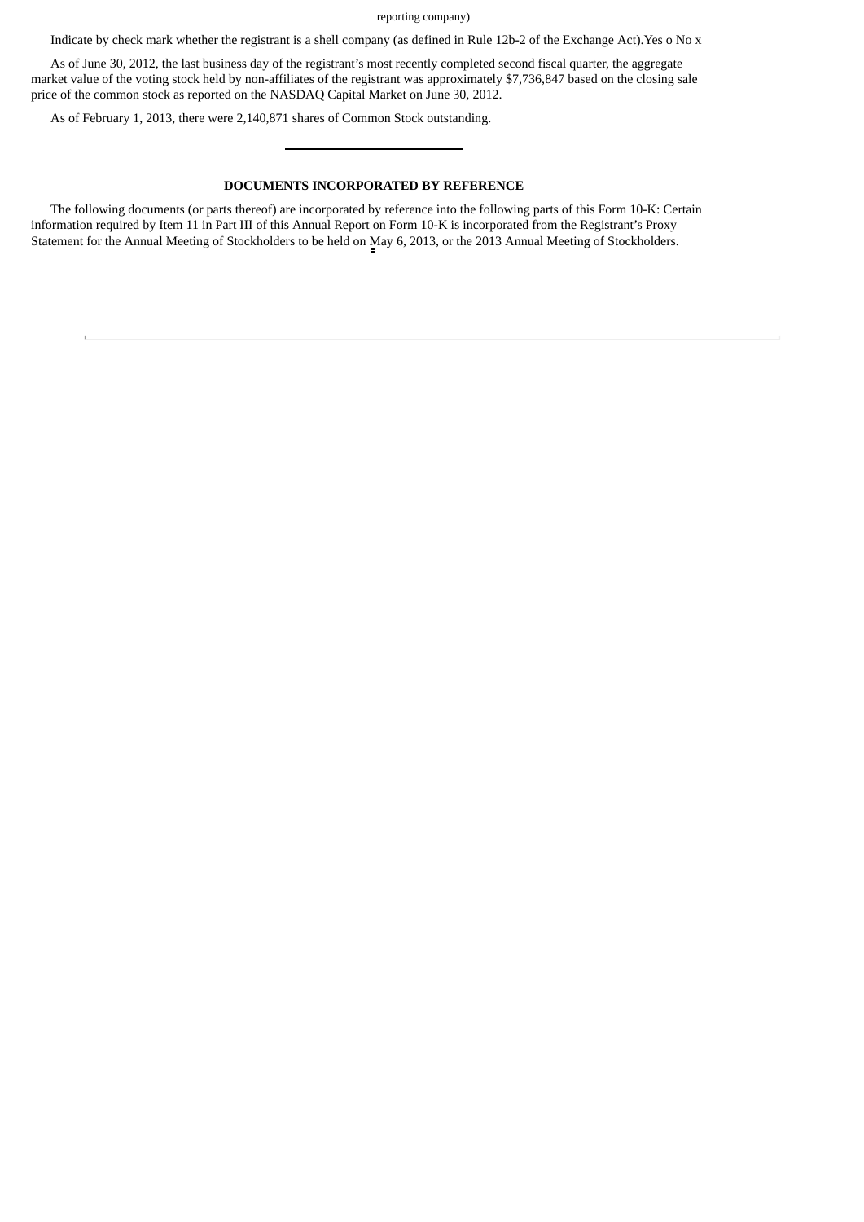#### reporting company)

Indicate by check mark whether the registrant is a shell company (as defined in Rule 12b-2 of the Exchange Act).Yes o No x

As of June 30, 2012, the last business day of the registrant's most recently completed second fiscal quarter, the aggregate market value of the voting stock held by non-affiliates of the registrant was approximately \$7,736,847 based on the closing sale price of the common stock as reported on the NASDAQ Capital Market on June 30, 2012.

As of February 1, 2013, there were 2,140,871 shares of Common Stock outstanding.

### **DOCUMENTS INCORPORATED BY REFERENCE**

The following documents (or parts thereof) are incorporated by reference into the following parts of this Form 10-K: Certain information required by Item 11 in Part III of this Annual Report on Form 10-K is incorporated from the Registrant's Proxy Statement for the Annual Meeting of Stockholders to be held on May 6, 2013, or the 2013 Annual Meeting of Stockholders.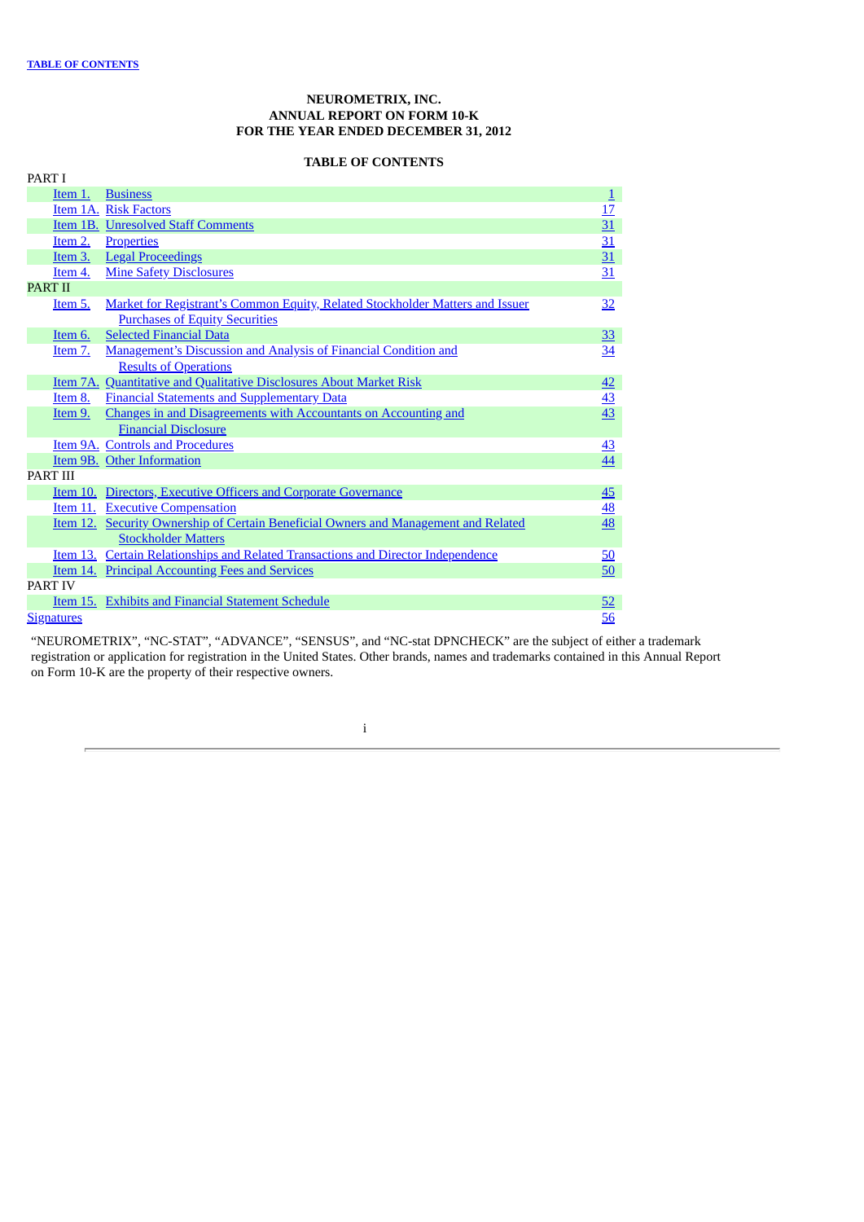### **NEUROMETRIX, INC. ANNUAL REPORT ON FORM 10-K FOR THE YEAR ENDED DECEMBER 31, 2012**

## **TABLE OF CONTENTS**

| PART I            |            |                                                                                            |                |
|-------------------|------------|--------------------------------------------------------------------------------------------|----------------|
|                   | Item $1$ . | <b>Business</b>                                                                            | $\overline{1}$ |
|                   |            | Item 1A. Risk Factors                                                                      | $\frac{17}{1}$ |
|                   |            | Item 1B. Unresolved Staff Comments                                                         | 31             |
|                   |            | Item 2. Properties                                                                         | 31             |
|                   | Item 3.    | <b>Legal Proceedings</b>                                                                   | 31             |
|                   | Item 4.    | <b>Mine Safety Disclosures</b>                                                             | 31             |
| <b>PART II</b>    |            |                                                                                            |                |
|                   | Item 5.    | Market for Registrant's Common Equity, Related Stockholder Matters and Issuer              | 32             |
|                   |            | <b>Purchases of Equity Securities</b>                                                      |                |
|                   | Item 6.    | <b>Selected Financial Data</b>                                                             | 33             |
|                   | Item 7.    | <b>Management's Discussion and Analysis of Financial Condition and</b>                     | 34             |
|                   |            | <b>Results of Operations</b>                                                               |                |
|                   |            | Item 7A. Quantitative and Qualitative Disclosures About Market Risk                        | 42             |
|                   | Item 8.    | <b>Financial Statements and Supplementary Data</b>                                         | <u>43</u>      |
|                   | Item 9.    | Changes in and Disagreements with Accountants on Accounting and                            | 43             |
|                   |            | <b>Financial Disclosure</b>                                                                |                |
|                   |            | Item 9A. Controls and Procedures                                                           | <u>43</u>      |
|                   |            | Item 9B. Other Information                                                                 | 44             |
| <b>PART III</b>   |            |                                                                                            |                |
|                   |            | Item 10. Directors, Executive Officers and Corporate Governance                            | 45             |
|                   |            | <b>Item 11. Executive Compensation</b>                                                     | 48             |
|                   |            | <b>Item 12. Security Ownership of Certain Beneficial Owners and Management and Related</b> | 48             |
|                   |            | <b>Stockholder Matters</b>                                                                 |                |
|                   |            | Item 13. Certain Relationships and Related Transactions and Director Independence          | 50             |
|                   |            | Item 14. Principal Accounting Fees and Services                                            | 50             |
| <b>PART IV</b>    |            |                                                                                            |                |
|                   |            | Item 15. Exhibits and Financial Statement Schedule                                         | 52             |
| <u>Signatures</u> |            |                                                                                            | 56             |

"NEUROMETRIX", "NC-STAT", "ADVANCE", "SENSUS", and "NC-stat DPNCHECK" are the subject of either a trademark registration or application for registration in the United States. Other brands, names and trademarks contained in this Annual Report on Form 10-K are the property of their respective owners.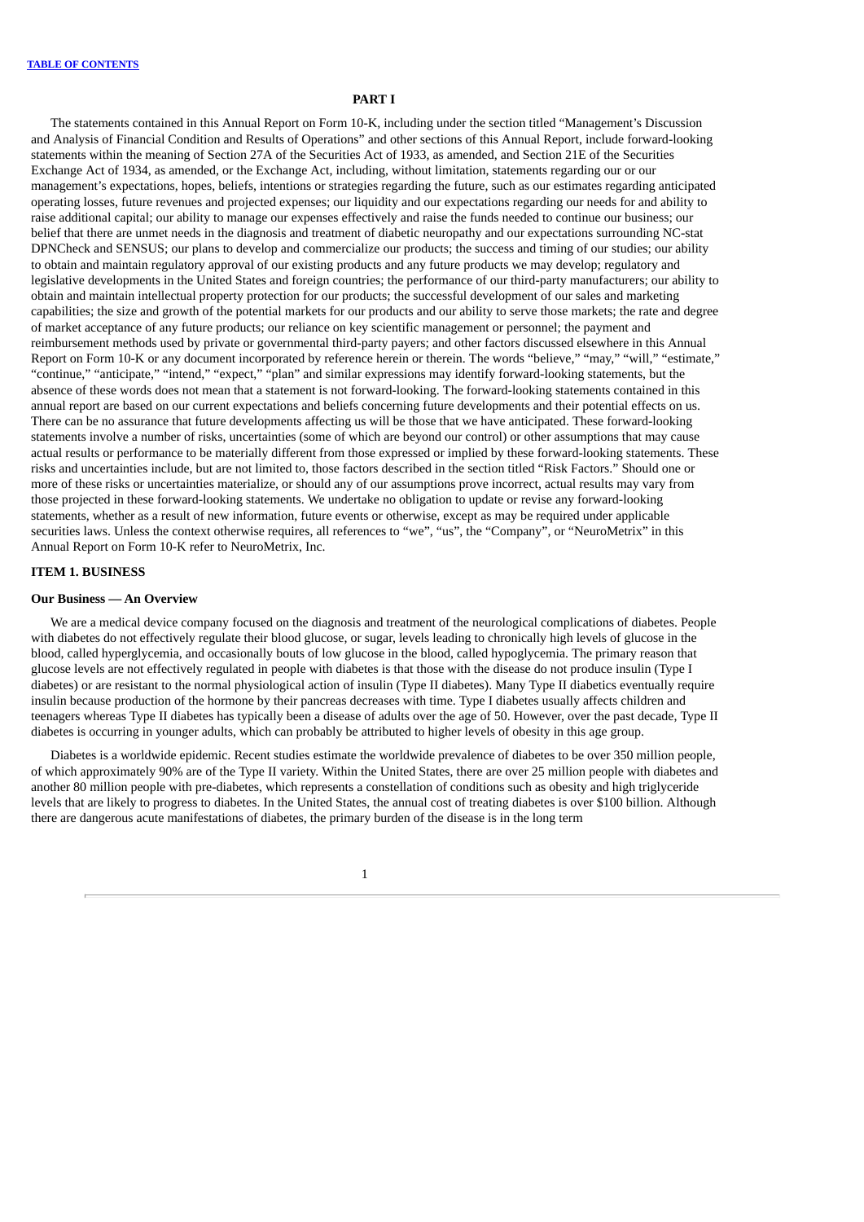#### **PART I**

The statements contained in this Annual Report on Form 10-K, including under the section titled "Management's Discussion and Analysis of Financial Condition and Results of Operations" and other sections of this Annual Report, include forward-looking statements within the meaning of Section 27A of the Securities Act of 1933, as amended, and Section 21E of the Securities Exchange Act of 1934, as amended, or the Exchange Act, including, without limitation, statements regarding our or our management's expectations, hopes, beliefs, intentions or strategies regarding the future, such as our estimates regarding anticipated operating losses, future revenues and projected expenses; our liquidity and our expectations regarding our needs for and ability to raise additional capital; our ability to manage our expenses effectively and raise the funds needed to continue our business; our belief that there are unmet needs in the diagnosis and treatment of diabetic neuropathy and our expectations surrounding NC-stat DPNCheck and SENSUS; our plans to develop and commercialize our products; the success and timing of our studies; our ability to obtain and maintain regulatory approval of our existing products and any future products we may develop; regulatory and legislative developments in the United States and foreign countries; the performance of our third-party manufacturers; our ability to obtain and maintain intellectual property protection for our products; the successful development of our sales and marketing capabilities; the size and growth of the potential markets for our products and our ability to serve those markets; the rate and degree of market acceptance of any future products; our reliance on key scientific management or personnel; the payment and reimbursement methods used by private or governmental third-party payers; and other factors discussed elsewhere in this Annual Report on Form 10-K or any document incorporated by reference herein or therein. The words "believe," "may," "will," "estimate," "continue," "anticipate," "intend," "expect," "plan" and similar expressions may identify forward-looking statements, but the absence of these words does not mean that a statement is not forward-looking. The forward-looking statements contained in this annual report are based on our current expectations and beliefs concerning future developments and their potential effects on us. There can be no assurance that future developments affecting us will be those that we have anticipated. These forward-looking statements involve a number of risks, uncertainties (some of which are beyond our control) or other assumptions that may cause actual results or performance to be materially different from those expressed or implied by these forward-looking statements. These risks and uncertainties include, but are not limited to, those factors described in the section titled "Risk Factors." Should one or more of these risks or uncertainties materialize, or should any of our assumptions prove incorrect, actual results may vary from those projected in these forward-looking statements. We undertake no obligation to update or revise any forward-looking statements, whether as a result of new information, future events or otherwise, except as may be required under applicable securities laws. Unless the context otherwise requires, all references to "we", "us", the "Company", or "NeuroMetrix" in this Annual Report on Form 10-K refer to NeuroMetrix, Inc.

#### **ITEM 1. BUSINESS**

### **Our Business — An Overview**

We are a medical device company focused on the diagnosis and treatment of the neurological complications of diabetes. People with diabetes do not effectively regulate their blood glucose, or sugar, levels leading to chronically high levels of glucose in the blood, called hyperglycemia, and occasionally bouts of low glucose in the blood, called hypoglycemia. The primary reason that glucose levels are not effectively regulated in people with diabetes is that those with the disease do not produce insulin (Type I diabetes) or are resistant to the normal physiological action of insulin (Type II diabetes). Many Type II diabetics eventually require insulin because production of the hormone by their pancreas decreases with time. Type I diabetes usually affects children and teenagers whereas Type II diabetes has typically been a disease of adults over the age of 50. However, over the past decade, Type II diabetes is occurring in younger adults, which can probably be attributed to higher levels of obesity in this age group.

Diabetes is a worldwide epidemic. Recent studies estimate the worldwide prevalence of diabetes to be over 350 million people, of which approximately 90% are of the Type II variety. Within the United States, there are over 25 million people with diabetes and another 80 million people with pre-diabetes, which represents a constellation of conditions such as obesity and high triglyceride levels that are likely to progress to diabetes. In the United States, the annual cost of treating diabetes is over \$100 billion. Although there are dangerous acute manifestations of diabetes, the primary burden of the disease is in the long term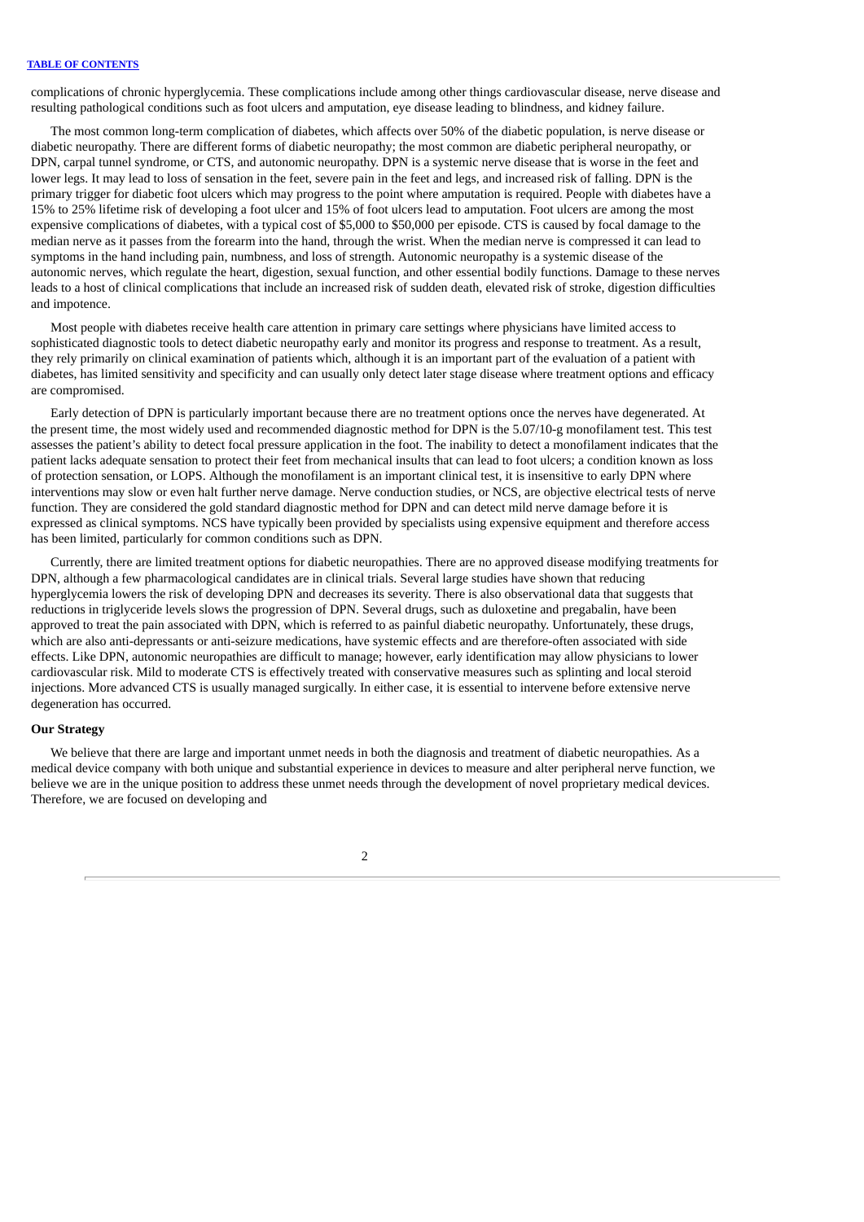complications of chronic hyperglycemia. These complications include among other things cardiovascular disease, nerve disease and resulting pathological conditions such as foot ulcers and amputation, eye disease leading to blindness, and kidney failure.

The most common long-term complication of diabetes, which affects over 50% of the diabetic population, is nerve disease or diabetic neuropathy. There are different forms of diabetic neuropathy; the most common are diabetic peripheral neuropathy, or DPN, carpal tunnel syndrome, or CTS, and autonomic neuropathy. DPN is a systemic nerve disease that is worse in the feet and lower legs. It may lead to loss of sensation in the feet, severe pain in the feet and legs, and increased risk of falling. DPN is the primary trigger for diabetic foot ulcers which may progress to the point where amputation is required. People with diabetes have a 15% to 25% lifetime risk of developing a foot ulcer and 15% of foot ulcers lead to amputation. Foot ulcers are among the most expensive complications of diabetes, with a typical cost of \$5,000 to \$50,000 per episode. CTS is caused by focal damage to the median nerve as it passes from the forearm into the hand, through the wrist. When the median nerve is compressed it can lead to symptoms in the hand including pain, numbness, and loss of strength. Autonomic neuropathy is a systemic disease of the autonomic nerves, which regulate the heart, digestion, sexual function, and other essential bodily functions. Damage to these nerves leads to a host of clinical complications that include an increased risk of sudden death, elevated risk of stroke, digestion difficulties and impotence.

Most people with diabetes receive health care attention in primary care settings where physicians have limited access to sophisticated diagnostic tools to detect diabetic neuropathy early and monitor its progress and response to treatment. As a result, they rely primarily on clinical examination of patients which, although it is an important part of the evaluation of a patient with diabetes, has limited sensitivity and specificity and can usually only detect later stage disease where treatment options and efficacy are compromised.

Early detection of DPN is particularly important because there are no treatment options once the nerves have degenerated. At the present time, the most widely used and recommended diagnostic method for DPN is the 5.07/10-g monofilament test. This test assesses the patient's ability to detect focal pressure application in the foot. The inability to detect a monofilament indicates that the patient lacks adequate sensation to protect their feet from mechanical insults that can lead to foot ulcers; a condition known as loss of protection sensation, or LOPS. Although the monofilament is an important clinical test, it is insensitive to early DPN where interventions may slow or even halt further nerve damage. Nerve conduction studies, or NCS, are objective electrical tests of nerve function. They are considered the gold standard diagnostic method for DPN and can detect mild nerve damage before it is expressed as clinical symptoms. NCS have typically been provided by specialists using expensive equipment and therefore access has been limited, particularly for common conditions such as DPN.

Currently, there are limited treatment options for diabetic neuropathies. There are no approved disease modifying treatments for DPN, although a few pharmacological candidates are in clinical trials. Several large studies have shown that reducing hyperglycemia lowers the risk of developing DPN and decreases its severity. There is also observational data that suggests that reductions in triglyceride levels slows the progression of DPN. Several drugs, such as duloxetine and pregabalin, have been approved to treat the pain associated with DPN, which is referred to as painful diabetic neuropathy. Unfortunately, these drugs, which are also anti-depressants or anti-seizure medications, have systemic effects and are therefore-often associated with side effects. Like DPN, autonomic neuropathies are difficult to manage; however, early identification may allow physicians to lower cardiovascular risk. Mild to moderate CTS is effectively treated with conservative measures such as splinting and local steroid injections. More advanced CTS is usually managed surgically. In either case, it is essential to intervene before extensive nerve degeneration has occurred.

### **Our Strategy**

We believe that there are large and important unmet needs in both the diagnosis and treatment of diabetic neuropathies. As a medical device company with both unique and substantial experience in devices to measure and alter peripheral nerve function, we believe we are in the unique position to address these unmet needs through the development of novel proprietary medical devices. Therefore, we are focused on developing and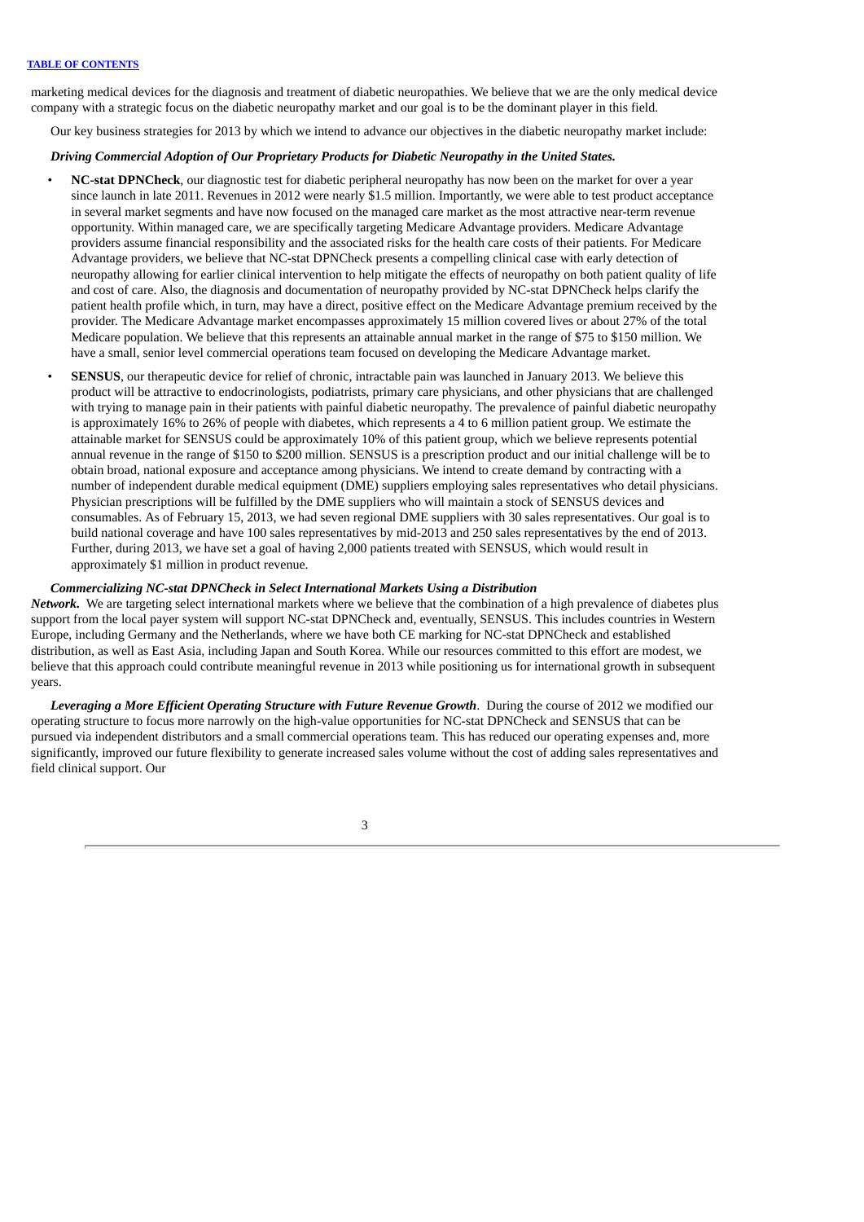marketing medical devices for the diagnosis and treatment of diabetic neuropathies. We believe that we are the only medical device company with a strategic focus on the diabetic neuropathy market and our goal is to be the dominant player in this field.

Our key business strategies for 2013 by which we intend to advance our objectives in the diabetic neuropathy market include:

### *Driving Commercial Adoption of Our Proprietary Products for Diabetic Neuropathy in the United States.*

- **NC-stat DPNCheck**, our diagnostic test for diabetic peripheral neuropathy has now been on the market for over a year since launch in late 2011. Revenues in 2012 were nearly \$1.5 million. Importantly, we were able to test product acceptance in several market segments and have now focused on the managed care market as the most attractive near-term revenue opportunity. Within managed care, we are specifically targeting Medicare Advantage providers. Medicare Advantage providers assume financial responsibility and the associated risks for the health care costs of their patients. For Medicare Advantage providers, we believe that NC-stat DPNCheck presents a compelling clinical case with early detection of neuropathy allowing for earlier clinical intervention to help mitigate the effects of neuropathy on both patient quality of life and cost of care. Also, the diagnosis and documentation of neuropathy provided by NC-stat DPNCheck helps clarify the patient health profile which, in turn, may have a direct, positive effect on the Medicare Advantage premium received by the provider. The Medicare Advantage market encompasses approximately 15 million covered lives or about 27% of the total Medicare population. We believe that this represents an attainable annual market in the range of \$75 to \$150 million. We have a small, senior level commercial operations team focused on developing the Medicare Advantage market.
- **SENSUS**, our therapeutic device for relief of chronic, intractable pain was launched in January 2013. We believe this product will be attractive to endocrinologists, podiatrists, primary care physicians, and other physicians that are challenged with trying to manage pain in their patients with painful diabetic neuropathy. The prevalence of painful diabetic neuropathy is approximately 16% to 26% of people with diabetes, which represents a 4 to 6 million patient group. We estimate the attainable market for SENSUS could be approximately 10% of this patient group, which we believe represents potential annual revenue in the range of \$150 to \$200 million. SENSUS is a prescription product and our initial challenge will be to obtain broad, national exposure and acceptance among physicians. We intend to create demand by contracting with a number of independent durable medical equipment (DME) suppliers employing sales representatives who detail physicians. Physician prescriptions will be fulfilled by the DME suppliers who will maintain a stock of SENSUS devices and consumables. As of February 15, 2013, we had seven regional DME suppliers with 30 sales representatives. Our goal is to build national coverage and have 100 sales representatives by mid-2013 and 250 sales representatives by the end of 2013. Further, during 2013, we have set a goal of having 2,000 patients treated with SENSUS, which would result in approximately \$1 million in product revenue.

### *Commercializing NC-stat DPNCheck in Select International Markets Using a Distribution*

*Network.* We are targeting select international markets where we believe that the combination of a high prevalence of diabetes plus support from the local payer system will support NC-stat DPNCheck and, eventually, SENSUS. This includes countries in Western Europe, including Germany and the Netherlands, where we have both CE marking for NC-stat DPNCheck and established distribution, as well as East Asia, including Japan and South Korea. While our resources committed to this effort are modest, we believe that this approach could contribute meaningful revenue in 2013 while positioning us for international growth in subsequent years.

*Leveraging a More Efficient Operating Structure with Future Revenue Growth*. During the course of 2012 we modified our operating structure to focus more narrowly on the high-value opportunities for NC-stat DPNCheck and SENSUS that can be pursued via independent distributors and a small commercial operations team. This has reduced our operating expenses and, more significantly, improved our future flexibility to generate increased sales volume without the cost of adding sales representatives and field clinical support. Our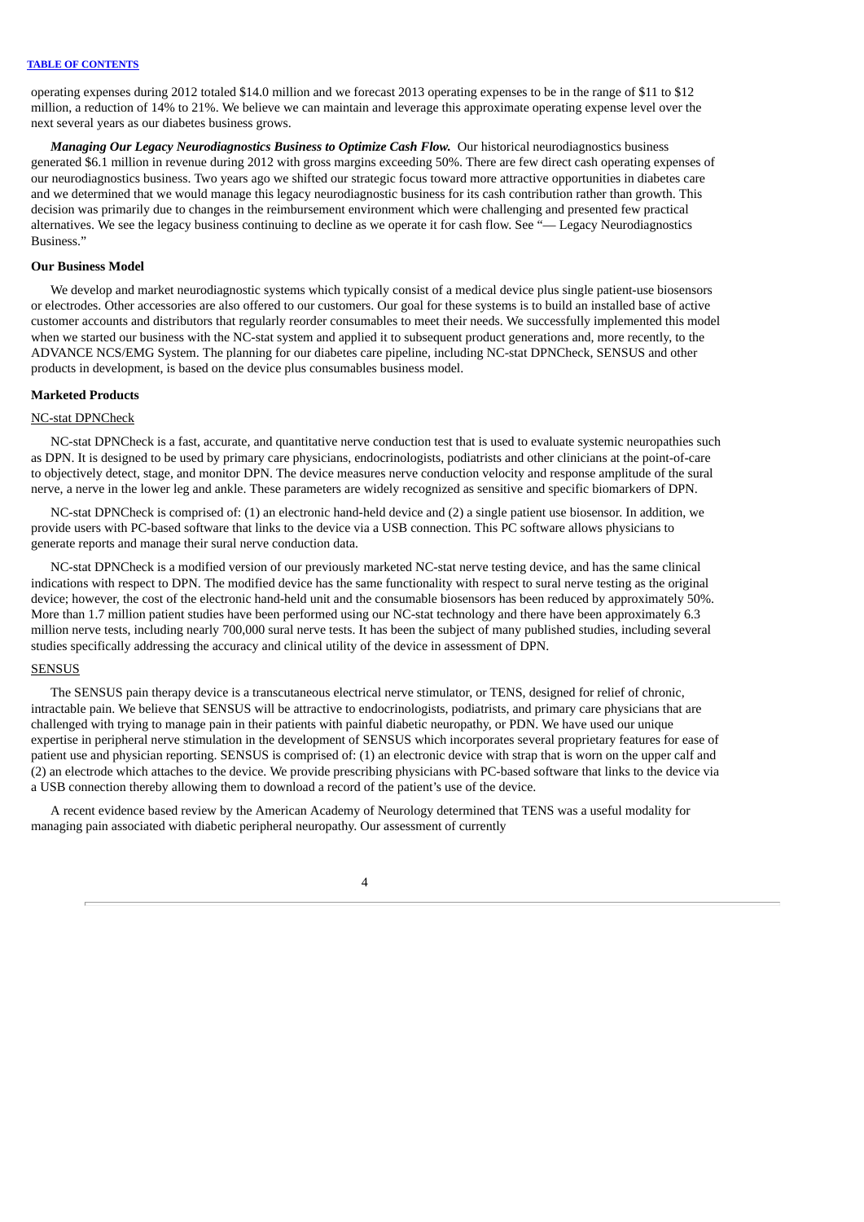operating expenses during 2012 totaled \$14.0 million and we forecast 2013 operating expenses to be in the range of \$11 to \$12 million, a reduction of 14% to 21%. We believe we can maintain and leverage this approximate operating expense level over the next several years as our diabetes business grows.

*Managing Our Legacy Neurodiagnostics Business to Optimize Cash Flow.* Our historical neurodiagnostics business generated \$6.1 million in revenue during 2012 with gross margins exceeding 50%. There are few direct cash operating expenses of our neurodiagnostics business. Two years ago we shifted our strategic focus toward more attractive opportunities in diabetes care and we determined that we would manage this legacy neurodiagnostic business for its cash contribution rather than growth. This decision was primarily due to changes in the reimbursement environment which were challenging and presented few practical alternatives. We see the legacy business continuing to decline as we operate it for cash flow. See "— Legacy Neurodiagnostics Business."

### **Our Business Model**

We develop and market neurodiagnostic systems which typically consist of a medical device plus single patient-use biosensors or electrodes. Other accessories are also offered to our customers. Our goal for these systems is to build an installed base of active customer accounts and distributors that regularly reorder consumables to meet their needs. We successfully implemented this model when we started our business with the NC-stat system and applied it to subsequent product generations and, more recently, to the ADVANCE NCS/EMG System. The planning for our diabetes care pipeline, including NC-stat DPNCheck, SENSUS and other products in development, is based on the device plus consumables business model.

#### **Marketed Products**

### NC-stat DPNCheck

NC-stat DPNCheck is a fast, accurate, and quantitative nerve conduction test that is used to evaluate systemic neuropathies such as DPN. It is designed to be used by primary care physicians, endocrinologists, podiatrists and other clinicians at the point-of-care to objectively detect, stage, and monitor DPN. The device measures nerve conduction velocity and response amplitude of the sural nerve, a nerve in the lower leg and ankle. These parameters are widely recognized as sensitive and specific biomarkers of DPN.

NC-stat DPNCheck is comprised of: (1) an electronic hand-held device and (2) a single patient use biosensor. In addition, we provide users with PC-based software that links to the device via a USB connection. This PC software allows physicians to generate reports and manage their sural nerve conduction data.

NC-stat DPNCheck is a modified version of our previously marketed NC-stat nerve testing device, and has the same clinical indications with respect to DPN. The modified device has the same functionality with respect to sural nerve testing as the original device; however, the cost of the electronic hand-held unit and the consumable biosensors has been reduced by approximately 50%. More than 1.7 million patient studies have been performed using our NC-stat technology and there have been approximately 6.3 million nerve tests, including nearly 700,000 sural nerve tests. It has been the subject of many published studies, including several studies specifically addressing the accuracy and clinical utility of the device in assessment of DPN.

### SENSUS

The SENSUS pain therapy device is a transcutaneous electrical nerve stimulator, or TENS, designed for relief of chronic, intractable pain. We believe that SENSUS will be attractive to endocrinologists, podiatrists, and primary care physicians that are challenged with trying to manage pain in their patients with painful diabetic neuropathy, or PDN. We have used our unique expertise in peripheral nerve stimulation in the development of SENSUS which incorporates several proprietary features for ease of patient use and physician reporting. SENSUS is comprised of: (1) an electronic device with strap that is worn on the upper calf and (2) an electrode which attaches to the device. We provide prescribing physicians with PC-based software that links to the device via a USB connection thereby allowing them to download a record of the patient's use of the device.

A recent evidence based review by the American Academy of Neurology determined that TENS was a useful modality for managing pain associated with diabetic peripheral neuropathy. Our assessment of currently

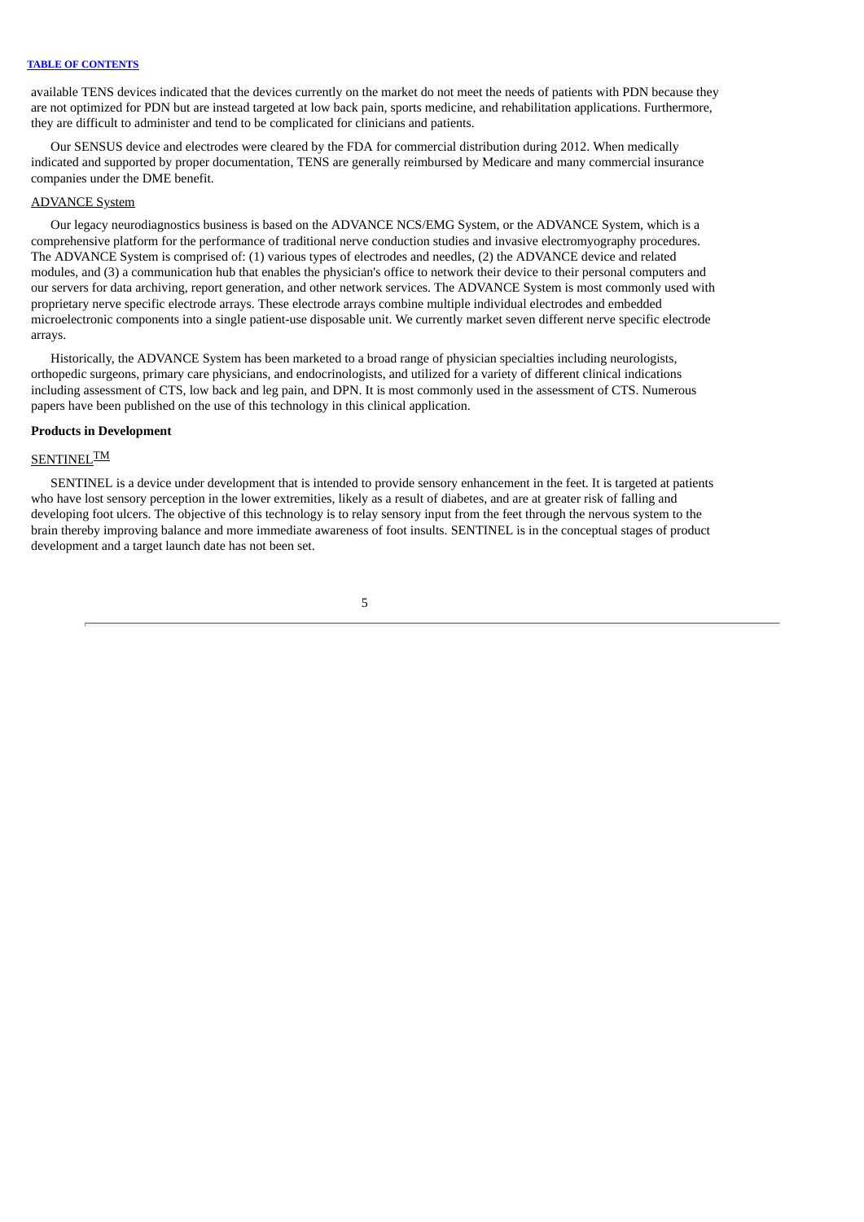available TENS devices indicated that the devices currently on the market do not meet the needs of patients with PDN because they are not optimized for PDN but are instead targeted at low back pain, sports medicine, and rehabilitation applications. Furthermore, they are difficult to administer and tend to be complicated for clinicians and patients.

Our SENSUS device and electrodes were cleared by the FDA for commercial distribution during 2012. When medically indicated and supported by proper documentation, TENS are generally reimbursed by Medicare and many commercial insurance companies under the DME benefit.

# ADVANCE System

Our legacy neurodiagnostics business is based on the ADVANCE NCS/EMG System, or the ADVANCE System, which is a comprehensive platform for the performance of traditional nerve conduction studies and invasive electromyography procedures. The ADVANCE System is comprised of: (1) various types of electrodes and needles, (2) the ADVANCE device and related modules, and (3) a communication hub that enables the physician's office to network their device to their personal computers and our servers for data archiving, report generation, and other network services. The ADVANCE System is most commonly used with proprietary nerve specific electrode arrays. These electrode arrays combine multiple individual electrodes and embedded microelectronic components into a single patient-use disposable unit. We currently market seven different nerve specific electrode arrays.

Historically, the ADVANCE System has been marketed to a broad range of physician specialties including neurologists, orthopedic surgeons, primary care physicians, and endocrinologists, and utilized for a variety of different clinical indications including assessment of CTS, low back and leg pain, and DPN. It is most commonly used in the assessment of CTS. Numerous papers have been published on the use of this technology in this clinical application.

#### **Products in Development**

### ${\tt SENTINEL}^{\tt TM}$

SENTINEL is a device under development that is intended to provide sensory enhancement in the feet. It is targeted at patients who have lost sensory perception in the lower extremities, likely as a result of diabetes, and are at greater risk of falling and developing foot ulcers. The objective of this technology is to relay sensory input from the feet through the nervous system to the brain thereby improving balance and more immediate awareness of foot insults. SENTINEL is in the conceptual stages of product development and a target launch date has not been set.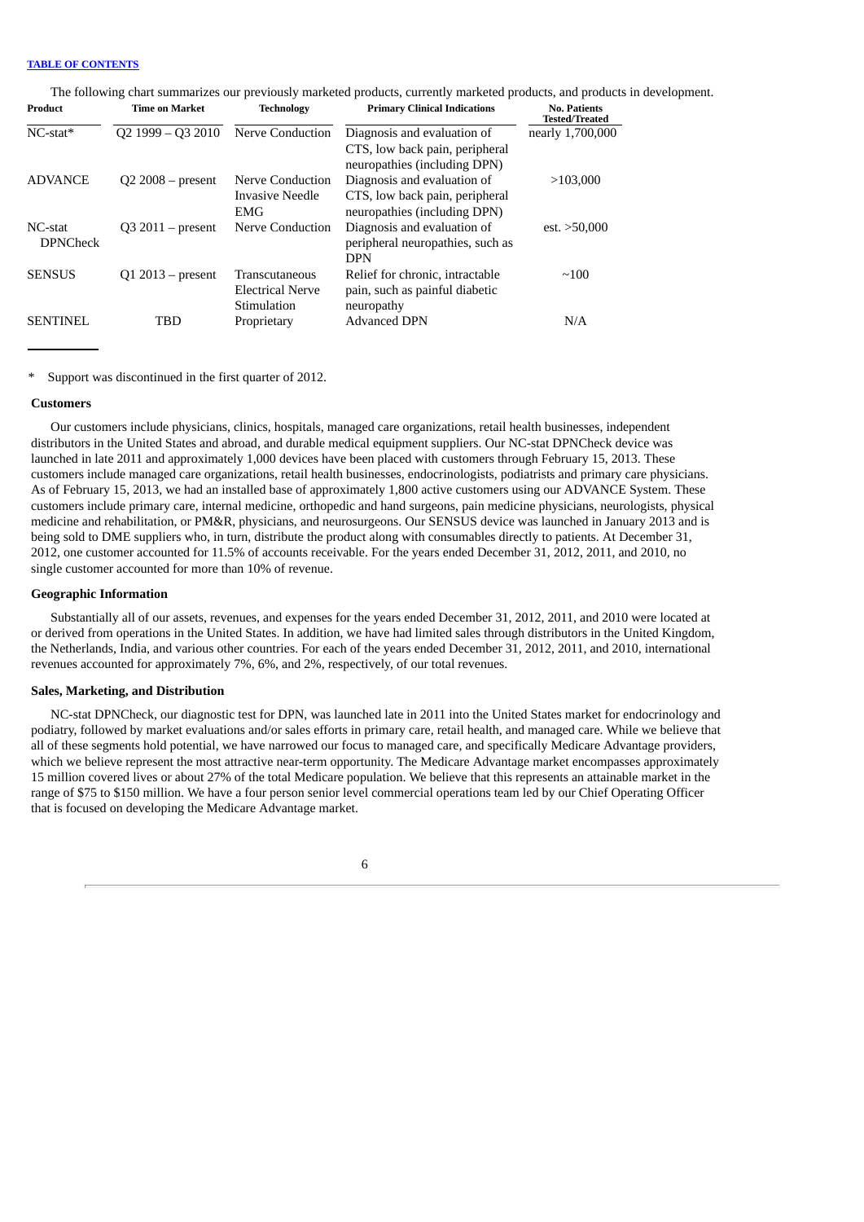|         |                |            |                              | The following chart summarizes our previously marketed products, currently marketed products, and products in development. |  |
|---------|----------------|------------|------------------------------|----------------------------------------------------------------------------------------------------------------------------|--|
| Product | Time on Market | Technology | Primary Clinical Indications | <b>No. Patients</b><br><u>.</u>                                                                                            |  |

| .               |                      | $\frac{1}{2}$           | ттици у синцептицистопы          | . 10. 1 uutuu<br><b>Tested/Treated</b> |
|-----------------|----------------------|-------------------------|----------------------------------|----------------------------------------|
| $NC$ -stat*     | $Q2$ 1999 - Q3 2010  | <b>Nerve Conduction</b> | Diagnosis and evaluation of      | nearly 1,700,000                       |
|                 |                      |                         | CTS, low back pain, peripheral   |                                        |
|                 |                      |                         | neuropathies (including DPN)     |                                        |
| <b>ADVANCE</b>  | $Q2\,2008$ – present | <b>Nerve Conduction</b> | Diagnosis and evaluation of      | >103,000                               |
|                 |                      | <b>Invasive Needle</b>  | CTS, low back pain, peripheral   |                                        |
|                 |                      | <b>EMG</b>              | neuropathies (including DPN)     |                                        |
| NC-stat         | $Q3\,2011 - present$ | <b>Nerve Conduction</b> | Diagnosis and evaluation of      | est. $>50,000$                         |
| <b>DPNCheck</b> |                      |                         | peripheral neuropathies, such as |                                        |
|                 |                      |                         | <b>DPN</b>                       |                                        |
| <b>SENSUS</b>   | $Q1 2013 - present$  | Transcutaneous          | Relief for chronic, intractable  | $\sim$ 100                             |
|                 |                      | <b>Electrical Nerve</b> | pain, such as painful diabetic   |                                        |
|                 |                      | Stimulation             | neuropathy                       |                                        |
| <b>SENTINEL</b> | TBD                  | Proprietary             | <b>Advanced DPN</b>              | N/A                                    |

Support was discontinued in the first quarter of 2012.

#### **Customers**

Our customers include physicians, clinics, hospitals, managed care organizations, retail health businesses, independent distributors in the United States and abroad, and durable medical equipment suppliers. Our NC-stat DPNCheck device was launched in late 2011 and approximately 1,000 devices have been placed with customers through February 15, 2013. These customers include managed care organizations, retail health businesses, endocrinologists, podiatrists and primary care physicians. As of February 15, 2013, we had an installed base of approximately 1,800 active customers using our ADVANCE System. These customers include primary care, internal medicine, orthopedic and hand surgeons, pain medicine physicians, neurologists, physical medicine and rehabilitation, or PM&R, physicians, and neurosurgeons. Our SENSUS device was launched in January 2013 and is being sold to DME suppliers who, in turn, distribute the product along with consumables directly to patients. At December 31, 2012, one customer accounted for 11.5% of accounts receivable. For the years ended December 31, 2012, 2011, and 2010, no single customer accounted for more than 10% of revenue.

#### **Geographic Information**

Substantially all of our assets, revenues, and expenses for the years ended December 31, 2012, 2011, and 2010 were located at or derived from operations in the United States. In addition, we have had limited sales through distributors in the United Kingdom, the Netherlands, India, and various other countries. For each of the years ended December 31, 2012, 2011, and 2010, international revenues accounted for approximately 7%, 6%, and 2%, respectively, of our total revenues.

### **Sales, Marketing, and Distribution**

NC-stat DPNCheck, our diagnostic test for DPN, was launched late in 2011 into the United States market for endocrinology and podiatry, followed by market evaluations and/or sales efforts in primary care, retail health, and managed care. While we believe that all of these segments hold potential, we have narrowed our focus to managed care, and specifically Medicare Advantage providers, which we believe represent the most attractive near-term opportunity. The Medicare Advantage market encompasses approximately 15 million covered lives or about 27% of the total Medicare population. We believe that this represents an attainable market in the range of \$75 to \$150 million. We have a four person senior level commercial operations team led by our Chief Operating Officer that is focused on developing the Medicare Advantage market.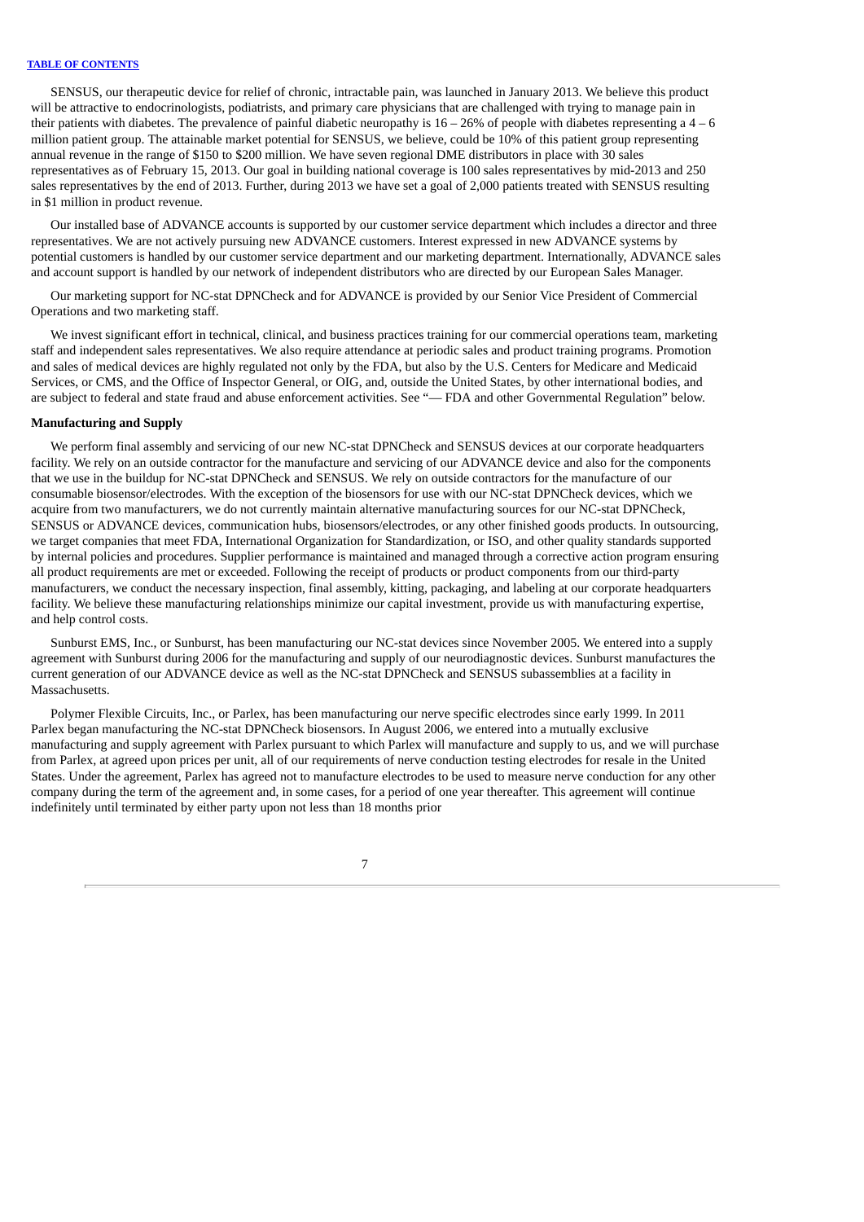SENSUS, our therapeutic device for relief of chronic, intractable pain, was launched in January 2013. We believe this product will be attractive to endocrinologists, podiatrists, and primary care physicians that are challenged with trying to manage pain in their patients with diabetes. The prevalence of painful diabetic neuropathy is  $16 - 26\%$  of people with diabetes representing a  $4 - 6$ million patient group. The attainable market potential for SENSUS, we believe, could be 10% of this patient group representing annual revenue in the range of \$150 to \$200 million. We have seven regional DME distributors in place with 30 sales representatives as of February 15, 2013. Our goal in building national coverage is 100 sales representatives by mid-2013 and 250 sales representatives by the end of 2013. Further, during 2013 we have set a goal of 2,000 patients treated with SENSUS resulting in \$1 million in product revenue.

Our installed base of ADVANCE accounts is supported by our customer service department which includes a director and three representatives. We are not actively pursuing new ADVANCE customers. Interest expressed in new ADVANCE systems by potential customers is handled by our customer service department and our marketing department. Internationally, ADVANCE sales and account support is handled by our network of independent distributors who are directed by our European Sales Manager.

Our marketing support for NC-stat DPNCheck and for ADVANCE is provided by our Senior Vice President of Commercial Operations and two marketing staff.

We invest significant effort in technical, clinical, and business practices training for our commercial operations team, marketing staff and independent sales representatives. We also require attendance at periodic sales and product training programs. Promotion and sales of medical devices are highly regulated not only by the FDA, but also by the U.S. Centers for Medicare and Medicaid Services, or CMS, and the Office of Inspector General, or OIG, and, outside the United States, by other international bodies, and are subject to federal and state fraud and abuse enforcement activities. See "— FDA and other Governmental Regulation" below.

### **Manufacturing and Supply**

We perform final assembly and servicing of our new NC-stat DPNCheck and SENSUS devices at our corporate headquarters facility. We rely on an outside contractor for the manufacture and servicing of our ADVANCE device and also for the components that we use in the buildup for NC-stat DPNCheck and SENSUS. We rely on outside contractors for the manufacture of our consumable biosensor/electrodes. With the exception of the biosensors for use with our NC-stat DPNCheck devices, which we acquire from two manufacturers, we do not currently maintain alternative manufacturing sources for our NC-stat DPNCheck, SENSUS or ADVANCE devices, communication hubs, biosensors/electrodes, or any other finished goods products. In outsourcing, we target companies that meet FDA, International Organization for Standardization, or ISO, and other quality standards supported by internal policies and procedures. Supplier performance is maintained and managed through a corrective action program ensuring all product requirements are met or exceeded. Following the receipt of products or product components from our third-party manufacturers, we conduct the necessary inspection, final assembly, kitting, packaging, and labeling at our corporate headquarters facility. We believe these manufacturing relationships minimize our capital investment, provide us with manufacturing expertise, and help control costs.

Sunburst EMS, Inc., or Sunburst, has been manufacturing our NC-stat devices since November 2005. We entered into a supply agreement with Sunburst during 2006 for the manufacturing and supply of our neurodiagnostic devices. Sunburst manufactures the current generation of our ADVANCE device as well as the NC-stat DPNCheck and SENSUS subassemblies at a facility in **Massachusetts** 

Polymer Flexible Circuits, Inc., or Parlex, has been manufacturing our nerve specific electrodes since early 1999. In 2011 Parlex began manufacturing the NC-stat DPNCheck biosensors. In August 2006, we entered into a mutually exclusive manufacturing and supply agreement with Parlex pursuant to which Parlex will manufacture and supply to us, and we will purchase from Parlex, at agreed upon prices per unit, all of our requirements of nerve conduction testing electrodes for resale in the United States. Under the agreement, Parlex has agreed not to manufacture electrodes to be used to measure nerve conduction for any other company during the term of the agreement and, in some cases, for a period of one year thereafter. This agreement will continue indefinitely until terminated by either party upon not less than 18 months prior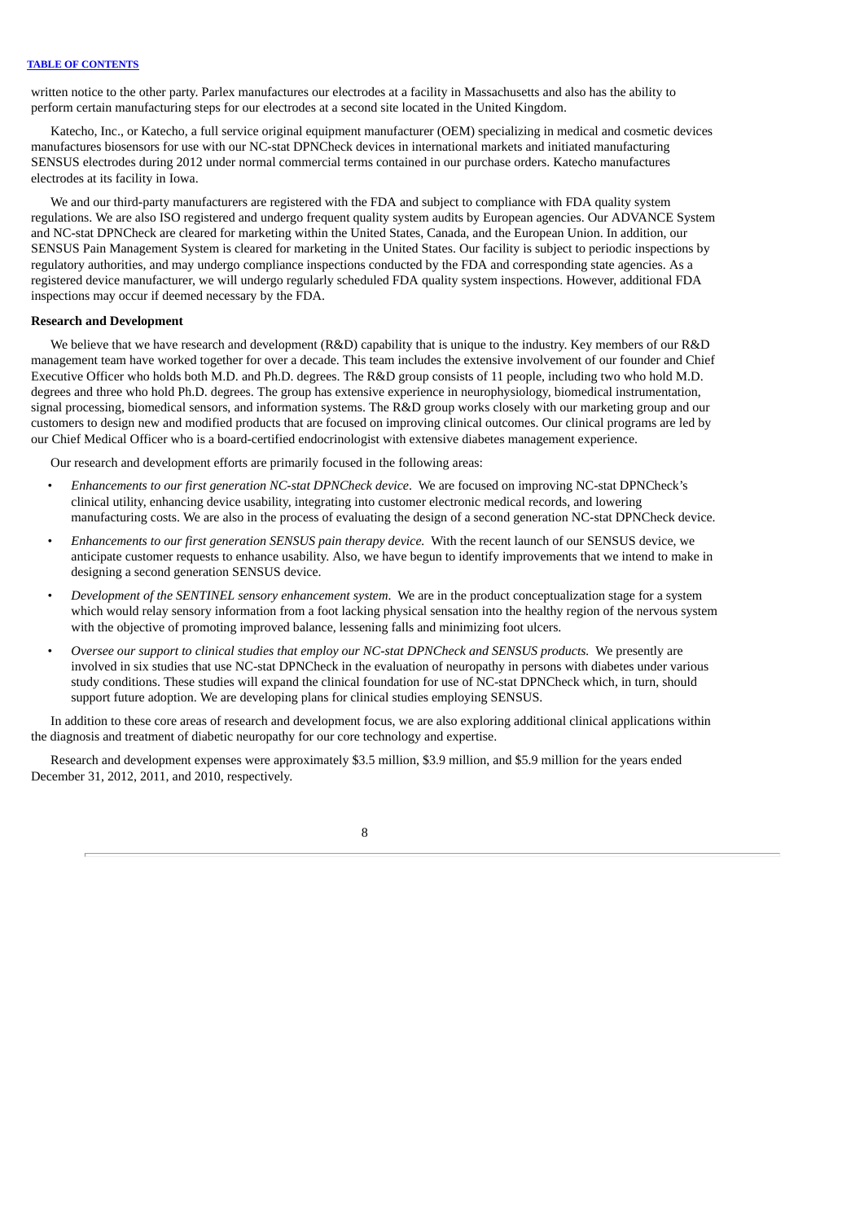written notice to the other party. Parlex manufactures our electrodes at a facility in Massachusetts and also has the ability to perform certain manufacturing steps for our electrodes at a second site located in the United Kingdom.

Katecho, Inc., or Katecho, a full service original equipment manufacturer (OEM) specializing in medical and cosmetic devices manufactures biosensors for use with our NC-stat DPNCheck devices in international markets and initiated manufacturing SENSUS electrodes during 2012 under normal commercial terms contained in our purchase orders. Katecho manufactures electrodes at its facility in Iowa.

We and our third-party manufacturers are registered with the FDA and subject to compliance with FDA quality system regulations. We are also ISO registered and undergo frequent quality system audits by European agencies. Our ADVANCE System and NC-stat DPNCheck are cleared for marketing within the United States, Canada, and the European Union. In addition, our SENSUS Pain Management System is cleared for marketing in the United States. Our facility is subject to periodic inspections by regulatory authorities, and may undergo compliance inspections conducted by the FDA and corresponding state agencies. As a registered device manufacturer, we will undergo regularly scheduled FDA quality system inspections. However, additional FDA inspections may occur if deemed necessary by the FDA.

#### **Research and Development**

We believe that we have research and development (R&D) capability that is unique to the industry. Key members of our R&D management team have worked together for over a decade. This team includes the extensive involvement of our founder and Chief Executive Officer who holds both M.D. and Ph.D. degrees. The R&D group consists of 11 people, including two who hold M.D. degrees and three who hold Ph.D. degrees. The group has extensive experience in neurophysiology, biomedical instrumentation, signal processing, biomedical sensors, and information systems. The R&D group works closely with our marketing group and our customers to design new and modified products that are focused on improving clinical outcomes. Our clinical programs are led by our Chief Medical Officer who is a board-certified endocrinologist with extensive diabetes management experience.

Our research and development efforts are primarily focused in the following areas:

- *Enhancements to our first generation NC-stat DPNCheck device*. We are focused on improving NC-stat DPNCheck's clinical utility, enhancing device usability, integrating into customer electronic medical records, and lowering manufacturing costs. We are also in the process of evaluating the design of a second generation NC-stat DPNCheck device.
- *Enhancements to our first generation SENSUS pain therapy device.* With the recent launch of our SENSUS device, we anticipate customer requests to enhance usability. Also, we have begun to identify improvements that we intend to make in designing a second generation SENSUS device.
- *Development of the SENTINEL sensory enhancement system*. We are in the product conceptualization stage for a system which would relay sensory information from a foot lacking physical sensation into the healthy region of the nervous system with the objective of promoting improved balance, lessening falls and minimizing foot ulcers.
- *Oversee our support to clinical studies that employ our NC-stat DPNCheck and SENSUS products.* We presently are involved in six studies that use NC-stat DPNCheck in the evaluation of neuropathy in persons with diabetes under various study conditions. These studies will expand the clinical foundation for use of NC-stat DPNCheck which, in turn, should support future adoption. We are developing plans for clinical studies employing SENSUS.

In addition to these core areas of research and development focus, we are also exploring additional clinical applications within the diagnosis and treatment of diabetic neuropathy for our core technology and expertise.

Research and development expenses were approximately \$3.5 million, \$3.9 million, and \$5.9 million for the years ended December 31, 2012, 2011, and 2010, respectively.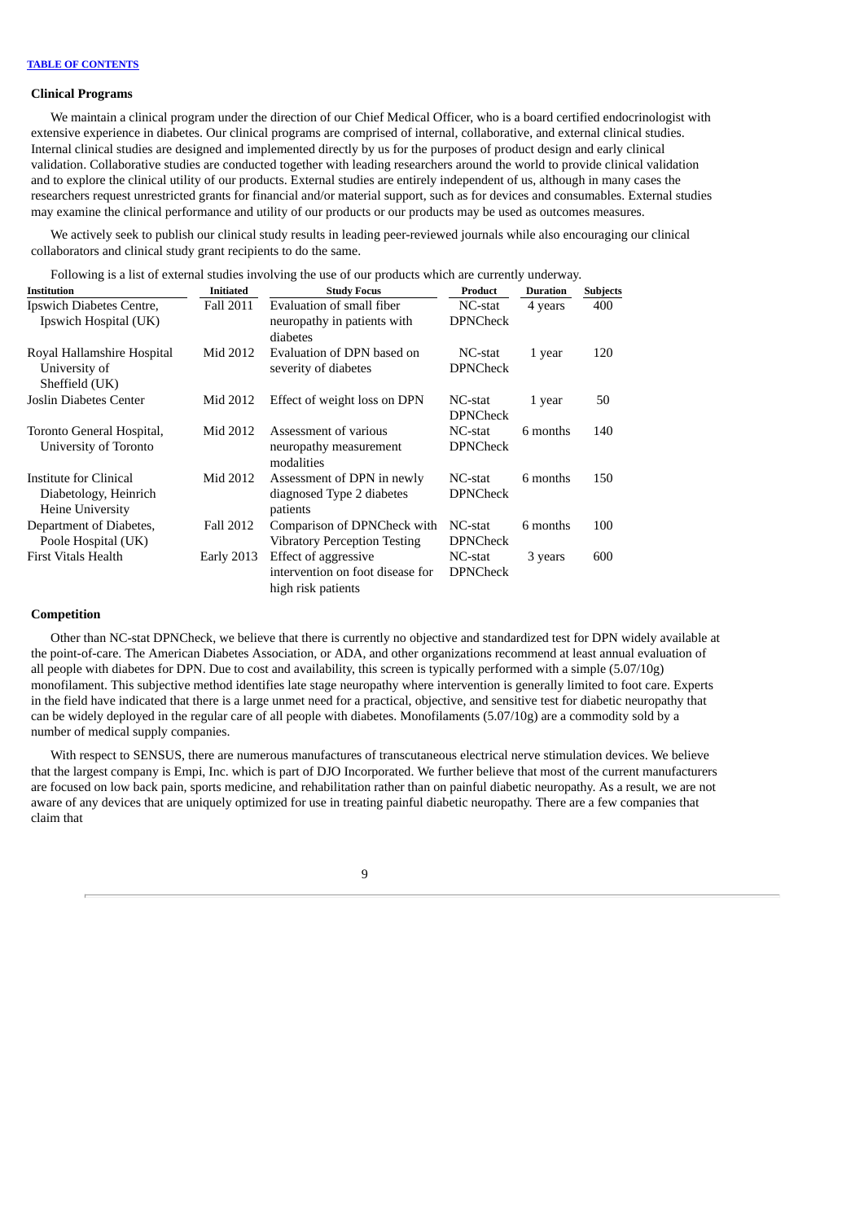#### **Clinical Programs**

We maintain a clinical program under the direction of our Chief Medical Officer, who is a board certified endocrinologist with extensive experience in diabetes. Our clinical programs are comprised of internal, collaborative, and external clinical studies. Internal clinical studies are designed and implemented directly by us for the purposes of product design and early clinical validation. Collaborative studies are conducted together with leading researchers around the world to provide clinical validation and to explore the clinical utility of our products. External studies are entirely independent of us, although in many cases the researchers request unrestricted grants for financial and/or material support, such as for devices and consumables. External studies may examine the clinical performance and utility of our products or our products may be used as outcomes measures.

We actively seek to publish our clinical study results in leading peer-reviewed journals while also encouraging our clinical collaborators and clinical study grant recipients to do the same.

Following is a list of external studies involving the use of our products which are currently underway.

| <b>Institution</b>                                                         | <b>Initiated</b>  | <b>Study Focus</b>                                                             | Product                    | <b>Duration</b> | <b>Subjects</b> |
|----------------------------------------------------------------------------|-------------------|--------------------------------------------------------------------------------|----------------------------|-----------------|-----------------|
| Ipswich Diabetes Centre,                                                   | <b>Fall 2011</b>  | Evaluation of small fiber                                                      | NC-stat                    | 4 years         | 400             |
| Ipswich Hospital (UK)                                                      |                   | neuropathy in patients with<br>diabetes                                        | <b>DPNCheck</b>            |                 |                 |
| Royal Hallamshire Hospital<br>University of<br>Sheffield (UK)              | Mid 2012          | Evaluation of DPN based on<br>severity of diabetes                             | NC-stat<br><b>DPNCheck</b> | 1 year          | 120             |
| Joslin Diabetes Center                                                     | Mid 2012          | Effect of weight loss on DPN                                                   | NC-stat<br><b>DPNCheck</b> | 1 year          | 50              |
| Toronto General Hospital,<br>University of Toronto                         | Mid 2012          | Assessment of various<br>neuropathy measurement<br>modalities                  | NC-stat<br><b>DPNCheck</b> | 6 months        | 140             |
| Institute for Clinical<br>Diabetology, Heinrich<br><b>Heine University</b> | Mid 2012          | Assessment of DPN in newly<br>diagnosed Type 2 diabetes<br>patients            | NC-stat<br><b>DPNCheck</b> | 6 months        | 150             |
| Department of Diabetes,<br>Poole Hospital (UK)                             | <b>Fall 2012</b>  | Comparison of DPNCheck with<br><b>Vibratory Perception Testing</b>             | NC-stat<br><b>DPNCheck</b> | 6 months        | 100             |
| <b>First Vitals Health</b>                                                 | <b>Early 2013</b> | Effect of aggressive<br>intervention on foot disease for<br>high risk patients | NC-stat<br><b>DPNCheck</b> | 3 years         | 600             |

#### **Competition**

Other than NC-stat DPNCheck, we believe that there is currently no objective and standardized test for DPN widely available at the point-of-care. The American Diabetes Association, or ADA, and other organizations recommend at least annual evaluation of all people with diabetes for DPN. Due to cost and availability, this screen is typically performed with a simple (5.07/10g) monofilament. This subjective method identifies late stage neuropathy where intervention is generally limited to foot care. Experts in the field have indicated that there is a large unmet need for a practical, objective, and sensitive test for diabetic neuropathy that can be widely deployed in the regular care of all people with diabetes. Monofilaments (5.07/10g) are a commodity sold by a number of medical supply companies.

With respect to SENSUS, there are numerous manufactures of transcutaneous electrical nerve stimulation devices. We believe that the largest company is Empi, Inc. which is part of DJO Incorporated. We further believe that most of the current manufacturers are focused on low back pain, sports medicine, and rehabilitation rather than on painful diabetic neuropathy. As a result, we are not aware of any devices that are uniquely optimized for use in treating painful diabetic neuropathy. There are a few companies that claim that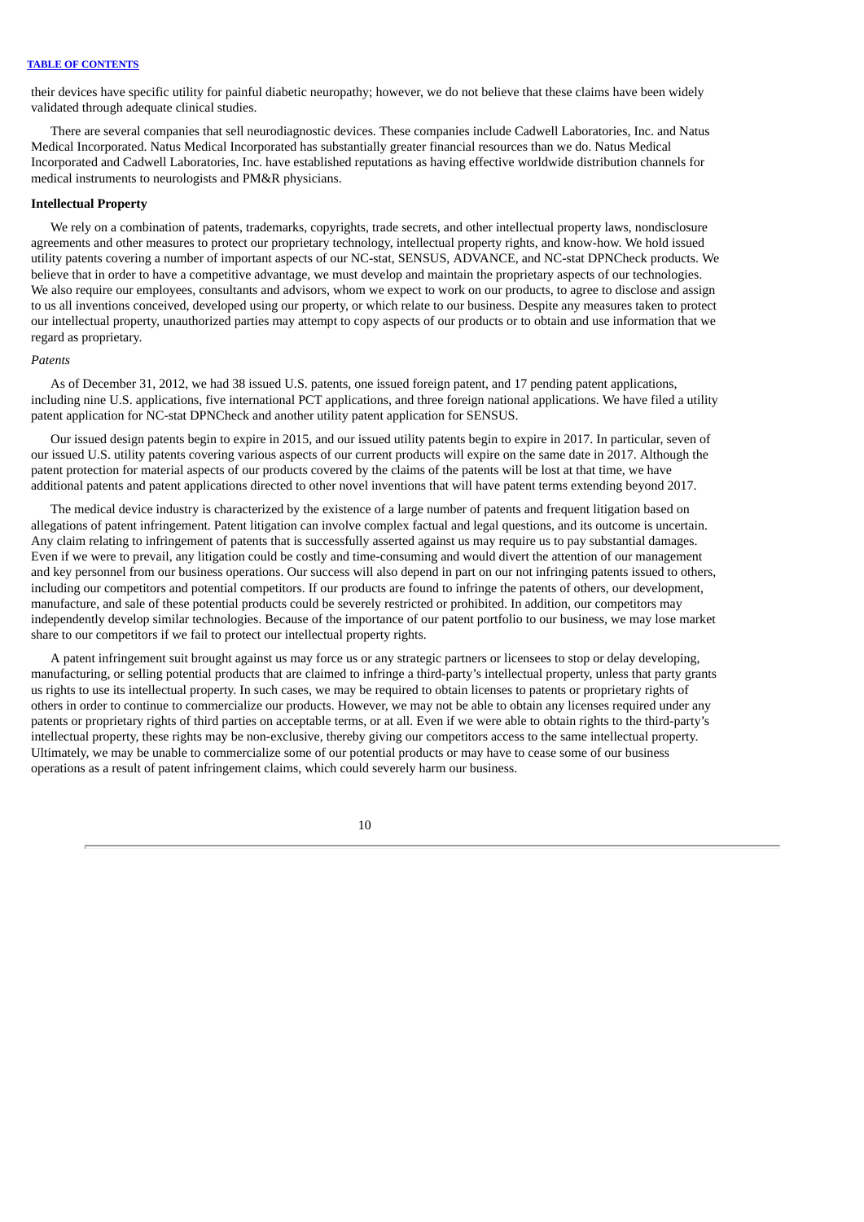their devices have specific utility for painful diabetic neuropathy; however, we do not believe that these claims have been widely validated through adequate clinical studies.

There are several companies that sell neurodiagnostic devices. These companies include Cadwell Laboratories, Inc. and Natus Medical Incorporated. Natus Medical Incorporated has substantially greater financial resources than we do. Natus Medical Incorporated and Cadwell Laboratories, Inc. have established reputations as having effective worldwide distribution channels for medical instruments to neurologists and PM&R physicians.

### **Intellectual Property**

We rely on a combination of patents, trademarks, copyrights, trade secrets, and other intellectual property laws, nondisclosure agreements and other measures to protect our proprietary technology, intellectual property rights, and know-how. We hold issued utility patents covering a number of important aspects of our NC-stat, SENSUS, ADVANCE, and NC-stat DPNCheck products. We believe that in order to have a competitive advantage, we must develop and maintain the proprietary aspects of our technologies. We also require our employees, consultants and advisors, whom we expect to work on our products, to agree to disclose and assign to us all inventions conceived, developed using our property, or which relate to our business. Despite any measures taken to protect our intellectual property, unauthorized parties may attempt to copy aspects of our products or to obtain and use information that we regard as proprietary.

#### *Patents*

As of December 31, 2012, we had 38 issued U.S. patents, one issued foreign patent, and 17 pending patent applications, including nine U.S. applications, five international PCT applications, and three foreign national applications. We have filed a utility patent application for NC-stat DPNCheck and another utility patent application for SENSUS.

Our issued design patents begin to expire in 2015, and our issued utility patents begin to expire in 2017. In particular, seven of our issued U.S. utility patents covering various aspects of our current products will expire on the same date in 2017. Although the patent protection for material aspects of our products covered by the claims of the patents will be lost at that time, we have additional patents and patent applications directed to other novel inventions that will have patent terms extending beyond 2017.

The medical device industry is characterized by the existence of a large number of patents and frequent litigation based on allegations of patent infringement. Patent litigation can involve complex factual and legal questions, and its outcome is uncertain. Any claim relating to infringement of patents that is successfully asserted against us may require us to pay substantial damages. Even if we were to prevail, any litigation could be costly and time-consuming and would divert the attention of our management and key personnel from our business operations. Our success will also depend in part on our not infringing patents issued to others, including our competitors and potential competitors. If our products are found to infringe the patents of others, our development, manufacture, and sale of these potential products could be severely restricted or prohibited. In addition, our competitors may independently develop similar technologies. Because of the importance of our patent portfolio to our business, we may lose market share to our competitors if we fail to protect our intellectual property rights.

A patent infringement suit brought against us may force us or any strategic partners or licensees to stop or delay developing, manufacturing, or selling potential products that are claimed to infringe a third-party's intellectual property, unless that party grants us rights to use its intellectual property. In such cases, we may be required to obtain licenses to patents or proprietary rights of others in order to continue to commercialize our products. However, we may not be able to obtain any licenses required under any patents or proprietary rights of third parties on acceptable terms, or at all. Even if we were able to obtain rights to the third-party's intellectual property, these rights may be non-exclusive, thereby giving our competitors access to the same intellectual property. Ultimately, we may be unable to commercialize some of our potential products or may have to cease some of our business operations as a result of patent infringement claims, which could severely harm our business.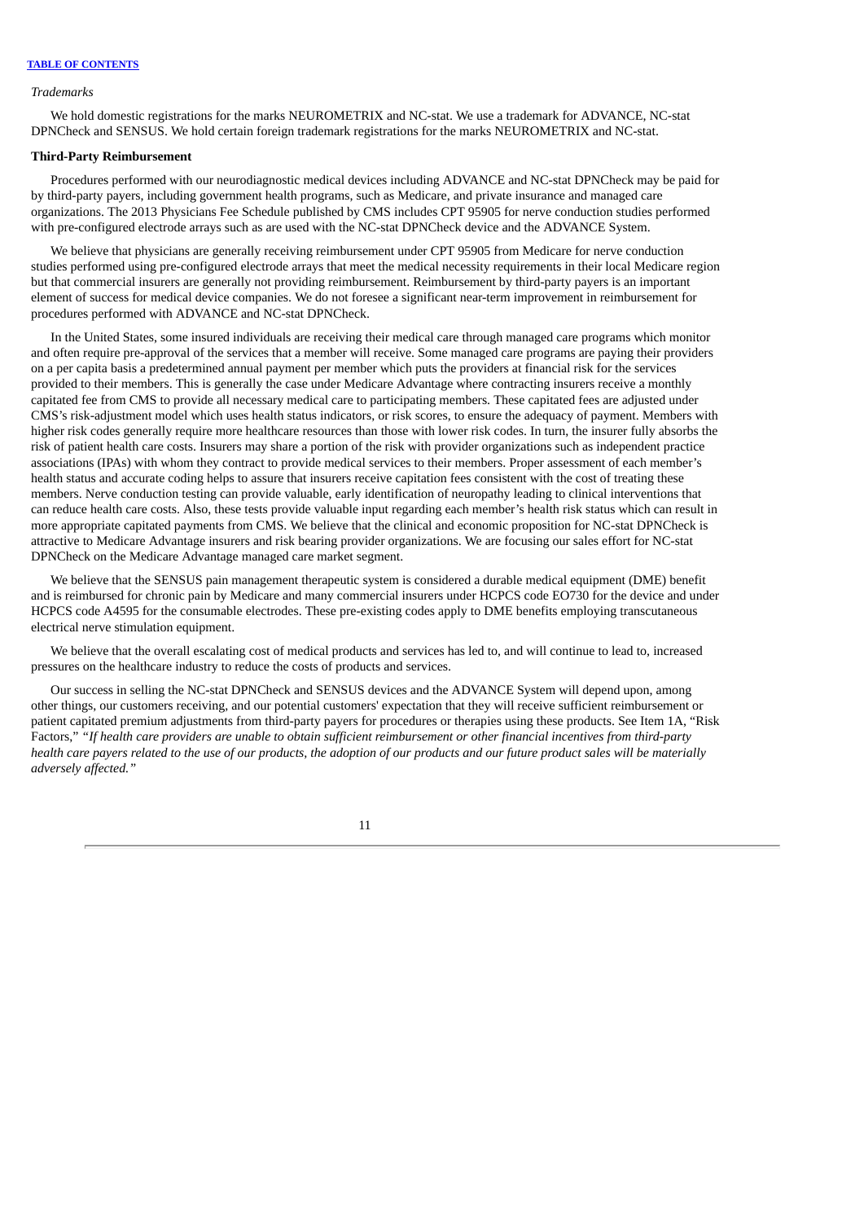#### *Trademarks*

We hold domestic registrations for the marks NEUROMETRIX and NC-stat. We use a trademark for ADVANCE, NC-stat DPNCheck and SENSUS. We hold certain foreign trademark registrations for the marks NEUROMETRIX and NC-stat.

#### **Third-Party Reimbursement**

Procedures performed with our neurodiagnostic medical devices including ADVANCE and NC-stat DPNCheck may be paid for by third-party payers, including government health programs, such as Medicare, and private insurance and managed care organizations. The 2013 Physicians Fee Schedule published by CMS includes CPT 95905 for nerve conduction studies performed with pre-configured electrode arrays such as are used with the NC-stat DPNCheck device and the ADVANCE System.

We believe that physicians are generally receiving reimbursement under CPT 95905 from Medicare for nerve conduction studies performed using pre-configured electrode arrays that meet the medical necessity requirements in their local Medicare region but that commercial insurers are generally not providing reimbursement. Reimbursement by third-party payers is an important element of success for medical device companies. We do not foresee a significant near-term improvement in reimbursement for procedures performed with ADVANCE and NC-stat DPNCheck.

In the United States, some insured individuals are receiving their medical care through managed care programs which monitor and often require pre-approval of the services that a member will receive. Some managed care programs are paying their providers on a per capita basis a predetermined annual payment per member which puts the providers at financial risk for the services provided to their members. This is generally the case under Medicare Advantage where contracting insurers receive a monthly capitated fee from CMS to provide all necessary medical care to participating members. These capitated fees are adjusted under CMS's risk-adjustment model which uses health status indicators, or risk scores, to ensure the adequacy of payment. Members with higher risk codes generally require more healthcare resources than those with lower risk codes. In turn, the insurer fully absorbs the risk of patient health care costs. Insurers may share a portion of the risk with provider organizations such as independent practice associations (IPAs) with whom they contract to provide medical services to their members. Proper assessment of each member's health status and accurate coding helps to assure that insurers receive capitation fees consistent with the cost of treating these members. Nerve conduction testing can provide valuable, early identification of neuropathy leading to clinical interventions that can reduce health care costs. Also, these tests provide valuable input regarding each member's health risk status which can result in more appropriate capitated payments from CMS. We believe that the clinical and economic proposition for NC-stat DPNCheck is attractive to Medicare Advantage insurers and risk bearing provider organizations. We are focusing our sales effort for NC-stat DPNCheck on the Medicare Advantage managed care market segment.

We believe that the SENSUS pain management therapeutic system is considered a durable medical equipment (DME) benefit and is reimbursed for chronic pain by Medicare and many commercial insurers under HCPCS code EO730 for the device and under HCPCS code A4595 for the consumable electrodes. These pre-existing codes apply to DME benefits employing transcutaneous electrical nerve stimulation equipment.

We believe that the overall escalating cost of medical products and services has led to, and will continue to lead to, increased pressures on the healthcare industry to reduce the costs of products and services.

Our success in selling the NC-stat DPNCheck and SENSUS devices and the ADVANCE System will depend upon, among other things, our customers receiving, and our potential customers' expectation that they will receive sufficient reimbursement or patient capitated premium adjustments from third-party payers for procedures or therapies using these products. See Item 1A, "Risk Factors," "If health care providers are unable to obtain sufficient reimbursement or other financial incentives from third-party health care payers related to the use of our products, the adoption of our products and our future product sales will be materially *adversely affected."*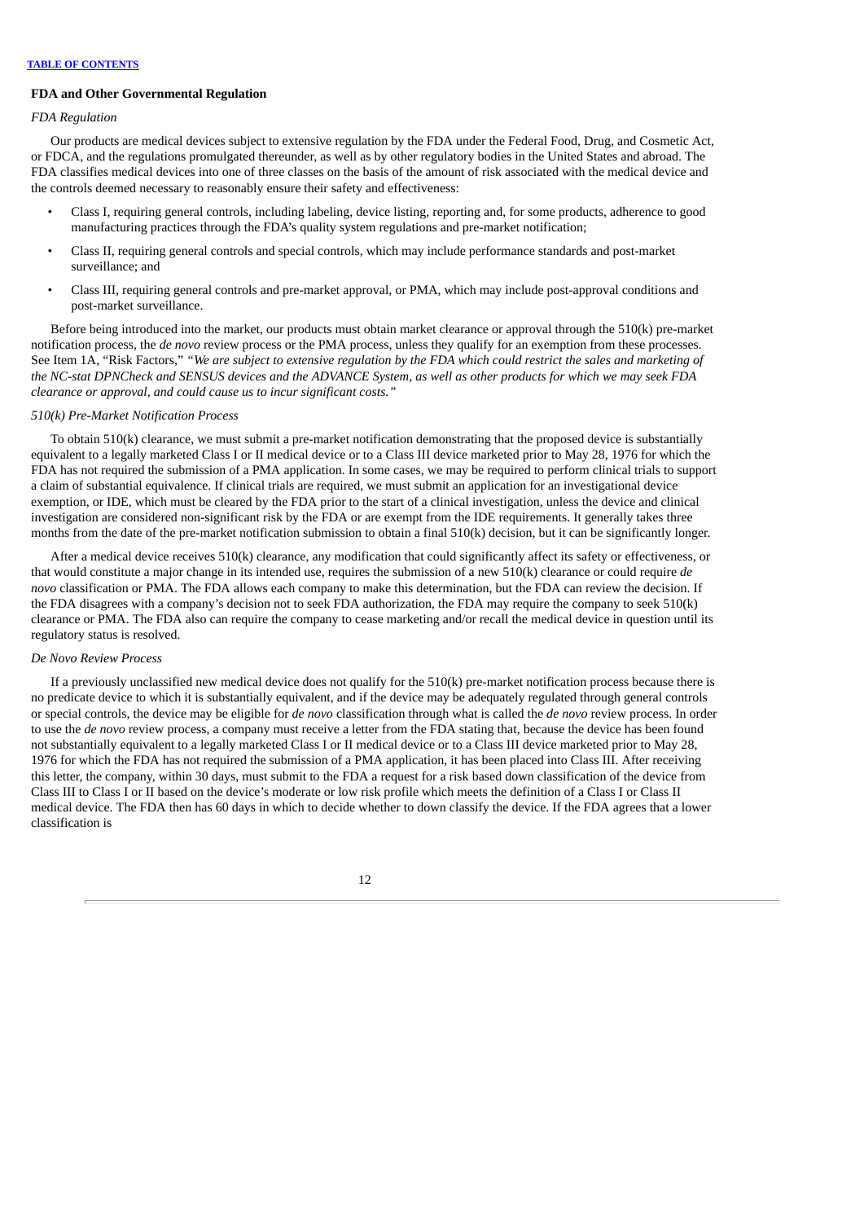### **FDA and Other Governmental Regulation**

### *FDA Regulation*

Our products are medical devices subject to extensive regulation by the FDA under the Federal Food, Drug, and Cosmetic Act, or FDCA, and the regulations promulgated thereunder, as well as by other regulatory bodies in the United States and abroad. The FDA classifies medical devices into one of three classes on the basis of the amount of risk associated with the medical device and the controls deemed necessary to reasonably ensure their safety and effectiveness:

- Class I, requiring general controls, including labeling, device listing, reporting and, for some products, adherence to good manufacturing practices through the FDA's quality system regulations and pre-market notification;
- Class II, requiring general controls and special controls, which may include performance standards and post-market surveillance; and
- Class III, requiring general controls and pre-market approval, or PMA, which may include post-approval conditions and post-market surveillance.

Before being introduced into the market, our products must obtain market clearance or approval through the 510(k) pre-market notification process, the *de novo* review process or the PMA process, unless they qualify for an exemption from these processes. See Item 1A, "Risk Factors," "We are subject to extensive regulation by the FDA which could restrict the sales and marketing of the NC-stat DPNCheck and SENSUS devices and the ADVANCE System, as well as other products for which we may seek FDA *clearance or approval, and could cause us to incur significant costs."*

#### *510(k) Pre-Market Notification Process*

To obtain 510(k) clearance, we must submit a pre-market notification demonstrating that the proposed device is substantially equivalent to a legally marketed Class I or II medical device or to a Class III device marketed prior to May 28, 1976 for which the FDA has not required the submission of a PMA application. In some cases, we may be required to perform clinical trials to support a claim of substantial equivalence. If clinical trials are required, we must submit an application for an investigational device exemption, or IDE, which must be cleared by the FDA prior to the start of a clinical investigation, unless the device and clinical investigation are considered non-significant risk by the FDA or are exempt from the IDE requirements. It generally takes three months from the date of the pre-market notification submission to obtain a final 510(k) decision, but it can be significantly longer.

After a medical device receives 510(k) clearance, any modification that could significantly affect its safety or effectiveness, or that would constitute a major change in its intended use, requires the submission of a new 510(k) clearance or could require *de novo* classification or PMA. The FDA allows each company to make this determination, but the FDA can review the decision. If the FDA disagrees with a company's decision not to seek FDA authorization, the FDA may require the company to seek 510(k) clearance or PMA. The FDA also can require the company to cease marketing and/or recall the medical device in question until its regulatory status is resolved.

#### *De Novo Review Process*

If a previously unclassified new medical device does not qualify for the  $510(k)$  pre-market notification process because there is no predicate device to which it is substantially equivalent, and if the device may be adequately regulated through general controls or special controls, the device may be eligible for *de novo* classification through what is called the *de novo* review process. In order to use the *de novo* review process, a company must receive a letter from the FDA stating that, because the device has been found not substantially equivalent to a legally marketed Class I or II medical device or to a Class III device marketed prior to May 28, 1976 for which the FDA has not required the submission of a PMA application, it has been placed into Class III. After receiving this letter, the company, within 30 days, must submit to the FDA a request for a risk based down classification of the device from Class III to Class I or II based on the device's moderate or low risk profile which meets the definition of a Class I or Class II medical device. The FDA then has 60 days in which to decide whether to down classify the device. If the FDA agrees that a lower classification is

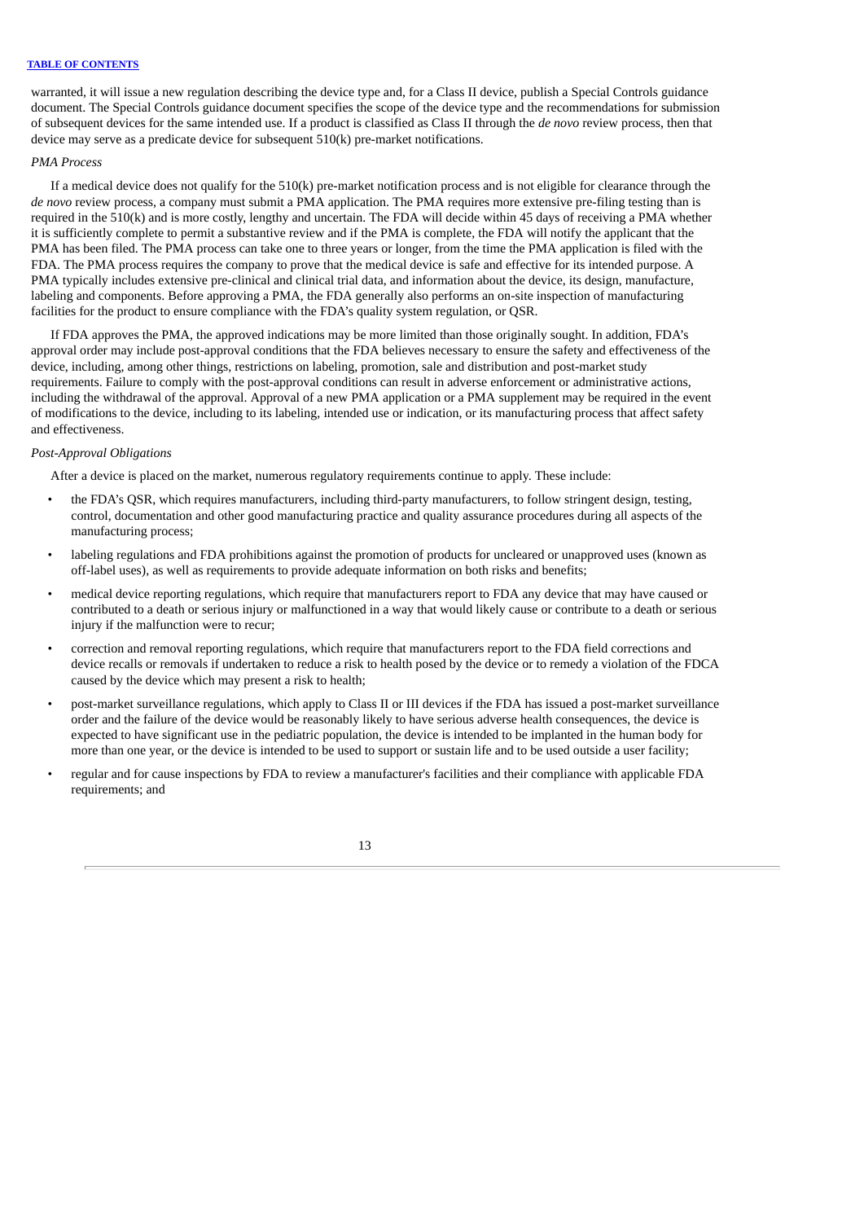warranted, it will issue a new regulation describing the device type and, for a Class II device, publish a Special Controls guidance document. The Special Controls guidance document specifies the scope of the device type and the recommendations for submission of subsequent devices for the same intended use. If a product is classified as Class II through the *de novo* review process, then that device may serve as a predicate device for subsequent 510(k) pre-market notifications.

#### *PMA Process*

If a medical device does not qualify for the 510(k) pre-market notification process and is not eligible for clearance through the *de novo* review process, a company must submit a PMA application. The PMA requires more extensive pre-filing testing than is required in the 510(k) and is more costly, lengthy and uncertain. The FDA will decide within 45 days of receiving a PMA whether it is sufficiently complete to permit a substantive review and if the PMA is complete, the FDA will notify the applicant that the PMA has been filed. The PMA process can take one to three years or longer, from the time the PMA application is filed with the FDA. The PMA process requires the company to prove that the medical device is safe and effective for its intended purpose. A PMA typically includes extensive pre-clinical and clinical trial data, and information about the device, its design, manufacture, labeling and components. Before approving a PMA, the FDA generally also performs an on-site inspection of manufacturing facilities for the product to ensure compliance with the FDA's quality system regulation, or QSR.

If FDA approves the PMA, the approved indications may be more limited than those originally sought. In addition, FDA's approval order may include post-approval conditions that the FDA believes necessary to ensure the safety and effectiveness of the device, including, among other things, restrictions on labeling, promotion, sale and distribution and post-market study requirements. Failure to comply with the post-approval conditions can result in adverse enforcement or administrative actions, including the withdrawal of the approval. Approval of a new PMA application or a PMA supplement may be required in the event of modifications to the device, including to its labeling, intended use or indication, or its manufacturing process that affect safety and effectiveness.

### *Post-Approval Obligations*

After a device is placed on the market, numerous regulatory requirements continue to apply. These include:

- the FDA's QSR, which requires manufacturers, including third-party manufacturers, to follow stringent design, testing, control, documentation and other good manufacturing practice and quality assurance procedures during all aspects of the manufacturing process;
- labeling regulations and FDA prohibitions against the promotion of products for uncleared or unapproved uses (known as off-label uses), as well as requirements to provide adequate information on both risks and benefits;
- medical device reporting regulations, which require that manufacturers report to FDA any device that may have caused or contributed to a death or serious injury or malfunctioned in a way that would likely cause or contribute to a death or serious injury if the malfunction were to recur;
- correction and removal reporting regulations, which require that manufacturers report to the FDA field corrections and device recalls or removals if undertaken to reduce a risk to health posed by the device or to remedy a violation of the FDCA caused by the device which may present a risk to health;
- post-market surveillance regulations, which apply to Class II or III devices if the FDA has issued a post-market surveillance order and the failure of the device would be reasonably likely to have serious adverse health consequences, the device is expected to have significant use in the pediatric population, the device is intended to be implanted in the human body for more than one year, or the device is intended to be used to support or sustain life and to be used outside a user facility;
- regular and for cause inspections by FDA to review a manufacturer's facilities and their compliance with applicable FDA requirements; and

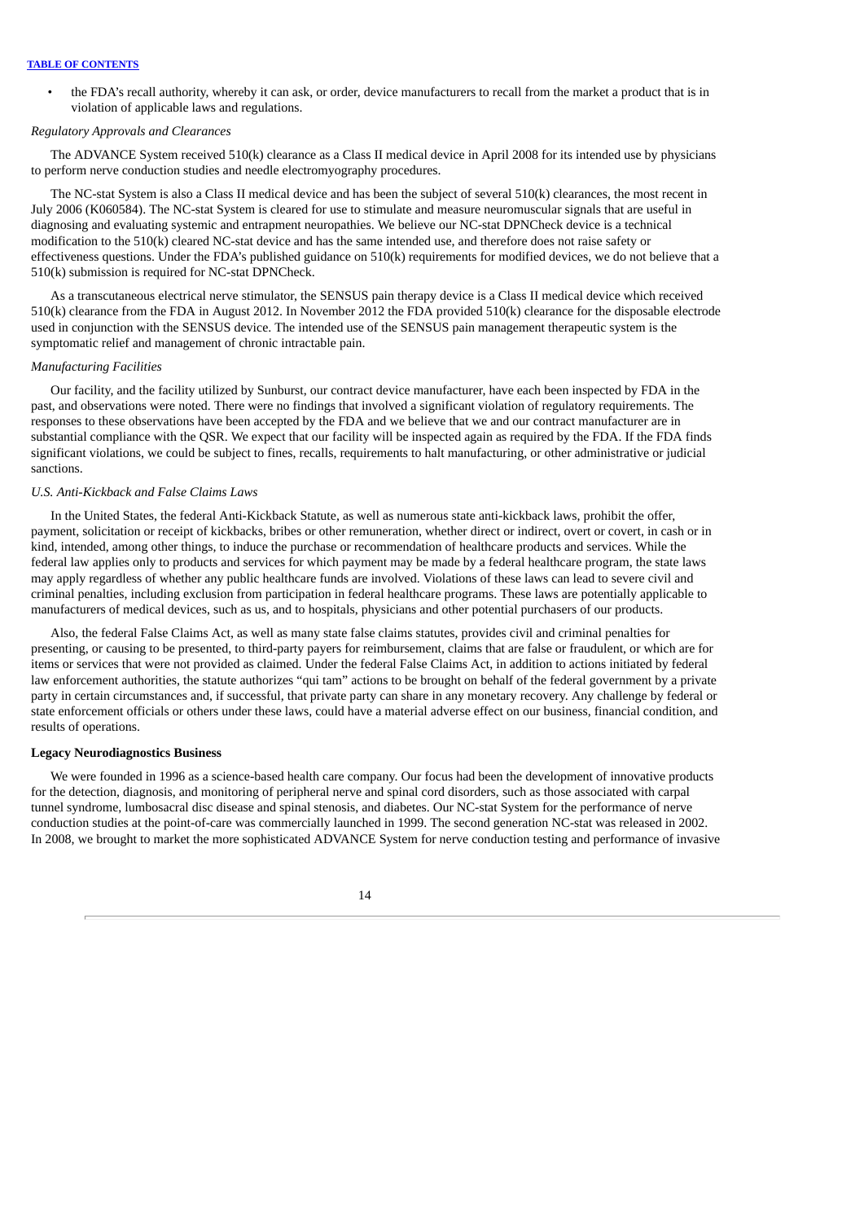• the FDA's recall authority, whereby it can ask, or order, device manufacturers to recall from the market a product that is in violation of applicable laws and regulations.

#### *Regulatory Approvals and Clearances*

The ADVANCE System received 510(k) clearance as a Class II medical device in April 2008 for its intended use by physicians to perform nerve conduction studies and needle electromyography procedures.

The NC-stat System is also a Class II medical device and has been the subject of several 510(k) clearances, the most recent in July 2006 (K060584). The NC-stat System is cleared for use to stimulate and measure neuromuscular signals that are useful in diagnosing and evaluating systemic and entrapment neuropathies. We believe our NC-stat DPNCheck device is a technical modification to the 510(k) cleared NC-stat device and has the same intended use, and therefore does not raise safety or effectiveness questions. Under the FDA's published guidance on  $510(k)$  requirements for modified devices, we do not believe that a 510(k) submission is required for NC-stat DPNCheck.

As a transcutaneous electrical nerve stimulator, the SENSUS pain therapy device is a Class II medical device which received 510(k) clearance from the FDA in August 2012. In November 2012 the FDA provided 510(k) clearance for the disposable electrode used in conjunction with the SENSUS device. The intended use of the SENSUS pain management therapeutic system is the symptomatic relief and management of chronic intractable pain.

#### *Manufacturing Facilities*

Our facility, and the facility utilized by Sunburst, our contract device manufacturer, have each been inspected by FDA in the past, and observations were noted. There were no findings that involved a significant violation of regulatory requirements. The responses to these observations have been accepted by the FDA and we believe that we and our contract manufacturer are in substantial compliance with the QSR. We expect that our facility will be inspected again as required by the FDA. If the FDA finds significant violations, we could be subject to fines, recalls, requirements to halt manufacturing, or other administrative or judicial sanctions.

#### *U.S. Anti-Kickback and False Claims Laws*

In the United States, the federal Anti-Kickback Statute, as well as numerous state anti-kickback laws, prohibit the offer, payment, solicitation or receipt of kickbacks, bribes or other remuneration, whether direct or indirect, overt or covert, in cash or in kind, intended, among other things, to induce the purchase or recommendation of healthcare products and services. While the federal law applies only to products and services for which payment may be made by a federal healthcare program, the state laws may apply regardless of whether any public healthcare funds are involved. Violations of these laws can lead to severe civil and criminal penalties, including exclusion from participation in federal healthcare programs. These laws are potentially applicable to manufacturers of medical devices, such as us, and to hospitals, physicians and other potential purchasers of our products.

Also, the federal False Claims Act, as well as many state false claims statutes, provides civil and criminal penalties for presenting, or causing to be presented, to third-party payers for reimbursement, claims that are false or fraudulent, or which are for items or services that were not provided as claimed. Under the federal False Claims Act, in addition to actions initiated by federal law enforcement authorities, the statute authorizes "qui tam" actions to be brought on behalf of the federal government by a private party in certain circumstances and, if successful, that private party can share in any monetary recovery. Any challenge by federal or state enforcement officials or others under these laws, could have a material adverse effect on our business, financial condition, and results of operations.

### **Legacy Neurodiagnostics Business**

We were founded in 1996 as a science-based health care company. Our focus had been the development of innovative products for the detection, diagnosis, and monitoring of peripheral nerve and spinal cord disorders, such as those associated with carpal tunnel syndrome, lumbosacral disc disease and spinal stenosis, and diabetes. Our NC-stat System for the performance of nerve conduction studies at the point-of-care was commercially launched in 1999. The second generation NC-stat was released in 2002. In 2008, we brought to market the more sophisticated ADVANCE System for nerve conduction testing and performance of invasive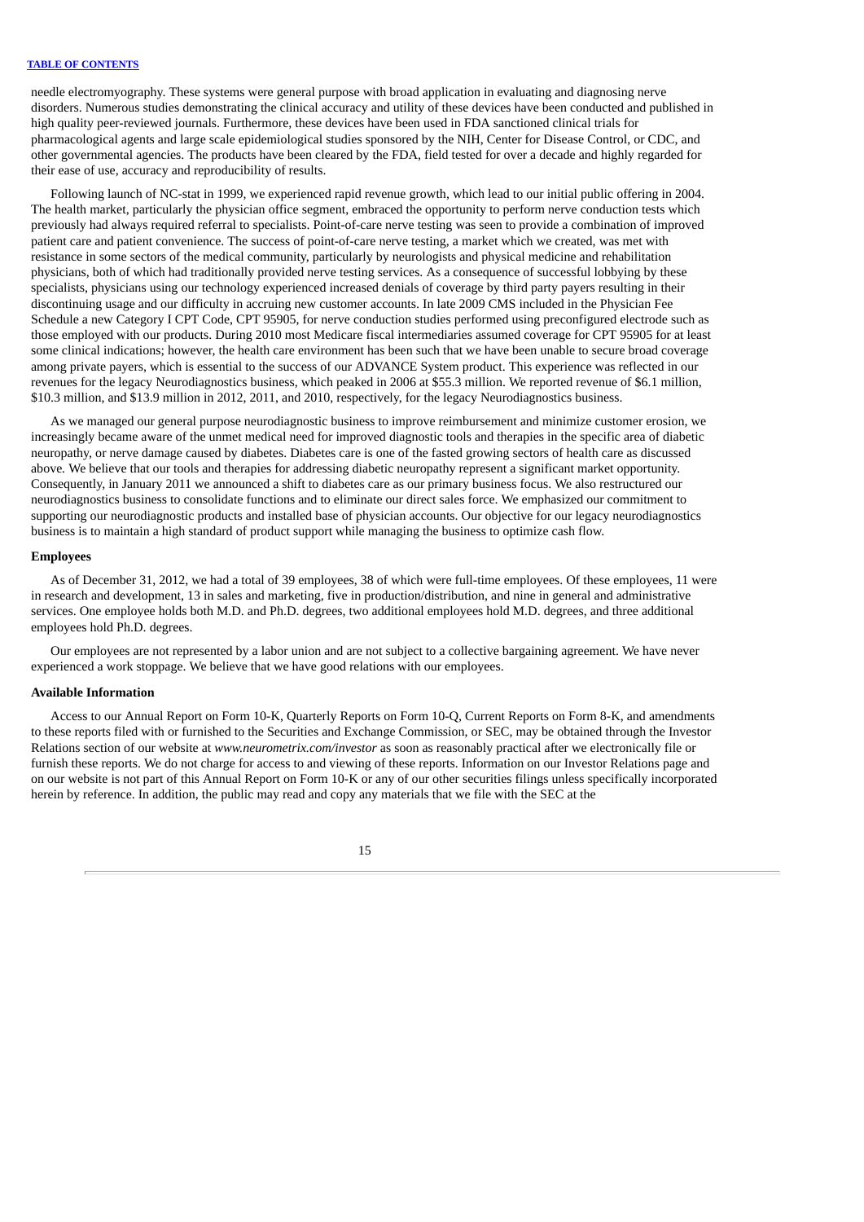needle electromyography. These systems were general purpose with broad application in evaluating and diagnosing nerve disorders. Numerous studies demonstrating the clinical accuracy and utility of these devices have been conducted and published in high quality peer-reviewed journals. Furthermore, these devices have been used in FDA sanctioned clinical trials for pharmacological agents and large scale epidemiological studies sponsored by the NIH, Center for Disease Control, or CDC, and other governmental agencies. The products have been cleared by the FDA, field tested for over a decade and highly regarded for their ease of use, accuracy and reproducibility of results.

Following launch of NC-stat in 1999, we experienced rapid revenue growth, which lead to our initial public offering in 2004. The health market, particularly the physician office segment, embraced the opportunity to perform nerve conduction tests which previously had always required referral to specialists. Point-of-care nerve testing was seen to provide a combination of improved patient care and patient convenience. The success of point-of-care nerve testing, a market which we created, was met with resistance in some sectors of the medical community, particularly by neurologists and physical medicine and rehabilitation physicians, both of which had traditionally provided nerve testing services. As a consequence of successful lobbying by these specialists, physicians using our technology experienced increased denials of coverage by third party payers resulting in their discontinuing usage and our difficulty in accruing new customer accounts. In late 2009 CMS included in the Physician Fee Schedule a new Category I CPT Code, CPT 95905, for nerve conduction studies performed using preconfigured electrode such as those employed with our products. During 2010 most Medicare fiscal intermediaries assumed coverage for CPT 95905 for at least some clinical indications; however, the health care environment has been such that we have been unable to secure broad coverage among private payers, which is essential to the success of our ADVANCE System product. This experience was reflected in our revenues for the legacy Neurodiagnostics business, which peaked in 2006 at \$55.3 million. We reported revenue of \$6.1 million, \$10.3 million, and \$13.9 million in 2012, 2011, and 2010, respectively, for the legacy Neurodiagnostics business.

As we managed our general purpose neurodiagnostic business to improve reimbursement and minimize customer erosion, we increasingly became aware of the unmet medical need for improved diagnostic tools and therapies in the specific area of diabetic neuropathy, or nerve damage caused by diabetes. Diabetes care is one of the fasted growing sectors of health care as discussed above*.* We believe that our tools and therapies for addressing diabetic neuropathy represent a significant market opportunity. Consequently, in January 2011 we announced a shift to diabetes care as our primary business focus. We also restructured our neurodiagnostics business to consolidate functions and to eliminate our direct sales force. We emphasized our commitment to supporting our neurodiagnostic products and installed base of physician accounts. Our objective for our legacy neurodiagnostics business is to maintain a high standard of product support while managing the business to optimize cash flow.

#### **Employees**

As of December 31, 2012, we had a total of 39 employees, 38 of which were full-time employees. Of these employees, 11 were in research and development, 13 in sales and marketing, five in production/distribution, and nine in general and administrative services. One employee holds both M.D. and Ph.D. degrees, two additional employees hold M.D. degrees, and three additional employees hold Ph.D. degrees.

Our employees are not represented by a labor union and are not subject to a collective bargaining agreement. We have never experienced a work stoppage. We believe that we have good relations with our employees.

#### **Available Information**

Access to our Annual Report on Form 10-K, Quarterly Reports on Form 10-Q, Current Reports on Form 8-K, and amendments to these reports filed with or furnished to the Securities and Exchange Commission, or SEC, may be obtained through the Investor Relations section of our website at *www.neurometrix.com/investor* as soon as reasonably practical after we electronically file or furnish these reports. We do not charge for access to and viewing of these reports. Information on our Investor Relations page and on our website is not part of this Annual Report on Form 10-K or any of our other securities filings unless specifically incorporated herein by reference. In addition, the public may read and copy any materials that we file with the SEC at the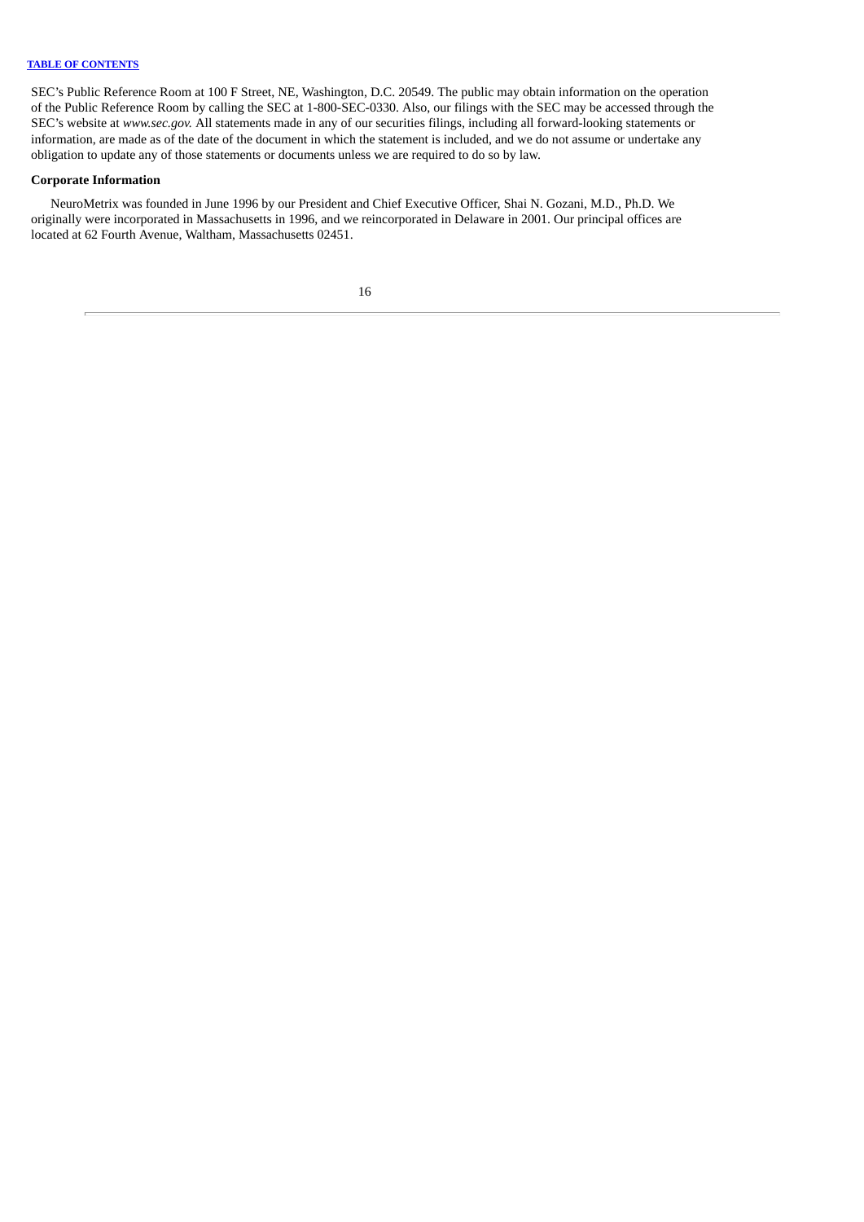SEC's Public Reference Room at 100 F Street, NE, Washington, D.C. 20549. The public may obtain information on the operation of the Public Reference Room by calling the SEC at 1-800-SEC-0330. Also, our filings with the SEC may be accessed through the SEC's website at *www.sec.gov.* All statements made in any of our securities filings, including all forward-looking statements or information, are made as of the date of the document in which the statement is included, and we do not assume or undertake any obligation to update any of those statements or documents unless we are required to do so by law.

### **Corporate Information**

NeuroMetrix was founded in June 1996 by our President and Chief Executive Officer, Shai N. Gozani, M.D., Ph.D. We originally were incorporated in Massachusetts in 1996, and we reincorporated in Delaware in 2001. Our principal offices are located at 62 Fourth Avenue, Waltham, Massachusetts 02451.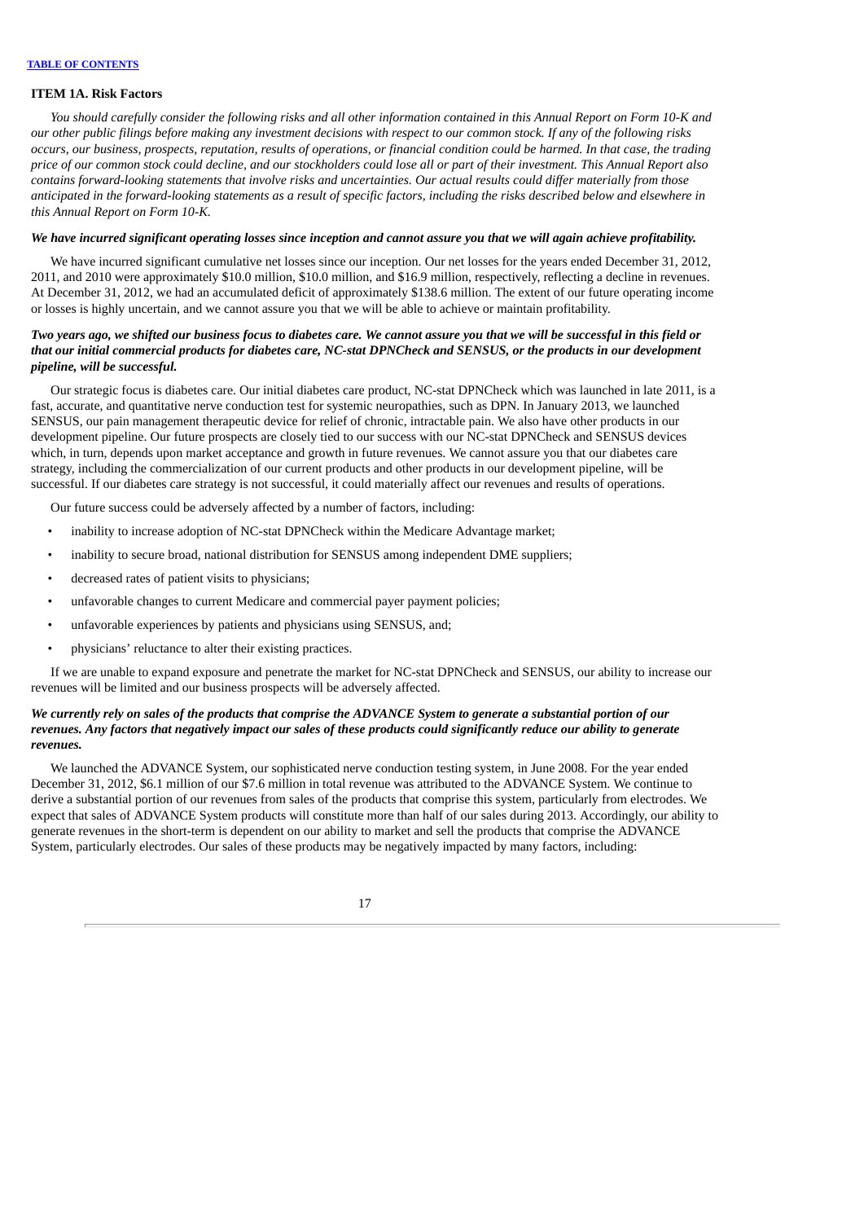#### **ITEM 1A. Risk Factors**

You should carefully consider the following risks and all other information contained in this Annual Report on Form 10-K and our other public filings before making any investment decisions with respect to our common stock. If any of the following risks occurs, our business, prospects, reputation, results of operations, or financial condition could be harmed. In that case, the trading price of our common stock could decline, and our stockholders could lose all or part of their investment. This Annual Report also contains forward-looking statements that involve risks and uncertainties. Our actual results could differ materially from those anticipated in the forward-looking statements as a result of specific factors, including the risks described below and elsewhere in *this Annual Report on Form 10-K.*

### We have incurred significant operating losses since inception and cannot assure you that we will again achieve profitability.

We have incurred significant cumulative net losses since our inception. Our net losses for the years ended December 31, 2012, 2011, and 2010 were approximately \$10.0 million, \$10.0 million, and \$16.9 million, respectively, reflecting a decline in revenues. At December 31, 2012, we had an accumulated deficit of approximately \$138.6 million. The extent of our future operating income or losses is highly uncertain, and we cannot assure you that we will be able to achieve or maintain profitability.

### Two years ago, we shifted our business focus to diabetes care. We cannot assure you that we will be successful in this field or that our initial commercial products for diabetes care. NC-stat DPNCheck and SENSUS, or the products in our development *pipeline, will be successful.*

Our strategic focus is diabetes care. Our initial diabetes care product, NC-stat DPNCheck which was launched in late 2011, is a fast, accurate, and quantitative nerve conduction test for systemic neuropathies, such as DPN. In January 2013, we launched SENSUS, our pain management therapeutic device for relief of chronic, intractable pain. We also have other products in our development pipeline. Our future prospects are closely tied to our success with our NC-stat DPNCheck and SENSUS devices which, in turn, depends upon market acceptance and growth in future revenues. We cannot assure you that our diabetes care strategy, including the commercialization of our current products and other products in our development pipeline, will be successful. If our diabetes care strategy is not successful, it could materially affect our revenues and results of operations.

Our future success could be adversely affected by a number of factors, including:

- inability to increase adoption of NC-stat DPNCheck within the Medicare Advantage market;
- inability to secure broad, national distribution for SENSUS among independent DME suppliers;
- decreased rates of patient visits to physicians;
- unfavorable changes to current Medicare and commercial payer payment policies;
- unfavorable experiences by patients and physicians using SENSUS, and;
- physicians' reluctance to alter their existing practices.

If we are unable to expand exposure and penetrate the market for NC-stat DPNCheck and SENSUS, our ability to increase our revenues will be limited and our business prospects will be adversely affected.

### We currently rely on sales of the products that comprise the ADVANCE System to generate a substantial portion of our revenues. Any factors that negatively impact our sales of these products could significantly reduce our ability to generate *revenues.*

We launched the ADVANCE System, our sophisticated nerve conduction testing system, in June 2008. For the year ended December 31, 2012, \$6.1 million of our \$7.6 million in total revenue was attributed to the ADVANCE System. We continue to derive a substantial portion of our revenues from sales of the products that comprise this system, particularly from electrodes. We expect that sales of ADVANCE System products will constitute more than half of our sales during 2013. Accordingly, our ability to generate revenues in the short-term is dependent on our ability to market and sell the products that comprise the ADVANCE System, particularly electrodes. Our sales of these products may be negatively impacted by many factors, including: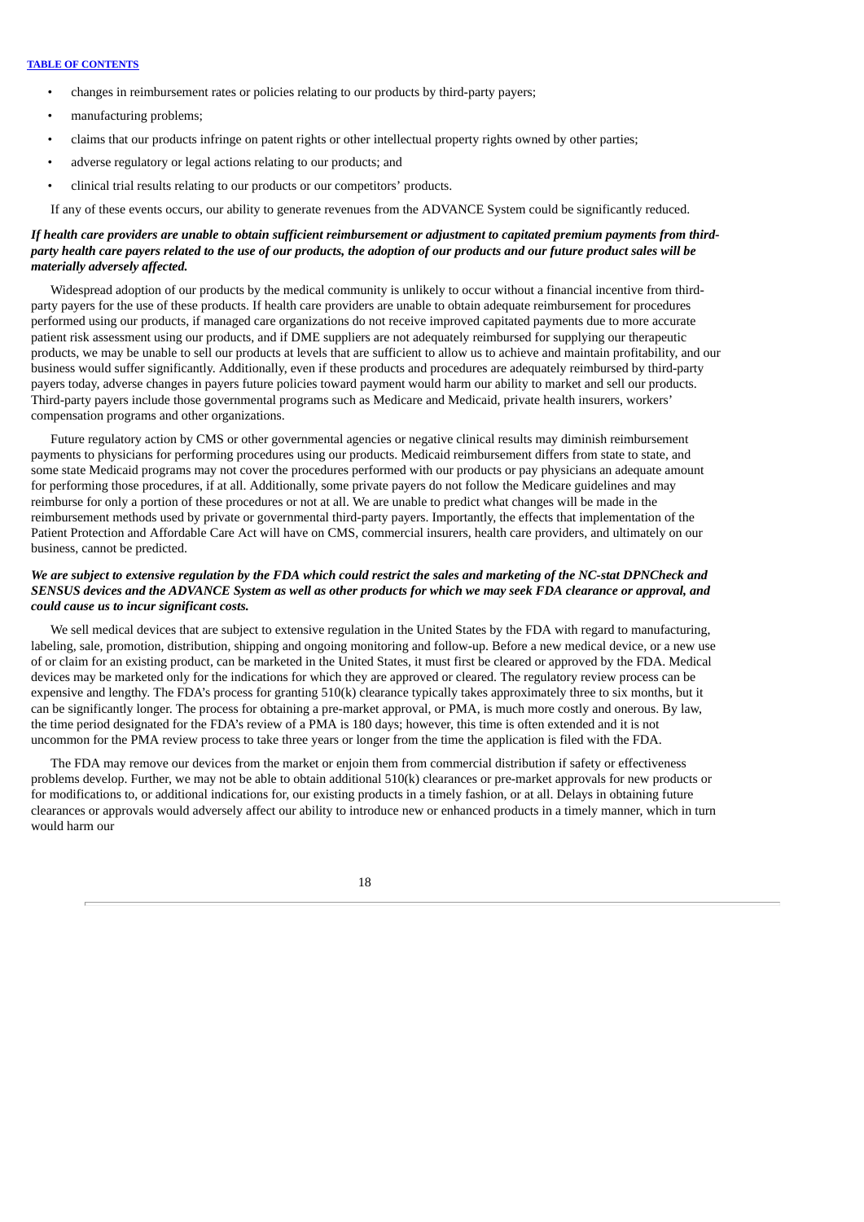- changes in reimbursement rates or policies relating to our products by third-party payers;
- manufacturing problems;
- claims that our products infringe on patent rights or other intellectual property rights owned by other parties;
- adverse regulatory or legal actions relating to our products; and
- clinical trial results relating to our products or our competitors' products.

If any of these events occurs, our ability to generate revenues from the ADVANCE System could be significantly reduced.

### If health care providers are unable to obtain sufficient reimbursement or adjustment to capitated premium payments from thirdparty health care payers related to the use of our products, the adoption of our products and our future product sales will be *materially adversely affected.*

Widespread adoption of our products by the medical community is unlikely to occur without a financial incentive from thirdparty payers for the use of these products. If health care providers are unable to obtain adequate reimbursement for procedures performed using our products, if managed care organizations do not receive improved capitated payments due to more accurate patient risk assessment using our products, and if DME suppliers are not adequately reimbursed for supplying our therapeutic products, we may be unable to sell our products at levels that are sufficient to allow us to achieve and maintain profitability, and our business would suffer significantly. Additionally, even if these products and procedures are adequately reimbursed by third-party payers today, adverse changes in payers future policies toward payment would harm our ability to market and sell our products. Third-party payers include those governmental programs such as Medicare and Medicaid, private health insurers, workers' compensation programs and other organizations.

Future regulatory action by CMS or other governmental agencies or negative clinical results may diminish reimbursement payments to physicians for performing procedures using our products. Medicaid reimbursement differs from state to state, and some state Medicaid programs may not cover the procedures performed with our products or pay physicians an adequate amount for performing those procedures, if at all. Additionally, some private payers do not follow the Medicare guidelines and may reimburse for only a portion of these procedures or not at all. We are unable to predict what changes will be made in the reimbursement methods used by private or governmental third-party payers. Importantly, the effects that implementation of the Patient Protection and Affordable Care Act will have on CMS, commercial insurers, health care providers, and ultimately on our business, cannot be predicted.

### We are subject to extensive regulation by the FDA which could restrict the sales and marketing of the NC-stat DPNCheck and SENSUS devices and the ADVANCE System as well as other products for which we may seek FDA clearance or approval, and *could cause us to incur significant costs.*

We sell medical devices that are subject to extensive regulation in the United States by the FDA with regard to manufacturing, labeling, sale, promotion, distribution, shipping and ongoing monitoring and follow-up. Before a new medical device, or a new use of or claim for an existing product, can be marketed in the United States, it must first be cleared or approved by the FDA. Medical devices may be marketed only for the indications for which they are approved or cleared. The regulatory review process can be expensive and lengthy. The FDA's process for granting 510(k) clearance typically takes approximately three to six months, but it can be significantly longer. The process for obtaining a pre-market approval, or PMA, is much more costly and onerous. By law, the time period designated for the FDA's review of a PMA is 180 days; however, this time is often extended and it is not uncommon for the PMA review process to take three years or longer from the time the application is filed with the FDA.

The FDA may remove our devices from the market or enjoin them from commercial distribution if safety or effectiveness problems develop. Further, we may not be able to obtain additional 510(k) clearances or pre-market approvals for new products or for modifications to, or additional indications for, our existing products in a timely fashion, or at all. Delays in obtaining future clearances or approvals would adversely affect our ability to introduce new or enhanced products in a timely manner, which in turn would harm our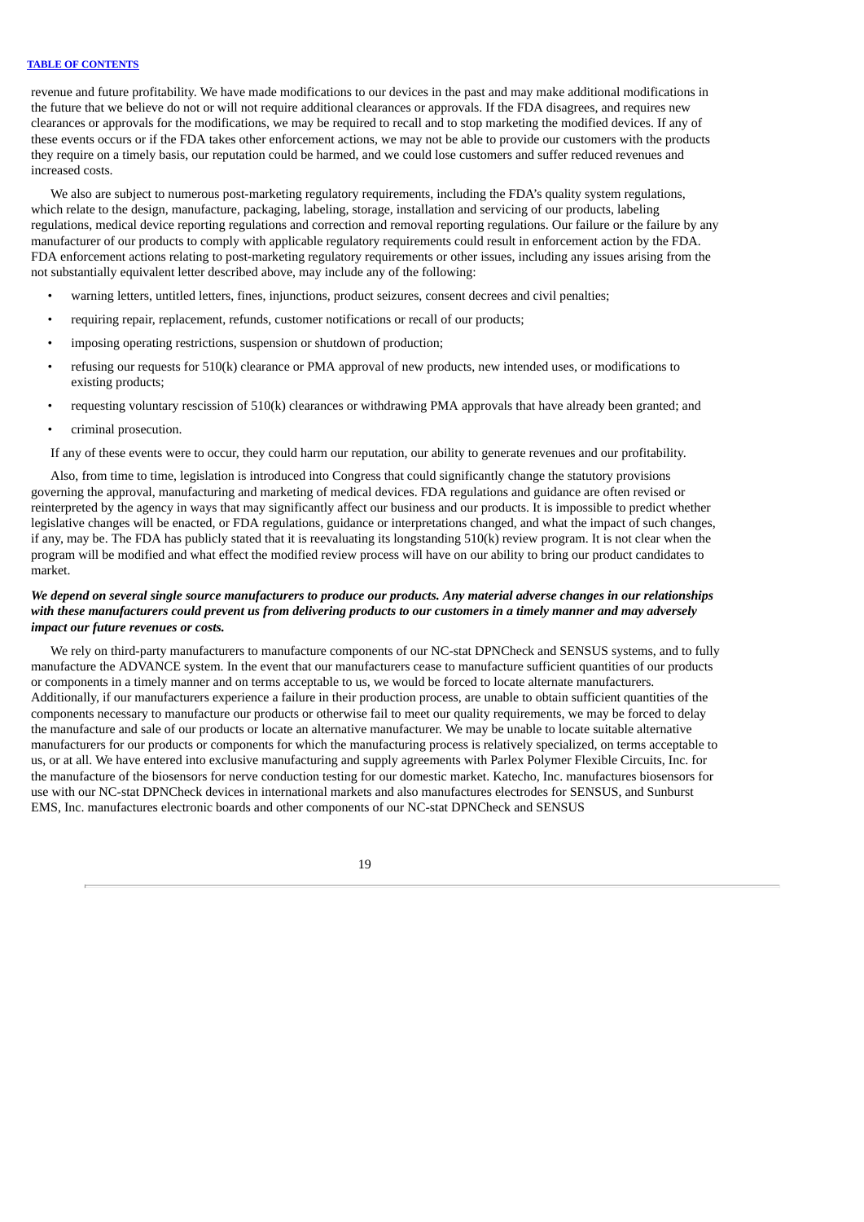revenue and future profitability. We have made modifications to our devices in the past and may make additional modifications in the future that we believe do not or will not require additional clearances or approvals. If the FDA disagrees, and requires new clearances or approvals for the modifications, we may be required to recall and to stop marketing the modified devices. If any of these events occurs or if the FDA takes other enforcement actions, we may not be able to provide our customers with the products they require on a timely basis, our reputation could be harmed, and we could lose customers and suffer reduced revenues and increased costs.

We also are subject to numerous post-marketing regulatory requirements, including the FDA's quality system regulations, which relate to the design, manufacture, packaging, labeling, storage, installation and servicing of our products, labeling regulations, medical device reporting regulations and correction and removal reporting regulations. Our failure or the failure by any manufacturer of our products to comply with applicable regulatory requirements could result in enforcement action by the FDA. FDA enforcement actions relating to post-marketing regulatory requirements or other issues, including any issues arising from the not substantially equivalent letter described above, may include any of the following:

- warning letters, untitled letters, fines, injunctions, product seizures, consent decrees and civil penalties;
- requiring repair, replacement, refunds, customer notifications or recall of our products;
- imposing operating restrictions, suspension or shutdown of production;
- refusing our requests for 510(k) clearance or PMA approval of new products, new intended uses, or modifications to existing products;
- requesting voluntary rescission of 510(k) clearances or withdrawing PMA approvals that have already been granted; and
- criminal prosecution.

If any of these events were to occur, they could harm our reputation, our ability to generate revenues and our profitability.

Also, from time to time, legislation is introduced into Congress that could significantly change the statutory provisions governing the approval, manufacturing and marketing of medical devices. FDA regulations and guidance are often revised or reinterpreted by the agency in ways that may significantly affect our business and our products. It is impossible to predict whether legislative changes will be enacted, or FDA regulations, guidance or interpretations changed, and what the impact of such changes, if any, may be. The FDA has publicly stated that it is reevaluating its longstanding 510(k) review program. It is not clear when the program will be modified and what effect the modified review process will have on our ability to bring our product candidates to market.

### We depend on several single source manufacturers to produce our products. Any material adverse changes in our relationships with these manufacturers could prevent us from delivering products to our customers in a timely manner and may adversely *impact our future revenues or costs.*

We rely on third-party manufacturers to manufacture components of our NC-stat DPNCheck and SENSUS systems, and to fully manufacture the ADVANCE system. In the event that our manufacturers cease to manufacture sufficient quantities of our products or components in a timely manner and on terms acceptable to us, we would be forced to locate alternate manufacturers. Additionally, if our manufacturers experience a failure in their production process, are unable to obtain sufficient quantities of the components necessary to manufacture our products or otherwise fail to meet our quality requirements, we may be forced to delay the manufacture and sale of our products or locate an alternative manufacturer. We may be unable to locate suitable alternative manufacturers for our products or components for which the manufacturing process is relatively specialized, on terms acceptable to us, or at all. We have entered into exclusive manufacturing and supply agreements with Parlex Polymer Flexible Circuits, Inc. for the manufacture of the biosensors for nerve conduction testing for our domestic market. Katecho, Inc. manufactures biosensors for use with our NC-stat DPNCheck devices in international markets and also manufactures electrodes for SENSUS, and Sunburst EMS, Inc. manufactures electronic boards and other components of our NC-stat DPNCheck and SENSUS

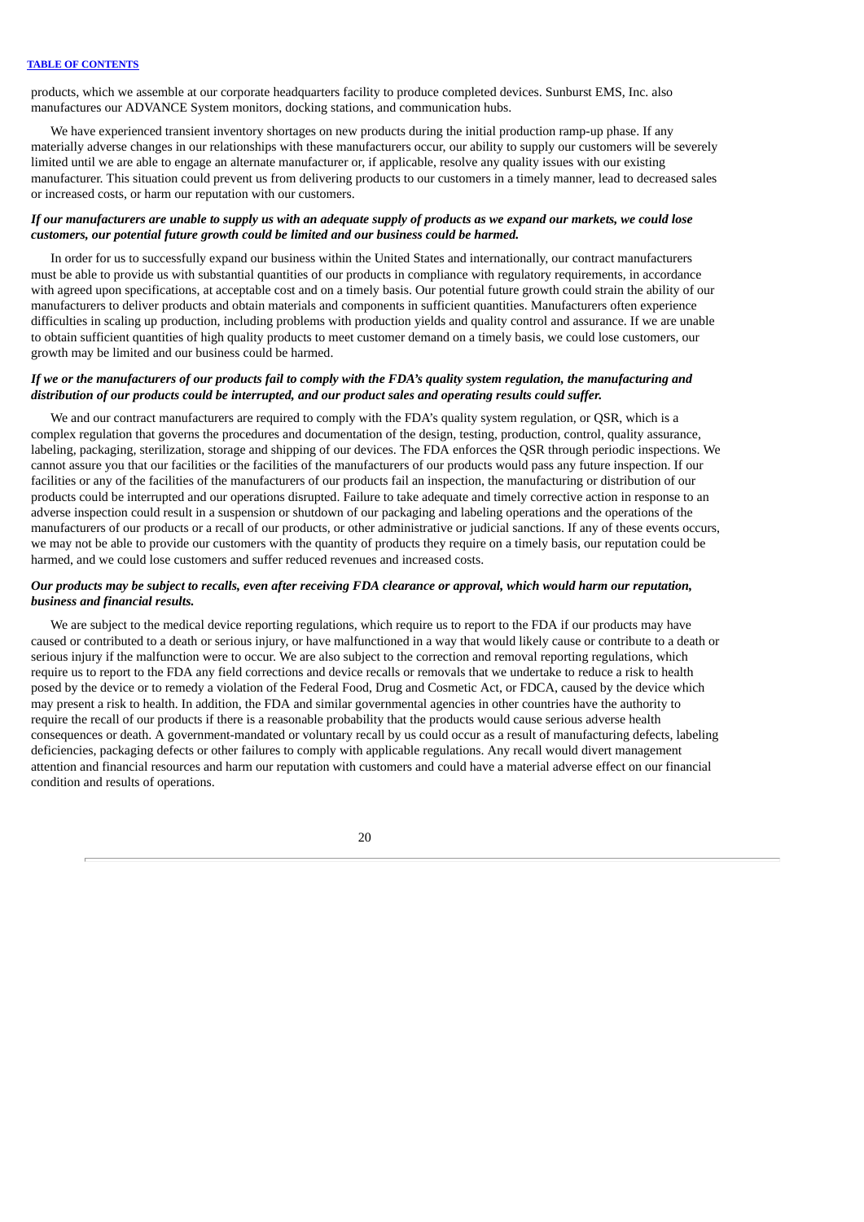products, which we assemble at our corporate headquarters facility to produce completed devices. Sunburst EMS, Inc. also manufactures our ADVANCE System monitors, docking stations, and communication hubs.

We have experienced transient inventory shortages on new products during the initial production ramp-up phase. If any materially adverse changes in our relationships with these manufacturers occur, our ability to supply our customers will be severely limited until we are able to engage an alternate manufacturer or, if applicable, resolve any quality issues with our existing manufacturer. This situation could prevent us from delivering products to our customers in a timely manner, lead to decreased sales or increased costs, or harm our reputation with our customers.

### If our manufacturers are unable to supply us with an adequate supply of products as we expand our markets, we could lose *customers, our potential future growth could be limited and our business could be harmed.*

In order for us to successfully expand our business within the United States and internationally, our contract manufacturers must be able to provide us with substantial quantities of our products in compliance with regulatory requirements, in accordance with agreed upon specifications, at acceptable cost and on a timely basis. Our potential future growth could strain the ability of our manufacturers to deliver products and obtain materials and components in sufficient quantities. Manufacturers often experience difficulties in scaling up production, including problems with production yields and quality control and assurance. If we are unable to obtain sufficient quantities of high quality products to meet customer demand on a timely basis, we could lose customers, our growth may be limited and our business could be harmed.

### If we or the manufacturers of our products fail to comply with the FDA's quality system regulation, the manufacturing and *distribution of our products could be interrupted, and our product sales and operating results could suffer.*

We and our contract manufacturers are required to comply with the FDA's quality system regulation, or QSR, which is a complex regulation that governs the procedures and documentation of the design, testing, production, control, quality assurance, labeling, packaging, sterilization, storage and shipping of our devices. The FDA enforces the QSR through periodic inspections. We cannot assure you that our facilities or the facilities of the manufacturers of our products would pass any future inspection. If our facilities or any of the facilities of the manufacturers of our products fail an inspection, the manufacturing or distribution of our products could be interrupted and our operations disrupted. Failure to take adequate and timely corrective action in response to an adverse inspection could result in a suspension or shutdown of our packaging and labeling operations and the operations of the manufacturers of our products or a recall of our products, or other administrative or judicial sanctions. If any of these events occurs, we may not be able to provide our customers with the quantity of products they require on a timely basis, our reputation could be harmed, and we could lose customers and suffer reduced revenues and increased costs.

### Our products may be subject to recalls, even after receiving FDA clearance or approval, which would harm our reputation, *business and financial results.*

We are subject to the medical device reporting regulations, which require us to report to the FDA if our products may have caused or contributed to a death or serious injury, or have malfunctioned in a way that would likely cause or contribute to a death or serious injury if the malfunction were to occur. We are also subject to the correction and removal reporting regulations, which require us to report to the FDA any field corrections and device recalls or removals that we undertake to reduce a risk to health posed by the device or to remedy a violation of the Federal Food, Drug and Cosmetic Act, or FDCA, caused by the device which may present a risk to health. In addition, the FDA and similar governmental agencies in other countries have the authority to require the recall of our products if there is a reasonable probability that the products would cause serious adverse health consequences or death. A government-mandated or voluntary recall by us could occur as a result of manufacturing defects, labeling deficiencies, packaging defects or other failures to comply with applicable regulations. Any recall would divert management attention and financial resources and harm our reputation with customers and could have a material adverse effect on our financial condition and results of operations.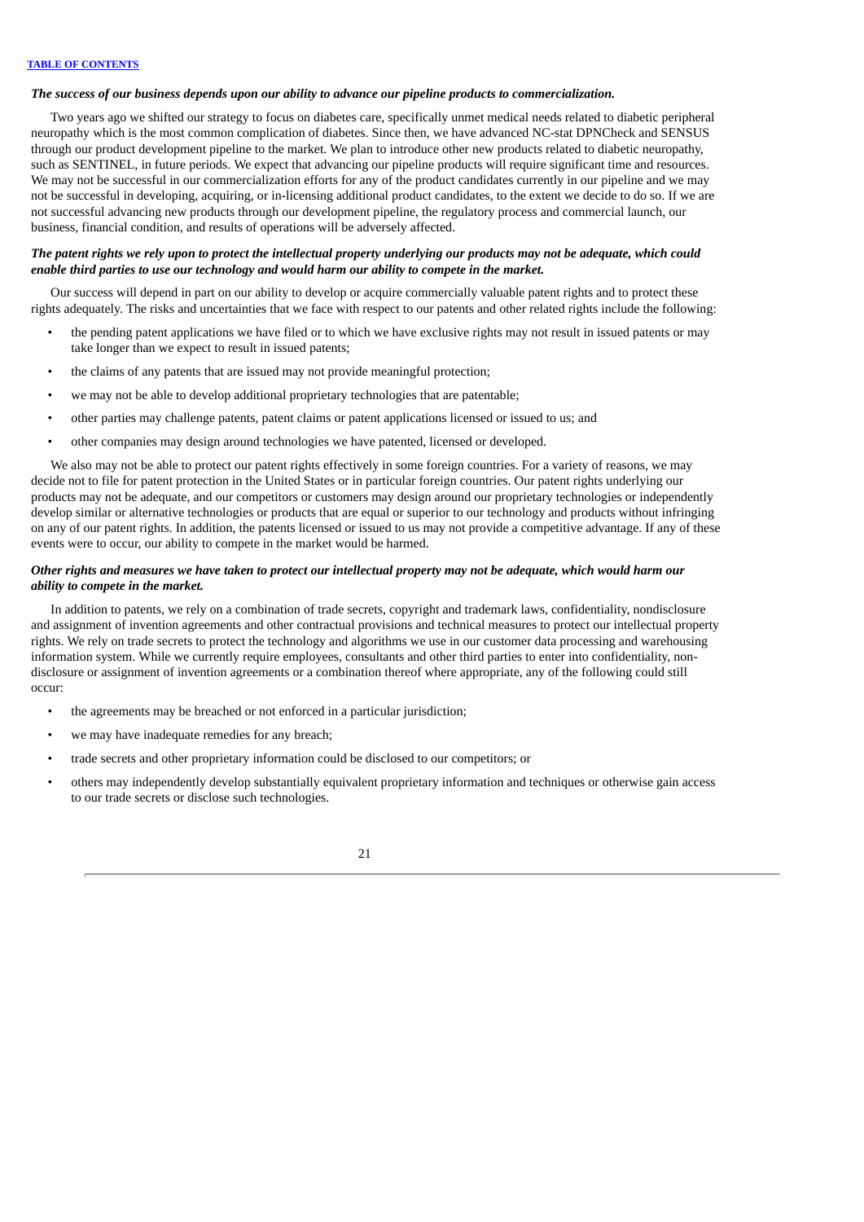### *The success of our business depends upon our ability to advance our pipeline products to commercialization.*

Two years ago we shifted our strategy to focus on diabetes care, specifically unmet medical needs related to diabetic peripheral neuropathy which is the most common complication of diabetes. Since then, we have advanced NC-stat DPNCheck and SENSUS through our product development pipeline to the market. We plan to introduce other new products related to diabetic neuropathy, such as SENTINEL, in future periods. We expect that advancing our pipeline products will require significant time and resources. We may not be successful in our commercialization efforts for any of the product candidates currently in our pipeline and we may not be successful in developing, acquiring, or in-licensing additional product candidates, to the extent we decide to do so. If we are not successful advancing new products through our development pipeline, the regulatory process and commercial launch, our business, financial condition, and results of operations will be adversely affected.

### The patent rights we rely upon to protect the intellectual property underlying our products may not be adequate, which could *enable third parties to use our technology and would harm our ability to compete in the market.*

Our success will depend in part on our ability to develop or acquire commercially valuable patent rights and to protect these rights adequately. The risks and uncertainties that we face with respect to our patents and other related rights include the following:

- the pending patent applications we have filed or to which we have exclusive rights may not result in issued patents or may take longer than we expect to result in issued patents;
- the claims of any patents that are issued may not provide meaningful protection;
- we may not be able to develop additional proprietary technologies that are patentable;
- other parties may challenge patents, patent claims or patent applications licensed or issued to us; and
- other companies may design around technologies we have patented, licensed or developed.

We also may not be able to protect our patent rights effectively in some foreign countries. For a variety of reasons, we may decide not to file for patent protection in the United States or in particular foreign countries. Our patent rights underlying our products may not be adequate, and our competitors or customers may design around our proprietary technologies or independently develop similar or alternative technologies or products that are equal or superior to our technology and products without infringing on any of our patent rights. In addition, the patents licensed or issued to us may not provide a competitive advantage. If any of these events were to occur, our ability to compete in the market would be harmed.

### Other rights and measures we have taken to protect our intellectual property may not be adequate, which would harm our *ability to compete in the market.*

In addition to patents, we rely on a combination of trade secrets, copyright and trademark laws, confidentiality, nondisclosure and assignment of invention agreements and other contractual provisions and technical measures to protect our intellectual property rights. We rely on trade secrets to protect the technology and algorithms we use in our customer data processing and warehousing information system. While we currently require employees, consultants and other third parties to enter into confidentiality, nondisclosure or assignment of invention agreements or a combination thereof where appropriate, any of the following could still occur:

- the agreements may be breached or not enforced in a particular jurisdiction;
- we may have inadequate remedies for any breach;
- trade secrets and other proprietary information could be disclosed to our competitors; or
- others may independently develop substantially equivalent proprietary information and techniques or otherwise gain access to our trade secrets or disclose such technologies.

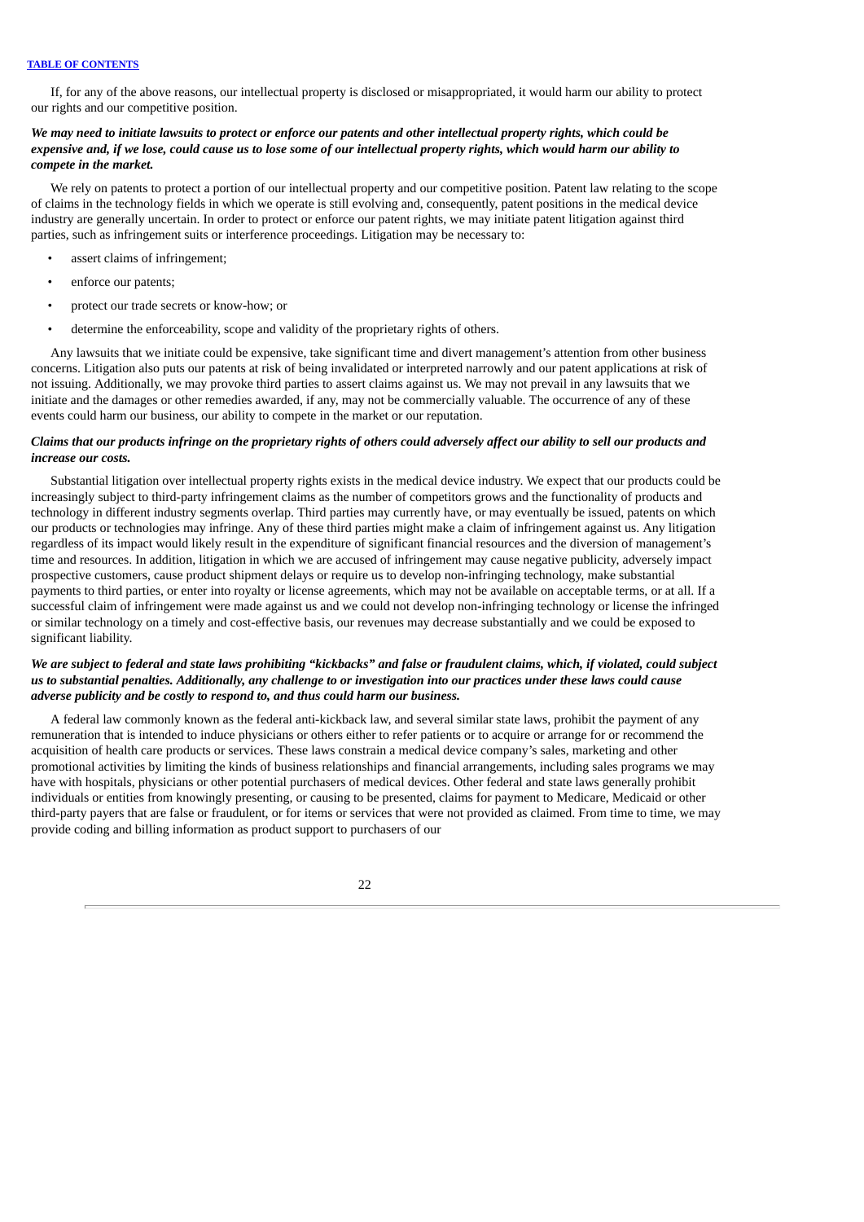If, for any of the above reasons, our intellectual property is disclosed or misappropriated, it would harm our ability to protect our rights and our competitive position.

### We may need to initiate lawsuits to protect or enforce our patents and other intellectual property rights, which could be expensive and, if we lose, could cause us to lose some of our intellectual property rights, which would harm our ability to *compete in the market.*

We rely on patents to protect a portion of our intellectual property and our competitive position. Patent law relating to the scope of claims in the technology fields in which we operate is still evolving and, consequently, patent positions in the medical device industry are generally uncertain. In order to protect or enforce our patent rights, we may initiate patent litigation against third parties, such as infringement suits or interference proceedings. Litigation may be necessary to:

- assert claims of infringement;
- enforce our patents;
- protect our trade secrets or know-how; or
- determine the enforceability, scope and validity of the proprietary rights of others.

Any lawsuits that we initiate could be expensive, take significant time and divert management's attention from other business concerns. Litigation also puts our patents at risk of being invalidated or interpreted narrowly and our patent applications at risk of not issuing. Additionally, we may provoke third parties to assert claims against us. We may not prevail in any lawsuits that we initiate and the damages or other remedies awarded, if any, may not be commercially valuable. The occurrence of any of these events could harm our business, our ability to compete in the market or our reputation.

### Claims that our products infringe on the proprietary rights of others could adversely affect our ability to sell our products and *increase our costs.*

Substantial litigation over intellectual property rights exists in the medical device industry. We expect that our products could be increasingly subject to third-party infringement claims as the number of competitors grows and the functionality of products and technology in different industry segments overlap. Third parties may currently have, or may eventually be issued, patents on which our products or technologies may infringe. Any of these third parties might make a claim of infringement against us. Any litigation regardless of its impact would likely result in the expenditure of significant financial resources and the diversion of management's time and resources. In addition, litigation in which we are accused of infringement may cause negative publicity, adversely impact prospective customers, cause product shipment delays or require us to develop non-infringing technology, make substantial payments to third parties, or enter into royalty or license agreements, which may not be available on acceptable terms, or at all. If a successful claim of infringement were made against us and we could not develop non-infringing technology or license the infringed or similar technology on a timely and cost-effective basis, our revenues may decrease substantially and we could be exposed to significant liability.

### We are subject to federal and state laws prohibiting "kickbacks" and false or fraudulent claims, which, if violated, could subiect us to substantial penalties. Additionally, any challenge to or investigation into our practices under these laws could cause *adverse publicity and be costly to respond to, and thus could harm our business.*

A federal law commonly known as the federal anti-kickback law, and several similar state laws, prohibit the payment of any remuneration that is intended to induce physicians or others either to refer patients or to acquire or arrange for or recommend the acquisition of health care products or services. These laws constrain a medical device company's sales, marketing and other promotional activities by limiting the kinds of business relationships and financial arrangements, including sales programs we may have with hospitals, physicians or other potential purchasers of medical devices. Other federal and state laws generally prohibit individuals or entities from knowingly presenting, or causing to be presented, claims for payment to Medicare, Medicaid or other third-party payers that are false or fraudulent, or for items or services that were not provided as claimed. From time to time, we may provide coding and billing information as product support to purchasers of our

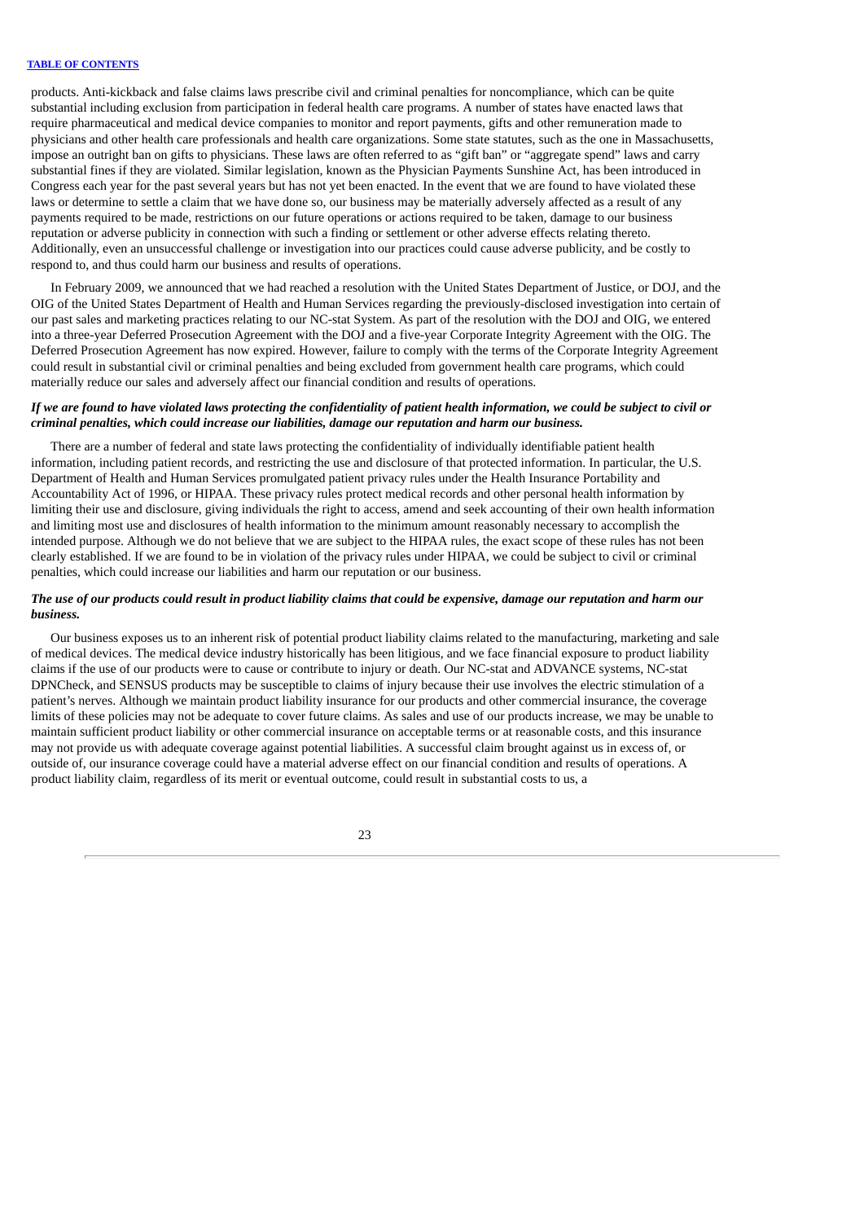products. Anti-kickback and false claims laws prescribe civil and criminal penalties for noncompliance, which can be quite substantial including exclusion from participation in federal health care programs. A number of states have enacted laws that require pharmaceutical and medical device companies to monitor and report payments, gifts and other remuneration made to physicians and other health care professionals and health care organizations. Some state statutes, such as the one in Massachusetts, impose an outright ban on gifts to physicians. These laws are often referred to as "gift ban" or "aggregate spend" laws and carry substantial fines if they are violated. Similar legislation, known as the Physician Payments Sunshine Act, has been introduced in Congress each year for the past several years but has not yet been enacted. In the event that we are found to have violated these laws or determine to settle a claim that we have done so, our business may be materially adversely affected as a result of any payments required to be made, restrictions on our future operations or actions required to be taken, damage to our business reputation or adverse publicity in connection with such a finding or settlement or other adverse effects relating thereto. Additionally, even an unsuccessful challenge or investigation into our practices could cause adverse publicity, and be costly to respond to, and thus could harm our business and results of operations.

In February 2009, we announced that we had reached a resolution with the United States Department of Justice, or DOJ, and the OIG of the United States Department of Health and Human Services regarding the previously-disclosed investigation into certain of our past sales and marketing practices relating to our NC-stat System. As part of the resolution with the DOJ and OIG, we entered into a three-year Deferred Prosecution Agreement with the DOJ and a five-year Corporate Integrity Agreement with the OIG. The Deferred Prosecution Agreement has now expired. However, failure to comply with the terms of the Corporate Integrity Agreement could result in substantial civil or criminal penalties and being excluded from government health care programs, which could materially reduce our sales and adversely affect our financial condition and results of operations.

### If we are found to have violated laws protecting the confidentiality of patient health information, we could be subject to civil or *criminal penalties, which could increase our liabilities, damage our reputation and harm our business.*

There are a number of federal and state laws protecting the confidentiality of individually identifiable patient health information, including patient records, and restricting the use and disclosure of that protected information. In particular, the U.S. Department of Health and Human Services promulgated patient privacy rules under the Health Insurance Portability and Accountability Act of 1996, or HIPAA. These privacy rules protect medical records and other personal health information by limiting their use and disclosure, giving individuals the right to access, amend and seek accounting of their own health information and limiting most use and disclosures of health information to the minimum amount reasonably necessary to accomplish the intended purpose. Although we do not believe that we are subject to the HIPAA rules, the exact scope of these rules has not been clearly established. If we are found to be in violation of the privacy rules under HIPAA, we could be subject to civil or criminal penalties, which could increase our liabilities and harm our reputation or our business.

### The use of our products could result in product liability claims that could be expensive, damage our reputation and harm our *business.*

Our business exposes us to an inherent risk of potential product liability claims related to the manufacturing, marketing and sale of medical devices. The medical device industry historically has been litigious, and we face financial exposure to product liability claims if the use of our products were to cause or contribute to injury or death. Our NC-stat and ADVANCE systems, NC-stat DPNCheck, and SENSUS products may be susceptible to claims of injury because their use involves the electric stimulation of a patient's nerves. Although we maintain product liability insurance for our products and other commercial insurance, the coverage limits of these policies may not be adequate to cover future claims. As sales and use of our products increase, we may be unable to maintain sufficient product liability or other commercial insurance on acceptable terms or at reasonable costs, and this insurance may not provide us with adequate coverage against potential liabilities. A successful claim brought against us in excess of, or outside of, our insurance coverage could have a material adverse effect on our financial condition and results of operations. A product liability claim, regardless of its merit or eventual outcome, could result in substantial costs to us, a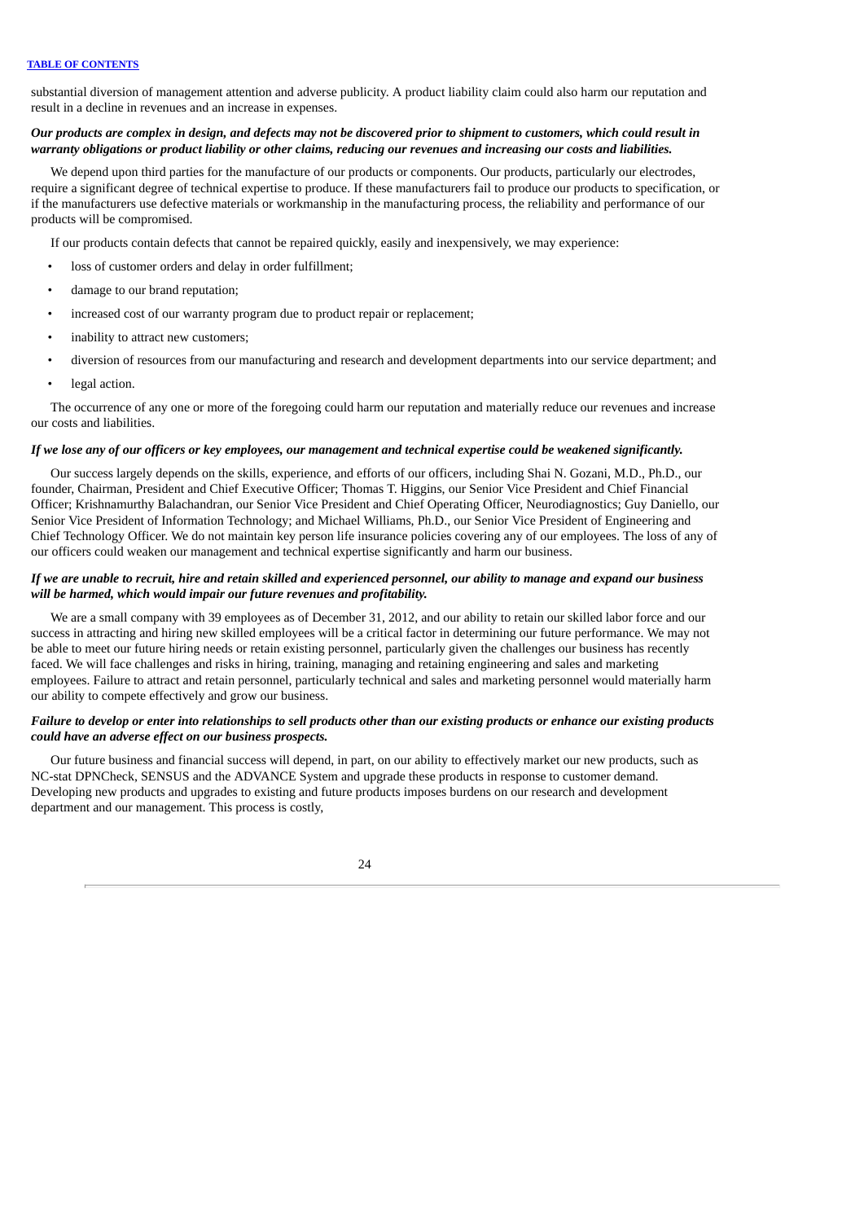substantial diversion of management attention and adverse publicity. A product liability claim could also harm our reputation and result in a decline in revenues and an increase in expenses.

### Our products are complex in design, and defects may not be discovered prior to shipment to customers, which could result in warranty obligations or product liability or other claims, reducing our revenues and increasing our costs and liabilities.

We depend upon third parties for the manufacture of our products or components. Our products, particularly our electrodes, require a significant degree of technical expertise to produce. If these manufacturers fail to produce our products to specification, or if the manufacturers use defective materials or workmanship in the manufacturing process, the reliability and performance of our products will be compromised.

If our products contain defects that cannot be repaired quickly, easily and inexpensively, we may experience:

- loss of customer orders and delay in order fulfillment;
- damage to our brand reputation;
- increased cost of our warranty program due to product repair or replacement;
- inability to attract new customers;
- diversion of resources from our manufacturing and research and development departments into our service department; and
- legal action.

The occurrence of any one or more of the foregoing could harm our reputation and materially reduce our revenues and increase our costs and liabilities.

#### If we lose any of our officers or key employees, our management and technical expertise could be weakened significantly.

Our success largely depends on the skills, experience, and efforts of our officers, including Shai N. Gozani, M.D., Ph.D., our founder, Chairman, President and Chief Executive Officer; Thomas T. Higgins, our Senior Vice President and Chief Financial Officer; Krishnamurthy Balachandran, our Senior Vice President and Chief Operating Officer, Neurodiagnostics; Guy Daniello, our Senior Vice President of Information Technology; and Michael Williams, Ph.D., our Senior Vice President of Engineering and Chief Technology Officer. We do not maintain key person life insurance policies covering any of our employees. The loss of any of our officers could weaken our management and technical expertise significantly and harm our business.

### If we are unable to recruit, hire and retain skilled and experienced personnel, our ability to manage and expand our business *will be harmed, which would impair our future revenues and profitability.*

We are a small company with 39 employees as of December 31, 2012, and our ability to retain our skilled labor force and our success in attracting and hiring new skilled employees will be a critical factor in determining our future performance. We may not be able to meet our future hiring needs or retain existing personnel, particularly given the challenges our business has recently faced. We will face challenges and risks in hiring, training, managing and retaining engineering and sales and marketing employees. Failure to attract and retain personnel, particularly technical and sales and marketing personnel would materially harm our ability to compete effectively and grow our business.

### Failure to develop or enter into relationships to sell products other than our existing products or enhance our existing products *could have an adverse effect on our business prospects.*

Our future business and financial success will depend, in part, on our ability to effectively market our new products, such as NC-stat DPNCheck, SENSUS and the ADVANCE System and upgrade these products in response to customer demand. Developing new products and upgrades to existing and future products imposes burdens on our research and development department and our management. This process is costly,

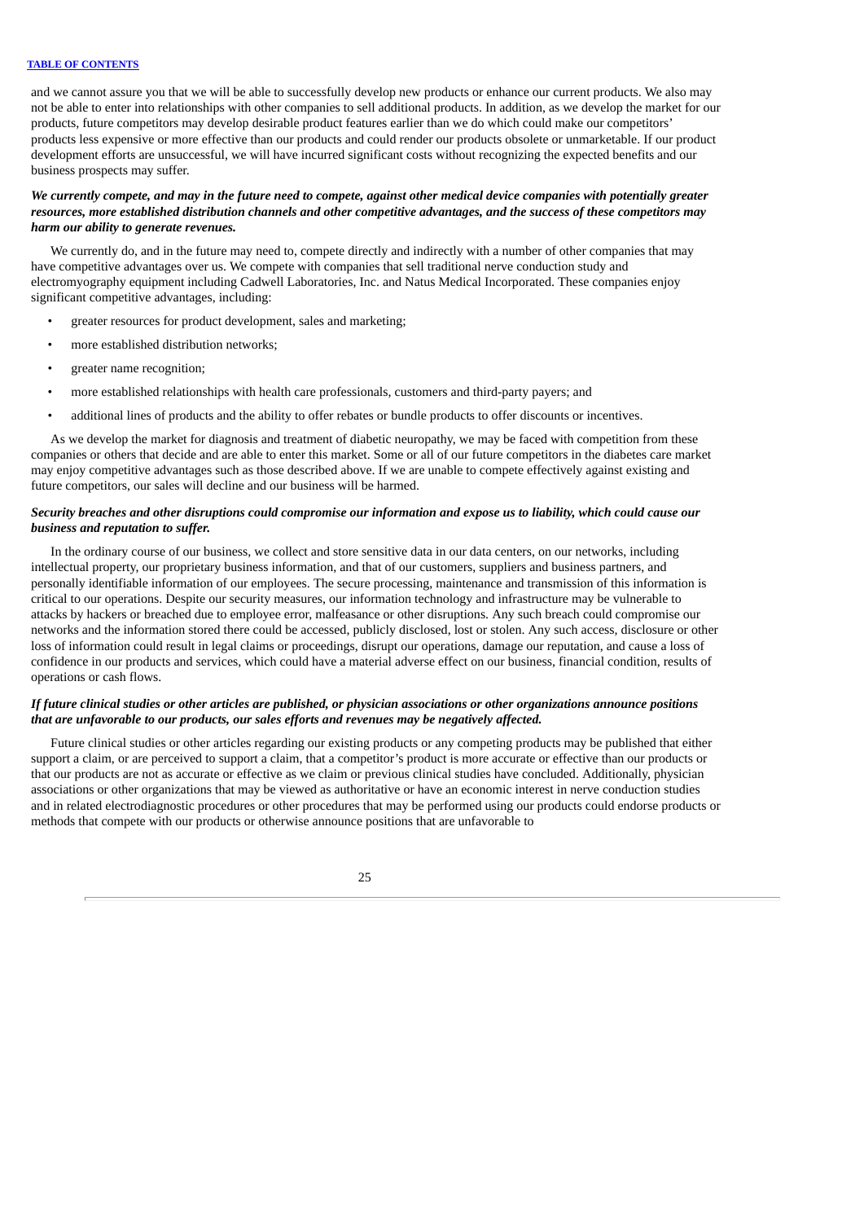and we cannot assure you that we will be able to successfully develop new products or enhance our current products. We also may not be able to enter into relationships with other companies to sell additional products. In addition, as we develop the market for our products, future competitors may develop desirable product features earlier than we do which could make our competitors' products less expensive or more effective than our products and could render our products obsolete or unmarketable. If our product development efforts are unsuccessful, we will have incurred significant costs without recognizing the expected benefits and our business prospects may suffer.

### We currently compete, and may in the future need to compete, against other medical device companies with potentially greater resources, more established distribution channels and other competitive advantages, and the success of these competitors may *harm our ability to generate revenues.*

We currently do, and in the future may need to, compete directly and indirectly with a number of other companies that may have competitive advantages over us. We compete with companies that sell traditional nerve conduction study and electromyography equipment including Cadwell Laboratories, Inc. and Natus Medical Incorporated. These companies enjoy significant competitive advantages, including:

- greater resources for product development, sales and marketing;
- more established distribution networks;
- greater name recognition;
- more established relationships with health care professionals, customers and third-party payers; and
- additional lines of products and the ability to offer rebates or bundle products to offer discounts or incentives.

As we develop the market for diagnosis and treatment of diabetic neuropathy, we may be faced with competition from these companies or others that decide and are able to enter this market. Some or all of our future competitors in the diabetes care market may enjoy competitive advantages such as those described above. If we are unable to compete effectively against existing and future competitors, our sales will decline and our business will be harmed.

### Security breaches and other disruptions could compromise our information and expose us to liability, which could cause our *business and reputation to suffer.*

In the ordinary course of our business, we collect and store sensitive data in our data centers, on our networks, including intellectual property, our proprietary business information, and that of our customers, suppliers and business partners, and personally identifiable information of our employees. The secure processing, maintenance and transmission of this information is critical to our operations. Despite our security measures, our information technology and infrastructure may be vulnerable to attacks by hackers or breached due to employee error, malfeasance or other disruptions. Any such breach could compromise our networks and the information stored there could be accessed, publicly disclosed, lost or stolen. Any such access, disclosure or other loss of information could result in legal claims or proceedings, disrupt our operations, damage our reputation, and cause a loss of confidence in our products and services, which could have a material adverse effect on our business, financial condition, results of operations or cash flows.

### If future clinical studies or other articles are published, or physician associations or other organizations announce positions *that are unfavorable to our products, our sales efforts and revenues may be negatively affected.*

Future clinical studies or other articles regarding our existing products or any competing products may be published that either support a claim, or are perceived to support a claim, that a competitor's product is more accurate or effective than our products or that our products are not as accurate or effective as we claim or previous clinical studies have concluded. Additionally, physician associations or other organizations that may be viewed as authoritative or have an economic interest in nerve conduction studies and in related electrodiagnostic procedures or other procedures that may be performed using our products could endorse products or methods that compete with our products or otherwise announce positions that are unfavorable to

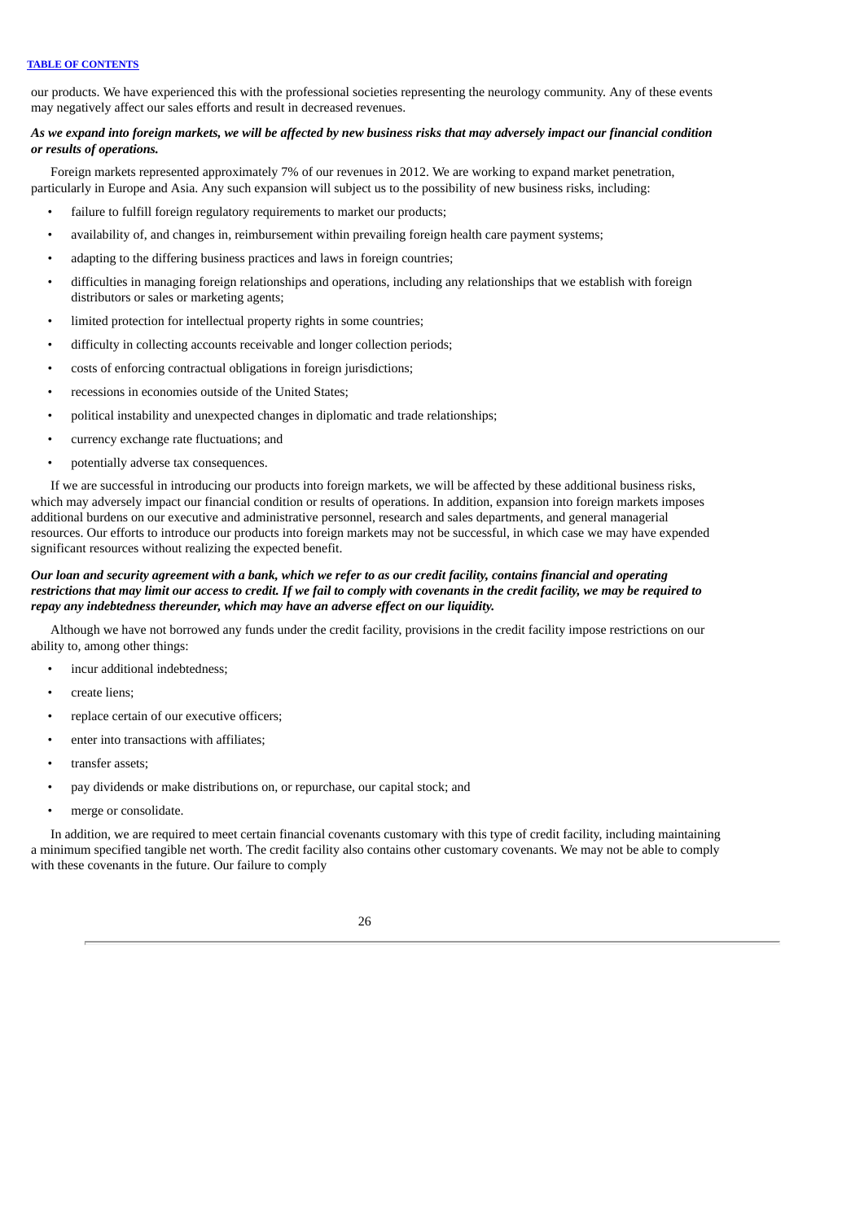our products. We have experienced this with the professional societies representing the neurology community. Any of these events may negatively affect our sales efforts and result in decreased revenues.

### As we expand into foreign markets, we will be affected by new business risks that may adversely impact our financial condition *or results of operations.*

Foreign markets represented approximately 7% of our revenues in 2012. We are working to expand market penetration, particularly in Europe and Asia. Any such expansion will subject us to the possibility of new business risks, including:

- failure to fulfill foreign regulatory requirements to market our products;
- availability of, and changes in, reimbursement within prevailing foreign health care payment systems;
- adapting to the differing business practices and laws in foreign countries;
- difficulties in managing foreign relationships and operations, including any relationships that we establish with foreign distributors or sales or marketing agents;
- limited protection for intellectual property rights in some countries;
- difficulty in collecting accounts receivable and longer collection periods;
- costs of enforcing contractual obligations in foreign jurisdictions;
- recessions in economies outside of the United States;
- political instability and unexpected changes in diplomatic and trade relationships;
- currency exchange rate fluctuations; and
- potentially adverse tax consequences.

If we are successful in introducing our products into foreign markets, we will be affected by these additional business risks, which may adversely impact our financial condition or results of operations. In addition, expansion into foreign markets imposes additional burdens on our executive and administrative personnel, research and sales departments, and general managerial resources. Our efforts to introduce our products into foreign markets may not be successful, in which case we may have expended significant resources without realizing the expected benefit.

### Our loan and security agreement with a bank, which we refer to as our credit facility, contains financial and operating restrictions that may limit our access to credit. If we fail to comply with covenants in the credit facility, we may be required to *repay any indebtedness thereunder, which may have an adverse effect on our liquidity.*

Although we have not borrowed any funds under the credit facility, provisions in the credit facility impose restrictions on our ability to, among other things:

- incur additional indebtedness;
- create liens;
- replace certain of our executive officers;
- enter into transactions with affiliates;
- transfer assets;
- pay dividends or make distributions on, or repurchase, our capital stock; and
- merge or consolidate.

In addition, we are required to meet certain financial covenants customary with this type of credit facility, including maintaining a minimum specified tangible net worth. The credit facility also contains other customary covenants. We may not be able to comply with these covenants in the future. Our failure to comply

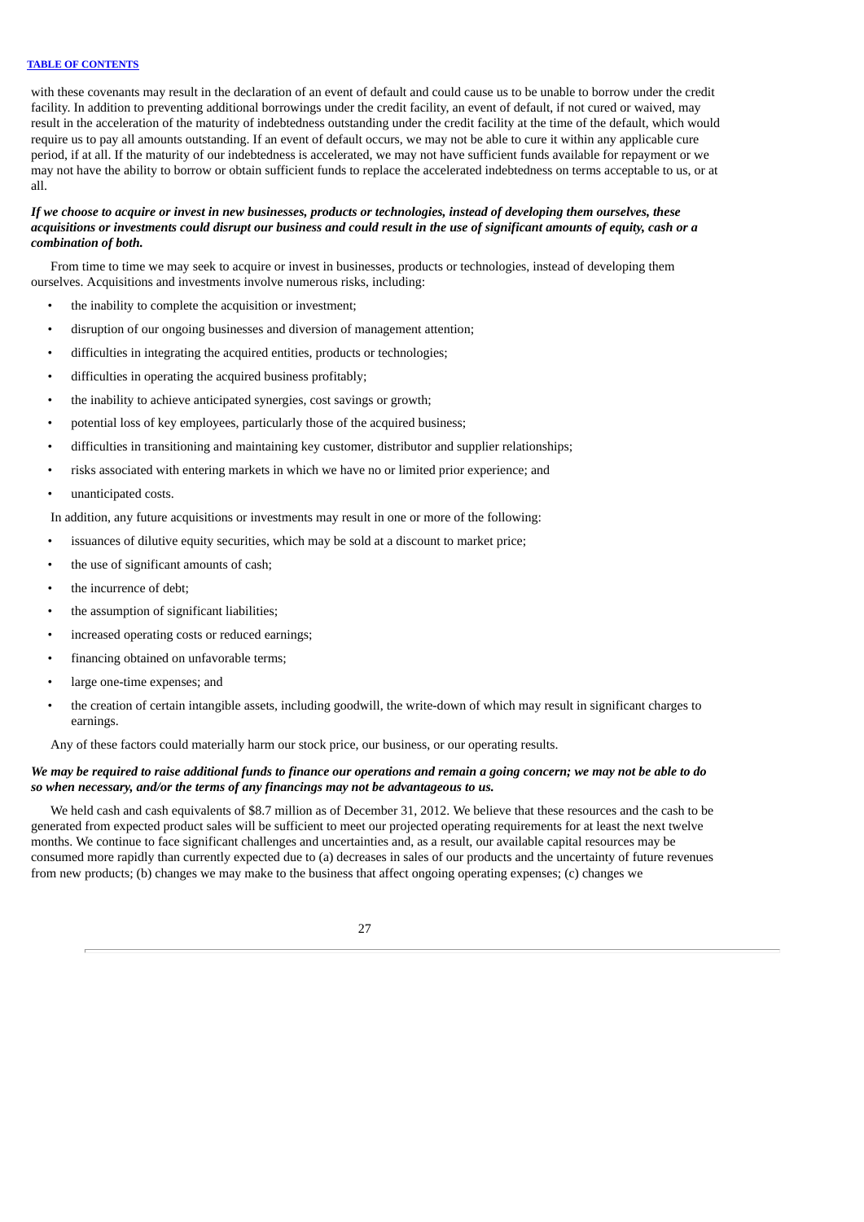with these covenants may result in the declaration of an event of default and could cause us to be unable to borrow under the credit facility. In addition to preventing additional borrowings under the credit facility, an event of default, if not cured or waived, may result in the acceleration of the maturity of indebtedness outstanding under the credit facility at the time of the default, which would require us to pay all amounts outstanding. If an event of default occurs, we may not be able to cure it within any applicable cure period, if at all. If the maturity of our indebtedness is accelerated, we may not have sufficient funds available for repayment or we may not have the ability to borrow or obtain sufficient funds to replace the accelerated indebtedness on terms acceptable to us, or at all.

### If we choose to acquire or invest in new businesses, products or technologies, instead of developing them ourselves, these acquisitions or investments could disrupt our business and could result in the use of significant amounts of equity, cash or a *combination of both.*

From time to time we may seek to acquire or invest in businesses, products or technologies, instead of developing them ourselves. Acquisitions and investments involve numerous risks, including:

- the inability to complete the acquisition or investment;
- disruption of our ongoing businesses and diversion of management attention;
- difficulties in integrating the acquired entities, products or technologies;
- difficulties in operating the acquired business profitably;
- the inability to achieve anticipated synergies, cost savings or growth;
- potential loss of key employees, particularly those of the acquired business;
- difficulties in transitioning and maintaining key customer, distributor and supplier relationships;
- risks associated with entering markets in which we have no or limited prior experience; and
- unanticipated costs.

In addition, any future acquisitions or investments may result in one or more of the following:

- issuances of dilutive equity securities, which may be sold at a discount to market price;
- the use of significant amounts of cash;
- the incurrence of debt;
- the assumption of significant liabilities;
- increased operating costs or reduced earnings;
- financing obtained on unfavorable terms;
- large one-time expenses; and
- the creation of certain intangible assets, including goodwill, the write-down of which may result in significant charges to earnings.

Any of these factors could materially harm our stock price, our business, or our operating results.

### We may be required to raise additional funds to finance our operations and remain a going concern; we may not be able to do *so when necessary, and/or the terms of any financings may not be advantageous to us.*

We held cash and cash equivalents of \$8.7 million as of December 31, 2012. We believe that these resources and the cash to be generated from expected product sales will be sufficient to meet our projected operating requirements for at least the next twelve months. We continue to face significant challenges and uncertainties and, as a result, our available capital resources may be consumed more rapidly than currently expected due to (a) decreases in sales of our products and the uncertainty of future revenues from new products; (b) changes we may make to the business that affect ongoing operating expenses; (c) changes we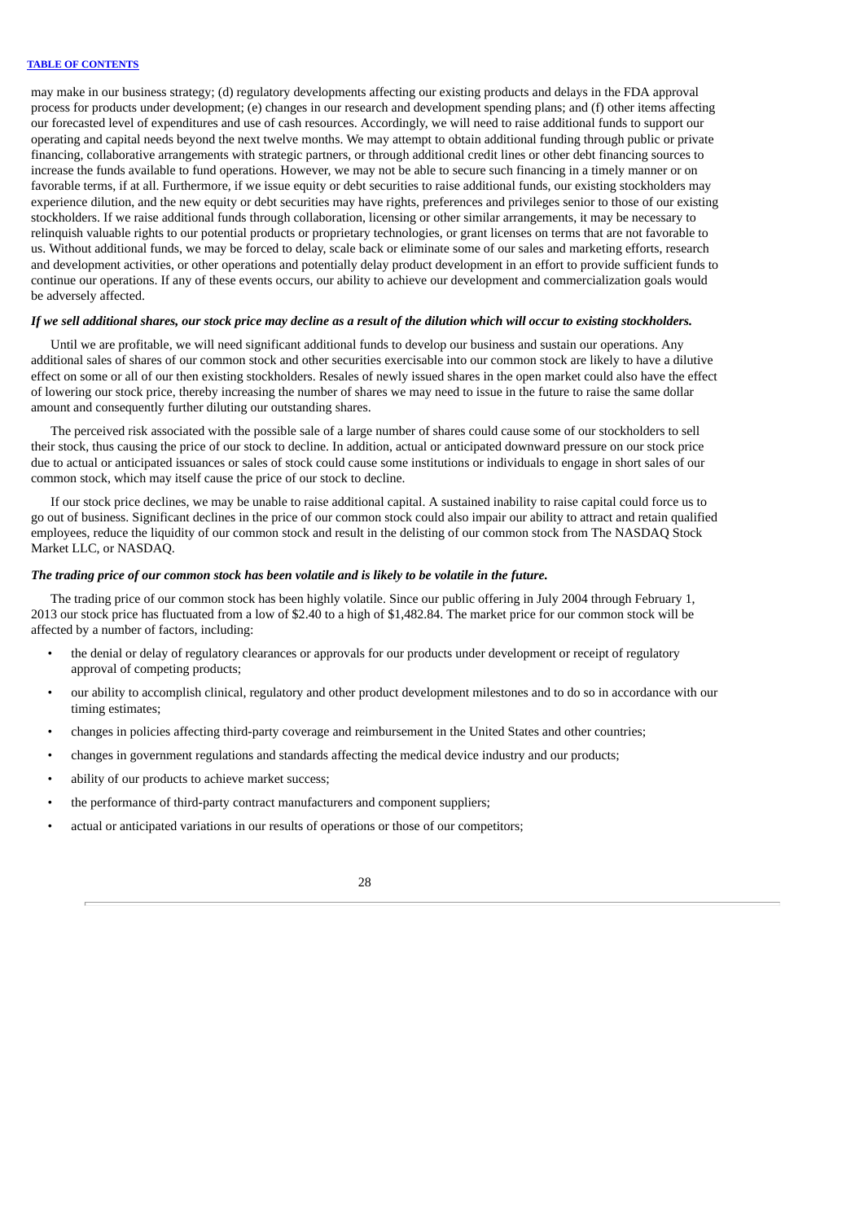may make in our business strategy; (d) regulatory developments affecting our existing products and delays in the FDA approval process for products under development; (e) changes in our research and development spending plans; and (f) other items affecting our forecasted level of expenditures and use of cash resources. Accordingly, we will need to raise additional funds to support our operating and capital needs beyond the next twelve months. We may attempt to obtain additional funding through public or private financing, collaborative arrangements with strategic partners, or through additional credit lines or other debt financing sources to increase the funds available to fund operations. However, we may not be able to secure such financing in a timely manner or on favorable terms, if at all. Furthermore, if we issue equity or debt securities to raise additional funds, our existing stockholders may experience dilution, and the new equity or debt securities may have rights, preferences and privileges senior to those of our existing stockholders. If we raise additional funds through collaboration, licensing or other similar arrangements, it may be necessary to relinquish valuable rights to our potential products or proprietary technologies, or grant licenses on terms that are not favorable to us. Without additional funds, we may be forced to delay, scale back or eliminate some of our sales and marketing efforts, research and development activities, or other operations and potentially delay product development in an effort to provide sufficient funds to continue our operations. If any of these events occurs, our ability to achieve our development and commercialization goals would be adversely affected.

### If we sell additional shares, our stock price may decline as a result of the dilution which will occur to existing stockholders.

Until we are profitable, we will need significant additional funds to develop our business and sustain our operations. Any additional sales of shares of our common stock and other securities exercisable into our common stock are likely to have a dilutive effect on some or all of our then existing stockholders. Resales of newly issued shares in the open market could also have the effect of lowering our stock price, thereby increasing the number of shares we may need to issue in the future to raise the same dollar amount and consequently further diluting our outstanding shares.

The perceived risk associated with the possible sale of a large number of shares could cause some of our stockholders to sell their stock, thus causing the price of our stock to decline. In addition, actual or anticipated downward pressure on our stock price due to actual or anticipated issuances or sales of stock could cause some institutions or individuals to engage in short sales of our common stock, which may itself cause the price of our stock to decline.

If our stock price declines, we may be unable to raise additional capital. A sustained inability to raise capital could force us to go out of business. Significant declines in the price of our common stock could also impair our ability to attract and retain qualified employees, reduce the liquidity of our common stock and result in the delisting of our common stock from The NASDAQ Stock Market LLC, or NASDAQ.

### The trading price of our common stock has been volatile and is likely to be volatile in the future.

The trading price of our common stock has been highly volatile. Since our public offering in July 2004 through February 1, 2013 our stock price has fluctuated from a low of \$2.40 to a high of \$1,482.84. The market price for our common stock will be affected by a number of factors, including:

- the denial or delay of regulatory clearances or approvals for our products under development or receipt of regulatory approval of competing products;
- our ability to accomplish clinical, regulatory and other product development milestones and to do so in accordance with our timing estimates;
- changes in policies affecting third-party coverage and reimbursement in the United States and other countries;
- changes in government regulations and standards affecting the medical device industry and our products;
- ability of our products to achieve market success;
- the performance of third-party contract manufacturers and component suppliers;
- actual or anticipated variations in our results of operations or those of our competitors;

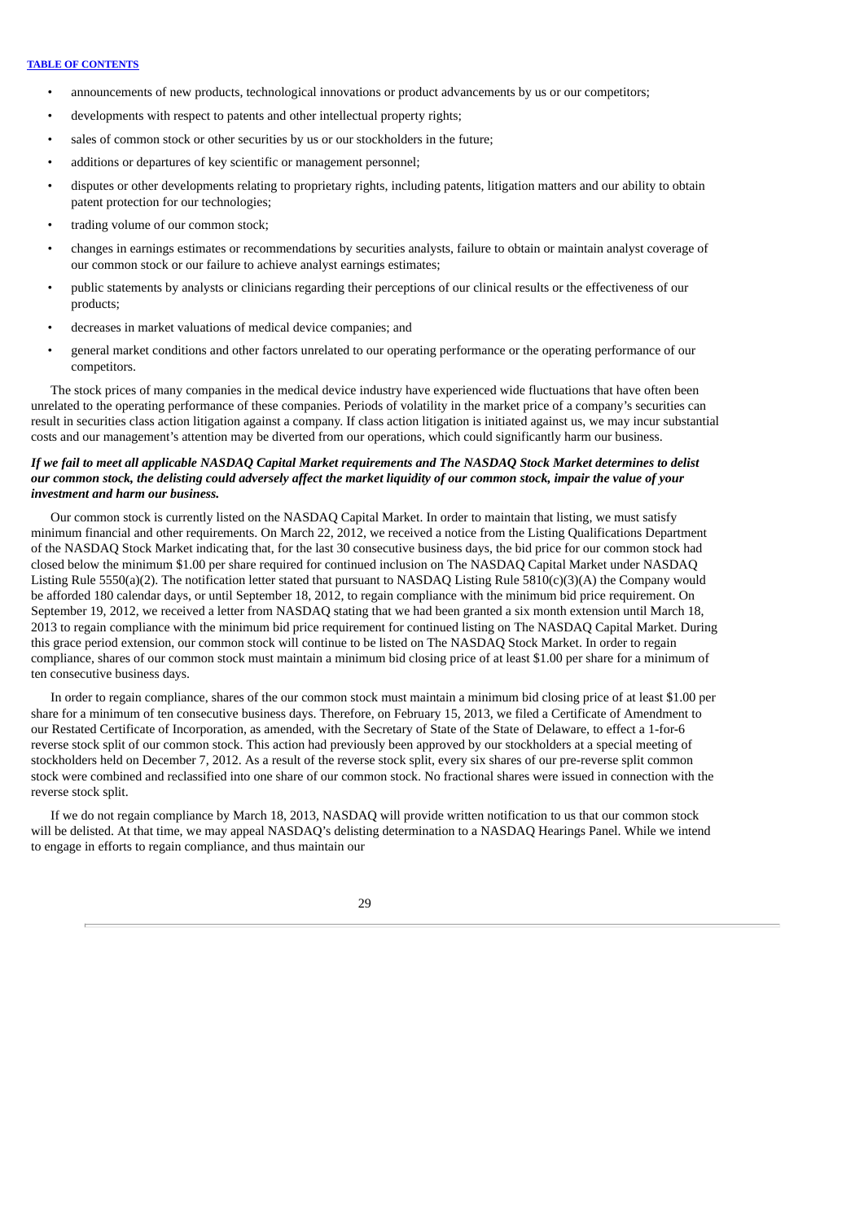- announcements of new products, technological innovations or product advancements by us or our competitors;
- developments with respect to patents and other intellectual property rights;
- sales of common stock or other securities by us or our stockholders in the future;
- additions or departures of key scientific or management personnel;
- disputes or other developments relating to proprietary rights, including patents, litigation matters and our ability to obtain patent protection for our technologies;
- trading volume of our common stock;
- changes in earnings estimates or recommendations by securities analysts, failure to obtain or maintain analyst coverage of our common stock or our failure to achieve analyst earnings estimates;
- public statements by analysts or clinicians regarding their perceptions of our clinical results or the effectiveness of our products;
- decreases in market valuations of medical device companies; and
- general market conditions and other factors unrelated to our operating performance or the operating performance of our competitors.

The stock prices of many companies in the medical device industry have experienced wide fluctuations that have often been unrelated to the operating performance of these companies. Periods of volatility in the market price of a company's securities can result in securities class action litigation against a company. If class action litigation is initiated against us, we may incur substantial costs and our management's attention may be diverted from our operations, which could significantly harm our business.

### If we fail to meet all applicable NASDAQ Capital Market requirements and The NASDAQ Stock Market determines to delist our common stock, the delisting could adversely affect the market liquidity of our common stock, impair the value of your *investment and harm our business.*

Our common stock is currently listed on the NASDAQ Capital Market. In order to maintain that listing, we must satisfy minimum financial and other requirements. On March 22, 2012, we received a notice from the Listing Qualifications Department of the NASDAQ Stock Market indicating that, for the last 30 consecutive business days, the bid price for our common stock had closed below the minimum \$1.00 per share required for continued inclusion on The NASDAQ Capital Market under NASDAQ Listing Rule 5550(a)(2). The notification letter stated that pursuant to NASDAQ Listing Rule 5810(c)(3)(A) the Company would be afforded 180 calendar days, or until September 18, 2012, to regain compliance with the minimum bid price requirement. On September 19, 2012, we received a letter from NASDAQ stating that we had been granted a six month extension until March 18, 2013 to regain compliance with the minimum bid price requirement for continued listing on The NASDAQ Capital Market. During this grace period extension, our common stock will continue to be listed on The NASDAQ Stock Market. In order to regain compliance, shares of our common stock must maintain a minimum bid closing price of at least \$1.00 per share for a minimum of ten consecutive business days.

In order to regain compliance, shares of the our common stock must maintain a minimum bid closing price of at least \$1.00 per share for a minimum of ten consecutive business days. Therefore, on February 15, 2013, we filed a Certificate of Amendment to our Restated Certificate of Incorporation, as amended, with the Secretary of State of the State of Delaware, to effect a 1-for-6 reverse stock split of our common stock. This action had previously been approved by our stockholders at a special meeting of stockholders held on December 7, 2012. As a result of the reverse stock split, every six shares of our pre-reverse split common stock were combined and reclassified into one share of our common stock. No fractional shares were issued in connection with the reverse stock split.

If we do not regain compliance by March 18, 2013, NASDAQ will provide written notification to us that our common stock will be delisted. At that time, we may appeal NASDAQ's delisting determination to a NASDAQ Hearings Panel. While we intend to engage in efforts to regain compliance, and thus maintain our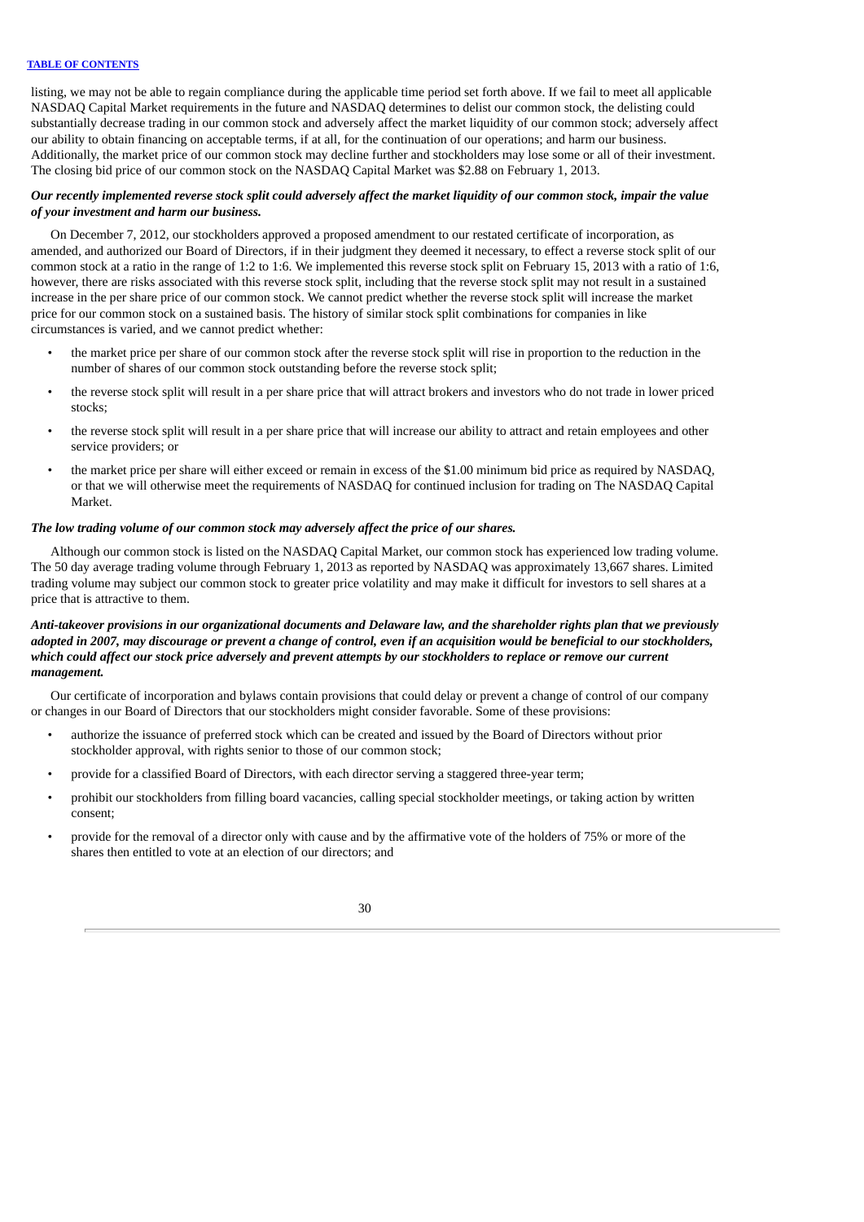listing, we may not be able to regain compliance during the applicable time period set forth above. If we fail to meet all applicable NASDAQ Capital Market requirements in the future and NASDAQ determines to delist our common stock, the delisting could substantially decrease trading in our common stock and adversely affect the market liquidity of our common stock; adversely affect our ability to obtain financing on acceptable terms, if at all, for the continuation of our operations; and harm our business. Additionally, the market price of our common stock may decline further and stockholders may lose some or all of their investment. The closing bid price of our common stock on the NASDAQ Capital Market was \$2.88 on February 1, 2013.

### Our recently implemented reverse stock split could adversely affect the market liquidity of our common stock, impair the value *of your investment and harm our business.*

On December 7, 2012, our stockholders approved a proposed amendment to our restated certificate of incorporation, as amended, and authorized our Board of Directors, if in their judgment they deemed it necessary, to effect a reverse stock split of our common stock at a ratio in the range of 1:2 to 1:6. We implemented this reverse stock split on February 15, 2013 with a ratio of 1:6, however, there are risks associated with this reverse stock split, including that the reverse stock split may not result in a sustained increase in the per share price of our common stock. We cannot predict whether the reverse stock split will increase the market price for our common stock on a sustained basis. The history of similar stock split combinations for companies in like circumstances is varied, and we cannot predict whether:

- the market price per share of our common stock after the reverse stock split will rise in proportion to the reduction in the number of shares of our common stock outstanding before the reverse stock split;
- the reverse stock split will result in a per share price that will attract brokers and investors who do not trade in lower priced stocks;
- the reverse stock split will result in a per share price that will increase our ability to attract and retain employees and other service providers; or
- the market price per share will either exceed or remain in excess of the \$1.00 minimum bid price as required by NASDAQ, or that we will otherwise meet the requirements of NASDAQ for continued inclusion for trading on The NASDAQ Capital Market.

#### *The low trading volume of our common stock may adversely affect the price of our shares.*

Although our common stock is listed on the NASDAQ Capital Market, our common stock has experienced low trading volume. The 50 day average trading volume through February 1, 2013 as reported by NASDAQ was approximately 13,667 shares. Limited trading volume may subject our common stock to greater price volatility and may make it difficult for investors to sell shares at a price that is attractive to them.

### Anti-takeover provisions in our organizational documents and Delaware law, and the shareholder rights plan that we previously adopted in 2007, may discourage or prevent a change of control, even if an acquisition would be beneficial to our stockholders, which could affect our stock price adversely and prevent attempts by our stockholders to replace or remove our current *management.*

Our certificate of incorporation and bylaws contain provisions that could delay or prevent a change of control of our company or changes in our Board of Directors that our stockholders might consider favorable. Some of these provisions:

- authorize the issuance of preferred stock which can be created and issued by the Board of Directors without prior stockholder approval, with rights senior to those of our common stock;
- provide for a classified Board of Directors, with each director serving a staggered three-year term;
- prohibit our stockholders from filling board vacancies, calling special stockholder meetings, or taking action by written consent;
- provide for the removal of a director only with cause and by the affirmative vote of the holders of 75% or more of the shares then entitled to vote at an election of our directors; and

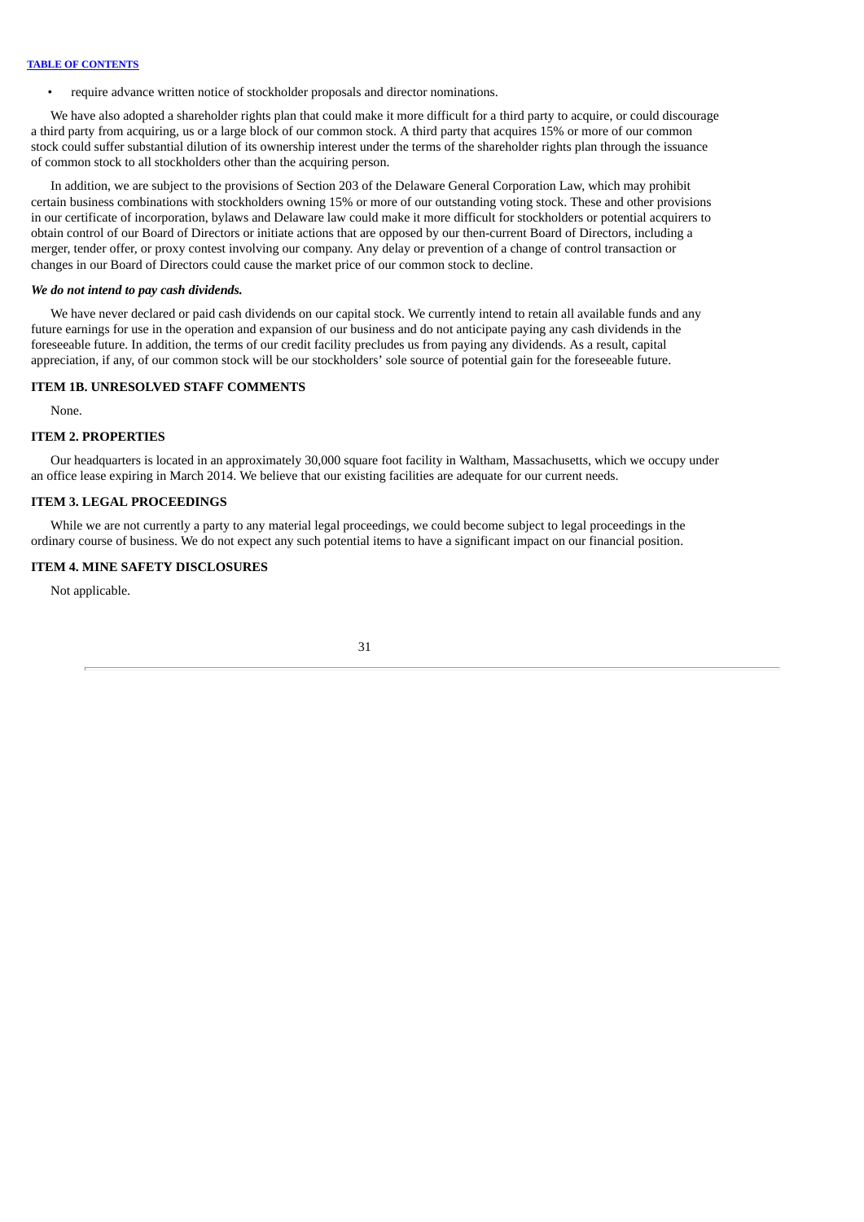• require advance written notice of stockholder proposals and director nominations.

We have also adopted a shareholder rights plan that could make it more difficult for a third party to acquire, or could discourage a third party from acquiring, us or a large block of our common stock. A third party that acquires 15% or more of our common stock could suffer substantial dilution of its ownership interest under the terms of the shareholder rights plan through the issuance of common stock to all stockholders other than the acquiring person.

In addition, we are subject to the provisions of Section 203 of the Delaware General Corporation Law, which may prohibit certain business combinations with stockholders owning 15% or more of our outstanding voting stock. These and other provisions in our certificate of incorporation, bylaws and Delaware law could make it more difficult for stockholders or potential acquirers to obtain control of our Board of Directors or initiate actions that are opposed by our then-current Board of Directors, including a merger, tender offer, or proxy contest involving our company. Any delay or prevention of a change of control transaction or changes in our Board of Directors could cause the market price of our common stock to decline.

#### *We do not intend to pay cash dividends.*

We have never declared or paid cash dividends on our capital stock. We currently intend to retain all available funds and any future earnings for use in the operation and expansion of our business and do not anticipate paying any cash dividends in the foreseeable future. In addition, the terms of our credit facility precludes us from paying any dividends. As a result, capital appreciation, if any, of our common stock will be our stockholders' sole source of potential gain for the foreseeable future.

#### **ITEM 1B. UNRESOLVED STAFF COMMENTS**

None.

### **ITEM 2. PROPERTIES**

Our headquarters is located in an approximately 30,000 square foot facility in Waltham, Massachusetts, which we occupy under an office lease expiring in March 2014. We believe that our existing facilities are adequate for our current needs.

### **ITEM 3. LEGAL PROCEEDINGS**

While we are not currently a party to any material legal proceedings, we could become subject to legal proceedings in the ordinary course of business. We do not expect any such potential items to have a significant impact on our financial position.

### **ITEM 4. MINE SAFETY DISCLOSURES**

Not applicable.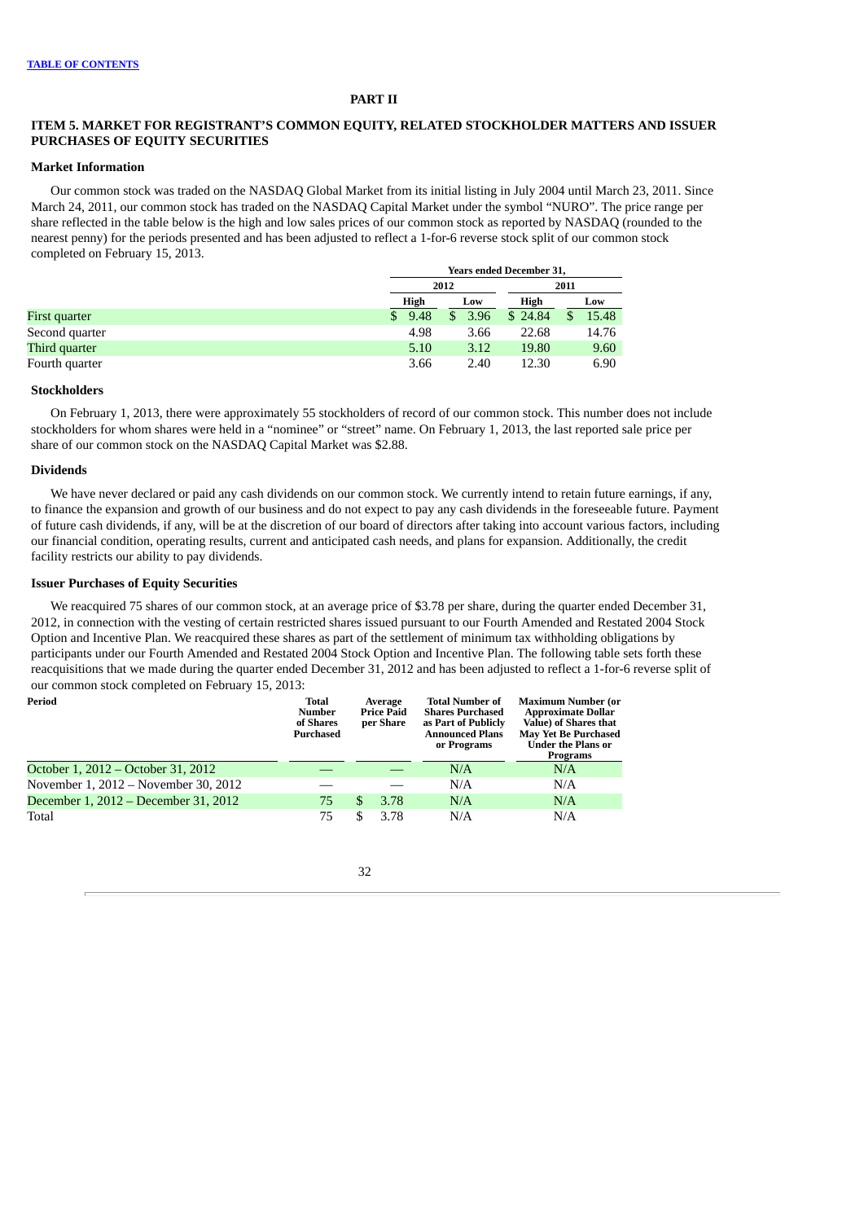#### **PART II**

### **ITEM 5. MARKET FOR REGISTRANT'S COMMON EQUITY, RELATED STOCKHOLDER MATTERS AND ISSUER PURCHASES OF EQUITY SECURITIES**

### **Market Information**

Our common stock was traded on the NASDAQ Global Market from its initial listing in July 2004 until March 23, 2011. Since March 24, 2011, our common stock has traded on the NASDAQ Capital Market under the symbol "NURO". The price range per share reflected in the table below is the high and low sales prices of our common stock as reported by NASDAQ (rounded to the nearest penny) for the periods presented and has been adjusted to reflect a 1-for-6 reverse stock split of our common stock completed on February 15, 2013.

|                      |            | <b>Years ended December 31,</b> |      |         |     |       |  |  |  |  |
|----------------------|------------|---------------------------------|------|---------|-----|-------|--|--|--|--|
|                      |            | 2012                            |      | 2011    |     |       |  |  |  |  |
|                      | High       | Low                             |      | High    | Low |       |  |  |  |  |
| <b>First quarter</b> | 9.48<br>\$ | \$                              | 3.96 | \$24.84 |     | 15.48 |  |  |  |  |
| Second quarter       | 4.98       |                                 | 3.66 | 22.68   |     | 14.76 |  |  |  |  |
| Third quarter        | 5.10       |                                 | 3.12 | 19.80   |     | 9.60  |  |  |  |  |
| Fourth quarter       | 3.66       |                                 | 2.40 | 12.30   |     | 6.90  |  |  |  |  |

#### **Stockholders**

On February 1, 2013, there were approximately 55 stockholders of record of our common stock. This number does not include stockholders for whom shares were held in a "nominee" or "street" name. On February 1, 2013, the last reported sale price per share of our common stock on the NASDAQ Capital Market was \$2.88.

#### **Dividends**

We have never declared or paid any cash dividends on our common stock. We currently intend to retain future earnings, if any, to finance the expansion and growth of our business and do not expect to pay any cash dividends in the foreseeable future. Payment of future cash dividends, if any, will be at the discretion of our board of directors after taking into account various factors, including our financial condition, operating results, current and anticipated cash needs, and plans for expansion. Additionally, the credit facility restricts our ability to pay dividends.

### **Issuer Purchases of Equity Securities**

We reacquired 75 shares of our common stock, at an average price of \$3.78 per share, during the quarter ended December 31, 2012, in connection with the vesting of certain restricted shares issued pursuant to our Fourth Amended and Restated 2004 Stock Option and Incentive Plan. We reacquired these shares as part of the settlement of minimum tax withholding obligations by participants under our Fourth Amended and Restated 2004 Stock Option and Incentive Plan. The following table sets forth these reacquisitions that we made during the quarter ended December 31, 2012 and has been adjusted to reflect a 1-for-6 reverse split of our common stock completed on February 15, 2013:

| Period                               | Total<br>Number<br>of Shares<br>Purchased |     | Average<br><b>Price Paid</b><br>per Share | <b>Total Number of</b><br><b>Shares Purchased</b><br>as Part of Publicly<br><b>Announced Plans</b><br>or Programs | <b>Maximum Number (or</b><br><b>Approximate Dollar</b><br><b>Value) of Shares that</b><br><b>May Yet Be Purchased</b><br><b>Under the Plans or</b><br>Programs |
|--------------------------------------|-------------------------------------------|-----|-------------------------------------------|-------------------------------------------------------------------------------------------------------------------|----------------------------------------------------------------------------------------------------------------------------------------------------------------|
| October 1, 2012 – October 31, 2012   |                                           |     |                                           | N/A                                                                                                               | N/A                                                                                                                                                            |
| November 1, 2012 – November 30, 2012 |                                           |     |                                           | N/A                                                                                                               | N/A                                                                                                                                                            |
| December 1, 2012 – December 31, 2012 | 75                                        | \$. | 3.78                                      | N/A                                                                                                               | N/A                                                                                                                                                            |
| Total                                | 75                                        | \$  | 3.78                                      | N/A                                                                                                               | N/A                                                                                                                                                            |

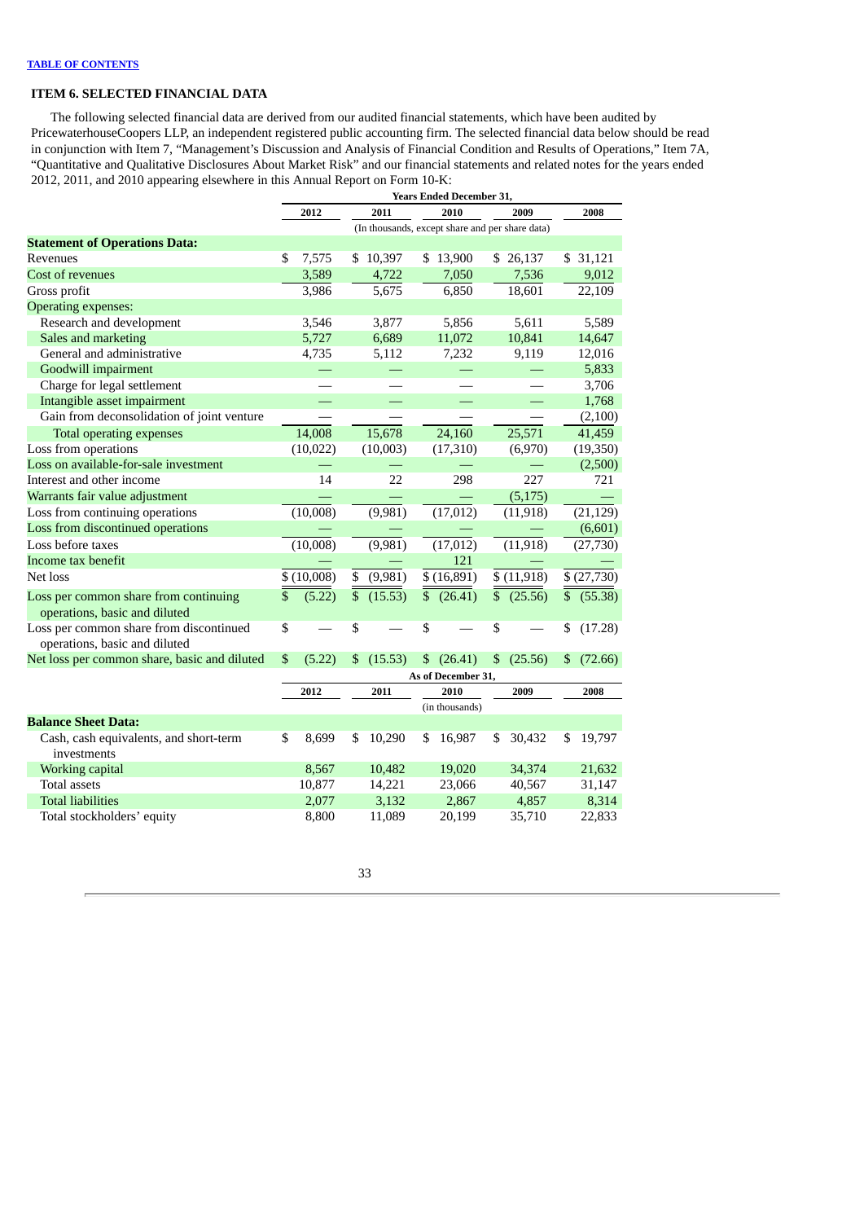# **ITEM 6. SELECTED FINANCIAL DATA**

The following selected financial data are derived from our audited financial statements, which have been audited by PricewaterhouseCoopers LLP, an independent registered public accounting firm. The selected financial data below should be read in conjunction with Item 7, "Management's Discussion and Analysis of Financial Condition and Results of Operations," Item 7A, "Quantitative and Qualitative Disclosures About Market Risk" and our financial statements and related notes for the years ended 2012, 2011, and 2010 appearing elsewhere in this Annual Report on Form 10-K:

|                                              | <b>Years Ended December 31,</b> |                              |                                                 |          |    |                    |      |            |              |            |
|----------------------------------------------|---------------------------------|------------------------------|-------------------------------------------------|----------|----|--------------------|------|------------|--------------|------------|
|                                              |                                 | 2012<br>2011<br>2010<br>2009 |                                                 |          |    |                    | 2008 |            |              |            |
|                                              |                                 |                              | (In thousands, except share and per share data) |          |    |                    |      |            |              |            |
| <b>Statement of Operations Data:</b>         |                                 |                              |                                                 |          |    |                    |      |            |              |            |
| Revenues                                     | \$                              | 7,575                        | S.                                              | 10,397   |    | \$13,900           |      | \$26,137   |              | \$31,121   |
| Cost of revenues                             |                                 | 3,589                        |                                                 | 4,722    |    | 7,050              |      | 7,536      |              | 9,012      |
| Gross profit                                 |                                 | 3,986                        |                                                 | 5,675    |    | 6,850              |      | 18,601     |              | 22,109     |
| <b>Operating expenses:</b>                   |                                 |                              |                                                 |          |    |                    |      |            |              |            |
| Research and development                     |                                 | 3,546                        |                                                 | 3,877    |    | 5,856              |      | 5,611      |              | 5,589      |
| Sales and marketing                          |                                 | 5,727                        |                                                 | 6,689    |    | 11,072             |      | 10,841     |              | 14,647     |
| General and administrative                   |                                 | 4,735                        |                                                 | 5,112    |    | 7,232              |      | 9,119      |              | 12,016     |
| Goodwill impairment                          |                                 |                              |                                                 |          |    |                    |      |            |              | 5,833      |
| Charge for legal settlement                  |                                 |                              |                                                 |          |    |                    |      |            |              | 3,706      |
| Intangible asset impairment                  |                                 |                              |                                                 |          |    |                    |      |            |              | 1,768      |
| Gain from deconsolidation of joint venture   |                                 |                              |                                                 |          |    |                    |      |            |              | (2,100)    |
| <b>Total operating expenses</b>              |                                 | 14,008                       |                                                 | 15,678   |    | 24,160             |      | 25,571     |              | 41,459     |
| Loss from operations                         |                                 | (10,022)                     |                                                 | (10,003) |    | (17,310)           |      | (6,970)    |              | (19, 350)  |
| Loss on available-for-sale investment        |                                 |                              |                                                 |          |    |                    |      |            |              | (2,500)    |
| Interest and other income                    |                                 | 14                           |                                                 | 22       |    | 298                |      | 227        |              | 721        |
| Warrants fair value adjustment               |                                 |                              |                                                 |          |    |                    |      | (5, 175)   |              |            |
| Loss from continuing operations              |                                 | (10,008)                     |                                                 | (9,981)  |    | (17, 012)          |      | (11, 918)  |              | (21, 129)  |
| Loss from discontinued operations            |                                 |                              |                                                 |          |    |                    |      |            |              | (6, 601)   |
| Loss before taxes                            |                                 | (10,008)                     |                                                 | (9,981)  |    | (17,012)           |      | (11, 918)  |              | (27, 730)  |
| Income tax benefit                           |                                 |                              |                                                 |          |    | 121                |      |            |              |            |
| Net loss                                     |                                 | \$(10,008)                   | \$                                              | (9,981)  |    | \$(16,891)         |      | \$(11,918) |              | \$(27,730) |
| Loss per common share from continuing        | \$                              | (5.22)                       | \$                                              | (15.53)  | \$ | (26.41)            | \$   | (25.56)    | \$           | (55.38)    |
| operations, basic and diluted                |                                 |                              |                                                 |          |    |                    |      |            |              |            |
| Loss per common share from discontinued      | \$                              |                              | \$                                              |          | \$ |                    | \$   |            | \$           | (17.28)    |
| operations, basic and diluted                |                                 |                              |                                                 |          |    |                    |      |            |              |            |
| Net loss per common share, basic and diluted | \$                              | (5.22)                       | \$                                              | (15.53)  | \$ | (26.41)            | \$   | (25.56)    | $\mathbb{S}$ | (72.66)    |
|                                              |                                 |                              |                                                 |          |    | As of December 31, |      |            |              |            |
|                                              |                                 | 2012                         |                                                 | 2011     |    | 2010               |      | 2009       |              | 2008       |
|                                              |                                 |                              |                                                 |          |    | (in thousands)     |      |            |              |            |
| <b>Balance Sheet Data:</b>                   |                                 |                              |                                                 |          |    |                    |      |            |              |            |
| Cash, cash equivalents, and short-term       | \$                              | 8,699                        | \$                                              | 10,290   | \$ | 16,987             | \$   | 30,432     | \$           | 19,797     |
| investments                                  |                                 |                              |                                                 |          |    |                    |      |            |              |            |
| Working capital                              |                                 | 8,567                        |                                                 | 10,482   |    | 19,020             |      | 34,374     |              | 21,632     |
| <b>Total assets</b>                          |                                 | 10,877                       |                                                 | 14,221   |    | 23,066             |      | 40,567     |              | 31,147     |
| <b>Total liabilities</b>                     |                                 | 2,077                        |                                                 | 3,132    |    | 2,867              |      | 4,857      |              | 8,314      |
| Total stockholders' equity                   |                                 | 8,800                        |                                                 | 11,089   |    | 20,199             |      | 35,710     |              | 22,833     |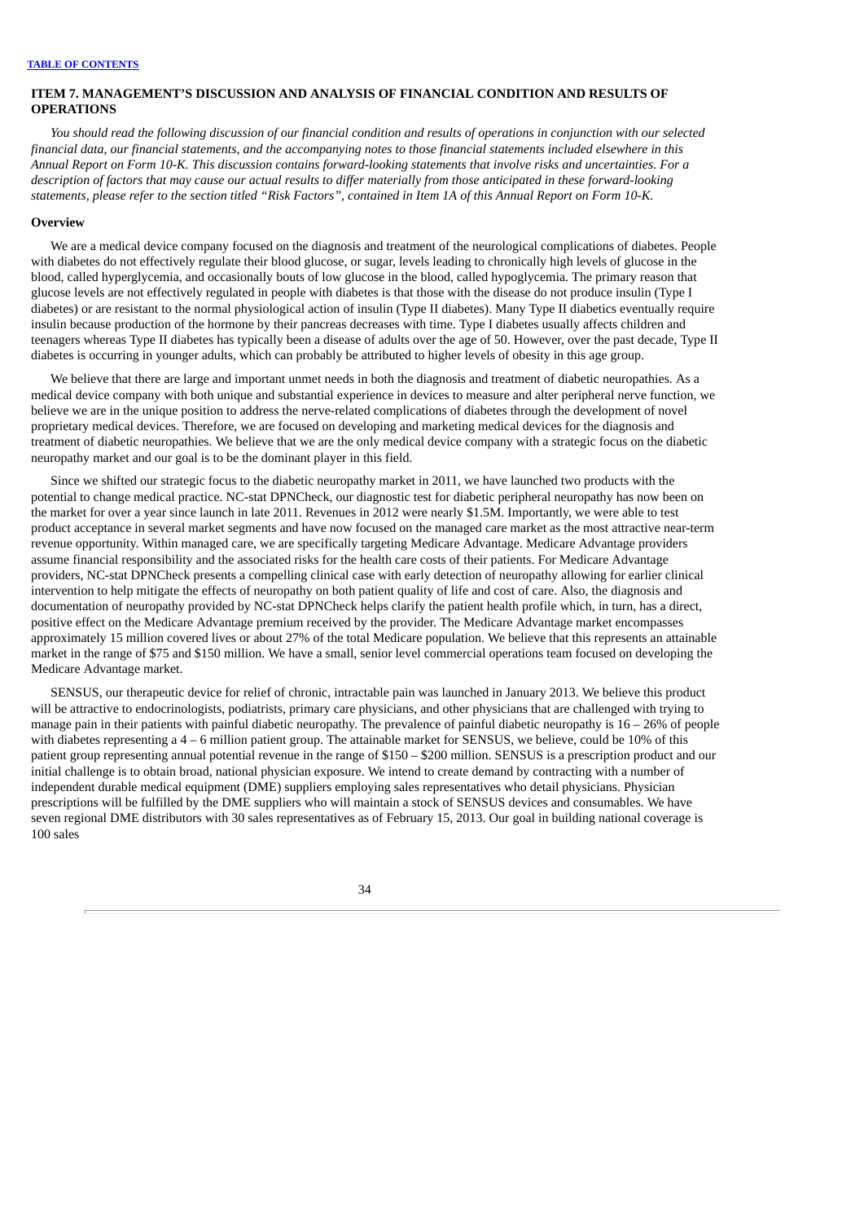# **ITEM 7. MANAGEMENT'S DISCUSSION AND ANALYSIS OF FINANCIAL CONDITION AND RESULTS OF OPERATIONS**

You should read the following discussion of our financial condition and results of operations in conjunction with our selected financial data, our financial statements, and the accompanying notes to those financial statements included elsewhere in this Annual Report on Form 10-K. This discussion contains forward-looking statements that involve risks and uncertainties. For a description of factors that may cause our actual results to differ materially from those anticipated in these forward-looking statements, please refer to the section titled "Risk Factors", contained in Item 1A of this Annual Report on Form 10-K.

#### **Overview**

We are a medical device company focused on the diagnosis and treatment of the neurological complications of diabetes. People with diabetes do not effectively regulate their blood glucose, or sugar, levels leading to chronically high levels of glucose in the blood, called hyperglycemia, and occasionally bouts of low glucose in the blood, called hypoglycemia. The primary reason that glucose levels are not effectively regulated in people with diabetes is that those with the disease do not produce insulin (Type I diabetes) or are resistant to the normal physiological action of insulin (Type II diabetes). Many Type II diabetics eventually require insulin because production of the hormone by their pancreas decreases with time. Type I diabetes usually affects children and teenagers whereas Type II diabetes has typically been a disease of adults over the age of 50. However, over the past decade, Type II diabetes is occurring in younger adults, which can probably be attributed to higher levels of obesity in this age group.

We believe that there are large and important unmet needs in both the diagnosis and treatment of diabetic neuropathies. As a medical device company with both unique and substantial experience in devices to measure and alter peripheral nerve function, we believe we are in the unique position to address the nerve-related complications of diabetes through the development of novel proprietary medical devices. Therefore, we are focused on developing and marketing medical devices for the diagnosis and treatment of diabetic neuropathies. We believe that we are the only medical device company with a strategic focus on the diabetic neuropathy market and our goal is to be the dominant player in this field.

Since we shifted our strategic focus to the diabetic neuropathy market in 2011, we have launched two products with the potential to change medical practice. NC-stat DPNCheck, our diagnostic test for diabetic peripheral neuropathy has now been on the market for over a year since launch in late 2011. Revenues in 2012 were nearly \$1.5M. Importantly, we were able to test product acceptance in several market segments and have now focused on the managed care market as the most attractive near-term revenue opportunity. Within managed care, we are specifically targeting Medicare Advantage. Medicare Advantage providers assume financial responsibility and the associated risks for the health care costs of their patients. For Medicare Advantage providers, NC-stat DPNCheck presents a compelling clinical case with early detection of neuropathy allowing for earlier clinical intervention to help mitigate the effects of neuropathy on both patient quality of life and cost of care. Also, the diagnosis and documentation of neuropathy provided by NC-stat DPNCheck helps clarify the patient health profile which, in turn, has a direct, positive effect on the Medicare Advantage premium received by the provider. The Medicare Advantage market encompasses approximately 15 million covered lives or about 27% of the total Medicare population. We believe that this represents an attainable market in the range of \$75 and \$150 million. We have a small, senior level commercial operations team focused on developing the Medicare Advantage market.

SENSUS, our therapeutic device for relief of chronic, intractable pain was launched in January 2013. We believe this product will be attractive to endocrinologists, podiatrists, primary care physicians, and other physicians that are challenged with trying to manage pain in their patients with painful diabetic neuropathy. The prevalence of painful diabetic neuropathy is  $16 - 26\%$  of people with diabetes representing a 4 – 6 million patient group. The attainable market for SENSUS, we believe, could be 10% of this patient group representing annual potential revenue in the range of \$150 – \$200 million. SENSUS is a prescription product and our initial challenge is to obtain broad, national physician exposure. We intend to create demand by contracting with a number of independent durable medical equipment (DME) suppliers employing sales representatives who detail physicians. Physician prescriptions will be fulfilled by the DME suppliers who will maintain a stock of SENSUS devices and consumables. We have seven regional DME distributors with 30 sales representatives as of February 15, 2013. Our goal in building national coverage is 100 sales

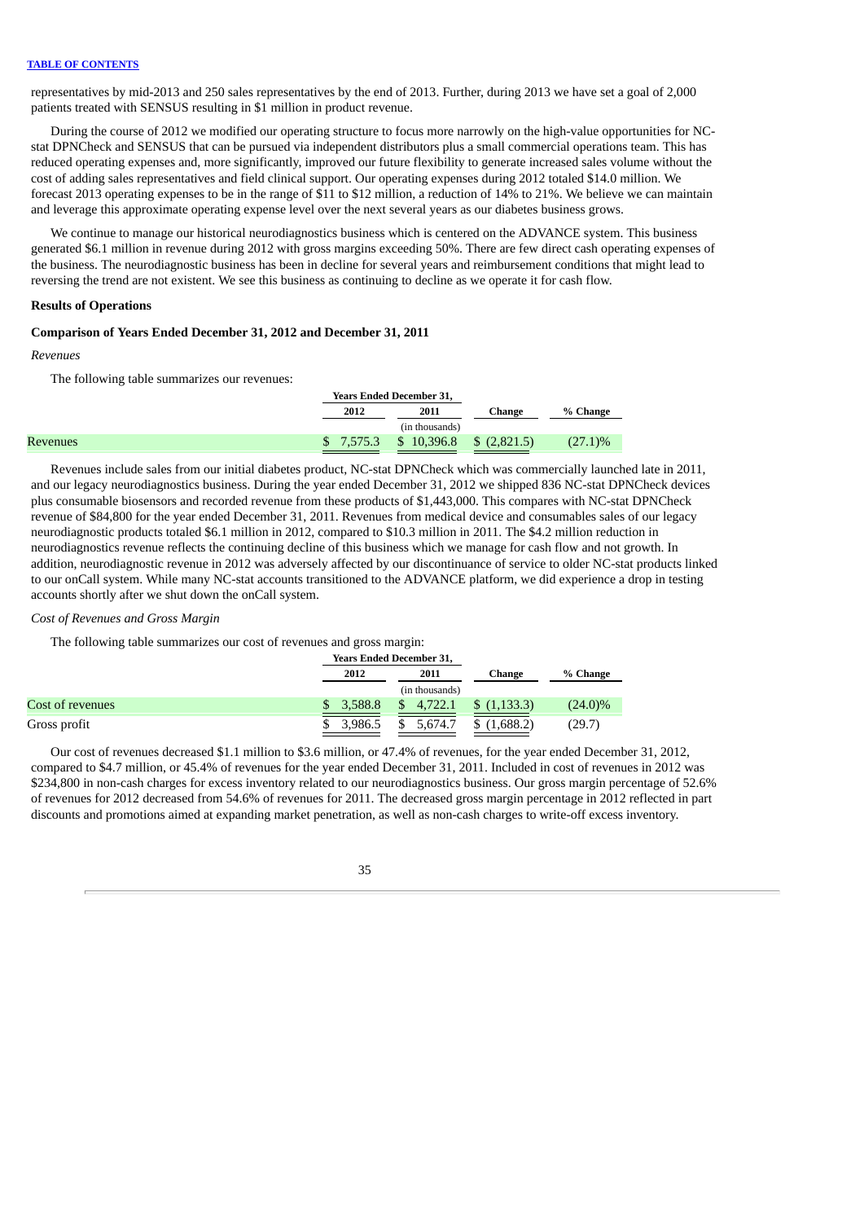representatives by mid-2013 and 250 sales representatives by the end of 2013. Further, during 2013 we have set a goal of 2,000 patients treated with SENSUS resulting in \$1 million in product revenue.

During the course of 2012 we modified our operating structure to focus more narrowly on the high-value opportunities for NCstat DPNCheck and SENSUS that can be pursued via independent distributors plus a small commercial operations team. This has reduced operating expenses and, more significantly, improved our future flexibility to generate increased sales volume without the cost of adding sales representatives and field clinical support. Our operating expenses during 2012 totaled \$14.0 million. We forecast 2013 operating expenses to be in the range of \$11 to \$12 million, a reduction of 14% to 21%. We believe we can maintain and leverage this approximate operating expense level over the next several years as our diabetes business grows.

We continue to manage our historical neurodiagnostics business which is centered on the ADVANCE system. This business generated \$6.1 million in revenue during 2012 with gross margins exceeding 50%. There are few direct cash operating expenses of the business. The neurodiagnostic business has been in decline for several years and reimbursement conditions that might lead to reversing the trend are not existent. We see this business as continuing to decline as we operate it for cash flow.

# **Results of Operations**

# **Comparison of Years Ended December 31, 2012 and December 31, 2011**

*Revenues*

The following table summarizes our revenues:

|          |      | <b>Years Ended December 31,</b>     |        |            |
|----------|------|-------------------------------------|--------|------------|
|          | 2012 | 2011                                | Change | % Change   |
|          |      | (in thousands)                      |        |            |
| Revenues |      | $$7,575.3$ $$10,396.8$ $$(2,821.5)$ |        | $(27.1)\%$ |
|          |      |                                     |        |            |

Revenues include sales from our initial diabetes product, NC-stat DPNCheck which was commercially launched late in 2011, and our legacy neurodiagnostics business. During the year ended December 31, 2012 we shipped 836 NC-stat DPNCheck devices plus consumable biosensors and recorded revenue from these products of \$1,443,000. This compares with NC-stat DPNCheck revenue of \$84,800 for the year ended December 31, 2011. Revenues from medical device and consumables sales of our legacy neurodiagnostic products totaled \$6.1 million in 2012, compared to \$10.3 million in 2011. The \$4.2 million reduction in neurodiagnostics revenue reflects the continuing decline of this business which we manage for cash flow and not growth. In addition, neurodiagnostic revenue in 2012 was adversely affected by our discontinuance of service to older NC-stat products linked to our onCall system. While many NC-stat accounts transitioned to the ADVANCE platform, we did experience a drop in testing accounts shortly after we shut down the onCall system.

#### *Cost of Revenues and Gross Margin*

The following table summarizes our cost of revenues and gross margin:

|                  |              | <b>Years Ended December 31,</b> |             |            |
|------------------|--------------|---------------------------------|-------------|------------|
|                  | 2012<br>2011 |                                 | Change      | % Change   |
|                  |              | (in thousands)                  |             |            |
| Cost of revenues | 3,588.8      | \$.<br>4,722.1                  | \$(1,133.3) | $(24.0)\%$ |
| Gross profit     | 3.986.5      | 5.674.7                         | \$(1,688.2) | (29.7)     |

Our cost of revenues decreased \$1.1 million to \$3.6 million, or 47.4% of revenues, for the year ended December 31, 2012, compared to \$4.7 million, or 45.4% of revenues for the year ended December 31, 2011. Included in cost of revenues in 2012 was \$234,800 in non-cash charges for excess inventory related to our neurodiagnostics business. Our gross margin percentage of 52.6% of revenues for 2012 decreased from 54.6% of revenues for 2011. The decreased gross margin percentage in 2012 reflected in part discounts and promotions aimed at expanding market penetration, as well as non-cash charges to write-off excess inventory.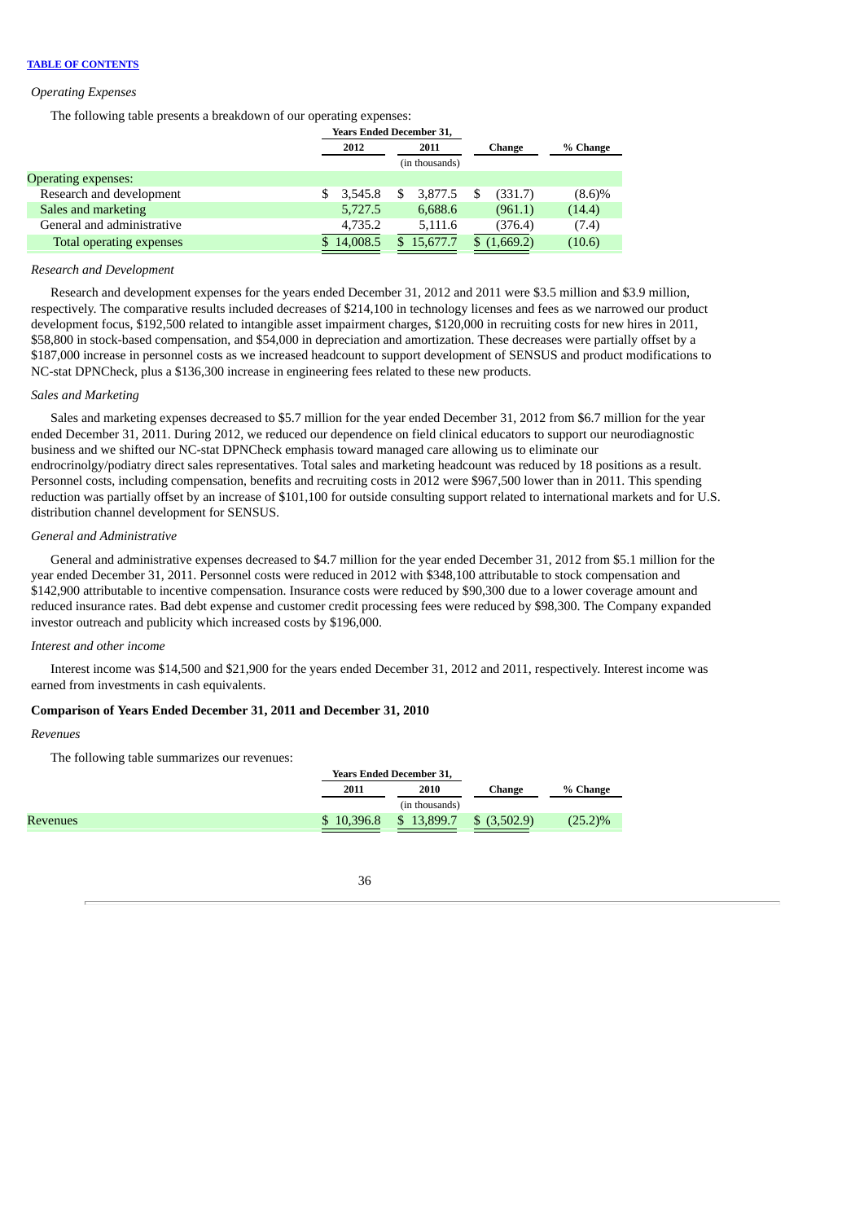### *Operating Expenses*

The following table presents a breakdown of our operating expenses:

|                            | <b>Years Ended December 31.</b> |            |              |                |  |             |           |
|----------------------------|---------------------------------|------------|--------------|----------------|--|-------------|-----------|
|                            |                                 | 2012       |              | 2011           |  | Change      | % Change  |
|                            |                                 |            |              | (in thousands) |  |             |           |
| <b>Operating expenses:</b> |                                 |            |              |                |  |             |           |
| Research and development   |                                 | 3,545.8    | S.           | 3.877.5        |  | (331.7)     | $(8.6)\%$ |
| Sales and marketing        |                                 | 5,727.5    |              | 6,688.6        |  | (961.1)     | (14.4)    |
| General and administrative |                                 | 4,735.2    |              | 5,111.6        |  | (376.4)     | (7.4)     |
| Total operating expenses   |                                 | \$14,008.5 | $\mathbf{s}$ | 15,677.7       |  | \$(1,669.2) | (10.6)    |

### *Research and Development*

Research and development expenses for the years ended December 31, 2012 and 2011 were \$3.5 million and \$3.9 million, respectively. The comparative results included decreases of \$214,100 in technology licenses and fees as we narrowed our product development focus, \$192,500 related to intangible asset impairment charges, \$120,000 in recruiting costs for new hires in 2011, \$58,800 in stock-based compensation, and \$54,000 in depreciation and amortization. These decreases were partially offset by a \$187,000 increase in personnel costs as we increased headcount to support development of SENSUS and product modifications to NC-stat DPNCheck, plus a \$136,300 increase in engineering fees related to these new products.

# *Sales and Marketing*

Sales and marketing expenses decreased to \$5.7 million for the year ended December 31, 2012 from \$6.7 million for the year ended December 31, 2011. During 2012, we reduced our dependence on field clinical educators to support our neurodiagnostic business and we shifted our NC-stat DPNCheck emphasis toward managed care allowing us to eliminate our endrocrinolgy/podiatry direct sales representatives. Total sales and marketing headcount was reduced by 18 positions as a result. Personnel costs, including compensation, benefits and recruiting costs in 2012 were \$967,500 lower than in 2011. This spending reduction was partially offset by an increase of \$101,100 for outside consulting support related to international markets and for U.S. distribution channel development for SENSUS.

# *General and Administrative*

General and administrative expenses decreased to \$4.7 million for the year ended December 31, 2012 from \$5.1 million for the year ended December 31, 2011. Personnel costs were reduced in 2012 with \$348,100 attributable to stock compensation and \$142,900 attributable to incentive compensation. Insurance costs were reduced by \$90,300 due to a lower coverage amount and reduced insurance rates. Bad debt expense and customer credit processing fees were reduced by \$98,300. The Company expanded investor outreach and publicity which increased costs by \$196,000.

# *Interest and other income*

Interest income was \$14,500 and \$21,900 for the years ended December 31, 2012 and 2011, respectively. Interest income was earned from investments in cash equivalents.

# **Comparison of Years Ended December 31, 2011 and December 31, 2010**

#### *Revenues*

The following table summarizes our revenues:

|                 |            | <b>Years Ended December 31,</b> |               |            |  |
|-----------------|------------|---------------------------------|---------------|------------|--|
|                 | 2011       | 2010                            | Change        | % Change   |  |
|                 |            | (in thousands)                  |               |            |  |
| <b>Revenues</b> | \$10,396.8 | \$13,899.7                      | $$$ (3,502.9) | $(25.2)\%$ |  |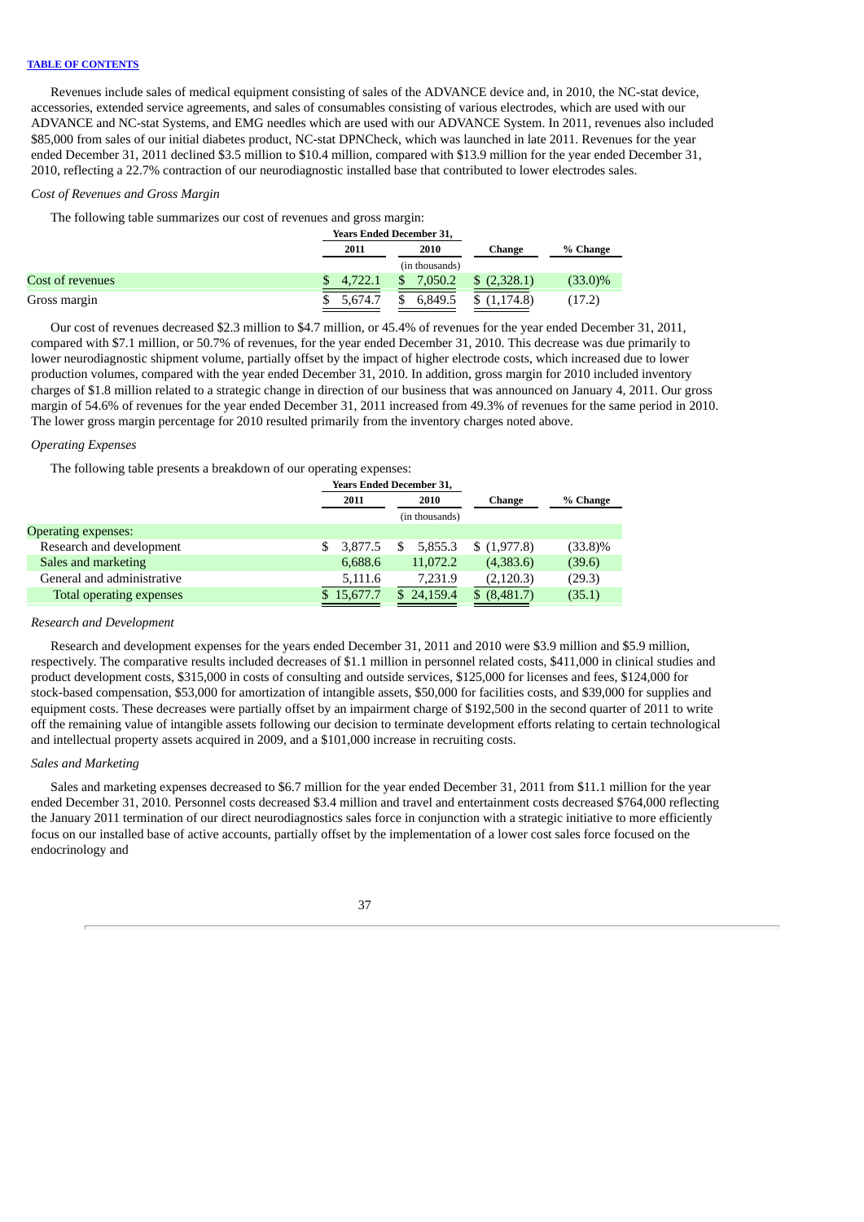Revenues include sales of medical equipment consisting of sales of the ADVANCE device and, in 2010, the NC-stat device, accessories, extended service agreements, and sales of consumables consisting of various electrodes, which are used with our ADVANCE and NC-stat Systems, and EMG needles which are used with our ADVANCE System. In 2011, revenues also included \$85,000 from sales of our initial diabetes product, NC-stat DPNCheck, which was launched in late 2011. Revenues for the year ended December 31, 2011 declined \$3.5 million to \$10.4 million, compared with \$13.9 million for the year ended December 31, 2010, reflecting a 22.7% contraction of our neurodiagnostic installed base that contributed to lower electrodes sales.

### *Cost of Revenues and Gross Margin*

The following table summarizes our cost of revenues and gross margin:

|                  |         | <b>Years Ended December 31,</b> |             |            |
|------------------|---------|---------------------------------|-------------|------------|
|                  | 2011    | 2010                            |             | % Change   |
|                  |         | (in thousands)                  |             |            |
| Cost of revenues | 4.722.1 | 7,050.2                         | (2,328.1)   | $(33.0)\%$ |
| Gross margin     | 5,674.7 | 6,849.5                         | \$(1,174.8) | (17.2)     |

Our cost of revenues decreased \$2.3 million to \$4.7 million, or 45.4% of revenues for the year ended December 31, 2011, compared with \$7.1 million, or 50.7% of revenues, for the year ended December 31, 2010. This decrease was due primarily to lower neurodiagnostic shipment volume, partially offset by the impact of higher electrode costs, which increased due to lower production volumes, compared with the year ended December 31, 2010. In addition, gross margin for 2010 included inventory charges of \$1.8 million related to a strategic change in direction of our business that was announced on January 4, 2011. Our gross margin of 54.6% of revenues for the year ended December 31, 2011 increased from 49.3% of revenues for the same period in 2010. The lower gross margin percentage for 2010 resulted primarily from the inventory charges noted above.

## *Operating Expenses*

The following table presents a breakdown of our operating expenses:

|                                 |            | <b>Years Ended December 31,</b> |               |            |
|---------------------------------|------------|---------------------------------|---------------|------------|
|                                 | 2011       | 2010                            | <b>Change</b> | % Change   |
|                                 |            | (in thousands)                  |               |            |
| <b>Operating expenses:</b>      |            |                                 |               |            |
| Research and development        | 3,877.5    | 5.855.3<br>S                    | \$(1,977.8)   | $(33.8)\%$ |
| Sales and marketing             | 6,688.6    | 11,072.2                        | (4,383.6)     | (39.6)     |
| General and administrative      | 5,111.6    | 7.231.9                         | (2,120.3)     | (29.3)     |
| <b>Total operating expenses</b> | \$15,677.7 | \$24,159.4                      | \$ (8,481.7)  | (35.1)     |

## *Research and Development*

Research and development expenses for the years ended December 31, 2011 and 2010 were \$3.9 million and \$5.9 million, respectively. The comparative results included decreases of \$1.1 million in personnel related costs, \$411,000 in clinical studies and product development costs, \$315,000 in costs of consulting and outside services, \$125,000 for licenses and fees, \$124,000 for stock-based compensation, \$53,000 for amortization of intangible assets, \$50,000 for facilities costs, and \$39,000 for supplies and equipment costs. These decreases were partially offset by an impairment charge of \$192,500 in the second quarter of 2011 to write off the remaining value of intangible assets following our decision to terminate development efforts relating to certain technological and intellectual property assets acquired in 2009, and a \$101,000 increase in recruiting costs.

## *Sales and Marketing*

Sales and marketing expenses decreased to \$6.7 million for the year ended December 31, 2011 from \$11.1 million for the year ended December 31, 2010. Personnel costs decreased \$3.4 million and travel and entertainment costs decreased \$764,000 reflecting the January 2011 termination of our direct neurodiagnostics sales force in conjunction with a strategic initiative to more efficiently focus on our installed base of active accounts, partially offset by the implementation of a lower cost sales force focused on the endocrinology and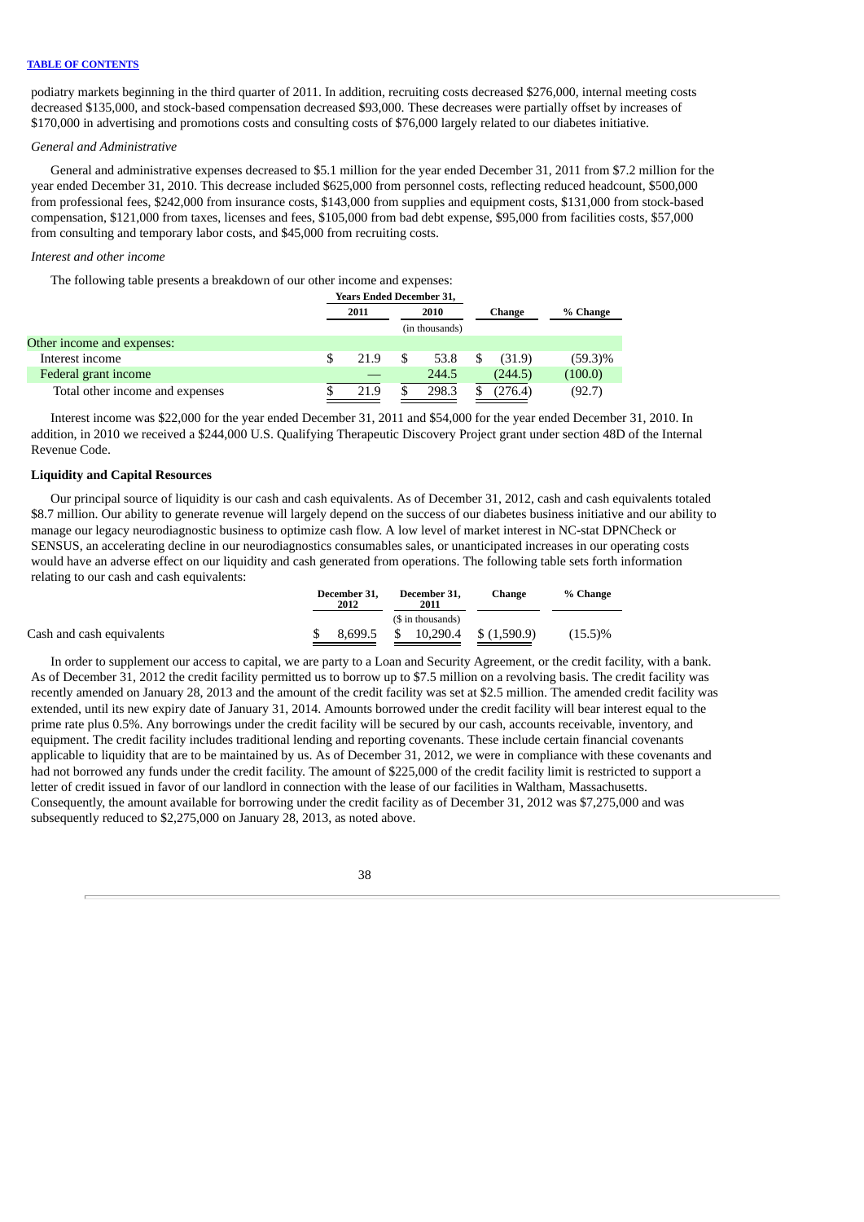podiatry markets beginning in the third quarter of 2011. In addition, recruiting costs decreased \$276,000, internal meeting costs decreased \$135,000, and stock-based compensation decreased \$93,000. These decreases were partially offset by increases of \$170,000 in advertising and promotions costs and consulting costs of \$76,000 largely related to our diabetes initiative.

#### *General and Administrative*

General and administrative expenses decreased to \$5.1 million for the year ended December 31, 2011 from \$7.2 million for the year ended December 31, 2010. This decrease included \$625,000 from personnel costs, reflecting reduced headcount, \$500,000 from professional fees, \$242,000 from insurance costs, \$143,000 from supplies and equipment costs, \$131,000 from stock-based compensation, \$121,000 from taxes, licenses and fees, \$105,000 from bad debt expense, \$95,000 from facilities costs, \$57,000 from consulting and temporary labor costs, and \$45,000 from recruiting costs.

## *Interest and other income*

The following table presents a breakdown of our other income and expenses:

|                                 | <b>Years Ended December 31,</b> |      |      |                |        |         |            |
|---------------------------------|---------------------------------|------|------|----------------|--------|---------|------------|
|                                 | 2011                            |      | 2010 |                | Change |         | % Change   |
|                                 |                                 |      |      | (in thousands) |        |         |            |
| Other income and expenses:      |                                 |      |      |                |        |         |            |
| Interest income                 | \$                              | 21.9 |      | 53.8           |        | (31.9)  | $(59.3)\%$ |
| Federal grant income            |                                 |      |      | 244.5          |        | (244.5) | (100.0)    |
| Total other income and expenses |                                 | 21.9 |      | 298.3          |        | (276.4) | (92.7)     |

Interest income was \$22,000 for the year ended December 31, 2011 and \$54,000 for the year ended December 31, 2010. In addition, in 2010 we received a \$244,000 U.S. Qualifying Therapeutic Discovery Project grant under section 48D of the Internal Revenue Code.

## **Liquidity and Capital Resources**

Our principal source of liquidity is our cash and cash equivalents. As of December 31, 2012, cash and cash equivalents totaled \$8.7 million. Our ability to generate revenue will largely depend on the success of our diabetes business initiative and our ability to manage our legacy neurodiagnostic business to optimize cash flow. A low level of market interest in NC-stat DPNCheck or SENSUS, an accelerating decline in our neurodiagnostics consumables sales, or unanticipated increases in our operating costs would have an adverse effect on our liquidity and cash generated from operations. The following table sets forth information relating to our cash and cash equivalents:

|                           | December 31,<br>2012 | December 31.<br>2011 | Change                    | % Change   |
|---------------------------|----------------------|----------------------|---------------------------|------------|
|                           |                      | (\$ in thousands)    |                           |            |
| Cash and cash equivalents | 8.699.5              | \$                   | $10,290.4$ \$ $(1,590.9)$ | $(15.5)\%$ |

In order to supplement our access to capital, we are party to a Loan and Security Agreement, or the credit facility, with a bank. As of December 31, 2012 the credit facility permitted us to borrow up to \$7.5 million on a revolving basis. The credit facility was recently amended on January 28, 2013 and the amount of the credit facility was set at \$2.5 million. The amended credit facility was extended, until its new expiry date of January 31, 2014. Amounts borrowed under the credit facility will bear interest equal to the prime rate plus 0.5%. Any borrowings under the credit facility will be secured by our cash, accounts receivable, inventory, and equipment. The credit facility includes traditional lending and reporting covenants. These include certain financial covenants applicable to liquidity that are to be maintained by us. As of December 31, 2012, we were in compliance with these covenants and had not borrowed any funds under the credit facility. The amount of \$225,000 of the credit facility limit is restricted to support a letter of credit issued in favor of our landlord in connection with the lease of our facilities in Waltham, Massachusetts. Consequently, the amount available for borrowing under the credit facility as of December 31, 2012 was \$7,275,000 and was subsequently reduced to \$2,275,000 on January 28, 2013, as noted above.

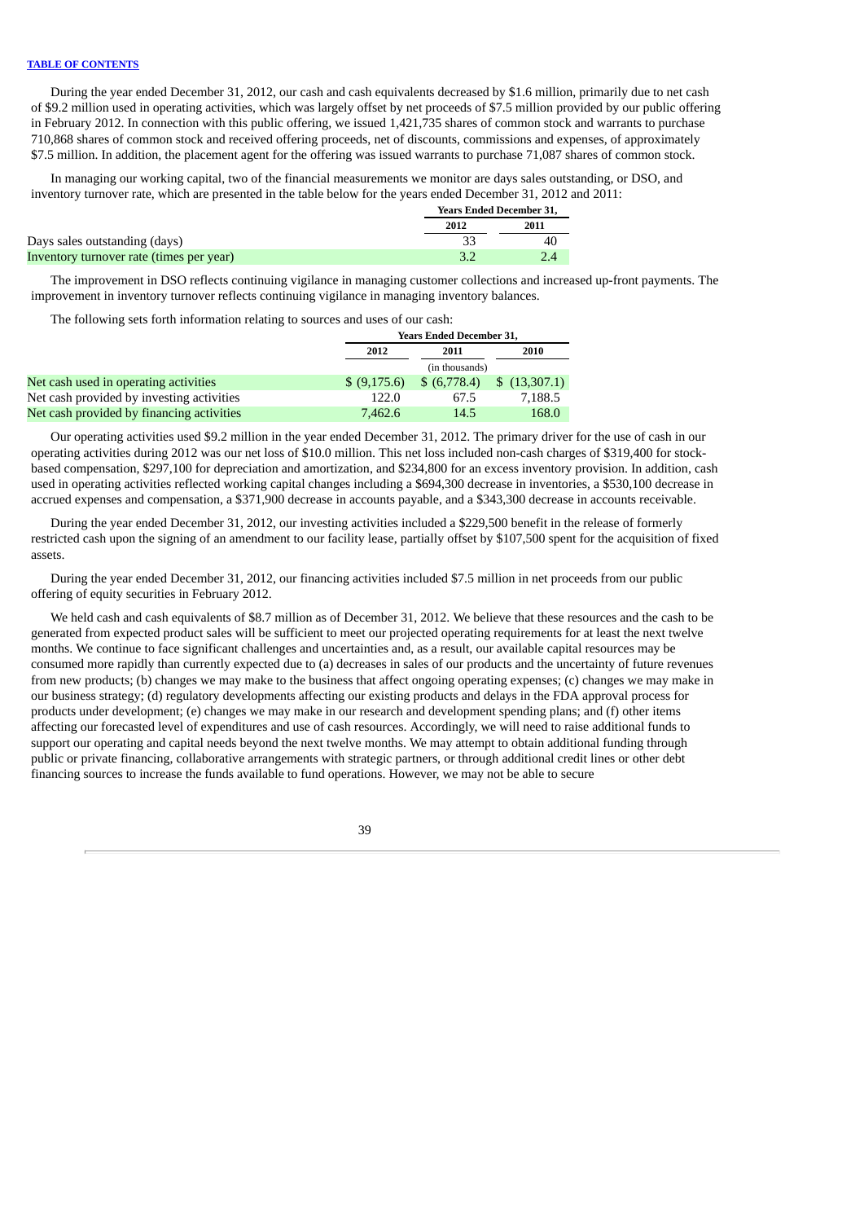During the year ended December 31, 2012, our cash and cash equivalents decreased by \$1.6 million, primarily due to net cash of \$9.2 million used in operating activities, which was largely offset by net proceeds of \$7.5 million provided by our public offering in February 2012. In connection with this public offering, we issued 1,421,735 shares of common stock and warrants to purchase 710,868 shares of common stock and received offering proceeds, net of discounts, commissions and expenses, of approximately \$7.5 million. In addition, the placement agent for the offering was issued warrants to purchase 71,087 shares of common stock.

In managing our working capital, two of the financial measurements we monitor are days sales outstanding, or DSO, and inventory turnover rate, which are presented in the table below for the years ended December 31, 2012 and 2011:

|                                          | <b>Years Ended December 31.</b> |      |
|------------------------------------------|---------------------------------|------|
|                                          | 2012                            | 2011 |
| Days sales outstanding (days)            |                                 | 40   |
| Inventory turnover rate (times per year) |                                 | 2.4  |

The improvement in DSO reflects continuing vigilance in managing customer collections and increased up-front payments. The improvement in inventory turnover reflects continuing vigilance in managing inventory balances.

The following sets forth information relating to sources and uses of our cash:

|                                           |              | <b>Years Ended December 31,</b> |              |  |  |  |  |
|-------------------------------------------|--------------|---------------------------------|--------------|--|--|--|--|
|                                           | 2012         | 2011                            |              |  |  |  |  |
|                                           |              | (in thousands)                  |              |  |  |  |  |
| Net cash used in operating activities     | \$ (9,175.6) | \$ (6,778.4)                    | \$(13,307.1) |  |  |  |  |
| Net cash provided by investing activities | 122.0        | 67.5                            | 7,188.5      |  |  |  |  |
| Net cash provided by financing activities | 7.462.6      | 14.5                            | 168.0        |  |  |  |  |

Our operating activities used \$9.2 million in the year ended December 31, 2012. The primary driver for the use of cash in our operating activities during 2012 was our net loss of \$10.0 million. This net loss included non-cash charges of \$319,400 for stockbased compensation, \$297,100 for depreciation and amortization, and \$234,800 for an excess inventory provision. In addition, cash used in operating activities reflected working capital changes including a \$694,300 decrease in inventories, a \$530,100 decrease in accrued expenses and compensation, a \$371,900 decrease in accounts payable, and a \$343,300 decrease in accounts receivable.

During the year ended December 31, 2012, our investing activities included a \$229,500 benefit in the release of formerly restricted cash upon the signing of an amendment to our facility lease, partially offset by \$107,500 spent for the acquisition of fixed assets.

During the year ended December 31, 2012, our financing activities included \$7.5 million in net proceeds from our public offering of equity securities in February 2012.

We held cash and cash equivalents of \$8.7 million as of December 31, 2012. We believe that these resources and the cash to be generated from expected product sales will be sufficient to meet our projected operating requirements for at least the next twelve months. We continue to face significant challenges and uncertainties and, as a result, our available capital resources may be consumed more rapidly than currently expected due to (a) decreases in sales of our products and the uncertainty of future revenues from new products; (b) changes we may make to the business that affect ongoing operating expenses; (c) changes we may make in our business strategy; (d) regulatory developments affecting our existing products and delays in the FDA approval process for products under development; (e) changes we may make in our research and development spending plans; and (f) other items affecting our forecasted level of expenditures and use of cash resources. Accordingly, we will need to raise additional funds to support our operating and capital needs beyond the next twelve months. We may attempt to obtain additional funding through public or private financing, collaborative arrangements with strategic partners, or through additional credit lines or other debt financing sources to increase the funds available to fund operations. However, we may not be able to secure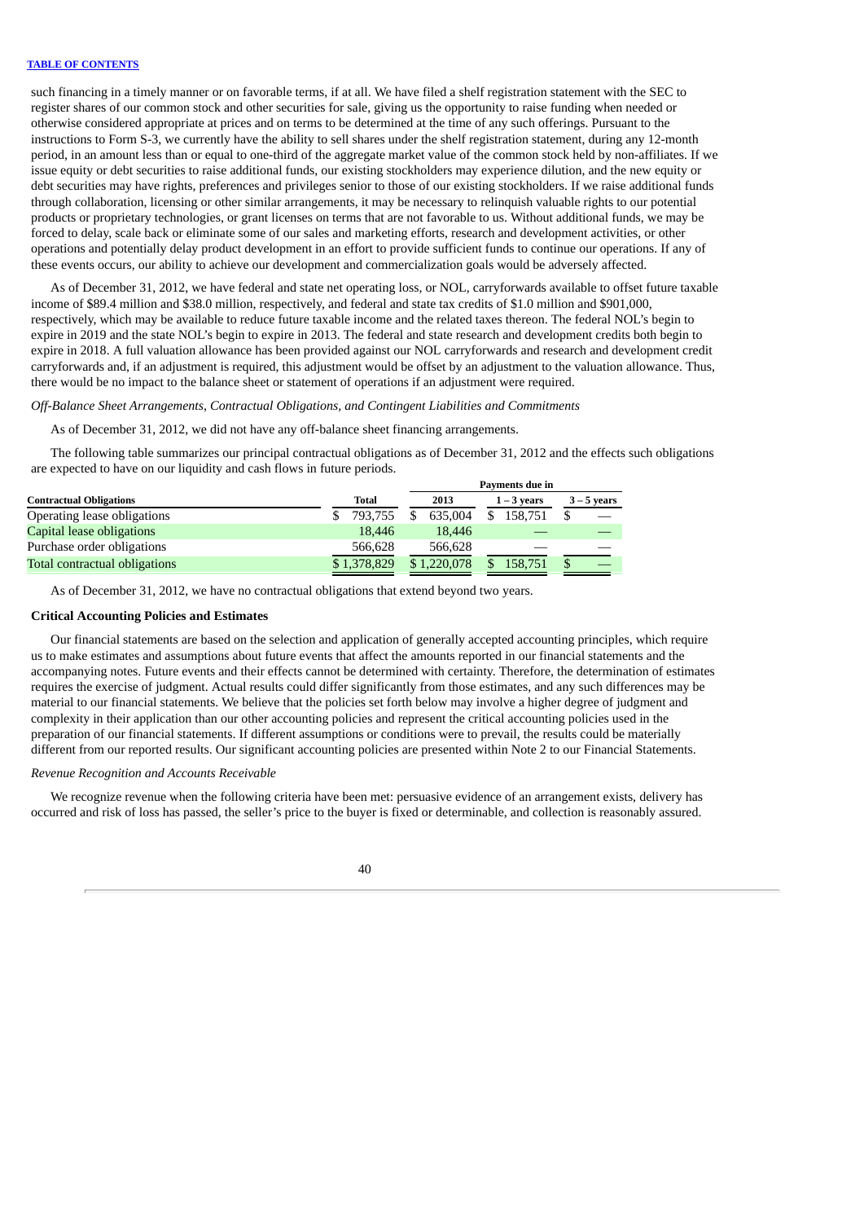such financing in a timely manner or on favorable terms, if at all. We have filed a shelf registration statement with the SEC to register shares of our common stock and other securities for sale, giving us the opportunity to raise funding when needed or otherwise considered appropriate at prices and on terms to be determined at the time of any such offerings. Pursuant to the instructions to Form S-3, we currently have the ability to sell shares under the shelf registration statement, during any 12-month period, in an amount less than or equal to one-third of the aggregate market value of the common stock held by non-affiliates. If we issue equity or debt securities to raise additional funds, our existing stockholders may experience dilution, and the new equity or debt securities may have rights, preferences and privileges senior to those of our existing stockholders. If we raise additional funds through collaboration, licensing or other similar arrangements, it may be necessary to relinquish valuable rights to our potential products or proprietary technologies, or grant licenses on terms that are not favorable to us. Without additional funds, we may be forced to delay, scale back or eliminate some of our sales and marketing efforts, research and development activities, or other operations and potentially delay product development in an effort to provide sufficient funds to continue our operations. If any of these events occurs, our ability to achieve our development and commercialization goals would be adversely affected.

As of December 31, 2012, we have federal and state net operating loss, or NOL, carryforwards available to offset future taxable income of \$89.4 million and \$38.0 million, respectively, and federal and state tax credits of \$1.0 million and \$901,000, respectively, which may be available to reduce future taxable income and the related taxes thereon. The federal NOL's begin to expire in 2019 and the state NOL's begin to expire in 2013. The federal and state research and development credits both begin to expire in 2018. A full valuation allowance has been provided against our NOL carryforwards and research and development credit carryforwards and, if an adjustment is required, this adjustment would be offset by an adjustment to the valuation allowance. Thus, there would be no impact to the balance sheet or statement of operations if an adjustment were required.

*Off-Balance Sheet Arrangements, Contractual Obligations, and Contingent Liabilities and Commitments*

As of December 31, 2012, we did not have any off-balance sheet financing arrangements.

The following table summarizes our principal contractual obligations as of December 31, 2012 and the effects such obligations are expected to have on our liquidity and cash flows in future periods.

|                                |             |             |     | Payments due in |               |
|--------------------------------|-------------|-------------|-----|-----------------|---------------|
| <b>Contractual Obligations</b> | Total       | 2013        |     | $1 - 3$ years   | $3 - 5$ years |
| Operating lease obligations    | 793.755     | 635.004     | \$. | 158.751         |               |
| Capital lease obligations      | 18,446      | 18,446      |     |                 |               |
| Purchase order obligations     | 566,628     | 566,628     |     |                 |               |
| Total contractual obligations  | \$1,378,829 | \$1,220,078 | \$  | 158,751         |               |

As of December 31, 2012, we have no contractual obligations that extend beyond two years.

# **Critical Accounting Policies and Estimates**

Our financial statements are based on the selection and application of generally accepted accounting principles, which require us to make estimates and assumptions about future events that affect the amounts reported in our financial statements and the accompanying notes. Future events and their effects cannot be determined with certainty. Therefore, the determination of estimates requires the exercise of judgment. Actual results could differ significantly from those estimates, and any such differences may be material to our financial statements. We believe that the policies set forth below may involve a higher degree of judgment and complexity in their application than our other accounting policies and represent the critical accounting policies used in the preparation of our financial statements. If different assumptions or conditions were to prevail, the results could be materially different from our reported results. Our significant accounting policies are presented within Note 2 to our Financial Statements.

# *Revenue Recognition and Accounts Receivable*

We recognize revenue when the following criteria have been met: persuasive evidence of an arrangement exists, delivery has occurred and risk of loss has passed, the seller's price to the buyer is fixed or determinable, and collection is reasonably assured.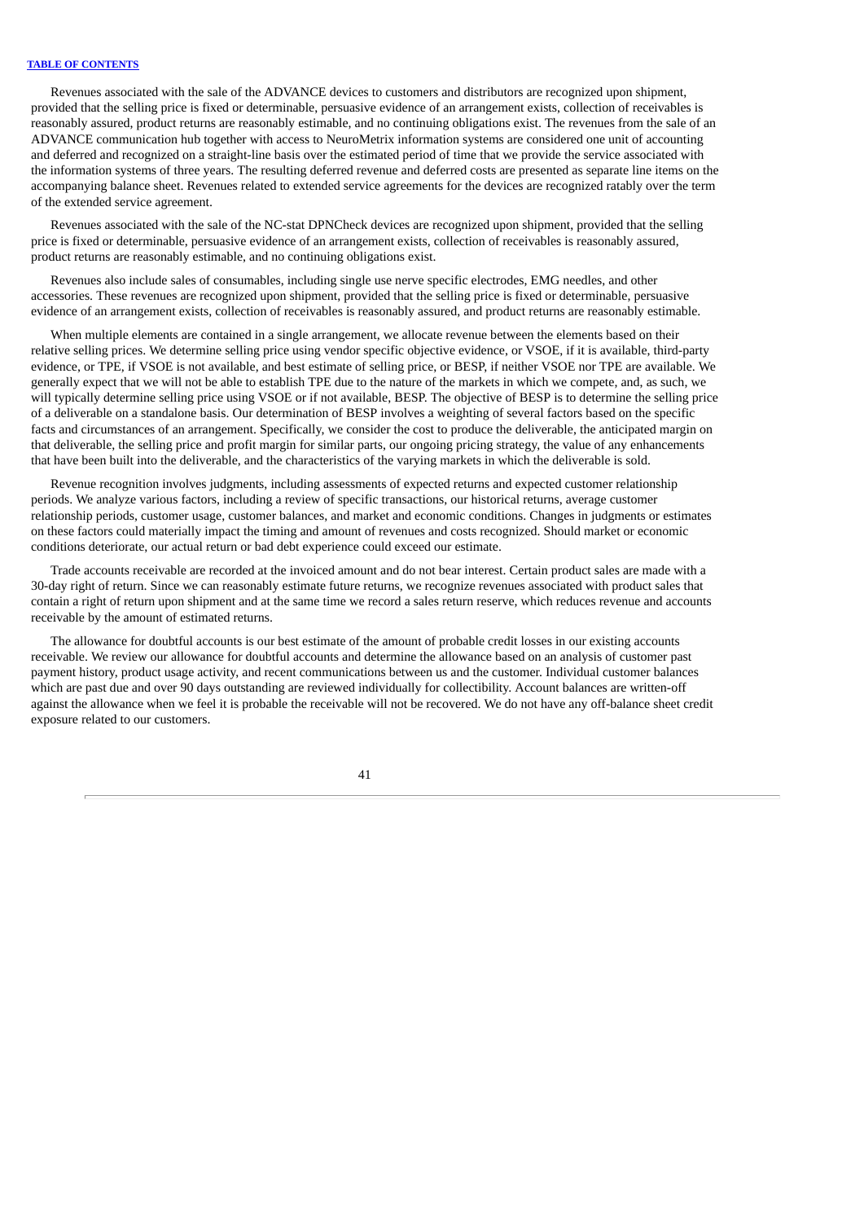Revenues associated with the sale of the ADVANCE devices to customers and distributors are recognized upon shipment, provided that the selling price is fixed or determinable, persuasive evidence of an arrangement exists, collection of receivables is reasonably assured, product returns are reasonably estimable, and no continuing obligations exist. The revenues from the sale of an ADVANCE communication hub together with access to NeuroMetrix information systems are considered one unit of accounting and deferred and recognized on a straight-line basis over the estimated period of time that we provide the service associated with the information systems of three years. The resulting deferred revenue and deferred costs are presented as separate line items on the accompanying balance sheet. Revenues related to extended service agreements for the devices are recognized ratably over the term of the extended service agreement.

Revenues associated with the sale of the NC-stat DPNCheck devices are recognized upon shipment, provided that the selling price is fixed or determinable, persuasive evidence of an arrangement exists, collection of receivables is reasonably assured, product returns are reasonably estimable, and no continuing obligations exist.

Revenues also include sales of consumables, including single use nerve specific electrodes, EMG needles, and other accessories. These revenues are recognized upon shipment, provided that the selling price is fixed or determinable, persuasive evidence of an arrangement exists, collection of receivables is reasonably assured, and product returns are reasonably estimable.

When multiple elements are contained in a single arrangement, we allocate revenue between the elements based on their relative selling prices. We determine selling price using vendor specific objective evidence, or VSOE, if it is available, third-party evidence, or TPE, if VSOE is not available, and best estimate of selling price, or BESP, if neither VSOE nor TPE are available. We generally expect that we will not be able to establish TPE due to the nature of the markets in which we compete, and, as such, we will typically determine selling price using VSOE or if not available, BESP. The objective of BESP is to determine the selling price of a deliverable on a standalone basis. Our determination of BESP involves a weighting of several factors based on the specific facts and circumstances of an arrangement. Specifically, we consider the cost to produce the deliverable, the anticipated margin on that deliverable, the selling price and profit margin for similar parts, our ongoing pricing strategy, the value of any enhancements that have been built into the deliverable, and the characteristics of the varying markets in which the deliverable is sold.

Revenue recognition involves judgments, including assessments of expected returns and expected customer relationship periods. We analyze various factors, including a review of specific transactions, our historical returns, average customer relationship periods, customer usage, customer balances, and market and economic conditions. Changes in judgments or estimates on these factors could materially impact the timing and amount of revenues and costs recognized. Should market or economic conditions deteriorate, our actual return or bad debt experience could exceed our estimate.

Trade accounts receivable are recorded at the invoiced amount and do not bear interest. Certain product sales are made with a 30-day right of return. Since we can reasonably estimate future returns, we recognize revenues associated with product sales that contain a right of return upon shipment and at the same time we record a sales return reserve, which reduces revenue and accounts receivable by the amount of estimated returns.

The allowance for doubtful accounts is our best estimate of the amount of probable credit losses in our existing accounts receivable. We review our allowance for doubtful accounts and determine the allowance based on an analysis of customer past payment history, product usage activity, and recent communications between us and the customer. Individual customer balances which are past due and over 90 days outstanding are reviewed individually for collectibility. Account balances are written-off against the allowance when we feel it is probable the receivable will not be recovered. We do not have any off-balance sheet credit exposure related to our customers.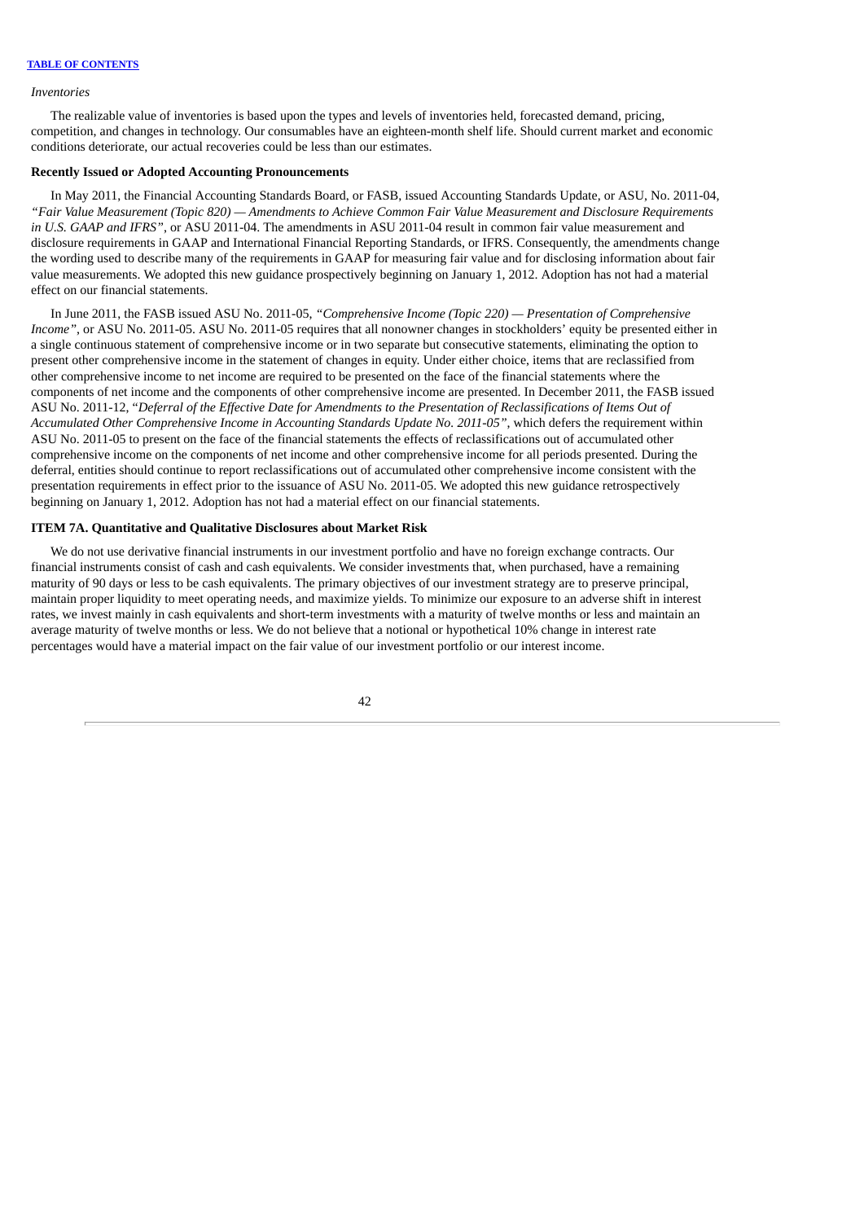#### *Inventories*

The realizable value of inventories is based upon the types and levels of inventories held, forecasted demand, pricing, competition, and changes in technology. Our consumables have an eighteen-month shelf life. Should current market and economic conditions deteriorate, our actual recoveries could be less than our estimates.

# **Recently Issued or Adopted Accounting Pronouncements**

In May 2011, the Financial Accounting Standards Board, or FASB, issued Accounting Standards Update, or ASU, No. 2011-04*,* "Fair Value Measurement (Topic 820) — Amendments to Achieve Common Fair Value Measurement and Disclosure Requirements *in U.S. GAAP and IFRS"*, or ASU 2011-04. The amendments in ASU 2011-04 result in common fair value measurement and disclosure requirements in GAAP and International Financial Reporting Standards, or IFRS. Consequently, the amendments change the wording used to describe many of the requirements in GAAP for measuring fair value and for disclosing information about fair value measurements. We adopted this new guidance prospectively beginning on January 1, 2012. Adoption has not had a material effect on our financial statements.

In June 2011, the FASB issued ASU No. 2011-05, *"Comprehensive Income (Topic 220) — Presentation of Comprehensive Income"*, or ASU No. 2011-05. ASU No. 2011-05 requires that all nonowner changes in stockholders' equity be presented either in a single continuous statement of comprehensive income or in two separate but consecutive statements, eliminating the option to present other comprehensive income in the statement of changes in equity. Under either choice, items that are reclassified from other comprehensive income to net income are required to be presented on the face of the financial statements where the components of net income and the components of other comprehensive income are presented. In December 2011, the FASB issued ASU No. 2011-12. "Deferral of the Effective Date for Amendments to the Presentation of Reclassifications of Items Out of *Accumulated Other Comprehensive Income in Accounting Standards Update No. 2011-05"*, which defers the requirement within ASU No. 2011-05 to present on the face of the financial statements the effects of reclassifications out of accumulated other comprehensive income on the components of net income and other comprehensive income for all periods presented. During the deferral, entities should continue to report reclassifications out of accumulated other comprehensive income consistent with the presentation requirements in effect prior to the issuance of ASU No. 2011-05. We adopted this new guidance retrospectively beginning on January 1, 2012. Adoption has not had a material effect on our financial statements.

# **ITEM 7A. Quantitative and Qualitative Disclosures about Market Risk**

We do not use derivative financial instruments in our investment portfolio and have no foreign exchange contracts. Our financial instruments consist of cash and cash equivalents. We consider investments that, when purchased, have a remaining maturity of 90 days or less to be cash equivalents. The primary objectives of our investment strategy are to preserve principal, maintain proper liquidity to meet operating needs, and maximize yields. To minimize our exposure to an adverse shift in interest rates, we invest mainly in cash equivalents and short-term investments with a maturity of twelve months or less and maintain an average maturity of twelve months or less. We do not believe that a notional or hypothetical 10% change in interest rate percentages would have a material impact on the fair value of our investment portfolio or our interest income.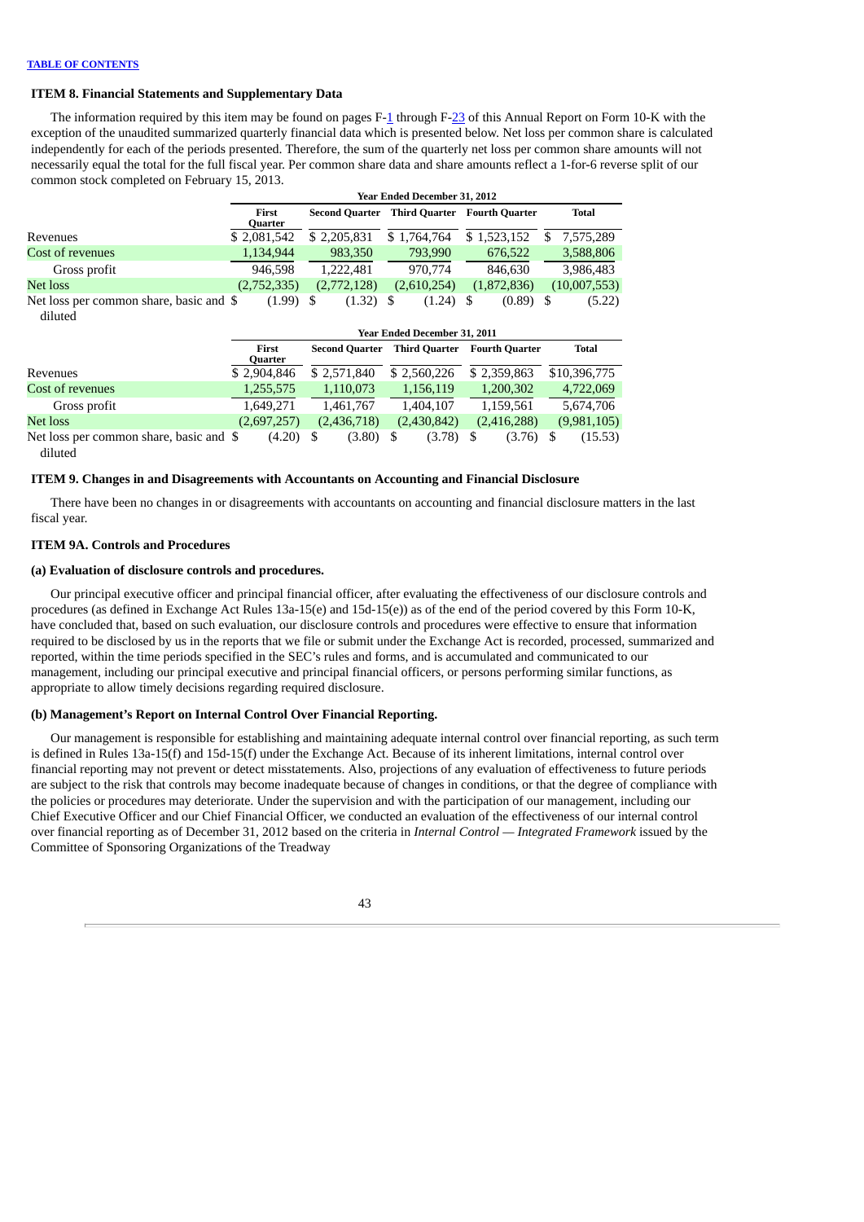# **ITEM 8. Financial Statements and Supplementary Data**

The information required by this item may be found on pages F-1 through F-23 of this Annual Report on Form 10-K with the exception of the unaudited summarized quarterly financial data which is presented below. Net loss per common share is calculated independently for each of the periods presented. Therefore, the sum of the quarterly net loss per common share amounts will not necessarily equal the total for the full fiscal year. Per common share data and share amounts reflect a 1-for-6 reverse split of our common stock completed on February 15, 2013.

|                                                    | Year Ended December 31, 2012 |             |             |                                             |                 |  |  |  |
|----------------------------------------------------|------------------------------|-------------|-------------|---------------------------------------------|-----------------|--|--|--|
|                                                    | First<br>Quarter             |             |             | Second Quarter Third Quarter Fourth Quarter | <b>Total</b>    |  |  |  |
| Revenues                                           | \$2,081,542                  | \$2.205.831 | \$1,764,764 | \$1,523,152                                 | 7,575,289<br>-S |  |  |  |
| Cost of revenues                                   | 1,134,944                    | 983,350     | 793.990     | 676.522                                     | 3,588,806       |  |  |  |
| Gross profit                                       | 946.598                      | 1.222.481   | 970.774     | 846,630                                     | 3,986,483       |  |  |  |
| Net loss                                           | (2,752,335)                  | (2,772,128) | (2,610,254) | (1,872,836)                                 | (10,007,553)    |  |  |  |
| Net loss per common share, basic and \$<br>diluted | $(1.99)$ \$                  | $(1.32)$ \$ | (1.24)      | (0.89)                                      | (5.22)          |  |  |  |

|                                                    | Year Ended December 31, 2011 |                       |                      |                       |                 |  |
|----------------------------------------------------|------------------------------|-----------------------|----------------------|-----------------------|-----------------|--|
|                                                    | First<br><b>Quarter</b>      | <b>Second Quarter</b> | <b>Third Quarter</b> | <b>Fourth Ouarter</b> | <b>Total</b>    |  |
| Revenues                                           | \$2,904,846                  | \$2.571.840           | \$2.560.226          | \$2,359,863           | \$10,396,775    |  |
| Cost of revenues                                   | 1,255,575                    | 1,110,073             | 1,156,119            | 1,200,302             | 4,722,069       |  |
| Gross profit                                       | 1,649,271                    | 1,461,767             | 1,404,107            | 1,159,561             | 5,674,706       |  |
| Net loss                                           | (2,697,257)                  | (2,436,718)           | (2,430,842)          | (2,416,288)           | (9,981,105)     |  |
| Net loss per common share, basic and \$<br>diluted | (4.20)                       | S<br>(3.80)           | \$<br>(3.78)         | (3.76)                | - \$<br>(15.53) |  |

#### **ITEM 9. Changes in and Disagreements with Accountants on Accounting and Financial Disclosure**

There have been no changes in or disagreements with accountants on accounting and financial disclosure matters in the last fiscal year.

## **ITEM 9A. Controls and Procedures**

# **(a) Evaluation of disclosure controls and procedures.**

Our principal executive officer and principal financial officer, after evaluating the effectiveness of our disclosure controls and procedures (as defined in Exchange Act Rules 13a-15(e) and 15d-15(e)) as of the end of the period covered by this Form 10-K, have concluded that, based on such evaluation, our disclosure controls and procedures were effective to ensure that information required to be disclosed by us in the reports that we file or submit under the Exchange Act is recorded, processed, summarized and reported, within the time periods specified in the SEC's rules and forms, and is accumulated and communicated to our management, including our principal executive and principal financial officers, or persons performing similar functions, as appropriate to allow timely decisions regarding required disclosure.

#### **(b) Management's Report on Internal Control Over Financial Reporting.**

Our management is responsible for establishing and maintaining adequate internal control over financial reporting, as such term is defined in Rules 13a-15(f) and 15d-15(f) under the Exchange Act. Because of its inherent limitations, internal control over financial reporting may not prevent or detect misstatements. Also, projections of any evaluation of effectiveness to future periods are subject to the risk that controls may become inadequate because of changes in conditions, or that the degree of compliance with the policies or procedures may deteriorate. Under the supervision and with the participation of our management, including our Chief Executive Officer and our Chief Financial Officer, we conducted an evaluation of the effectiveness of our internal control over financial reporting as of December 31, 2012 based on the criteria in *Internal Control — Integrated Framework* issued by the Committee of Sponsoring Organizations of the Treadway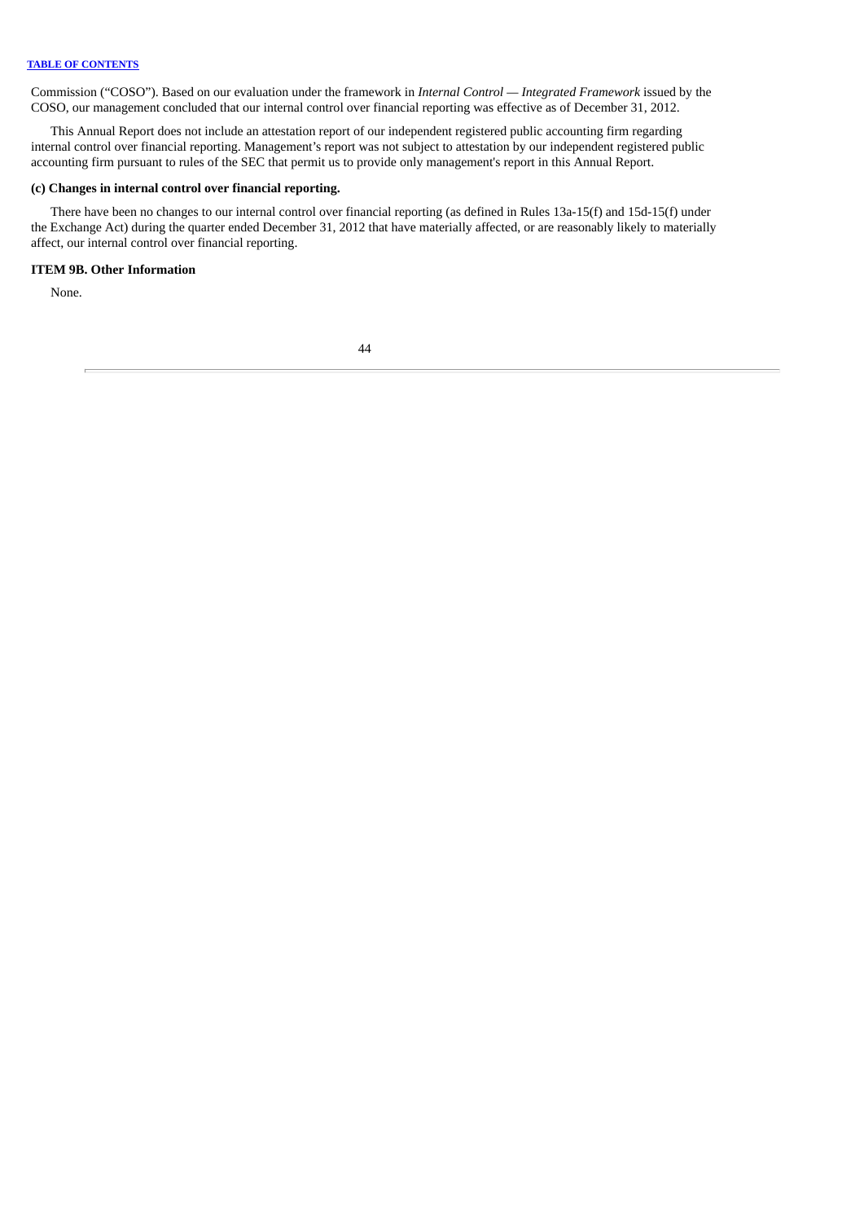Commission ("COSO"). Based on our evaluation under the framework in *Internal Control — Integrated Framework* issued by the COSO, our management concluded that our internal control over financial reporting was effective as of December 31, 2012.

This Annual Report does not include an attestation report of our independent registered public accounting firm regarding internal control over financial reporting. Management's report was not subject to attestation by our independent registered public accounting firm pursuant to rules of the SEC that permit us to provide only management's report in this Annual Report.

# **(c) Changes in internal control over financial reporting.**

There have been no changes to our internal control over financial reporting (as defined in Rules 13a-15(f) and 15d-15(f) under the Exchange Act) during the quarter ended December 31, 2012 that have materially affected, or are reasonably likely to materially affect, our internal control over financial reporting.

# **ITEM 9B. Other Information**

None.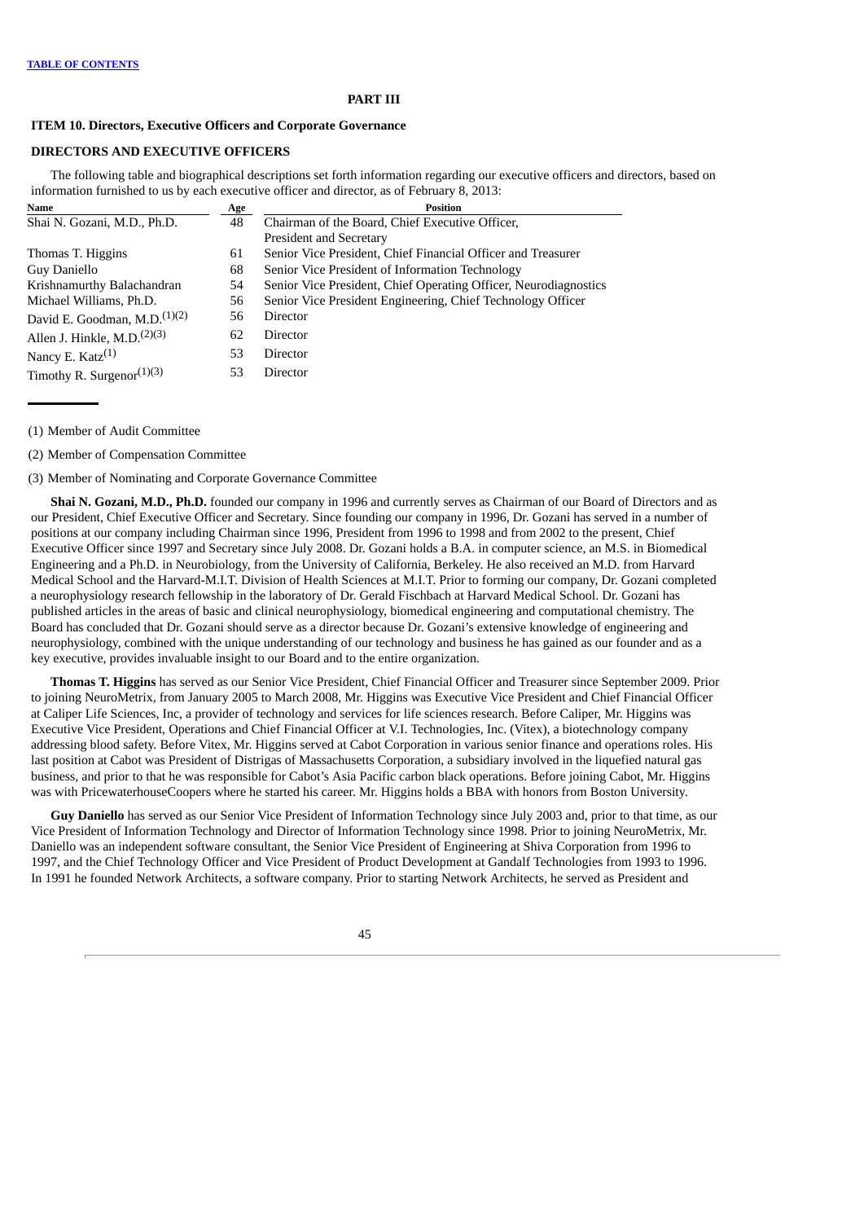#### **PART III**

### **ITEM 10. Directors, Executive Officers and Corporate Governance**

# **DIRECTORS AND EXECUTIVE OFFICERS**

The following table and biographical descriptions set forth information regarding our executive officers and directors, based on information furnished to us by each executive officer and director, as of February 8, 2013:

| Name                                  | Age | <b>Position</b>                                                  |
|---------------------------------------|-----|------------------------------------------------------------------|
| Shai N. Gozani, M.D., Ph.D.           | 48  | Chairman of the Board, Chief Executive Officer,                  |
|                                       |     | <b>President and Secretary</b>                                   |
| Thomas T. Higgins                     | 61  | Senior Vice President, Chief Financial Officer and Treasurer     |
| Guy Daniello                          | 68  | Senior Vice President of Information Technology                  |
| Krishnamurthy Balachandran            | 54  | Senior Vice President, Chief Operating Officer, Neurodiagnostics |
| Michael Williams, Ph.D.               | 56  | Senior Vice President Engineering, Chief Technology Officer      |
| David E. Goodman, M.D. $(1)(2)$       | 56  | Director                                                         |
| Allen J. Hinkle, M.D. $(2)(3)$        | 62  | Director                                                         |
| Nancy E. $Katz^{(1)}$                 | 53  | Director                                                         |
| Timothy R. Surgenor <sup>(1)(3)</sup> | 53  | Director                                                         |

(1) Member of Audit Committee

(2) Member of Compensation Committee

(3) Member of Nominating and Corporate Governance Committee

**Shai N. Gozani, M.D., Ph.D.** founded our company in 1996 and currently serves as Chairman of our Board of Directors and as our President, Chief Executive Officer and Secretary. Since founding our company in 1996, Dr. Gozani has served in a number of positions at our company including Chairman since 1996, President from 1996 to 1998 and from 2002 to the present, Chief Executive Officer since 1997 and Secretary since July 2008. Dr. Gozani holds a B.A. in computer science, an M.S. in Biomedical Engineering and a Ph.D. in Neurobiology, from the University of California, Berkeley. He also received an M.D. from Harvard Medical School and the Harvard-M.I.T. Division of Health Sciences at M.I.T. Prior to forming our company, Dr. Gozani completed a neurophysiology research fellowship in the laboratory of Dr. Gerald Fischbach at Harvard Medical School. Dr. Gozani has published articles in the areas of basic and clinical neurophysiology, biomedical engineering and computational chemistry. The Board has concluded that Dr. Gozani should serve as a director because Dr. Gozani's extensive knowledge of engineering and neurophysiology, combined with the unique understanding of our technology and business he has gained as our founder and as a key executive, provides invaluable insight to our Board and to the entire organization.

**Thomas T. Higgins** has served as our Senior Vice President, Chief Financial Officer and Treasurer since September 2009. Prior to joining NeuroMetrix, from January 2005 to March 2008, Mr. Higgins was Executive Vice President and Chief Financial Officer at Caliper Life Sciences, Inc, a provider of technology and services for life sciences research. Before Caliper, Mr. Higgins was Executive Vice President, Operations and Chief Financial Officer at V.I. Technologies, Inc. (Vitex), a biotechnology company addressing blood safety. Before Vitex, Mr. Higgins served at Cabot Corporation in various senior finance and operations roles. His last position at Cabot was President of Distrigas of Massachusetts Corporation, a subsidiary involved in the liquefied natural gas business, and prior to that he was responsible for Cabot's Asia Pacific carbon black operations. Before joining Cabot, Mr. Higgins was with PricewaterhouseCoopers where he started his career. Mr. Higgins holds a BBA with honors from Boston University.

**Guy Daniello** has served as our Senior Vice President of Information Technology since July 2003 and, prior to that time, as our Vice President of Information Technology and Director of Information Technology since 1998. Prior to joining NeuroMetrix, Mr. Daniello was an independent software consultant, the Senior Vice President of Engineering at Shiva Corporation from 1996 to 1997, and the Chief Technology Officer and Vice President of Product Development at Gandalf Technologies from 1993 to 1996. In 1991 he founded Network Architects, a software company. Prior to starting Network Architects, he served as President and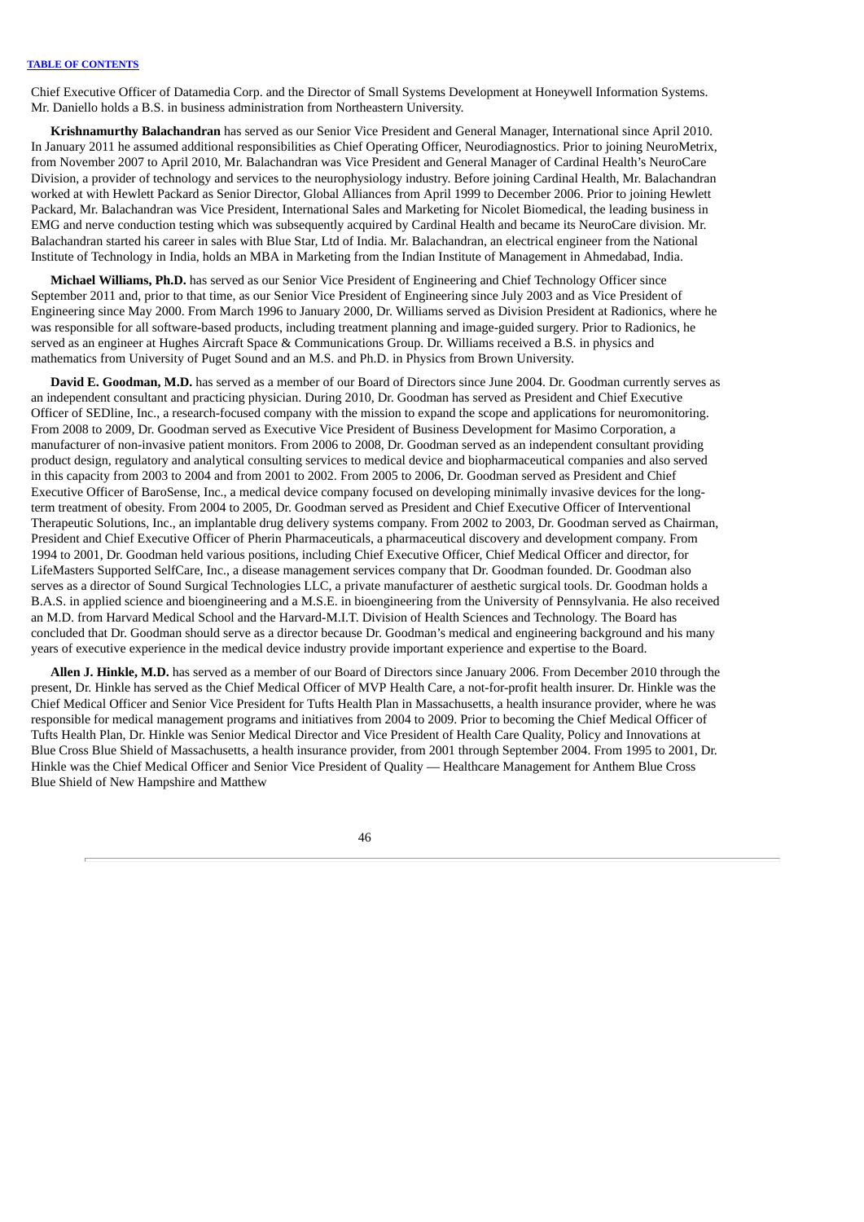Chief Executive Officer of Datamedia Corp. and the Director of Small Systems Development at Honeywell Information Systems. Mr. Daniello holds a B.S. in business administration from Northeastern University.

**Krishnamurthy Balachandran** has served as our Senior Vice President and General Manager, International since April 2010. In January 2011 he assumed additional responsibilities as Chief Operating Officer, Neurodiagnostics. Prior to joining NeuroMetrix, from November 2007 to April 2010, Mr. Balachandran was Vice President and General Manager of Cardinal Health's NeuroCare Division, a provider of technology and services to the neurophysiology industry. Before joining Cardinal Health, Mr. Balachandran worked at with Hewlett Packard as Senior Director, Global Alliances from April 1999 to December 2006. Prior to joining Hewlett Packard, Mr. Balachandran was Vice President, International Sales and Marketing for Nicolet Biomedical, the leading business in EMG and nerve conduction testing which was subsequently acquired by Cardinal Health and became its NeuroCare division. Mr. Balachandran started his career in sales with Blue Star, Ltd of India. Mr. Balachandran, an electrical engineer from the National Institute of Technology in India, holds an MBA in Marketing from the Indian Institute of Management in Ahmedabad, India.

**Michael Williams, Ph.D.** has served as our Senior Vice President of Engineering and Chief Technology Officer since September 2011 and, prior to that time, as our Senior Vice President of Engineering since July 2003 and as Vice President of Engineering since May 2000. From March 1996 to January 2000, Dr. Williams served as Division President at Radionics, where he was responsible for all software-based products, including treatment planning and image-guided surgery. Prior to Radionics, he served as an engineer at Hughes Aircraft Space & Communications Group. Dr. Williams received a B.S. in physics and mathematics from University of Puget Sound and an M.S. and Ph.D. in Physics from Brown University.

**David E. Goodman, M.D.** has served as a member of our Board of Directors since June 2004. Dr. Goodman currently serves as an independent consultant and practicing physician. During 2010, Dr. Goodman has served as President and Chief Executive Officer of SEDline, Inc., a research-focused company with the mission to expand the scope and applications for neuromonitoring. From 2008 to 2009, Dr. Goodman served as Executive Vice President of Business Development for Masimo Corporation, a manufacturer of non-invasive patient monitors. From 2006 to 2008, Dr. Goodman served as an independent consultant providing product design, regulatory and analytical consulting services to medical device and biopharmaceutical companies and also served in this capacity from 2003 to 2004 and from 2001 to 2002. From 2005 to 2006, Dr. Goodman served as President and Chief Executive Officer of BaroSense, Inc., a medical device company focused on developing minimally invasive devices for the longterm treatment of obesity. From 2004 to 2005, Dr. Goodman served as President and Chief Executive Officer of Interventional Therapeutic Solutions, Inc., an implantable drug delivery systems company. From 2002 to 2003, Dr. Goodman served as Chairman, President and Chief Executive Officer of Pherin Pharmaceuticals, a pharmaceutical discovery and development company. From 1994 to 2001, Dr. Goodman held various positions, including Chief Executive Officer, Chief Medical Officer and director, for LifeMasters Supported SelfCare, Inc., a disease management services company that Dr. Goodman founded. Dr. Goodman also serves as a director of Sound Surgical Technologies LLC, a private manufacturer of aesthetic surgical tools. Dr. Goodman holds a B.A.S. in applied science and bioengineering and a M.S.E. in bioengineering from the University of Pennsylvania. He also received an M.D. from Harvard Medical School and the Harvard-M.I.T. Division of Health Sciences and Technology. The Board has concluded that Dr. Goodman should serve as a director because Dr. Goodman's medical and engineering background and his many years of executive experience in the medical device industry provide important experience and expertise to the Board.

**Allen J. Hinkle, M.D.** has served as a member of our Board of Directors since January 2006. From December 2010 through the present, Dr. Hinkle has served as the Chief Medical Officer of MVP Health Care, a not-for-profit health insurer. Dr. Hinkle was the Chief Medical Officer and Senior Vice President for Tufts Health Plan in Massachusetts, a health insurance provider, where he was responsible for medical management programs and initiatives from 2004 to 2009. Prior to becoming the Chief Medical Officer of Tufts Health Plan, Dr. Hinkle was Senior Medical Director and Vice President of Health Care Quality, Policy and Innovations at Blue Cross Blue Shield of Massachusetts, a health insurance provider, from 2001 through September 2004. From 1995 to 2001, Dr. Hinkle was the Chief Medical Officer and Senior Vice President of Quality — Healthcare Management for Anthem Blue Cross Blue Shield of New Hampshire and Matthew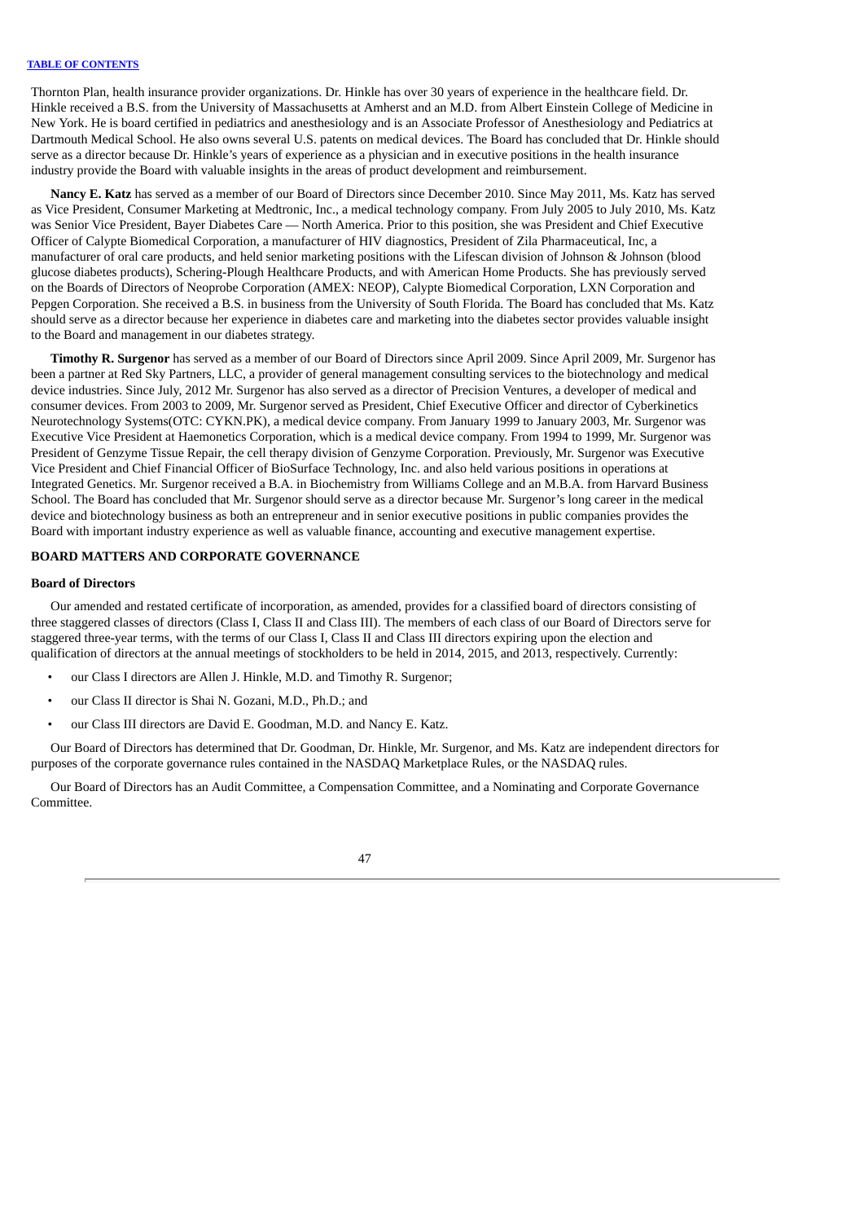Thornton Plan, health insurance provider organizations. Dr. Hinkle has over 30 years of experience in the healthcare field. Dr. Hinkle received a B.S. from the University of Massachusetts at Amherst and an M.D. from Albert Einstein College of Medicine in New York. He is board certified in pediatrics and anesthesiology and is an Associate Professor of Anesthesiology and Pediatrics at Dartmouth Medical School. He also owns several U.S. patents on medical devices. The Board has concluded that Dr. Hinkle should serve as a director because Dr. Hinkle's years of experience as a physician and in executive positions in the health insurance industry provide the Board with valuable insights in the areas of product development and reimbursement.

**Nancy E. Katz** has served as a member of our Board of Directors since December 2010. Since May 2011, Ms. Katz has served as Vice President, Consumer Marketing at Medtronic, Inc., a medical technology company. From July 2005 to July 2010, Ms. Katz was Senior Vice President, Bayer Diabetes Care — North America. Prior to this position, she was President and Chief Executive Officer of Calypte Biomedical Corporation, a manufacturer of HIV diagnostics, President of Zila Pharmaceutical, Inc, a manufacturer of oral care products, and held senior marketing positions with the Lifescan division of Johnson & Johnson (blood glucose diabetes products), Schering-Plough Healthcare Products, and with American Home Products. She has previously served on the Boards of Directors of Neoprobe Corporation (AMEX: NEOP), Calypte Biomedical Corporation, LXN Corporation and Pepgen Corporation. She received a B.S. in business from the University of South Florida. The Board has concluded that Ms. Katz should serve as a director because her experience in diabetes care and marketing into the diabetes sector provides valuable insight to the Board and management in our diabetes strategy.

**Timothy R. Surgenor** has served as a member of our Board of Directors since April 2009. Since April 2009, Mr. Surgenor has been a partner at Red Sky Partners, LLC, a provider of general management consulting services to the biotechnology and medical device industries. Since July, 2012 Mr. Surgenor has also served as a director of Precision Ventures, a developer of medical and consumer devices. From 2003 to 2009, Mr. Surgenor served as President, Chief Executive Officer and director of Cyberkinetics Neurotechnology Systems(OTC: CYKN.PK), a medical device company. From January 1999 to January 2003, Mr. Surgenor was Executive Vice President at Haemonetics Corporation, which is a medical device company. From 1994 to 1999, Mr. Surgenor was President of Genzyme Tissue Repair, the cell therapy division of Genzyme Corporation. Previously, Mr. Surgenor was Executive Vice President and Chief Financial Officer of BioSurface Technology, Inc. and also held various positions in operations at Integrated Genetics. Mr. Surgenor received a B.A. in Biochemistry from Williams College and an M.B.A. from Harvard Business School. The Board has concluded that Mr. Surgenor should serve as a director because Mr. Surgenor's long career in the medical device and biotechnology business as both an entrepreneur and in senior executive positions in public companies provides the Board with important industry experience as well as valuable finance, accounting and executive management expertise.

# **BOARD MATTERS AND CORPORATE GOVERNANCE**

# **Board of Directors**

Our amended and restated certificate of incorporation, as amended, provides for a classified board of directors consisting of three staggered classes of directors (Class I, Class II and Class III). The members of each class of our Board of Directors serve for staggered three-year terms, with the terms of our Class I, Class II and Class III directors expiring upon the election and qualification of directors at the annual meetings of stockholders to be held in 2014, 2015, and 2013, respectively. Currently:

- our Class I directors are Allen J. Hinkle, M.D. and Timothy R. Surgenor;
- our Class II director is Shai N. Gozani, M.D., Ph.D.; and
- our Class III directors are David E. Goodman, M.D. and Nancy E. Katz.

Our Board of Directors has determined that Dr. Goodman, Dr. Hinkle, Mr. Surgenor, and Ms. Katz are independent directors for purposes of the corporate governance rules contained in the NASDAQ Marketplace Rules, or the NASDAQ rules.

Our Board of Directors has an Audit Committee, a Compensation Committee, and a Nominating and Corporate Governance Committee.

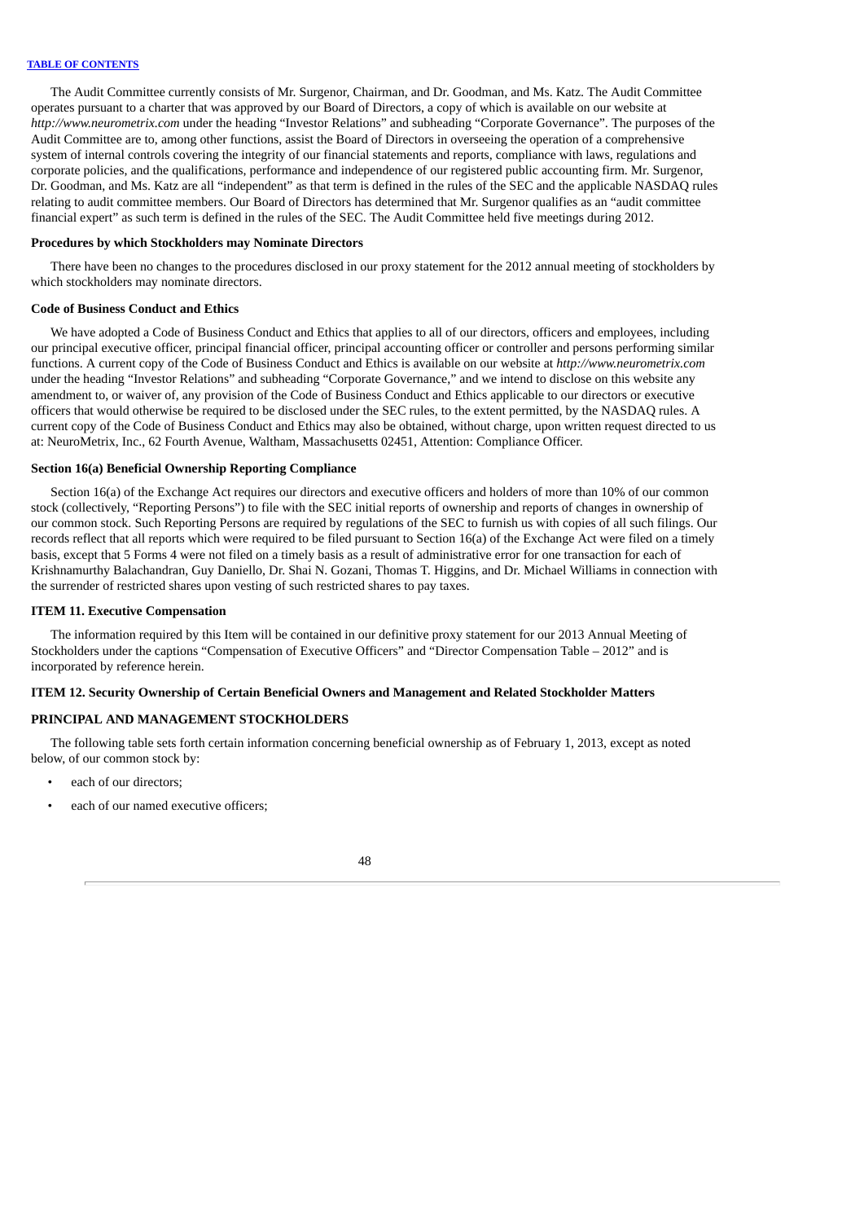The Audit Committee currently consists of Mr. Surgenor, Chairman, and Dr. Goodman, and Ms. Katz. The Audit Committee operates pursuant to a charter that was approved by our Board of Directors, a copy of which is available on our website at *http://www.neurometrix.com* under the heading "Investor Relations" and subheading "Corporate Governance". The purposes of the Audit Committee are to, among other functions, assist the Board of Directors in overseeing the operation of a comprehensive system of internal controls covering the integrity of our financial statements and reports, compliance with laws, regulations and corporate policies, and the qualifications, performance and independence of our registered public accounting firm. Mr. Surgenor, Dr. Goodman, and Ms. Katz are all "independent" as that term is defined in the rules of the SEC and the applicable NASDAQ rules relating to audit committee members. Our Board of Directors has determined that Mr. Surgenor qualifies as an "audit committee financial expert" as such term is defined in the rules of the SEC. The Audit Committee held five meetings during 2012.

#### **Procedures by which Stockholders may Nominate Directors**

There have been no changes to the procedures disclosed in our proxy statement for the 2012 annual meeting of stockholders by which stockholders may nominate directors.

# **Code of Business Conduct and Ethics**

We have adopted a Code of Business Conduct and Ethics that applies to all of our directors, officers and employees, including our principal executive officer, principal financial officer, principal accounting officer or controller and persons performing similar functions. A current copy of the Code of Business Conduct and Ethics is available on our website at *http://www.neurometrix.com* under the heading "Investor Relations" and subheading "Corporate Governance," and we intend to disclose on this website any amendment to, or waiver of, any provision of the Code of Business Conduct and Ethics applicable to our directors or executive officers that would otherwise be required to be disclosed under the SEC rules, to the extent permitted, by the NASDAQ rules. A current copy of the Code of Business Conduct and Ethics may also be obtained, without charge, upon written request directed to us at: NeuroMetrix, Inc., 62 Fourth Avenue, Waltham, Massachusetts 02451, Attention: Compliance Officer.

# **Section 16(a) Beneficial Ownership Reporting Compliance**

Section 16(a) of the Exchange Act requires our directors and executive officers and holders of more than 10% of our common stock (collectively, "Reporting Persons") to file with the SEC initial reports of ownership and reports of changes in ownership of our common stock. Such Reporting Persons are required by regulations of the SEC to furnish us with copies of all such filings. Our records reflect that all reports which were required to be filed pursuant to Section 16(a) of the Exchange Act were filed on a timely basis, except that 5 Forms 4 were not filed on a timely basis as a result of administrative error for one transaction for each of Krishnamurthy Balachandran, Guy Daniello, Dr. Shai N. Gozani, Thomas T. Higgins, and Dr. Michael Williams in connection with the surrender of restricted shares upon vesting of such restricted shares to pay taxes.

## **ITEM 11. Executive Compensation**

The information required by this Item will be contained in our definitive proxy statement for our 2013 Annual Meeting of Stockholders under the captions "Compensation of Executive Officers" and "Director Compensation Table – 2012" and is incorporated by reference herein.

# **ITEM 12. Security Ownership of Certain Beneficial Owners and Management and Related Stockholder Matters**

## **PRINCIPAL AND MANAGEMENT STOCKHOLDERS**

The following table sets forth certain information concerning beneficial ownership as of February 1, 2013, except as noted below, of our common stock by:

- each of our directors;
- each of our named executive officers;

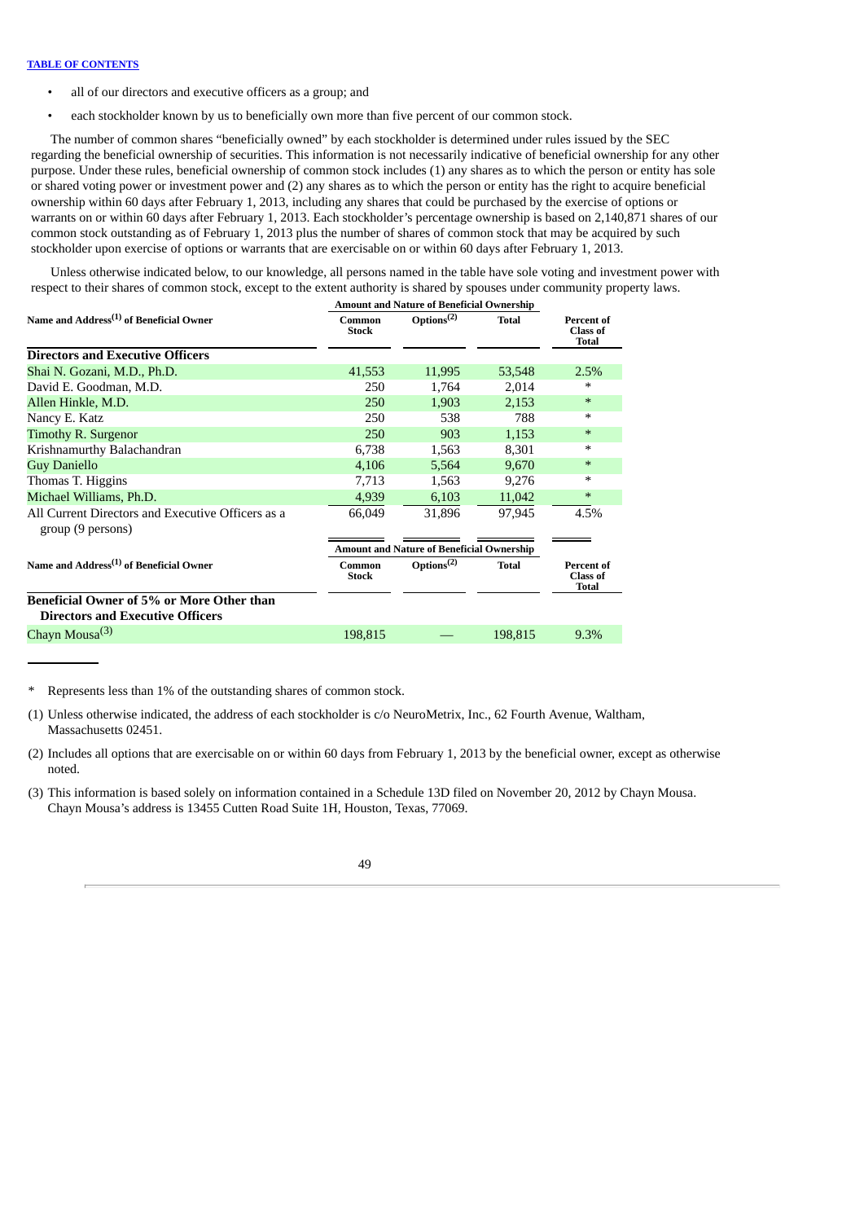- all of our directors and executive officers as a group; and
- each stockholder known by us to beneficially own more than five percent of our common stock.

The number of common shares "beneficially owned" by each stockholder is determined under rules issued by the SEC regarding the beneficial ownership of securities. This information is not necessarily indicative of beneficial ownership for any other purpose. Under these rules, beneficial ownership of common stock includes (1) any shares as to which the person or entity has sole or shared voting power or investment power and (2) any shares as to which the person or entity has the right to acquire beneficial ownership within 60 days after February 1, 2013, including any shares that could be purchased by the exercise of options or warrants on or within 60 days after February 1, 2013. Each stockholder's percentage ownership is based on 2,140,871 shares of our common stock outstanding as of February 1, 2013 plus the number of shares of common stock that may be acquired by such stockholder upon exercise of options or warrants that are exercisable on or within 60 days after February 1, 2013.

Unless otherwise indicated below, to our knowledge, all persons named in the table have sole voting and investment power with respect to their shares of common stock, except to the extent authority is shared by spouses under community property laws. **Amount and Nature of Beneficial Ownership**

| Name and Address <sup>(1)</sup> of Beneficial Owner                    | Common<br><b>Stock</b> | Options $(2)$                                    | <b>Total</b> | <b>Percent of</b><br><b>Class of</b><br><b>Total</b> |
|------------------------------------------------------------------------|------------------------|--------------------------------------------------|--------------|------------------------------------------------------|
| <b>Directors and Executive Officers</b>                                |                        |                                                  |              |                                                      |
| Shai N. Gozani, M.D., Ph.D.                                            | 41,553                 | 11,995                                           | 53,548       | 2.5%                                                 |
| David E. Goodman, M.D.                                                 | 250                    | 1,764                                            | 2,014        | ∗                                                    |
| Allen Hinkle, M.D.                                                     | 250                    | 1,903                                            | 2,153        | $\ast$                                               |
| Nancy E. Katz                                                          | 250                    | 538                                              | 788          | ∗                                                    |
| Timothy R. Surgenor                                                    | 250                    | 903                                              | 1,153        | $\ast$                                               |
| Krishnamurthy Balachandran                                             | 6,738                  | 1,563                                            | 8,301        | *                                                    |
| <b>Guy Daniello</b>                                                    | 4,106                  | 5,564                                            | 9,670        | $\ast$                                               |
| Thomas T. Higgins                                                      | 7,713                  | 1,563                                            | 9,276        | $\ast$                                               |
| Michael Williams, Ph.D.                                                | 4,939                  | 6,103                                            | 11,042       | $\ast$                                               |
| All Current Directors and Executive Officers as a<br>group (9 persons) | 66,049                 | 31,896                                           | 97,945       | 4.5%                                                 |
|                                                                        |                        | <b>Amount and Nature of Beneficial Ownership</b> |              |                                                      |
| Name and Address <sup>(1)</sup> of Beneficial Owner                    | Common<br>Stock        | Options <sup><math>(2)</math></sup>              | <b>Total</b> | <b>Percent of</b><br><b>Class of</b><br><b>Total</b> |
| <b>Beneficial Owner of 5% or More Other than</b>                       |                        |                                                  |              |                                                      |
| <b>Directors and Executive Officers</b>                                |                        |                                                  |              |                                                      |
| Chayn Mousa $(3)$                                                      | 198,815                |                                                  | 198,815      | 9.3%                                                 |

Represents less than 1% of the outstanding shares of common stock.

<sup>(1)</sup> Unless otherwise indicated, the address of each stockholder is c/o NeuroMetrix, Inc., 62 Fourth Avenue, Waltham, Massachusetts 02451.

<sup>(2)</sup> Includes all options that are exercisable on or within 60 days from February 1, 2013 by the beneficial owner, except as otherwise noted.

<sup>(3)</sup> This information is based solely on information contained in a Schedule 13D filed on November 20, 2012 by Chayn Mousa. Chayn Mousa's address is 13455 Cutten Road Suite 1H, Houston, Texas, 77069.

<sup>49</sup>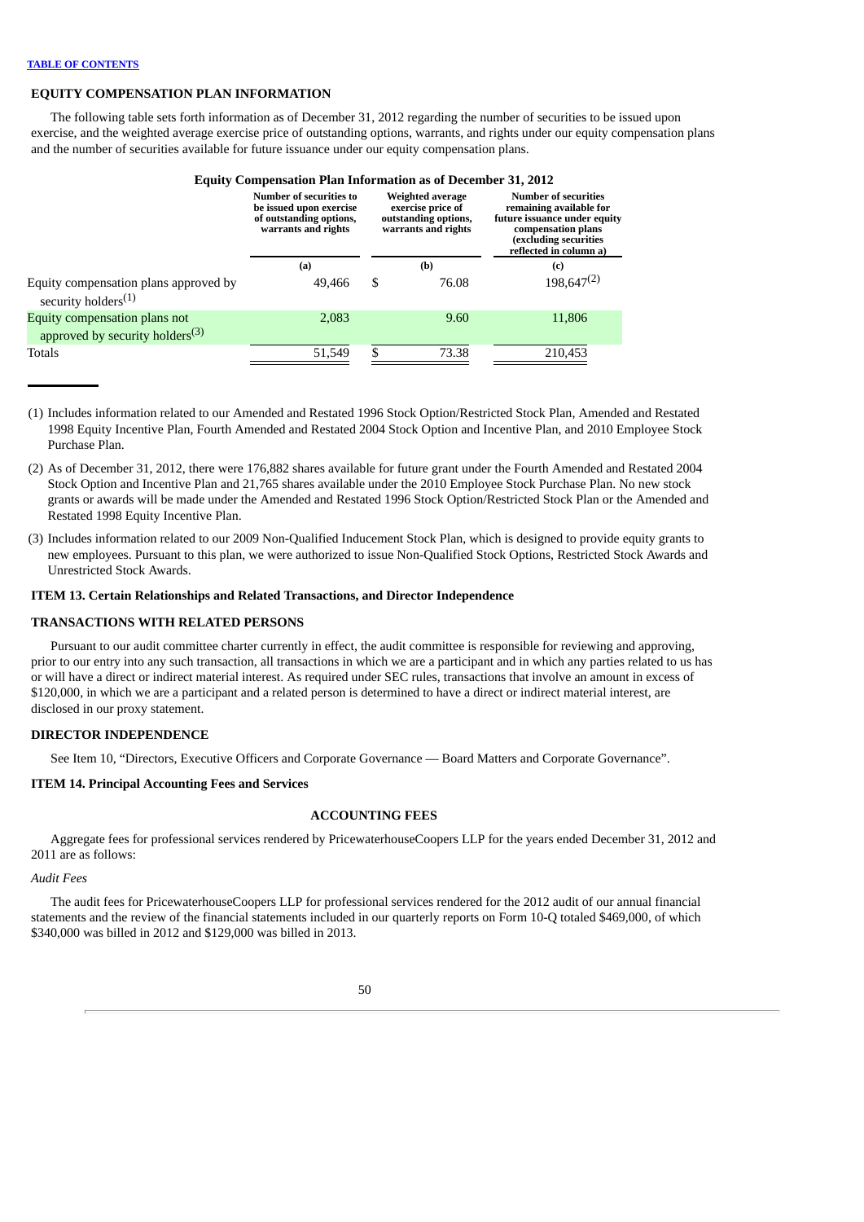# **EQUITY COMPENSATION PLAN INFORMATION**

The following table sets forth information as of December 31, 2012 regarding the number of securities to be issued upon exercise, and the weighted average exercise price of outstanding options, warrants, and rights under our equity compensation plans and the number of securities available for future issuance under our equity compensation plans.

### **Equity Compensation Plan Information as of December 31, 2012**

|                                                                     | <b>Number of securities to</b><br>be issued upon exercise<br>of outstanding options,<br>warrants and rights | <b>Weighted average</b><br>exercise price of<br>outstanding options,<br>warrants and rights |       | <b>Number of securities</b><br>remaining available for<br>future issuance under equity<br>compensation plans<br>(excluding securities<br>reflected in column a) |
|---------------------------------------------------------------------|-------------------------------------------------------------------------------------------------------------|---------------------------------------------------------------------------------------------|-------|-----------------------------------------------------------------------------------------------------------------------------------------------------------------|
|                                                                     | (a)                                                                                                         |                                                                                             | (b)   | (c)                                                                                                                                                             |
| Equity compensation plans approved by<br>security holders $(1)$     | 49,466                                                                                                      | \$.                                                                                         | 76.08 | $198,647^{(2)}$                                                                                                                                                 |
| Equity compensation plans not<br>approved by security holders $(3)$ | 2,083                                                                                                       |                                                                                             | 9.60  | 11,806                                                                                                                                                          |
| <b>Totals</b>                                                       | 51,549                                                                                                      |                                                                                             | 73.38 | 210,453                                                                                                                                                         |

- (1) Includes information related to our Amended and Restated 1996 Stock Option/Restricted Stock Plan, Amended and Restated 1998 Equity Incentive Plan, Fourth Amended and Restated 2004 Stock Option and Incentive Plan, and 2010 Employee Stock Purchase Plan.
- (2) As of December 31, 2012, there were 176,882 shares available for future grant under the Fourth Amended and Restated 2004 Stock Option and Incentive Plan and 21,765 shares available under the 2010 Employee Stock Purchase Plan. No new stock grants or awards will be made under the Amended and Restated 1996 Stock Option/Restricted Stock Plan or the Amended and Restated 1998 Equity Incentive Plan.
- (3) Includes information related to our 2009 Non-Qualified Inducement Stock Plan, which is designed to provide equity grants to new employees. Pursuant to this plan, we were authorized to issue Non-Qualified Stock Options, Restricted Stock Awards and Unrestricted Stock Awards.

# **ITEM 13. Certain Relationships and Related Transactions, and Director Independence**

## **TRANSACTIONS WITH RELATED PERSONS**

Pursuant to our audit committee charter currently in effect, the audit committee is responsible for reviewing and approving, prior to our entry into any such transaction, all transactions in which we are a participant and in which any parties related to us has or will have a direct or indirect material interest. As required under SEC rules, transactions that involve an amount in excess of \$120,000, in which we are a participant and a related person is determined to have a direct or indirect material interest, are disclosed in our proxy statement.

# **DIRECTOR INDEPENDENCE**

See Item 10, "Directors, Executive Officers and Corporate Governance — Board Matters and Corporate Governance".

## **ITEM 14. Principal Accounting Fees and Services**

## **ACCOUNTING FEES**

Aggregate fees for professional services rendered by PricewaterhouseCoopers LLP for the years ended December 31, 2012 and 2011 are as follows:

### *Audit Fees*

The audit fees for PricewaterhouseCoopers LLP for professional services rendered for the 2012 audit of our annual financial statements and the review of the financial statements included in our quarterly reports on Form 10-Q totaled \$469,000, of which \$340,000 was billed in 2012 and \$129,000 was billed in 2013.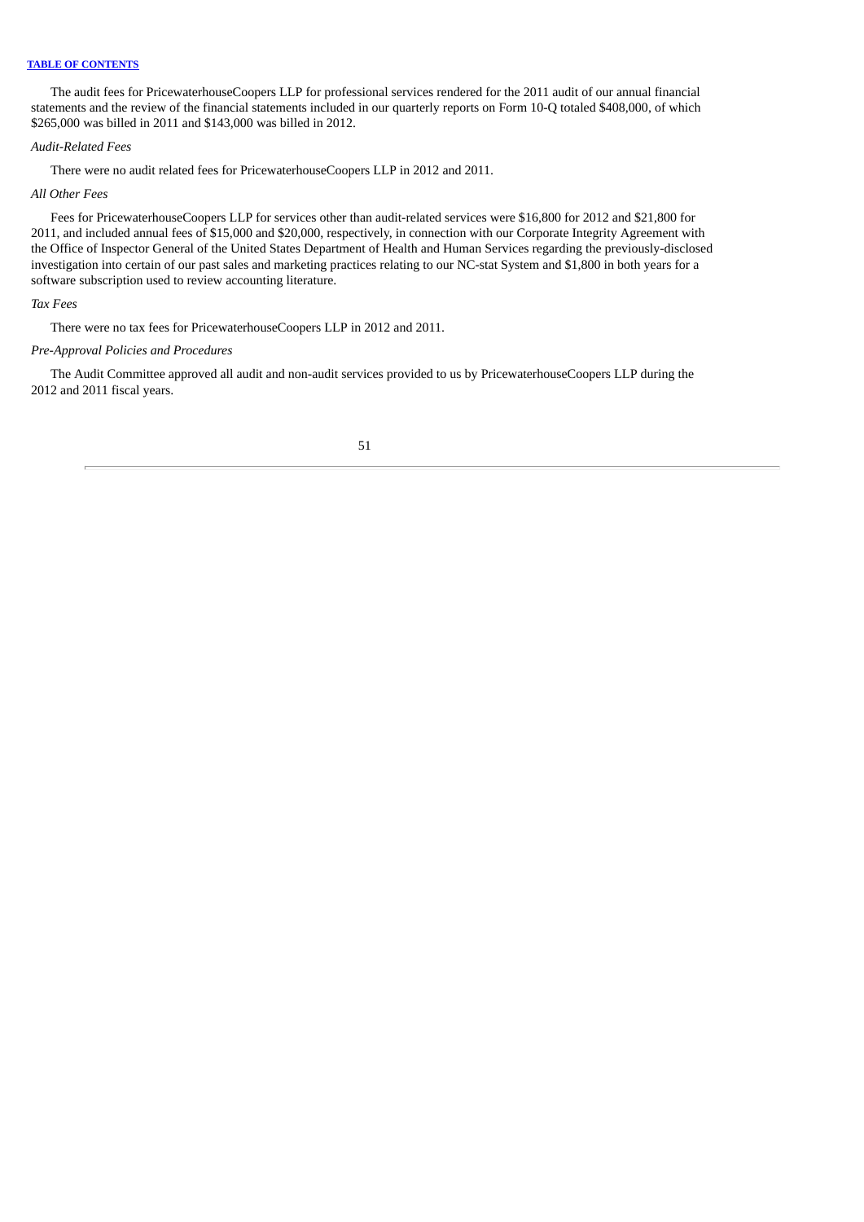The audit fees for PricewaterhouseCoopers LLP for professional services rendered for the 2011 audit of our annual financial statements and the review of the financial statements included in our quarterly reports on Form 10-Q totaled \$408,000, of which \$265,000 was billed in 2011 and \$143,000 was billed in 2012.

### *Audit-Related Fees*

There were no audit related fees for PricewaterhouseCoopers LLP in 2012 and 2011.

#### *All Other Fees*

Fees for PricewaterhouseCoopers LLP for services other than audit-related services were \$16,800 for 2012 and \$21,800 for 2011, and included annual fees of \$15,000 and \$20,000, respectively, in connection with our Corporate Integrity Agreement with the Office of Inspector General of the United States Department of Health and Human Services regarding the previously-disclosed investigation into certain of our past sales and marketing practices relating to our NC-stat System and \$1,800 in both years for a software subscription used to review accounting literature.

# *Tax Fees*

There were no tax fees for PricewaterhouseCoopers LLP in 2012 and 2011.

## *Pre-Approval Policies and Procedures*

The Audit Committee approved all audit and non-audit services provided to us by PricewaterhouseCoopers LLP during the 2012 and 2011 fiscal years.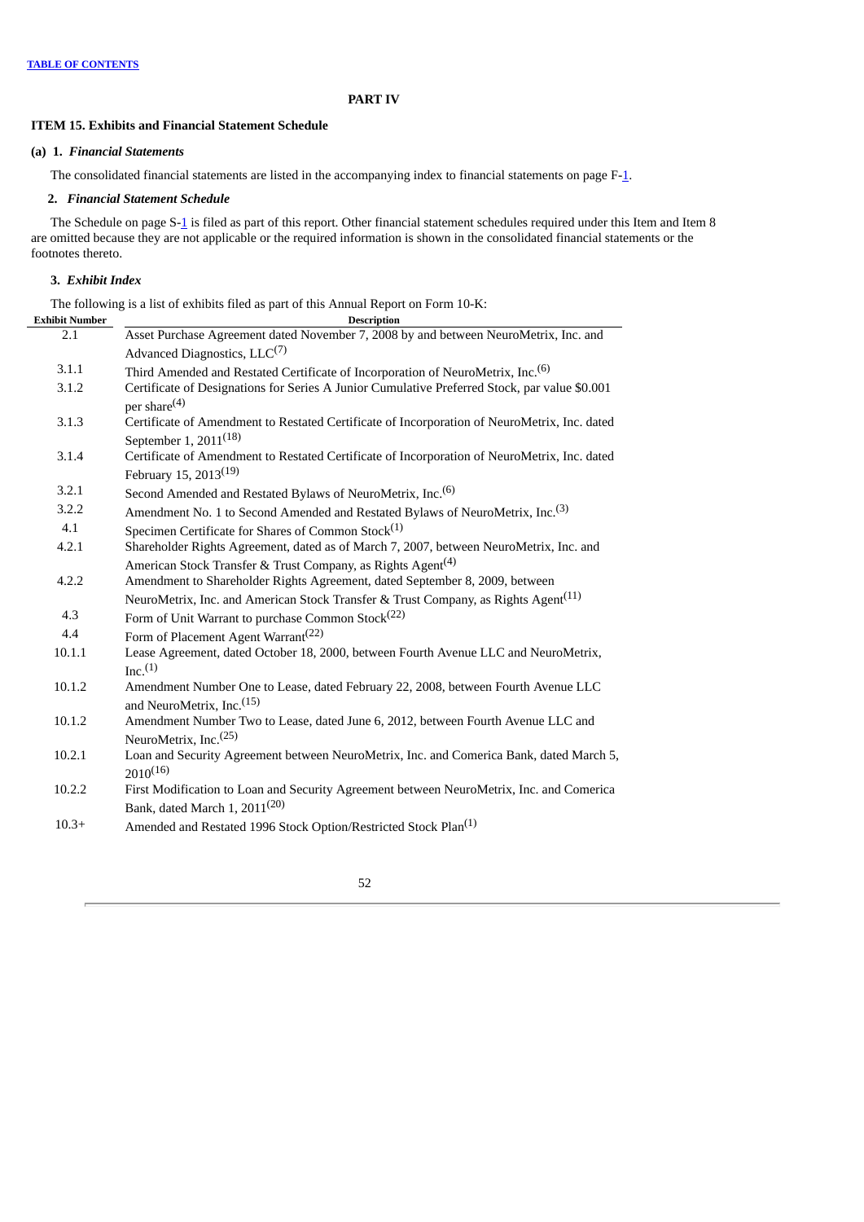# **PART IV**

# **ITEM 15. Exhibits and Financial Statement Schedule**

# **(a) 1.** *Financial Statements*

The consolidated financial statements are listed in the accompanying index to financial statements on page F-1.

# **2.** *Financial Statement Schedule*

The Schedule on page S-1 is filed as part of this report. Other financial statement schedules required under this Item and Item 8 are omitted because they are not applicable or the required information is shown in the consolidated financial statements or the footnotes thereto.

# **3.** *Exhibit Index*

The following is a list of exhibits filed as part of this Annual Report on Form 10-K:

| Exhibit Number | <b>Description</b>                                                                             |
|----------------|------------------------------------------------------------------------------------------------|
| 2.1            | Asset Purchase Agreement dated November 7, 2008 by and between NeuroMetrix, Inc. and           |
|                | Advanced Diagnostics, LLC <sup>(7)</sup>                                                       |
| 3.1.1          | Third Amended and Restated Certificate of Incorporation of NeuroMetrix, Inc. <sup>(6)</sup>    |
| 3.1.2          | Certificate of Designations for Series A Junior Cumulative Preferred Stock, par value \$0.001  |
|                | per share <sup>(4)</sup>                                                                       |
| 3.1.3          | Certificate of Amendment to Restated Certificate of Incorporation of NeuroMetrix, Inc. dated   |
|                | September 1, 2011 <sup>(18)</sup>                                                              |
| 3.1.4          | Certificate of Amendment to Restated Certificate of Incorporation of NeuroMetrix, Inc. dated   |
|                | February 15, 2013 <sup>(19)</sup>                                                              |
| 3.2.1          | Second Amended and Restated Bylaws of NeuroMetrix, Inc. <sup>(6)</sup>                         |
| 3.2.2          | Amendment No. 1 to Second Amended and Restated Bylaws of NeuroMetrix, Inc. <sup>(3)</sup>      |
| 4.1            | Specimen Certificate for Shares of Common Stock <sup>(1)</sup>                                 |
| 4.2.1          | Shareholder Rights Agreement, dated as of March 7, 2007, between NeuroMetrix, Inc. and         |
|                | American Stock Transfer & Trust Company, as Rights Agent <sup>(4)</sup>                        |
| 4.2.2          | Amendment to Shareholder Rights Agreement, dated September 8, 2009, between                    |
|                | NeuroMetrix, Inc. and American Stock Transfer & Trust Company, as Rights Agent <sup>(11)</sup> |
| 4.3            | Form of Unit Warrant to purchase Common Stock <sup>(22)</sup>                                  |
| 4.4            | Form of Placement Agent Warrant <sup>(22)</sup>                                                |
| 10.1.1         | Lease Agreement, dated October 18, 2000, between Fourth Avenue LLC and NeuroMetrix,            |
|                | Inc <sup>(1)</sup>                                                                             |
| 10.1.2         | Amendment Number One to Lease, dated February 22, 2008, between Fourth Avenue LLC              |
|                | and NeuroMetrix, Inc. <sup>(15)</sup>                                                          |
| 10.1.2         | Amendment Number Two to Lease, dated June 6, 2012, between Fourth Avenue LLC and               |
|                | NeuroMetrix, Inc. <sup>(25)</sup>                                                              |
| 10.2.1         | Loan and Security Agreement between NeuroMetrix, Inc. and Comerica Bank, dated March 5,        |
|                | $2010^{(16)}$                                                                                  |
| 10.2.2         | First Modification to Loan and Security Agreement between NeuroMetrix, Inc. and Comerica       |
|                | Bank, dated March 1, 2011 <sup>(20)</sup>                                                      |
| $10.3+$        | Amended and Restated 1996 Stock Option/Restricted Stock Plan <sup>(1)</sup>                    |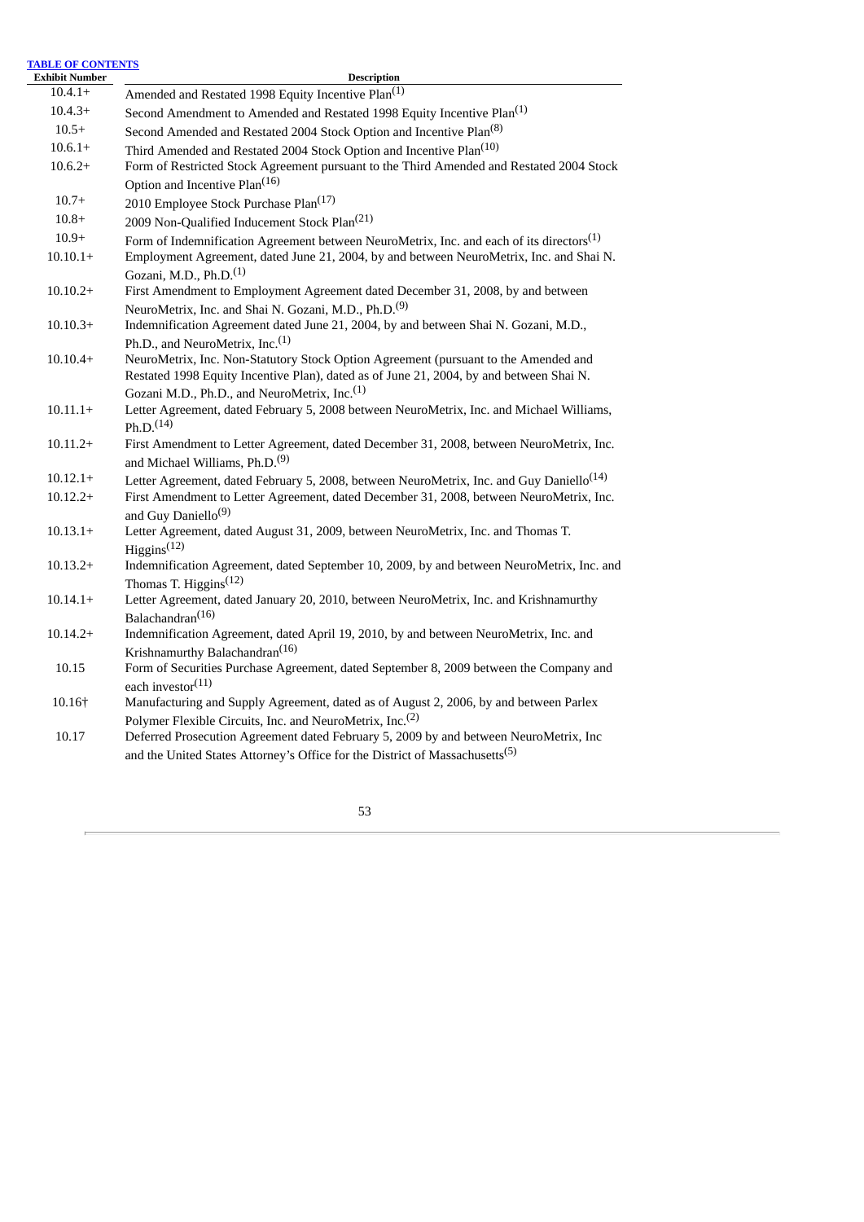| <b>TABLE OF CONTENTS</b><br><b>Exhibit Number</b> | <b>Description</b>                                                                                                                                                                                                                                        |
|---------------------------------------------------|-----------------------------------------------------------------------------------------------------------------------------------------------------------------------------------------------------------------------------------------------------------|
| $10.4.1+$                                         | Amended and Restated 1998 Equity Incentive Plan <sup>(1)</sup>                                                                                                                                                                                            |
| $10.4.3+$                                         | Second Amendment to Amended and Restated 1998 Equity Incentive Plan <sup>(1)</sup>                                                                                                                                                                        |
| $10.5+$                                           | Second Amended and Restated 2004 Stock Option and Incentive Plan <sup>(8)</sup>                                                                                                                                                                           |
| $10.6.1+$                                         | Third Amended and Restated 2004 Stock Option and Incentive Plan <sup>(10)</sup>                                                                                                                                                                           |
| $10.6.2+$                                         | Form of Restricted Stock Agreement pursuant to the Third Amended and Restated 2004 Stock<br>Option and Incentive Plan <sup>(16)</sup>                                                                                                                     |
| $10.7+$                                           | 2010 Employee Stock Purchase Plan <sup>(17)</sup>                                                                                                                                                                                                         |
| $10.8+$                                           | 2009 Non-Qualified Inducement Stock Plan <sup>(21)</sup>                                                                                                                                                                                                  |
| $10.9+$                                           | Form of Indemnification Agreement between NeuroMetrix, Inc. and each of its directors <sup>(1)</sup>                                                                                                                                                      |
| $10.10.1+$                                        | Employment Agreement, dated June 21, 2004, by and between NeuroMetrix, Inc. and Shai N.<br>Gozani, M.D., Ph.D. $^{(1)}$                                                                                                                                   |
| $10.10.2+$                                        | First Amendment to Employment Agreement dated December 31, 2008, by and between<br>NeuroMetrix, Inc. and Shai N. Gozani, M.D., Ph.D. <sup>(9)</sup>                                                                                                       |
| $10.10.3+$                                        | Indemnification Agreement dated June 21, 2004, by and between Shai N. Gozani, M.D.,<br>Ph.D., and NeuroMetrix, Inc. <sup>(1)</sup>                                                                                                                        |
| $10.10.4+$                                        | NeuroMetrix, Inc. Non-Statutory Stock Option Agreement (pursuant to the Amended and<br>Restated 1998 Equity Incentive Plan), dated as of June 21, 2004, by and between Shai N.                                                                            |
| $10.11.1+$                                        | Gozani M.D., Ph.D., and NeuroMetrix, Inc. <sup>(1)</sup><br>Letter Agreement, dated February 5, 2008 between NeuroMetrix, Inc. and Michael Williams,<br>Ph.D. <sup>(14)</sup>                                                                             |
| $10.11.2+$                                        | First Amendment to Letter Agreement, dated December 31, 2008, between NeuroMetrix, Inc.<br>and Michael Williams, Ph.D. <sup>(9)</sup>                                                                                                                     |
| $10.12.1+$                                        | Letter Agreement, dated February 5, 2008, between NeuroMetrix, Inc. and Guy Daniello <sup>(14)</sup>                                                                                                                                                      |
| $10.12.2+$                                        | First Amendment to Letter Agreement, dated December 31, 2008, between NeuroMetrix, Inc.<br>and Guy Daniello <sup>(9)</sup>                                                                                                                                |
| $10.13.1+$                                        | Letter Agreement, dated August 31, 2009, between NeuroMetrix, Inc. and Thomas T.<br>Higgsins <sup>(12)</sup>                                                                                                                                              |
| $10.13.2+$                                        | Indemnification Agreement, dated September 10, 2009, by and between NeuroMetrix, Inc. and<br>Thomas T. Higgins <sup>(12)</sup>                                                                                                                            |
| $10.14.1+$                                        | Letter Agreement, dated January 20, 2010, between NeuroMetrix, Inc. and Krishnamurthy<br>Balachandran <sup>(16)</sup>                                                                                                                                     |
| $10.14.2+$                                        | Indemnification Agreement, dated April 19, 2010, by and between NeuroMetrix, Inc. and                                                                                                                                                                     |
| 10.15                                             | Krishnamurthy Balachandran <sup>(16)</sup><br>Form of Securities Purchase Agreement, dated September 8, 2009 between the Company and                                                                                                                      |
| 10.16+                                            | each investor <sup>(11)</sup><br>Manufacturing and Supply Agreement, dated as of August 2, 2006, by and between Parlex                                                                                                                                    |
| 10.17                                             | Polymer Flexible Circuits, Inc. and NeuroMetrix, Inc. <sup>(2)</sup><br>Deferred Prosecution Agreement dated February 5, 2009 by and between NeuroMetrix, Inc<br>and the United States Attorney's Office for the District of Massachusetts <sup>(5)</sup> |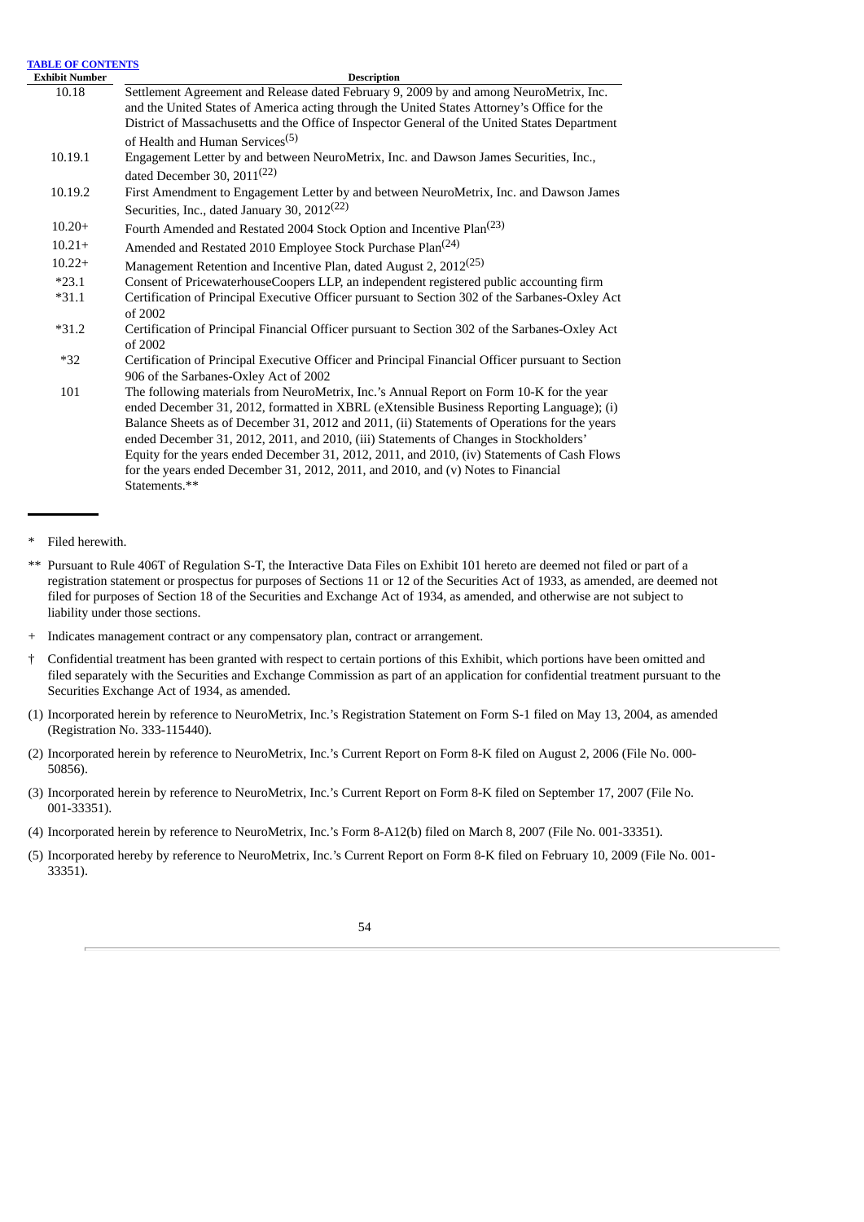| <b>TABLE OF CONTENTS</b> |                                                                                                  |
|--------------------------|--------------------------------------------------------------------------------------------------|
| <b>Exhibit Number</b>    | <b>Description</b>                                                                               |
| 10.18                    | Settlement Agreement and Release dated February 9, 2009 by and among NeuroMetrix, Inc.           |
|                          | and the United States of America acting through the United States Attorney's Office for the      |
|                          | District of Massachusetts and the Office of Inspector General of the United States Department    |
|                          | of Health and Human Services <sup>(5)</sup>                                                      |
| 10.19.1                  | Engagement Letter by and between NeuroMetrix, Inc. and Dawson James Securities, Inc.,            |
|                          | dated December 30, 2011 <sup>(22)</sup>                                                          |
| 10.19.2                  | First Amendment to Engagement Letter by and between NeuroMetrix, Inc. and Dawson James           |
|                          | Securities, Inc., dated January 30, 2012 <sup>(22)</sup>                                         |
| $10.20+$                 | Fourth Amended and Restated 2004 Stock Option and Incentive Plan <sup>(23)</sup>                 |
| $10.21+$                 | Amended and Restated 2010 Employee Stock Purchase Plan <sup>(24)</sup>                           |
| $10.22+$                 | Management Retention and Incentive Plan, dated August 2, 2012 <sup>(25)</sup>                    |
| $*23.1$                  | Consent of PricewaterhouseCoopers LLP, an independent registered public accounting firm          |
| $*31.1$                  | Certification of Principal Executive Officer pursuant to Section 302 of the Sarbanes-Oxley Act   |
|                          | of 2002                                                                                          |
| $*31.2$                  | Certification of Principal Financial Officer pursuant to Section 302 of the Sarbanes-Oxley Act   |
|                          | of 2002                                                                                          |
| $*32$                    | Certification of Principal Executive Officer and Principal Financial Officer pursuant to Section |
|                          | 906 of the Sarbanes-Oxley Act of 2002                                                            |
| 101                      | The following materials from NeuroMetrix, Inc.'s Annual Report on Form 10-K for the year         |
|                          | ended December 31, 2012, formatted in XBRL (eXtensible Business Reporting Language); (i)         |
|                          | Balance Sheets as of December 31, 2012 and 2011, (ii) Statements of Operations for the years     |
|                          | ended December 31, 2012, 2011, and 2010, (iii) Statements of Changes in Stockholders'            |
|                          | Equity for the years ended December 31, 2012, 2011, and 2010, (iv) Statements of Cash Flows      |
|                          | for the years ended December 31, 2012, 2011, and 2010, and (v) Notes to Financial                |
|                          | Statements.**                                                                                    |

Filed herewith.

- \*\* Pursuant to Rule 406T of Regulation S-T, the Interactive Data Files on Exhibit 101 hereto are deemed not filed or part of a registration statement or prospectus for purposes of Sections 11 or 12 of the Securities Act of 1933, as amended, are deemed not filed for purposes of Section 18 of the Securities and Exchange Act of 1934, as amended, and otherwise are not subject to liability under those sections.
- + Indicates management contract or any compensatory plan, contract or arrangement.
- † Confidential treatment has been granted with respect to certain portions of this Exhibit, which portions have been omitted and filed separately with the Securities and Exchange Commission as part of an application for confidential treatment pursuant to the Securities Exchange Act of 1934, as amended.
- (1) Incorporated herein by reference to NeuroMetrix, Inc.'s Registration Statement on Form S-1 filed on May 13, 2004, as amended (Registration No. 333-115440).
- (2) Incorporated herein by reference to NeuroMetrix, Inc.'s Current Report on Form 8-K filed on August 2, 2006 (File No. 000- 50856).
- (3) Incorporated herein by reference to NeuroMetrix, Inc.'s Current Report on Form 8-K filed on September 17, 2007 (File No. 001-33351).
- (4) Incorporated herein by reference to NeuroMetrix, Inc.'s Form 8-A12(b) filed on March 8, 2007 (File No. 001-33351).
- (5) Incorporated hereby by reference to NeuroMetrix, Inc.'s Current Report on Form 8-K filed on February 10, 2009 (File No. 001- 33351).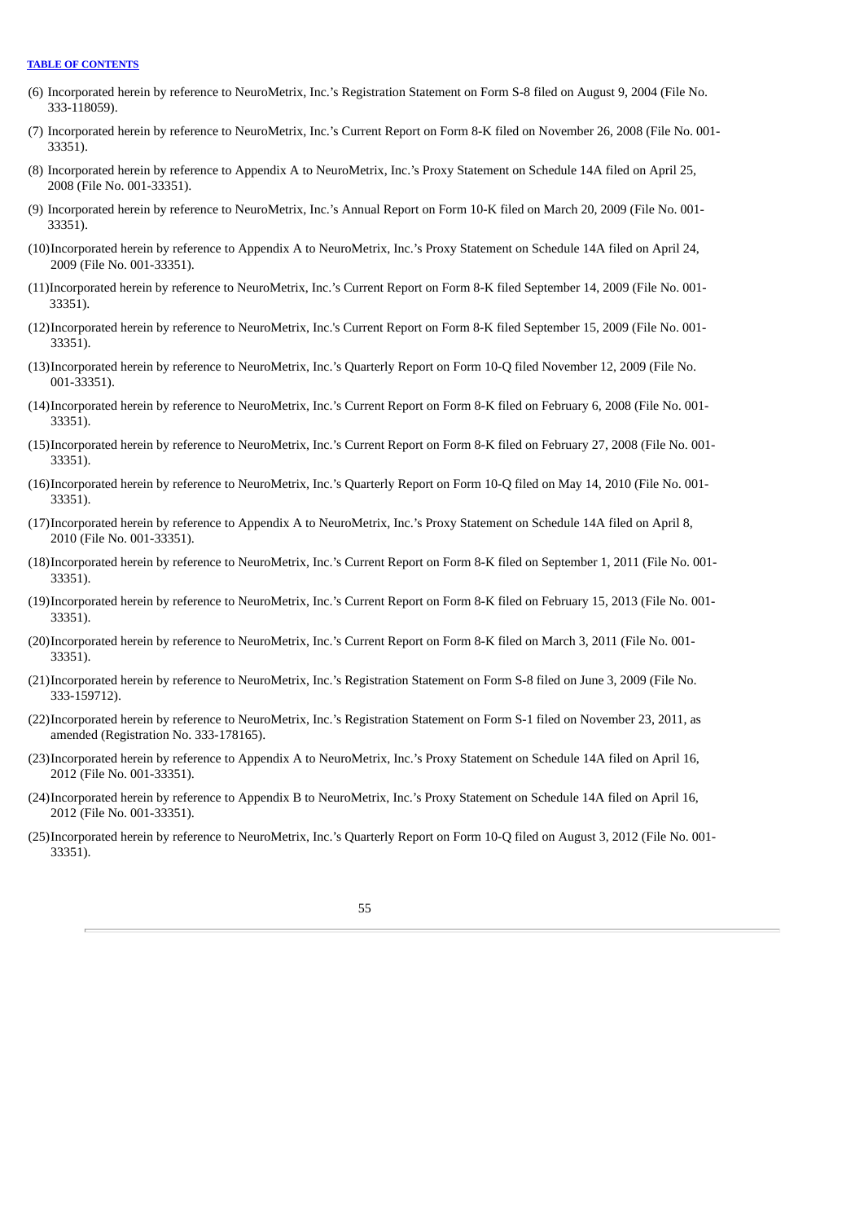- (6) Incorporated herein by reference to NeuroMetrix, Inc.'s Registration Statement on Form S-8 filed on August 9, 2004 (File No. 333-118059).
- (7) Incorporated herein by reference to NeuroMetrix, Inc.'s Current Report on Form 8-K filed on November 26, 2008 (File No. 001- 33351).
- (8) Incorporated herein by reference to Appendix A to NeuroMetrix, Inc.'s Proxy Statement on Schedule 14A filed on April 25, 2008 (File No. 001-33351).
- (9) Incorporated herein by reference to NeuroMetrix, Inc.'s Annual Report on Form 10-K filed on March 20, 2009 (File No. 001- 33351).
- (10)Incorporated herein by reference to Appendix A to NeuroMetrix, Inc.'s Proxy Statement on Schedule 14A filed on April 24, 2009 (File No. 001-33351).
- (11)Incorporated herein by reference to NeuroMetrix, Inc.'s Current Report on Form 8-K filed September 14, 2009 (File No. 001- 33351).
- (12)Incorporated herein by reference to NeuroMetrix, Inc.'s Current Report on Form 8-K filed September 15, 2009 (File No. 001- 33351).
- (13)Incorporated herein by reference to NeuroMetrix, Inc.'s Quarterly Report on Form 10-Q filed November 12, 2009 (File No. 001-33351).
- (14)Incorporated herein by reference to NeuroMetrix, Inc.'s Current Report on Form 8-K filed on February 6, 2008 (File No. 001- 33351).
- (15)Incorporated herein by reference to NeuroMetrix, Inc.'s Current Report on Form 8-K filed on February 27, 2008 (File No. 001- 33351).
- (16)Incorporated herein by reference to NeuroMetrix, Inc.'s Quarterly Report on Form 10-Q filed on May 14, 2010 (File No. 001- 33351).
- (17)Incorporated herein by reference to Appendix A to NeuroMetrix, Inc.'s Proxy Statement on Schedule 14A filed on April 8, 2010 (File No. 001-33351).
- (18)Incorporated herein by reference to NeuroMetrix, Inc.'s Current Report on Form 8-K filed on September 1, 2011 (File No. 001- 33351).
- (19)Incorporated herein by reference to NeuroMetrix, Inc.'s Current Report on Form 8-K filed on February 15, 2013 (File No. 001- 33351).
- (20)Incorporated herein by reference to NeuroMetrix, Inc.'s Current Report on Form 8-K filed on March 3, 2011 (File No. 001- 33351).
- (21)Incorporated herein by reference to NeuroMetrix, Inc.'s Registration Statement on Form S-8 filed on June 3, 2009 (File No. 333-159712).
- (22)Incorporated herein by reference to NeuroMetrix, Inc.'s Registration Statement on Form S-1 filed on November 23, 2011, as amended (Registration No. 333-178165).
- (23)Incorporated herein by reference to Appendix A to NeuroMetrix, Inc.'s Proxy Statement on Schedule 14A filed on April 16, 2012 (File No. 001-33351).
- (24)Incorporated herein by reference to Appendix B to NeuroMetrix, Inc.'s Proxy Statement on Schedule 14A filed on April 16, 2012 (File No. 001-33351).
- (25)Incorporated herein by reference to NeuroMetrix, Inc.'s Quarterly Report on Form 10-Q filed on August 3, 2012 (File No. 001- 33351).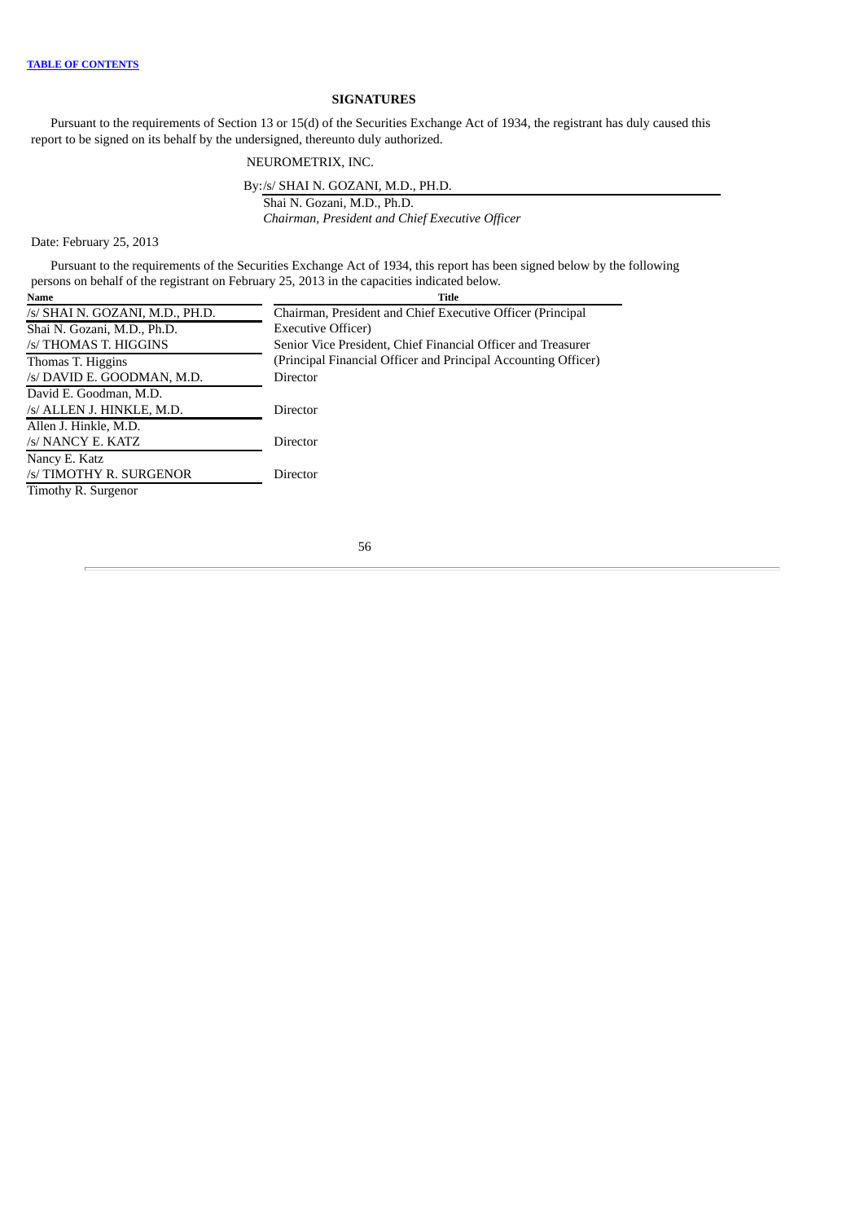# **SIGNATURES**

Pursuant to the requirements of Section 13 or 15(d) of the Securities Exchange Act of 1934, the registrant has duly caused this report to be signed on its behalf by the undersigned, thereunto duly authorized.

# NEUROMETRIX, INC.

By:/s/ SHAI N. GOZANI, M.D., PH.D.

Shai N. Gozani, M.D., Ph.D. *Chairman, President and Chief Executive Officer*

Date: February 25, 2013

Pursuant to the requirements of the Securities Exchange Act of 1934, this report has been signed below by the following persons on behalf of the registrant on February 25, 2013 in the capacities indicated below.

| Name                            | <b>Title</b>                                                   |
|---------------------------------|----------------------------------------------------------------|
| /s/ SHAI N. GOZANI, M.D., PH.D. | Chairman, President and Chief Executive Officer (Principal     |
| Shai N. Gozani, M.D., Ph.D.     | <b>Executive Officer)</b>                                      |
| /s/ THOMAS T. HIGGINS           | Senior Vice President, Chief Financial Officer and Treasurer   |
| Thomas T. Higgins               | (Principal Financial Officer and Principal Accounting Officer) |
| /s/ DAVID E. GOODMAN, M.D.      | Director                                                       |
| David E. Goodman, M.D.          |                                                                |
| /s/ ALLEN J. HINKLE, M.D.       | Director                                                       |
| Allen J. Hinkle, M.D.           |                                                                |
| /s/ NANCY E. KATZ               | Director                                                       |
| Nancy E. Katz                   |                                                                |
| /s/ TIMOTHY R. SURGENOR         | Director                                                       |
| Timothy R. Surgenor             |                                                                |
|                                 |                                                                |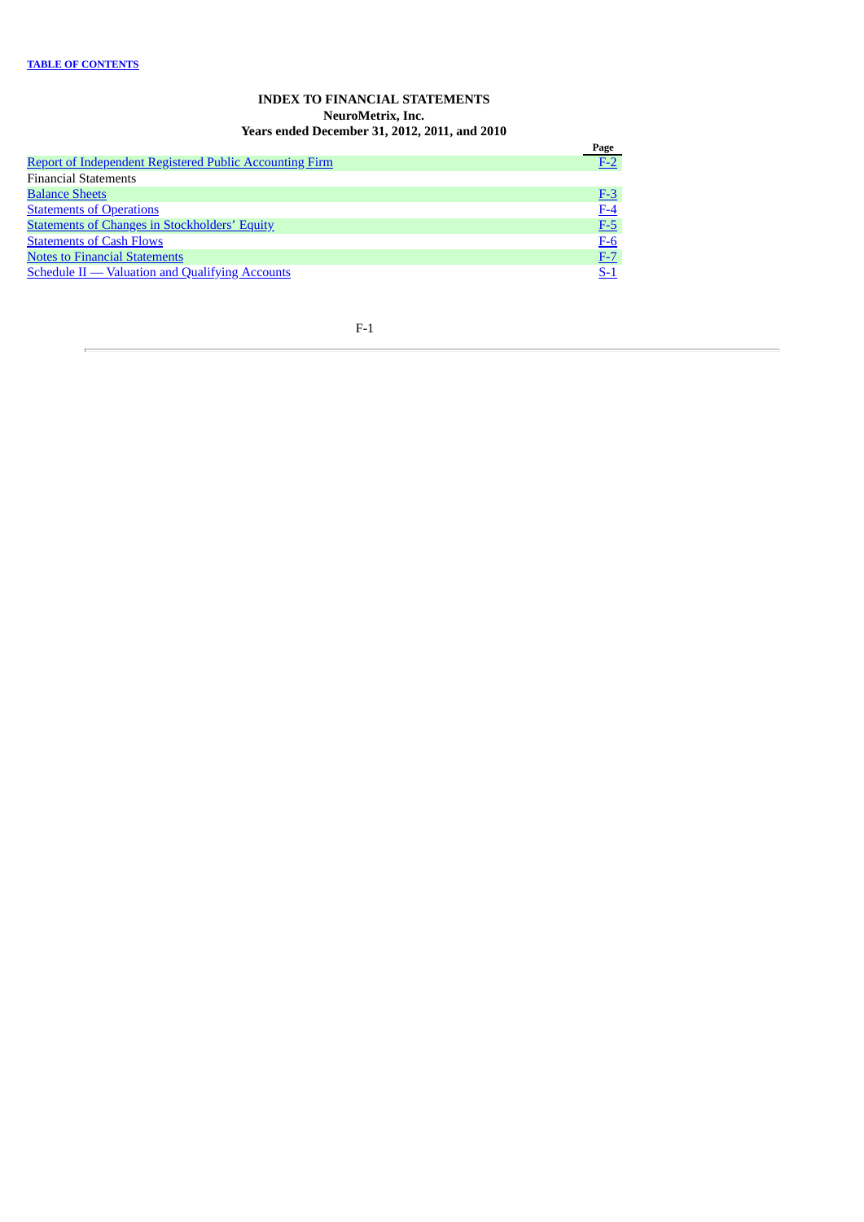# **INDEX TO FINANCIAL STATEMENTS NeuroMetrix, Inc. Years ended December 31, 2012, 2011, and 2010**

|                                                                | Page  |
|----------------------------------------------------------------|-------|
| <b>Report of Independent Registered Public Accounting Firm</b> | $F-2$ |
| <b>Financial Statements</b>                                    |       |
| <b>Balance Sheets</b>                                          | $F-3$ |
| <b>Statements of Operations</b>                                | $F-4$ |
| <b>Statements of Changes in Stockholders' Equity</b>           | $F-5$ |
| <b>Statements of Cash Flows</b>                                | $F-6$ |
| <b>Notes to Financial Statements</b>                           | $F-7$ |
| <b>Schedule II - Valuation and Qualifying Accounts</b>         | $S-1$ |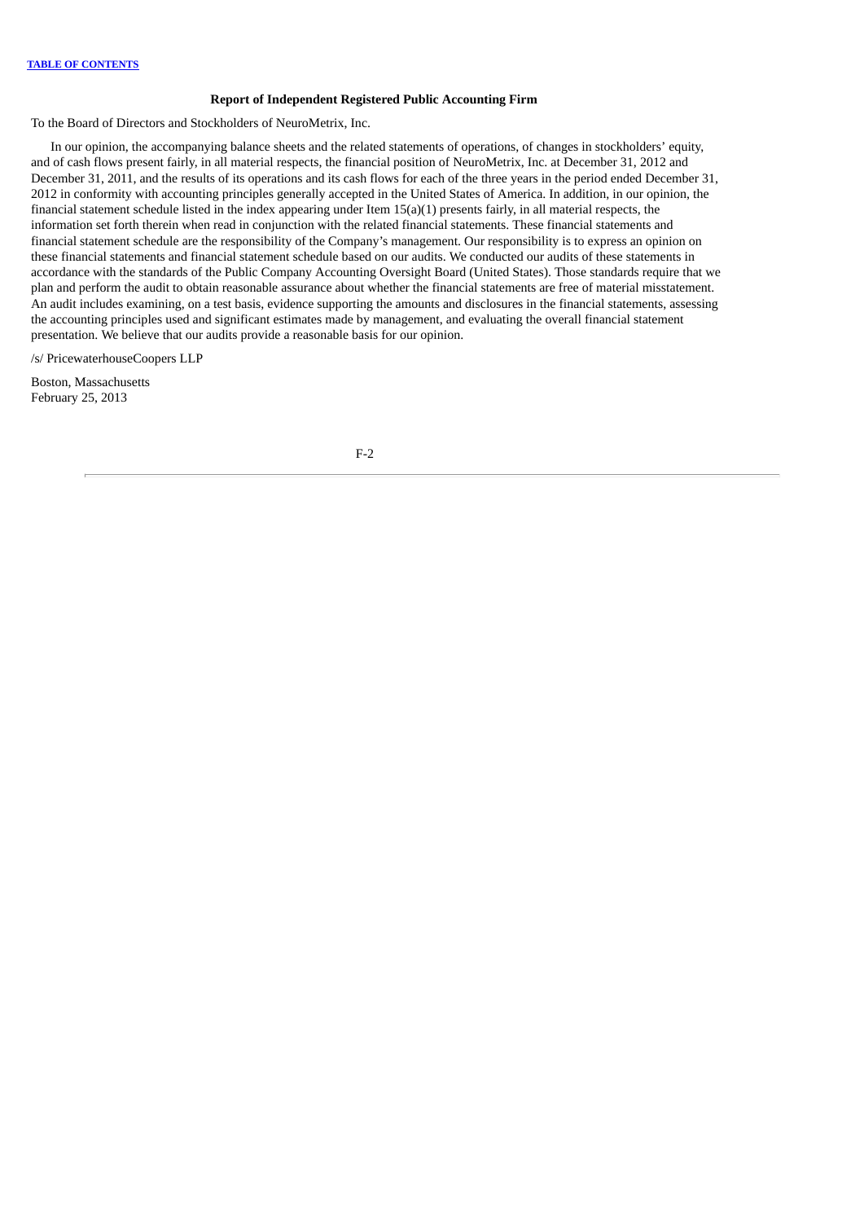#### **Report of Independent Registered Public Accounting Firm**

To the Board of Directors and Stockholders of NeuroMetrix, Inc.

In our opinion, the accompanying balance sheets and the related statements of operations, of changes in stockholders' equity, and of cash flows present fairly, in all material respects, the financial position of NeuroMetrix, Inc. at December 31, 2012 and December 31, 2011, and the results of its operations and its cash flows for each of the three years in the period ended December 31, 2012 in conformity with accounting principles generally accepted in the United States of America. In addition, in our opinion, the financial statement schedule listed in the index appearing under Item 15(a)(1) presents fairly, in all material respects, the information set forth therein when read in conjunction with the related financial statements. These financial statements and financial statement schedule are the responsibility of the Company's management. Our responsibility is to express an opinion on these financial statements and financial statement schedule based on our audits. We conducted our audits of these statements in accordance with the standards of the Public Company Accounting Oversight Board (United States). Those standards require that we plan and perform the audit to obtain reasonable assurance about whether the financial statements are free of material misstatement. An audit includes examining, on a test basis, evidence supporting the amounts and disclosures in the financial statements, assessing the accounting principles used and significant estimates made by management, and evaluating the overall financial statement presentation. We believe that our audits provide a reasonable basis for our opinion.

/s/ PricewaterhouseCoopers LLP

Boston, Massachusetts February 25, 2013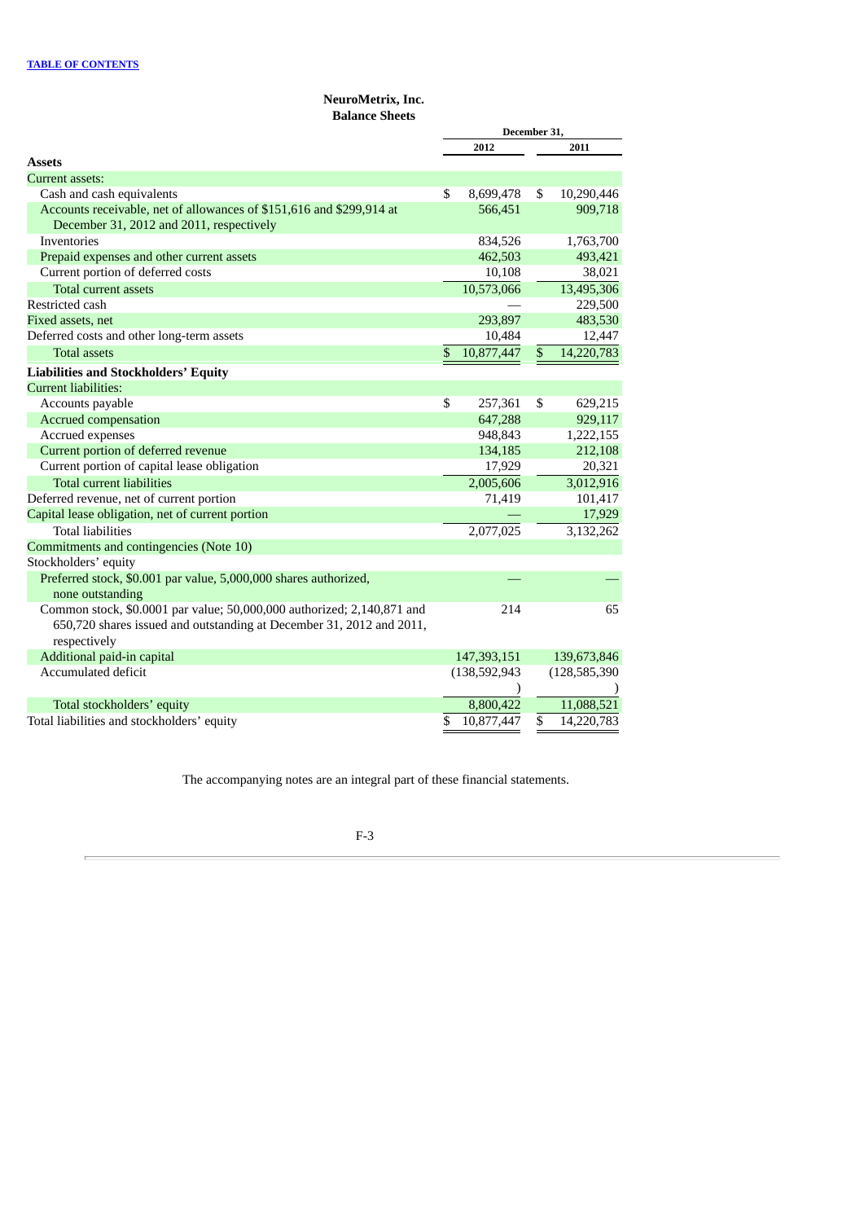# **NeuroMetrix, Inc.**

**Balance Sheets**

|                                                                                                                                                                | December 31,     |                  |
|----------------------------------------------------------------------------------------------------------------------------------------------------------------|------------------|------------------|
|                                                                                                                                                                | 2012             | 2011             |
| <b>Assets</b>                                                                                                                                                  |                  |                  |
| Current assets:                                                                                                                                                |                  |                  |
| Cash and cash equivalents                                                                                                                                      | \$<br>8,699,478  | \$<br>10,290,446 |
| Accounts receivable, net of allowances of \$151,616 and \$299,914 at<br>December 31, 2012 and 2011, respectively                                               | 566,451          | 909,718          |
| Inventories                                                                                                                                                    | 834,526          | 1,763,700        |
| Prepaid expenses and other current assets                                                                                                                      | 462,503          | 493,421          |
| Current portion of deferred costs                                                                                                                              | 10,108           | 38,021           |
| <b>Total current assets</b>                                                                                                                                    | 10,573,066       | 13,495,306       |
| Restricted cash                                                                                                                                                |                  | 229,500          |
| Fixed assets, net                                                                                                                                              | 293,897          | 483,530          |
| Deferred costs and other long-term assets                                                                                                                      | 10,484           | 12,447           |
| <b>Total assets</b>                                                                                                                                            | \$<br>10,877,447 | \$<br>14,220,783 |
| <b>Liabilities and Stockholders' Equity</b>                                                                                                                    |                  |                  |
| <b>Current liabilities:</b>                                                                                                                                    |                  |                  |
| Accounts payable                                                                                                                                               | \$<br>257,361    | \$<br>629,215    |
| Accrued compensation                                                                                                                                           | 647,288          | 929,117          |
| Accrued expenses                                                                                                                                               | 948,843          | 1,222,155        |
| Current portion of deferred revenue                                                                                                                            | 134,185          | 212,108          |
| Current portion of capital lease obligation                                                                                                                    | 17,929           | 20,321           |
| <b>Total current liabilities</b>                                                                                                                               | 2,005,606        | 3,012,916        |
| Deferred revenue, net of current portion                                                                                                                       | 71,419           | 101,417          |
| Capital lease obligation, net of current portion                                                                                                               |                  | 17,929           |
| <b>Total liabilities</b>                                                                                                                                       | 2,077,025        | 3,132,262        |
| Commitments and contingencies (Note 10)                                                                                                                        |                  |                  |
| Stockholders' equity                                                                                                                                           |                  |                  |
| Preferred stock, \$0.001 par value, 5,000,000 shares authorized,                                                                                               |                  |                  |
| none outstanding                                                                                                                                               |                  |                  |
| Common stock, \$0.0001 par value; 50,000,000 authorized; 2,140,871 and<br>650,720 shares issued and outstanding at December 31, 2012 and 2011,<br>respectively | 214              | 65               |
| Additional paid-in capital                                                                                                                                     | 147,393,151      | 139,673,846      |
| Accumulated deficit                                                                                                                                            | (138, 592, 943)  | (128,585,390)    |
|                                                                                                                                                                |                  |                  |
| Total stockholders' equity                                                                                                                                     | 8,800,422        | 11,088,521       |
| Total liabilities and stockholders' equity                                                                                                                     | \$<br>10,877,447 | \$<br>14,220,783 |

The accompanying notes are an integral part of these financial statements.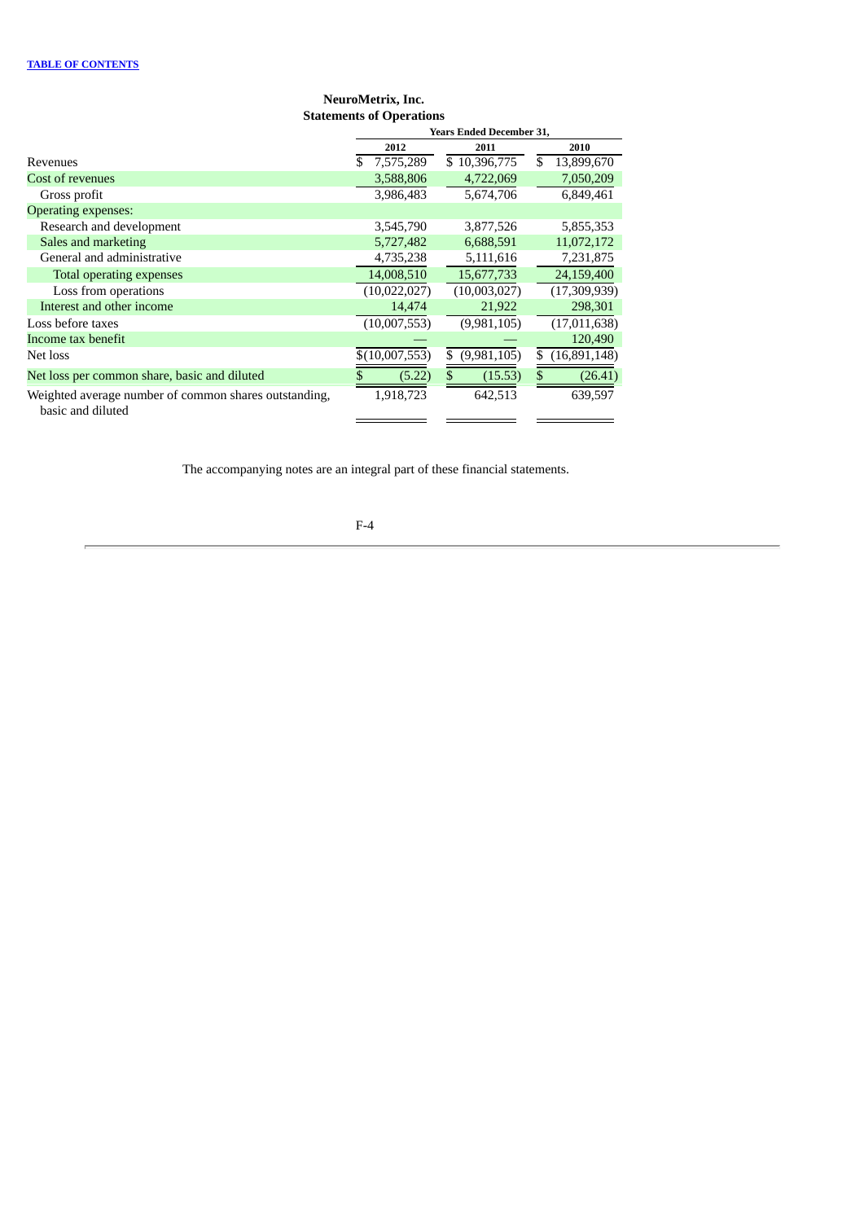## **NeuroMetrix, Inc. Statements of Operations**

|                                                                            | <b>Years Ended December 31,</b> |                   |                    |  |  |  |
|----------------------------------------------------------------------------|---------------------------------|-------------------|--------------------|--|--|--|
|                                                                            | 2012                            | 2011              | 2010               |  |  |  |
| Revenues                                                                   | 7,575,289                       | \$10,396,775      | \$<br>13,899,670   |  |  |  |
| Cost of revenues                                                           | 3,588,806                       | 4,722,069         | 7,050,209          |  |  |  |
| Gross profit                                                               | 3,986,483                       | 5,674,706         | 6,849,461          |  |  |  |
| <b>Operating expenses:</b>                                                 |                                 |                   |                    |  |  |  |
| Research and development                                                   | 3,545,790                       | 3,877,526         | 5,855,353          |  |  |  |
| Sales and marketing                                                        | 5,727,482                       | 6,688,591         | 11,072,172         |  |  |  |
| General and administrative                                                 | 4,735,238                       | 5,111,616         | 7,231,875          |  |  |  |
| <b>Total operating expenses</b>                                            | 14,008,510                      | 15,677,733        | 24,159,400         |  |  |  |
| Loss from operations                                                       | (10,022,027)                    | (10,003,027)      | (17,309,939)       |  |  |  |
| Interest and other income                                                  | 14,474                          | 21,922            | 298,301            |  |  |  |
| Loss before taxes                                                          | (10,007,553)                    | (9,981,105)       | (17,011,638)       |  |  |  |
| Income tax benefit                                                         |                                 |                   | 120,490            |  |  |  |
| Net loss                                                                   | \$(10,007,553)                  | \$<br>(9,981,105) | \$<br>(16,891,148) |  |  |  |
| Net loss per common share, basic and diluted                               | (5.22)                          | \$<br>(15.53)     | \$<br>(26.41)      |  |  |  |
| Weighted average number of common shares outstanding,<br>basic and diluted | 1,918,723                       | 642,513           | 639,597            |  |  |  |

The accompanying notes are an integral part of these financial statements.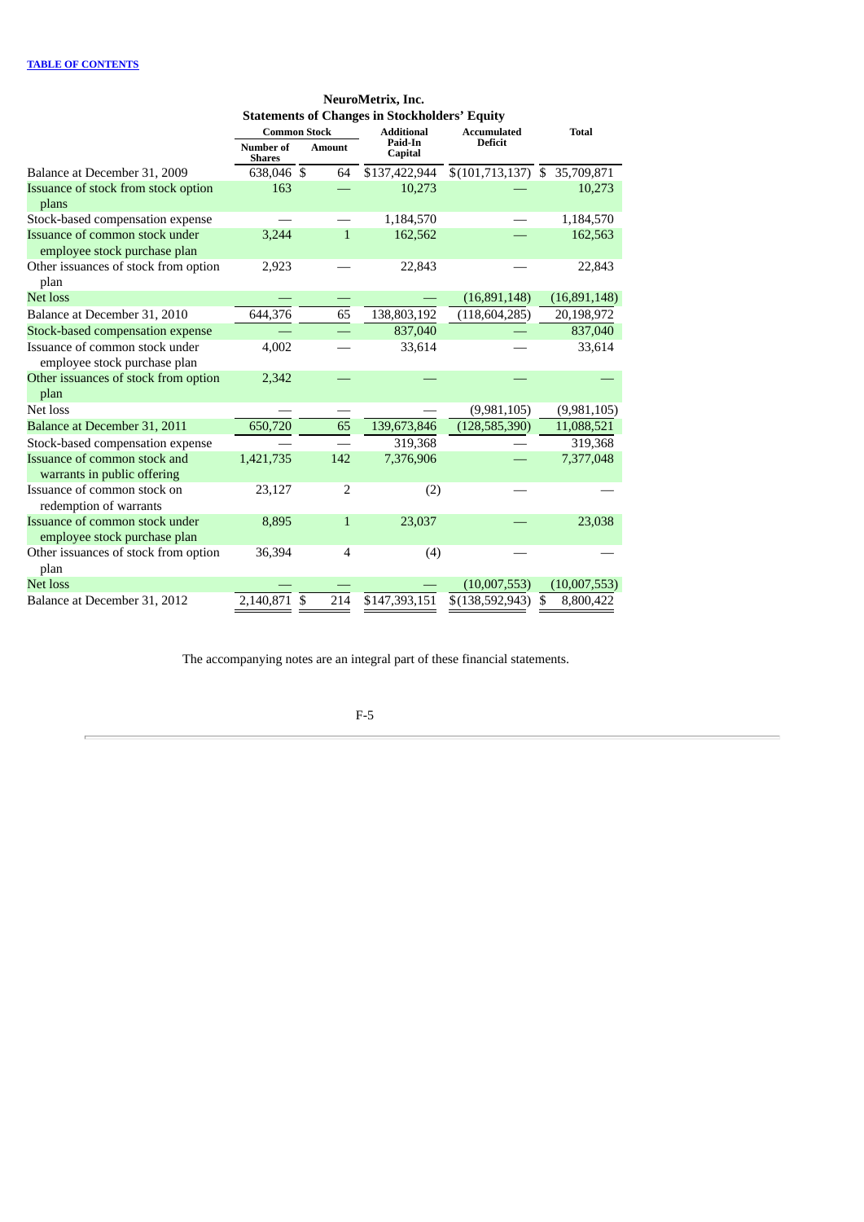|                                                                | <b>Statements of Changes in Stockholders' Equity</b> |  |                |                    |                      |    |              |  |
|----------------------------------------------------------------|------------------------------------------------------|--|----------------|--------------------|----------------------|----|--------------|--|
|                                                                | <b>Common Stock</b>                                  |  |                | <b>Additional</b>  | Accumulated          |    | <b>Total</b> |  |
|                                                                | Number of<br><b>Shares</b>                           |  | <b>Amount</b>  | Paid-In<br>Capital | <b>Deficit</b>       |    |              |  |
| Balance at December 31, 2009                                   | 638,046 \$                                           |  | 64             | \$137,422,944      | $$(101,713,137)$ \\$ |    | 35,709,871   |  |
| Issuance of stock from stock option<br>plans                   | 163                                                  |  |                | 10,273             |                      |    | 10,273       |  |
| Stock-based compensation expense                               |                                                      |  |                | 1,184,570          |                      |    | 1,184,570    |  |
| Issuance of common stock under<br>employee stock purchase plan | 3,244                                                |  | $\mathbf{1}$   | 162,562            |                      |    | 162,563      |  |
| Other issuances of stock from option<br>plan                   | 2,923                                                |  |                | 22,843             |                      |    | 22,843       |  |
| <b>Net loss</b>                                                |                                                      |  |                |                    | (16,891,148)         |    | (16,891,148) |  |
| Balance at December 31, 2010                                   | 644,376                                              |  | 65             | 138,803,192        | (118, 604, 285)      |    | 20,198,972   |  |
| <b>Stock-based compensation expense</b>                        |                                                      |  |                | 837,040            |                      |    | 837,040      |  |
| Issuance of common stock under<br>employee stock purchase plan | 4,002                                                |  |                | 33,614             |                      |    | 33,614       |  |
| Other issuances of stock from option<br>plan                   | 2,342                                                |  |                |                    |                      |    |              |  |
| Net loss                                                       |                                                      |  |                |                    | (9,981,105)          |    | (9,981,105)  |  |
| Balance at December 31, 2011                                   | 650,720                                              |  | 65             | 139,673,846        | (128, 585, 390)      |    | 11,088,521   |  |
| Stock-based compensation expense                               |                                                      |  |                | 319,368            |                      |    | 319,368      |  |
| Issuance of common stock and<br>warrants in public offering    | 1,421,735                                            |  | 142            | 7,376,906          |                      |    | 7,377,048    |  |
| Issuance of common stock on<br>redemption of warrants          | 23,127                                               |  | 2              | (2)                |                      |    |              |  |
| Issuance of common stock under<br>employee stock purchase plan | 8,895                                                |  | $\mathbf{1}$   | 23,037             |                      |    | 23,038       |  |
| Other issuances of stock from option<br>plan                   | 36,394                                               |  | $\overline{4}$ | (4)                |                      |    |              |  |
| <b>Net loss</b>                                                |                                                      |  |                |                    | (10,007,553)         |    | (10,007,553) |  |
| Balance at December 31, 2012                                   | 2.140.871 \$                                         |  | 214            | \$147,393,151      | \$(138, 592, 943)    | \$ | 8,800,422    |  |

**NeuroMetrix, Inc.**

The accompanying notes are an integral part of these financial statements.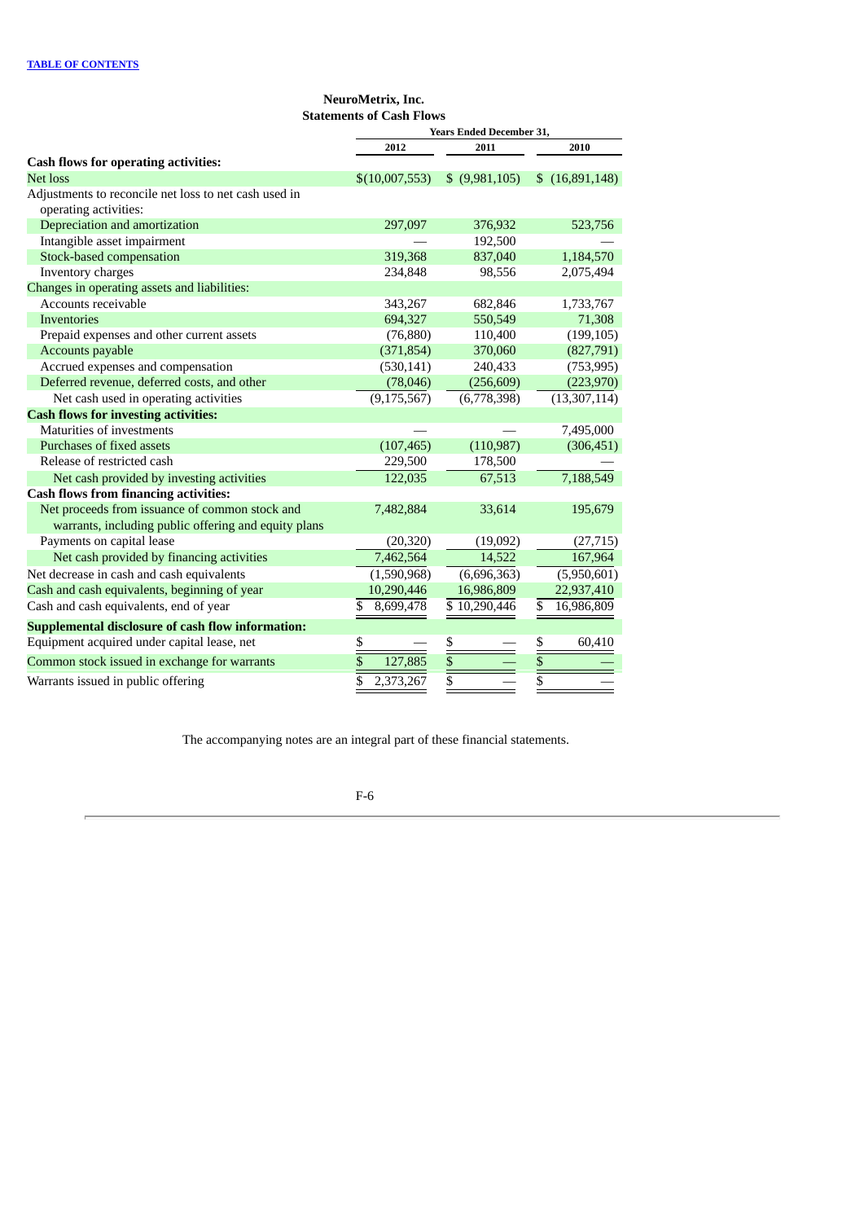| NeuroMetrix, Inc.<br><b>Statements of Cash Flows</b>     |                                 |                 |                            |  |
|----------------------------------------------------------|---------------------------------|-----------------|----------------------------|--|
|                                                          | <b>Years Ended December 31,</b> |                 |                            |  |
|                                                          | 2012                            | 2011            | 2010                       |  |
| <b>Cash flows for operating activities:</b>              |                                 |                 |                            |  |
| Net loss                                                 | \$(10,007,553)                  | $$$ (9,981,105) | \$(16,891,148)             |  |
| Adjustments to reconcile net loss to net cash used in    |                                 |                 |                            |  |
| operating activities:                                    |                                 |                 |                            |  |
| Depreciation and amortization                            | 297,097                         | 376,932         | 523,756                    |  |
| Intangible asset impairment                              |                                 | 192,500         |                            |  |
| Stock-based compensation                                 | 319,368                         | 837,040         | 1,184,570                  |  |
| Inventory charges                                        | 234,848                         | 98,556          | 2,075,494                  |  |
| Changes in operating assets and liabilities:             |                                 |                 |                            |  |
| Accounts receivable                                      | 343,267                         | 682,846         | 1,733,767                  |  |
| Inventories                                              | 694,327                         | 550,549         | 71,308                     |  |
| Prepaid expenses and other current assets                | (76, 880)                       | 110,400         | (199, 105)                 |  |
| Accounts payable                                         | (371, 854)                      | 370,060         | (827,791)                  |  |
| Accrued expenses and compensation                        | (530, 141)                      | 240,433         | (753, 995)                 |  |
| Deferred revenue, deferred costs, and other              | (78, 046)                       | (256, 609)      | (223,970)                  |  |
| Net cash used in operating activities                    | (9, 175, 567)                   | (6,778,398)     | (13, 307, 114)             |  |
| <b>Cash flows for investing activities:</b>              |                                 |                 |                            |  |
| Maturities of investments                                |                                 |                 | 7,495,000                  |  |
| Purchases of fixed assets                                | (107, 465)                      | (110, 987)      | (306, 451)                 |  |
| Release of restricted cash                               | 229,500                         | 178,500         |                            |  |
| Net cash provided by investing activities                | 122,035                         | 67,513          | 7,188,549                  |  |
| <b>Cash flows from financing activities:</b>             |                                 |                 |                            |  |
| Net proceeds from issuance of common stock and           | 7,482,884                       | 33,614          | 195,679                    |  |
| warrants, including public offering and equity plans     |                                 |                 |                            |  |
| Payments on capital lease                                | (20, 320)                       | (19,092)        | (27, 715)                  |  |
| Net cash provided by financing activities                | 7,462,564                       | 14,522          | 167,964                    |  |
| Net decrease in cash and cash equivalents                | (1,590,968)                     | (6,696,363)     | (5,950,601)                |  |
| Cash and cash equivalents, beginning of year             | 10,290,446                      | 16,986,809      | 22,937,410                 |  |
| Cash and cash equivalents, end of year                   | 8,699,478<br>\$                 | \$10,290,446    | \$<br>16,986,809           |  |
| <b>Supplemental disclosure of cash flow information:</b> |                                 |                 |                            |  |
| Equipment acquired under capital lease, net              | \$                              | \$              | 60,410                     |  |
| Common stock issued in exchange for warrants             | $\overline{\$}$<br>127,885      | $\overline{\$}$ | $rac{5}{3}$<br>$rac{5}{3}$ |  |
| Warrants issued in public offering                       | 2,373,267                       | \$              |                            |  |

The accompanying notes are an integral part of these financial statements.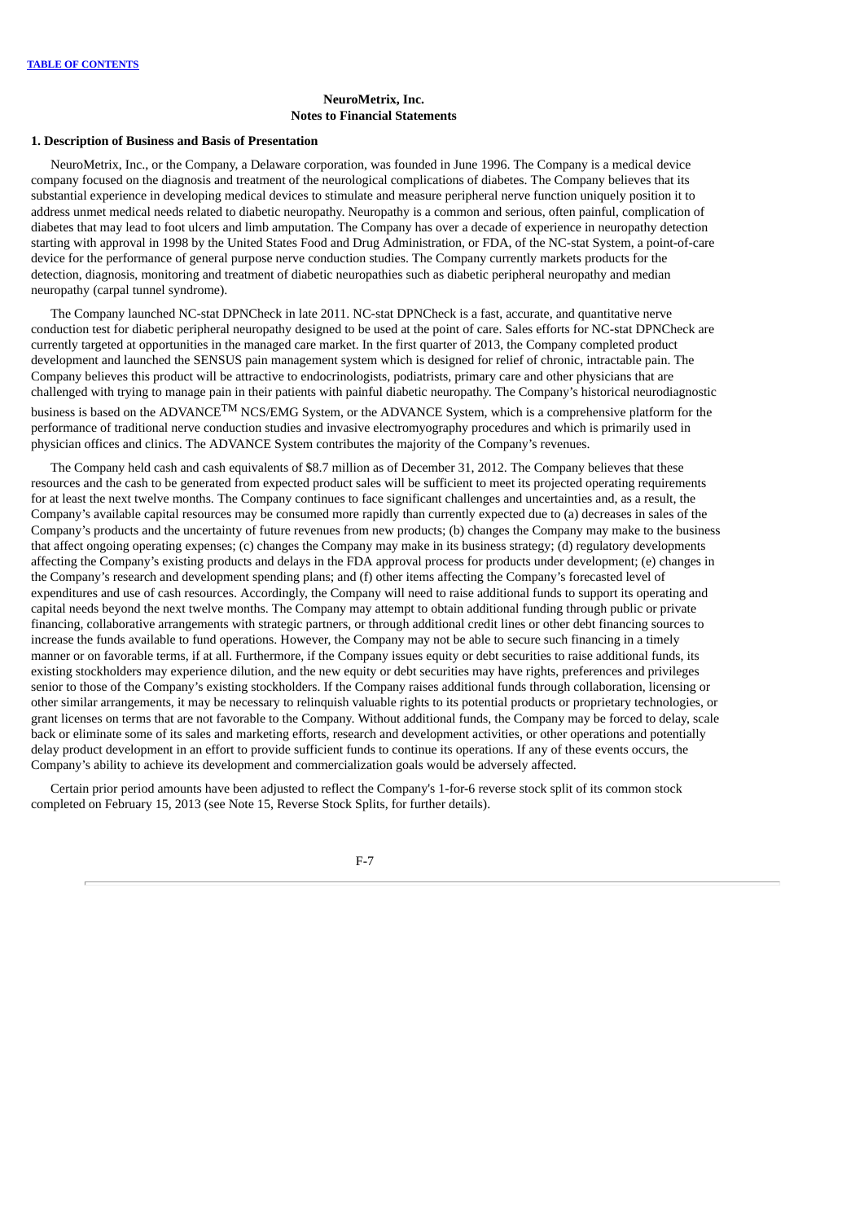#### **1. Description of Business and Basis of Presentation**

NeuroMetrix, Inc., or the Company, a Delaware corporation, was founded in June 1996. The Company is a medical device company focused on the diagnosis and treatment of the neurological complications of diabetes. The Company believes that its substantial experience in developing medical devices to stimulate and measure peripheral nerve function uniquely position it to address unmet medical needs related to diabetic neuropathy. Neuropathy is a common and serious, often painful, complication of diabetes that may lead to foot ulcers and limb amputation. The Company has over a decade of experience in neuropathy detection starting with approval in 1998 by the United States Food and Drug Administration, or FDA, of the NC-stat System, a point-of-care device for the performance of general purpose nerve conduction studies. The Company currently markets products for the detection, diagnosis, monitoring and treatment of diabetic neuropathies such as diabetic peripheral neuropathy and median neuropathy (carpal tunnel syndrome).

The Company launched NC-stat DPNCheck in late 2011. NC-stat DPNCheck is a fast, accurate, and quantitative nerve conduction test for diabetic peripheral neuropathy designed to be used at the point of care. Sales efforts for NC-stat DPNCheck are currently targeted at opportunities in the managed care market. In the first quarter of 2013, the Company completed product development and launched the SENSUS pain management system which is designed for relief of chronic, intractable pain. The Company believes this product will be attractive to endocrinologists, podiatrists, primary care and other physicians that are challenged with trying to manage pain in their patients with painful diabetic neuropathy. The Company's historical neurodiagnostic business is based on the ADVANCE $^{\rm TM}$  NCS/EMG System, or the ADVANCE System, which is a comprehensive platform for the performance of traditional nerve conduction studies and invasive electromyography procedures and which is primarily used in physician offices and clinics. The ADVANCE System contributes the majority of the Company's revenues.

The Company held cash and cash equivalents of \$8.7 million as of December 31, 2012. The Company believes that these resources and the cash to be generated from expected product sales will be sufficient to meet its projected operating requirements for at least the next twelve months. The Company continues to face significant challenges and uncertainties and, as a result, the Company's available capital resources may be consumed more rapidly than currently expected due to (a) decreases in sales of the Company's products and the uncertainty of future revenues from new products; (b) changes the Company may make to the business that affect ongoing operating expenses; (c) changes the Company may make in its business strategy; (d) regulatory developments affecting the Company's existing products and delays in the FDA approval process for products under development; (e) changes in the Company's research and development spending plans; and (f) other items affecting the Company's forecasted level of expenditures and use of cash resources. Accordingly, the Company will need to raise additional funds to support its operating and capital needs beyond the next twelve months. The Company may attempt to obtain additional funding through public or private financing, collaborative arrangements with strategic partners, or through additional credit lines or other debt financing sources to increase the funds available to fund operations. However, the Company may not be able to secure such financing in a timely manner or on favorable terms, if at all. Furthermore, if the Company issues equity or debt securities to raise additional funds, its existing stockholders may experience dilution, and the new equity or debt securities may have rights, preferences and privileges senior to those of the Company's existing stockholders. If the Company raises additional funds through collaboration, licensing or other similar arrangements, it may be necessary to relinquish valuable rights to its potential products or proprietary technologies, or grant licenses on terms that are not favorable to the Company. Without additional funds, the Company may be forced to delay, scale back or eliminate some of its sales and marketing efforts, research and development activities, or other operations and potentially delay product development in an effort to provide sufficient funds to continue its operations. If any of these events occurs, the Company's ability to achieve its development and commercialization goals would be adversely affected.

Certain prior period amounts have been adjusted to reflect the Company's 1-for-6 reverse stock split of its common stock completed on February 15, 2013 (see Note 15, Reverse Stock Splits, for further details).

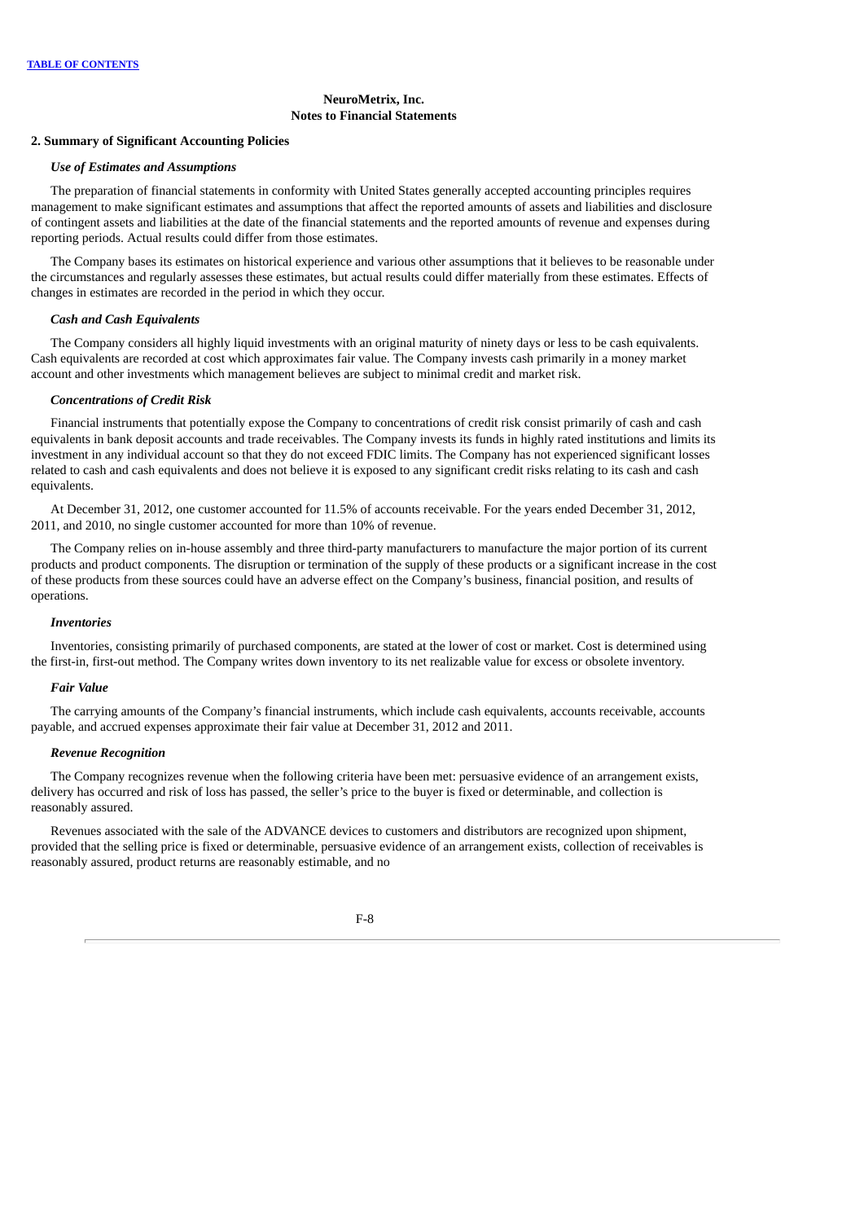#### **2. Summary of Significant Accounting Policies**

# *Use of Estimates and Assumptions*

The preparation of financial statements in conformity with United States generally accepted accounting principles requires management to make significant estimates and assumptions that affect the reported amounts of assets and liabilities and disclosure of contingent assets and liabilities at the date of the financial statements and the reported amounts of revenue and expenses during reporting periods. Actual results could differ from those estimates.

The Company bases its estimates on historical experience and various other assumptions that it believes to be reasonable under the circumstances and regularly assesses these estimates, but actual results could differ materially from these estimates. Effects of changes in estimates are recorded in the period in which they occur.

### *Cash and Cash Equivalents*

The Company considers all highly liquid investments with an original maturity of ninety days or less to be cash equivalents. Cash equivalents are recorded at cost which approximates fair value. The Company invests cash primarily in a money market account and other investments which management believes are subject to minimal credit and market risk.

### *Concentrations of Credit Risk*

Financial instruments that potentially expose the Company to concentrations of credit risk consist primarily of cash and cash equivalents in bank deposit accounts and trade receivables. The Company invests its funds in highly rated institutions and limits its investment in any individual account so that they do not exceed FDIC limits. The Company has not experienced significant losses related to cash and cash equivalents and does not believe it is exposed to any significant credit risks relating to its cash and cash equivalents.

At December 31, 2012, one customer accounted for 11.5% of accounts receivable. For the years ended December 31, 2012, 2011, and 2010, no single customer accounted for more than 10% of revenue.

The Company relies on in-house assembly and three third-party manufacturers to manufacture the major portion of its current products and product components. The disruption or termination of the supply of these products or a significant increase in the cost of these products from these sources could have an adverse effect on the Company's business, financial position, and results of operations.

#### *Inventories*

Inventories, consisting primarily of purchased components, are stated at the lower of cost or market. Cost is determined using the first-in, first-out method. The Company writes down inventory to its net realizable value for excess or obsolete inventory.

#### *Fair Value*

The carrying amounts of the Company's financial instruments, which include cash equivalents, accounts receivable, accounts payable, and accrued expenses approximate their fair value at December 31, 2012 and 2011.

# *Revenue Recognition*

The Company recognizes revenue when the following criteria have been met: persuasive evidence of an arrangement exists, delivery has occurred and risk of loss has passed, the seller's price to the buyer is fixed or determinable, and collection is reasonably assured.

Revenues associated with the sale of the ADVANCE devices to customers and distributors are recognized upon shipment, provided that the selling price is fixed or determinable, persuasive evidence of an arrangement exists, collection of receivables is reasonably assured, product returns are reasonably estimable, and no

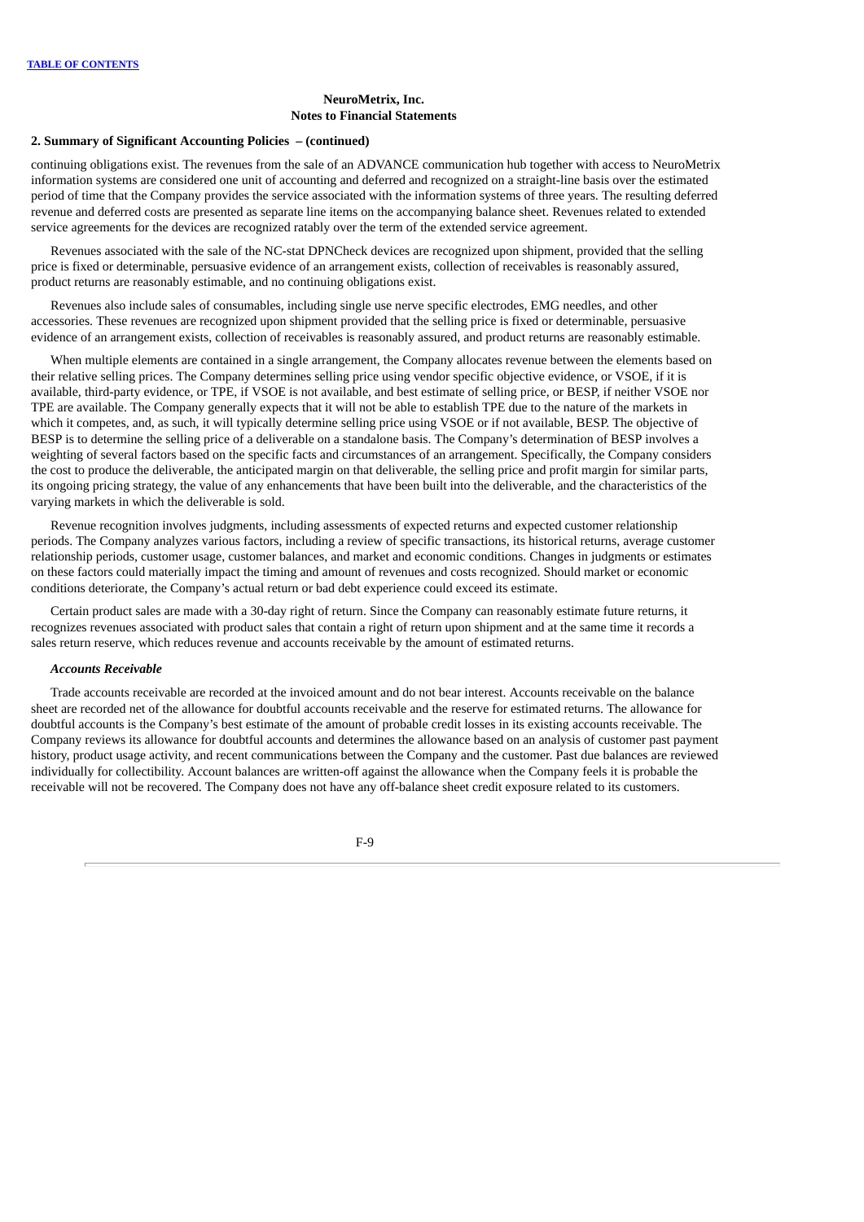#### **2. Summary of Significant Accounting Policies – (continued)**

continuing obligations exist. The revenues from the sale of an ADVANCE communication hub together with access to NeuroMetrix information systems are considered one unit of accounting and deferred and recognized on a straight-line basis over the estimated period of time that the Company provides the service associated with the information systems of three years. The resulting deferred revenue and deferred costs are presented as separate line items on the accompanying balance sheet. Revenues related to extended service agreements for the devices are recognized ratably over the term of the extended service agreement.

Revenues associated with the sale of the NC-stat DPNCheck devices are recognized upon shipment, provided that the selling price is fixed or determinable, persuasive evidence of an arrangement exists, collection of receivables is reasonably assured, product returns are reasonably estimable, and no continuing obligations exist.

Revenues also include sales of consumables, including single use nerve specific electrodes, EMG needles, and other accessories. These revenues are recognized upon shipment provided that the selling price is fixed or determinable, persuasive evidence of an arrangement exists, collection of receivables is reasonably assured, and product returns are reasonably estimable.

When multiple elements are contained in a single arrangement, the Company allocates revenue between the elements based on their relative selling prices. The Company determines selling price using vendor specific objective evidence, or VSOE, if it is available, third-party evidence, or TPE, if VSOE is not available, and best estimate of selling price, or BESP, if neither VSOE nor TPE are available. The Company generally expects that it will not be able to establish TPE due to the nature of the markets in which it competes, and, as such, it will typically determine selling price using VSOE or if not available, BESP. The objective of BESP is to determine the selling price of a deliverable on a standalone basis. The Company's determination of BESP involves a weighting of several factors based on the specific facts and circumstances of an arrangement. Specifically, the Company considers the cost to produce the deliverable, the anticipated margin on that deliverable, the selling price and profit margin for similar parts, its ongoing pricing strategy, the value of any enhancements that have been built into the deliverable, and the characteristics of the varying markets in which the deliverable is sold.

Revenue recognition involves judgments, including assessments of expected returns and expected customer relationship periods. The Company analyzes various factors, including a review of specific transactions, its historical returns, average customer relationship periods, customer usage, customer balances, and market and economic conditions. Changes in judgments or estimates on these factors could materially impact the timing and amount of revenues and costs recognized. Should market or economic conditions deteriorate, the Company's actual return or bad debt experience could exceed its estimate.

Certain product sales are made with a 30-day right of return. Since the Company can reasonably estimate future returns, it recognizes revenues associated with product sales that contain a right of return upon shipment and at the same time it records a sales return reserve, which reduces revenue and accounts receivable by the amount of estimated returns.

#### *Accounts Receivable*

Trade accounts receivable are recorded at the invoiced amount and do not bear interest. Accounts receivable on the balance sheet are recorded net of the allowance for doubtful accounts receivable and the reserve for estimated returns. The allowance for doubtful accounts is the Company's best estimate of the amount of probable credit losses in its existing accounts receivable. The Company reviews its allowance for doubtful accounts and determines the allowance based on an analysis of customer past payment history, product usage activity, and recent communications between the Company and the customer. Past due balances are reviewed individually for collectibility. Account balances are written-off against the allowance when the Company feels it is probable the receivable will not be recovered. The Company does not have any off-balance sheet credit exposure related to its customers.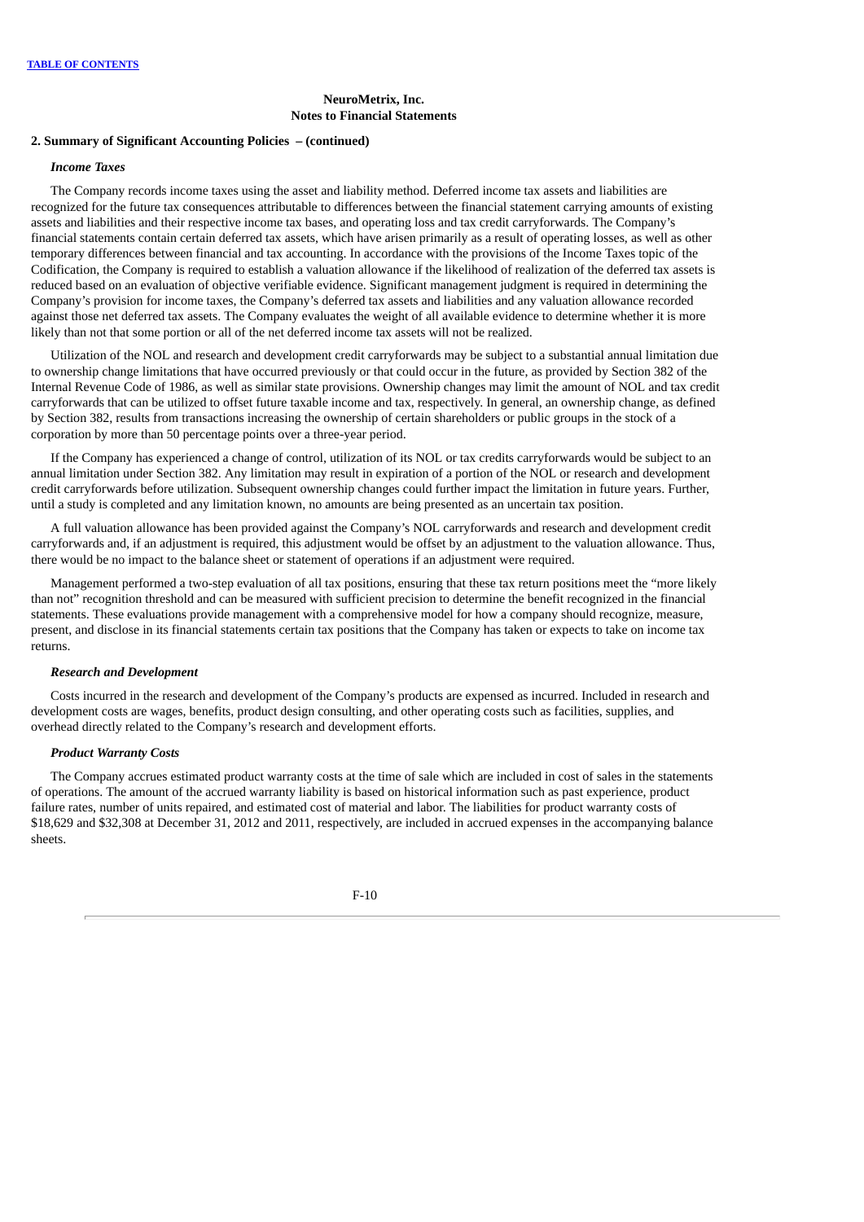### **2. Summary of Significant Accounting Policies – (continued)**

# *Income Taxes*

The Company records income taxes using the asset and liability method. Deferred income tax assets and liabilities are recognized for the future tax consequences attributable to differences between the financial statement carrying amounts of existing assets and liabilities and their respective income tax bases, and operating loss and tax credit carryforwards. The Company's financial statements contain certain deferred tax assets, which have arisen primarily as a result of operating losses, as well as other temporary differences between financial and tax accounting. In accordance with the provisions of the Income Taxes topic of the Codification, the Company is required to establish a valuation allowance if the likelihood of realization of the deferred tax assets is reduced based on an evaluation of objective verifiable evidence. Significant management judgment is required in determining the Company's provision for income taxes, the Company's deferred tax assets and liabilities and any valuation allowance recorded against those net deferred tax assets. The Company evaluates the weight of all available evidence to determine whether it is more likely than not that some portion or all of the net deferred income tax assets will not be realized.

Utilization of the NOL and research and development credit carryforwards may be subject to a substantial annual limitation due to ownership change limitations that have occurred previously or that could occur in the future, as provided by Section 382 of the Internal Revenue Code of 1986, as well as similar state provisions. Ownership changes may limit the amount of NOL and tax credit carryforwards that can be utilized to offset future taxable income and tax, respectively. In general, an ownership change, as defined by Section 382, results from transactions increasing the ownership of certain shareholders or public groups in the stock of a corporation by more than 50 percentage points over a three-year period.

If the Company has experienced a change of control, utilization of its NOL or tax credits carryforwards would be subject to an annual limitation under Section 382. Any limitation may result in expiration of a portion of the NOL or research and development credit carryforwards before utilization. Subsequent ownership changes could further impact the limitation in future years. Further, until a study is completed and any limitation known, no amounts are being presented as an uncertain tax position.

A full valuation allowance has been provided against the Company's NOL carryforwards and research and development credit carryforwards and, if an adjustment is required, this adjustment would be offset by an adjustment to the valuation allowance. Thus, there would be no impact to the balance sheet or statement of operations if an adjustment were required.

Management performed a two-step evaluation of all tax positions, ensuring that these tax return positions meet the "more likely than not" recognition threshold and can be measured with sufficient precision to determine the benefit recognized in the financial statements. These evaluations provide management with a comprehensive model for how a company should recognize, measure, present, and disclose in its financial statements certain tax positions that the Company has taken or expects to take on income tax returns.

### *Research and Development*

Costs incurred in the research and development of the Company's products are expensed as incurred. Included in research and development costs are wages, benefits, product design consulting, and other operating costs such as facilities, supplies, and overhead directly related to the Company's research and development efforts.

# *Product Warranty Costs*

The Company accrues estimated product warranty costs at the time of sale which are included in cost of sales in the statements of operations. The amount of the accrued warranty liability is based on historical information such as past experience, product failure rates, number of units repaired, and estimated cost of material and labor. The liabilities for product warranty costs of \$18,629 and \$32,308 at December 31, 2012 and 2011, respectively, are included in accrued expenses in the accompanying balance sheets.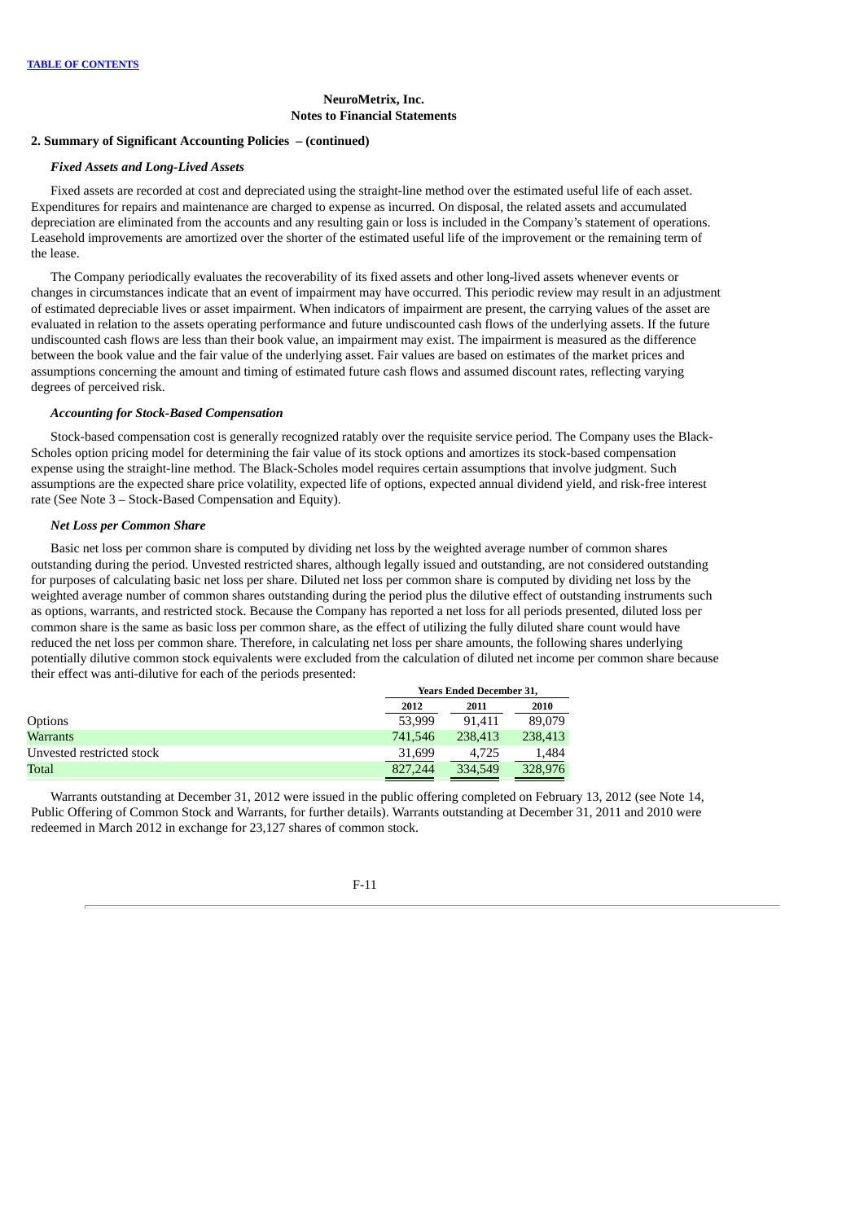### **2. Summary of Significant Accounting Policies – (continued)**

# *Fixed Assets and Long-Lived Assets*

Fixed assets are recorded at cost and depreciated using the straight-line method over the estimated useful life of each asset. Expenditures for repairs and maintenance are charged to expense as incurred. On disposal, the related assets and accumulated depreciation are eliminated from the accounts and any resulting gain or loss is included in the Company's statement of operations. Leasehold improvements are amortized over the shorter of the estimated useful life of the improvement or the remaining term of the lease.

The Company periodically evaluates the recoverability of its fixed assets and other long-lived assets whenever events or changes in circumstances indicate that an event of impairment may have occurred. This periodic review may result in an adjustment of estimated depreciable lives or asset impairment. When indicators of impairment are present, the carrying values of the asset are evaluated in relation to the assets operating performance and future undiscounted cash flows of the underlying assets. If the future undiscounted cash flows are less than their book value, an impairment may exist. The impairment is measured as the difference between the book value and the fair value of the underlying asset. Fair values are based on estimates of the market prices and assumptions concerning the amount and timing of estimated future cash flows and assumed discount rates, reflecting varying degrees of perceived risk.

# *Accounting for Stock-Based Compensation*

Stock-based compensation cost is generally recognized ratably over the requisite service period. The Company uses the Black-Scholes option pricing model for determining the fair value of its stock options and amortizes its stock-based compensation expense using the straight-line method. The Black-Scholes model requires certain assumptions that involve judgment. Such assumptions are the expected share price volatility, expected life of options, expected annual dividend yield, and risk-free interest rate (See Note 3 – Stock-Based Compensation and Equity).

### *Net Loss per Common Share*

Basic net loss per common share is computed by dividing net loss by the weighted average number of common shares outstanding during the period. Unvested restricted shares, although legally issued and outstanding, are not considered outstanding for purposes of calculating basic net loss per share. Diluted net loss per common share is computed by dividing net loss by the weighted average number of common shares outstanding during the period plus the dilutive effect of outstanding instruments such as options, warrants, and restricted stock. Because the Company has reported a net loss for all periods presented, diluted loss per common share is the same as basic loss per common share, as the effect of utilizing the fully diluted share count would have reduced the net loss per common share. Therefore, in calculating net loss per share amounts, the following shares underlying potentially dilutive common stock equivalents were excluded from the calculation of diluted net income per common share because their effect was anti-dilutive for each of the periods presented:

|                           | <b>Years Ended December 31,</b> |         |         |  |
|---------------------------|---------------------------------|---------|---------|--|
|                           | 2012                            | 2011    | 2010    |  |
| Options                   | 53.999                          | 91.411  | 89,079  |  |
| Warrants                  | 741,546                         | 238,413 | 238,413 |  |
| Unvested restricted stock | 31,699                          | 4,725   | 1,484   |  |
| Total                     | 827,244                         | 334,549 | 328,976 |  |

Warrants outstanding at December 31, 2012 were issued in the public offering completed on February 13, 2012 (see Note 14, Public Offering of Common Stock and Warrants, for further details). Warrants outstanding at December 31, 2011 and 2010 were redeemed in March 2012 in exchange for 23,127 shares of common stock.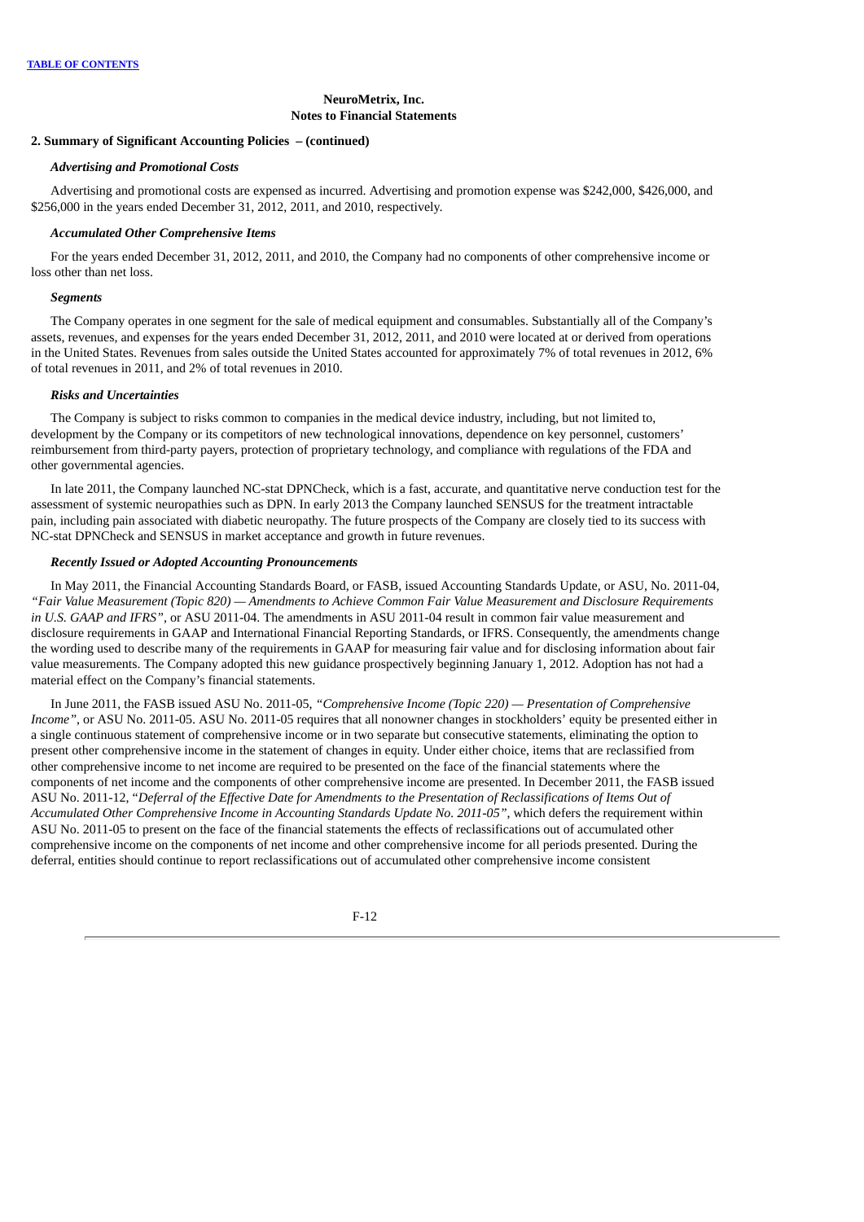#### **2. Summary of Significant Accounting Policies – (continued)**

### *Advertising and Promotional Costs*

Advertising and promotional costs are expensed as incurred. Advertising and promotion expense was \$242,000, \$426,000, and \$256,000 in the years ended December 31, 2012, 2011, and 2010, respectively.

# *Accumulated Other Comprehensive Items*

For the years ended December 31, 2012, 2011, and 2010, the Company had no components of other comprehensive income or loss other than net loss.

### *Segments*

The Company operates in one segment for the sale of medical equipment and consumables. Substantially all of the Company's assets, revenues, and expenses for the years ended December 31, 2012, 2011, and 2010 were located at or derived from operations in the United States. Revenues from sales outside the United States accounted for approximately 7% of total revenues in 2012, 6% of total revenues in 2011, and 2% of total revenues in 2010.

## *Risks and Uncertainties*

The Company is subject to risks common to companies in the medical device industry, including, but not limited to, development by the Company or its competitors of new technological innovations, dependence on key personnel, customers' reimbursement from third-party payers, protection of proprietary technology, and compliance with regulations of the FDA and other governmental agencies.

In late 2011, the Company launched NC-stat DPNCheck, which is a fast, accurate, and quantitative nerve conduction test for the assessment of systemic neuropathies such as DPN. In early 2013 the Company launched SENSUS for the treatment intractable pain, including pain associated with diabetic neuropathy. The future prospects of the Company are closely tied to its success with NC-stat DPNCheck and SENSUS in market acceptance and growth in future revenues.

# *Recently Issued or Adopted Accounting Pronouncements*

In May 2011, the Financial Accounting Standards Board, or FASB, issued Accounting Standards Update, or ASU, No. 2011-04*,* "Fair Value Measurement (Topic 820) - Amendments to Achieve Common Fair Value Measurement and Disclosure Requirements *in U.S. GAAP and IFRS"*, or ASU 2011-04. The amendments in ASU 2011-04 result in common fair value measurement and disclosure requirements in GAAP and International Financial Reporting Standards, or IFRS. Consequently, the amendments change the wording used to describe many of the requirements in GAAP for measuring fair value and for disclosing information about fair value measurements. The Company adopted this new guidance prospectively beginning January 1, 2012. Adoption has not had a material effect on the Company's financial statements.

In June 2011, the FASB issued ASU No. 2011-05, *"Comprehensive Income (Topic 220) — Presentation of Comprehensive Income"*, or ASU No. 2011-05. ASU No. 2011-05 requires that all nonowner changes in stockholders' equity be presented either in a single continuous statement of comprehensive income or in two separate but consecutive statements, eliminating the option to present other comprehensive income in the statement of changes in equity. Under either choice, items that are reclassified from other comprehensive income to net income are required to be presented on the face of the financial statements where the components of net income and the components of other comprehensive income are presented. In December 2011, the FASB issued ASU No. 2011-12, "Deferral of the Effective Date for Amendments to the Presentation of Reclassifications of Items Out of *Accumulated Other Comprehensive Income in Accounting Standards Update No. 2011-05"*, which defers the requirement within ASU No. 2011-05 to present on the face of the financial statements the effects of reclassifications out of accumulated other comprehensive income on the components of net income and other comprehensive income for all periods presented. During the deferral, entities should continue to report reclassifications out of accumulated other comprehensive income consistent

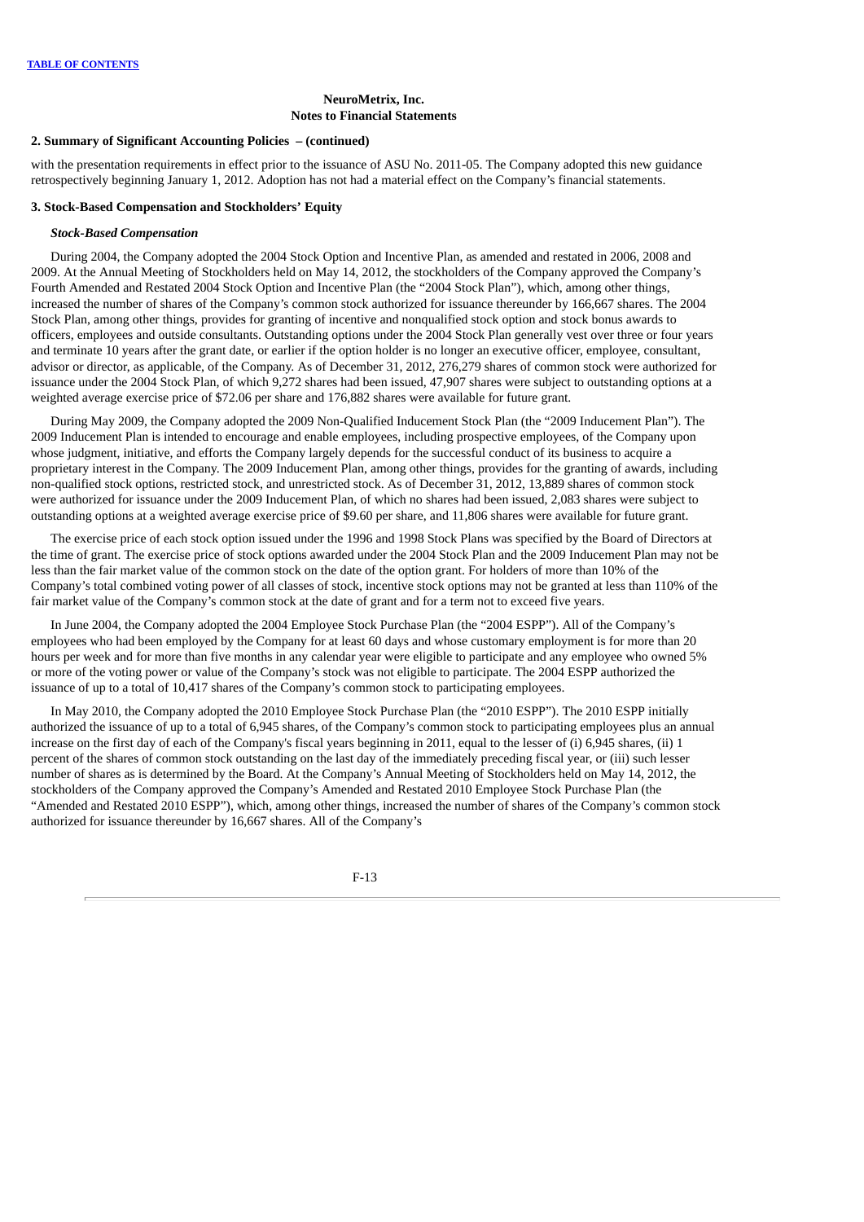#### **2. Summary of Significant Accounting Policies – (continued)**

with the presentation requirements in effect prior to the issuance of ASU No. 2011-05. The Company adopted this new guidance retrospectively beginning January 1, 2012. Adoption has not had a material effect on the Company's financial statements.

# **3. Stock-Based Compensation and Stockholders' Equity**

# *Stock-Based Compensation*

During 2004, the Company adopted the 2004 Stock Option and Incentive Plan, as amended and restated in 2006, 2008 and 2009. At the Annual Meeting of Stockholders held on May 14, 2012, the stockholders of the Company approved the Company's Fourth Amended and Restated 2004 Stock Option and Incentive Plan (the "2004 Stock Plan"), which, among other things, increased the number of shares of the Company's common stock authorized for issuance thereunder by 166,667 shares. The 2004 Stock Plan, among other things, provides for granting of incentive and nonqualified stock option and stock bonus awards to officers, employees and outside consultants. Outstanding options under the 2004 Stock Plan generally vest over three or four years and terminate 10 years after the grant date, or earlier if the option holder is no longer an executive officer, employee, consultant, advisor or director, as applicable, of the Company. As of December 31, 2012, 276,279 shares of common stock were authorized for issuance under the 2004 Stock Plan, of which 9,272 shares had been issued, 47,907 shares were subject to outstanding options at a weighted average exercise price of \$72.06 per share and 176,882 shares were available for future grant.

During May 2009, the Company adopted the 2009 Non-Qualified Inducement Stock Plan (the "2009 Inducement Plan"). The 2009 Inducement Plan is intended to encourage and enable employees, including prospective employees, of the Company upon whose judgment, initiative, and efforts the Company largely depends for the successful conduct of its business to acquire a proprietary interest in the Company. The 2009 Inducement Plan, among other things, provides for the granting of awards, including non-qualified stock options, restricted stock, and unrestricted stock. As of December 31, 2012, 13,889 shares of common stock were authorized for issuance under the 2009 Inducement Plan, of which no shares had been issued, 2,083 shares were subject to outstanding options at a weighted average exercise price of \$9.60 per share, and 11,806 shares were available for future grant.

The exercise price of each stock option issued under the 1996 and 1998 Stock Plans was specified by the Board of Directors at the time of grant. The exercise price of stock options awarded under the 2004 Stock Plan and the 2009 Inducement Plan may not be less than the fair market value of the common stock on the date of the option grant. For holders of more than 10% of the Company's total combined voting power of all classes of stock, incentive stock options may not be granted at less than 110% of the fair market value of the Company's common stock at the date of grant and for a term not to exceed five years.

In June 2004, the Company adopted the 2004 Employee Stock Purchase Plan (the "2004 ESPP"). All of the Company's employees who had been employed by the Company for at least 60 days and whose customary employment is for more than 20 hours per week and for more than five months in any calendar year were eligible to participate and any employee who owned 5% or more of the voting power or value of the Company's stock was not eligible to participate. The 2004 ESPP authorized the issuance of up to a total of 10,417 shares of the Company's common stock to participating employees.

In May 2010, the Company adopted the 2010 Employee Stock Purchase Plan (the "2010 ESPP"). The 2010 ESPP initially authorized the issuance of up to a total of 6,945 shares, of the Company's common stock to participating employees plus an annual increase on the first day of each of the Company's fiscal years beginning in 2011, equal to the lesser of (i) 6,945 shares, (ii) 1 percent of the shares of common stock outstanding on the last day of the immediately preceding fiscal year, or (iii) such lesser number of shares as is determined by the Board. At the Company's Annual Meeting of Stockholders held on May 14, 2012, the stockholders of the Company approved the Company's Amended and Restated 2010 Employee Stock Purchase Plan (the "Amended and Restated 2010 ESPP"), which, among other things, increased the number of shares of the Company's common stock authorized for issuance thereunder by 16,667 shares. All of the Company's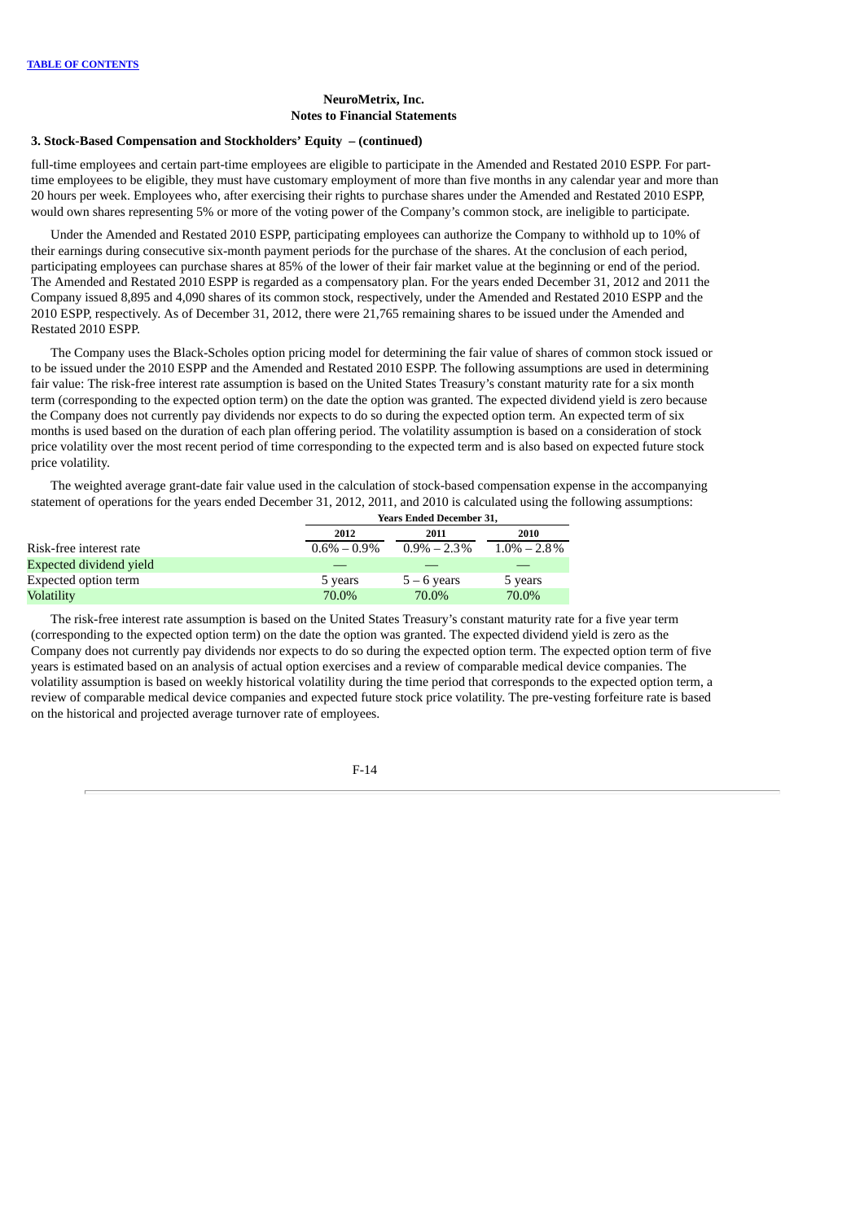#### **3. Stock-Based Compensation and Stockholders' Equity – (continued)**

full-time employees and certain part-time employees are eligible to participate in the Amended and Restated 2010 ESPP. For parttime employees to be eligible, they must have customary employment of more than five months in any calendar year and more than 20 hours per week. Employees who, after exercising their rights to purchase shares under the Amended and Restated 2010 ESPP, would own shares representing 5% or more of the voting power of the Company's common stock, are ineligible to participate.

Under the Amended and Restated 2010 ESPP, participating employees can authorize the Company to withhold up to 10% of their earnings during consecutive six-month payment periods for the purchase of the shares. At the conclusion of each period, participating employees can purchase shares at 85% of the lower of their fair market value at the beginning or end of the period. The Amended and Restated 2010 ESPP is regarded as a compensatory plan. For the years ended December 31, 2012 and 2011 the Company issued 8,895 and 4,090 shares of its common stock, respectively, under the Amended and Restated 2010 ESPP and the 2010 ESPP, respectively. As of December 31, 2012, there were 21,765 remaining shares to be issued under the Amended and Restated 2010 ESPP.

The Company uses the Black-Scholes option pricing model for determining the fair value of shares of common stock issued or to be issued under the 2010 ESPP and the Amended and Restated 2010 ESPP. The following assumptions are used in determining fair value: The risk-free interest rate assumption is based on the United States Treasury's constant maturity rate for a six month term (corresponding to the expected option term) on the date the option was granted. The expected dividend yield is zero because the Company does not currently pay dividends nor expects to do so during the expected option term. An expected term of six months is used based on the duration of each plan offering period. The volatility assumption is based on a consideration of stock price volatility over the most recent period of time corresponding to the expected term and is also based on expected future stock price volatility.

The weighted average grant-date fair value used in the calculation of stock-based compensation expense in the accompanying statement of operations for the years ended December 31, 2012, 2011, and 2010 is calculated using the following assumptions:

|                         | <b>Years Ended December 31,</b> |                 |                 |  |
|-------------------------|---------------------------------|-----------------|-----------------|--|
|                         | 2012                            | 2011            | 2010            |  |
| Risk-free interest rate | $0.6\% - 0.9\%$                 | $0.9\% - 2.3\%$ | $1.0\% - 2.8\%$ |  |
| Expected dividend yield |                                 |                 |                 |  |
| Expected option term    | 5 years                         | $5 - 6$ years   | 5 years         |  |
| Volatility              | 70.0%                           | 70.0%           | 70.0%           |  |
|                         |                                 |                 |                 |  |

The risk-free interest rate assumption is based on the United States Treasury's constant maturity rate for a five year term (corresponding to the expected option term) on the date the option was granted. The expected dividend yield is zero as the Company does not currently pay dividends nor expects to do so during the expected option term. The expected option term of five years is estimated based on an analysis of actual option exercises and a review of comparable medical device companies. The volatility assumption is based on weekly historical volatility during the time period that corresponds to the expected option term, a review of comparable medical device companies and expected future stock price volatility. The pre-vesting forfeiture rate is based on the historical and projected average turnover rate of employees.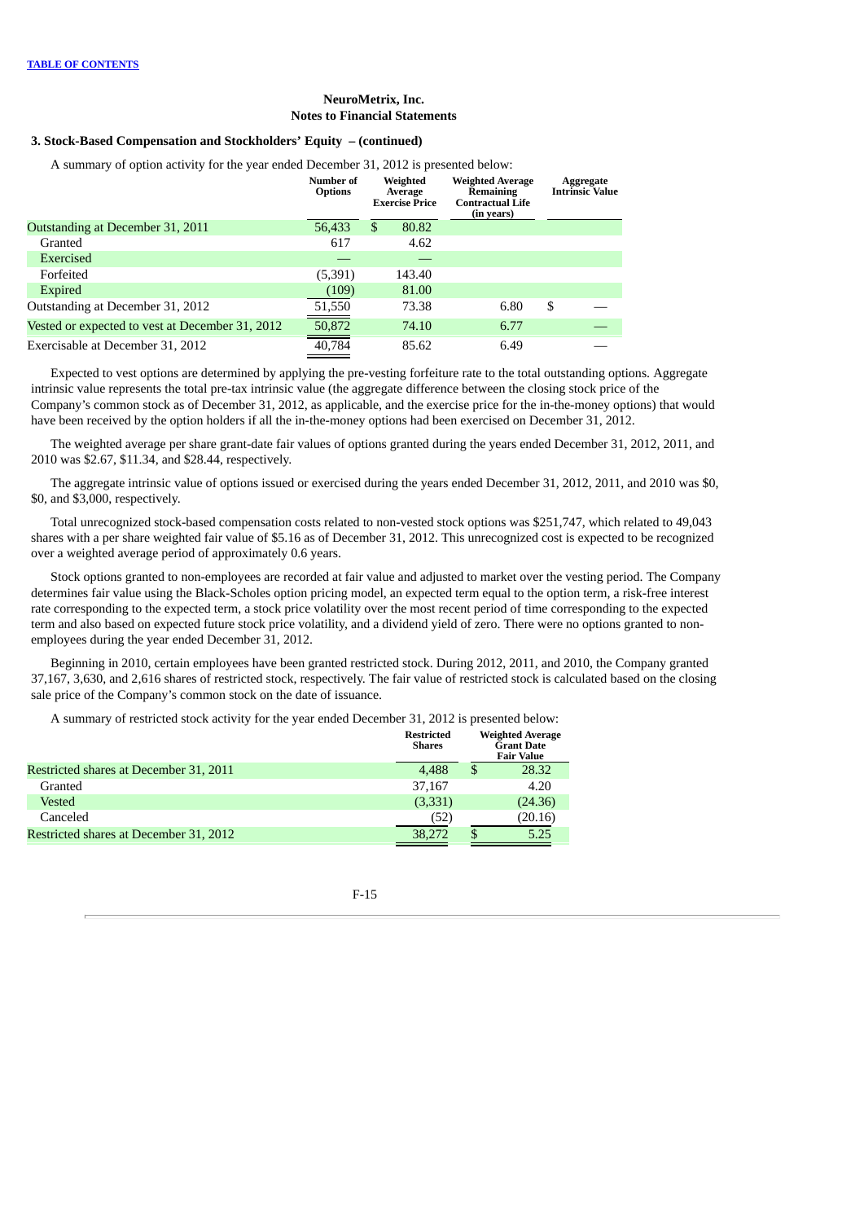#### **3. Stock-Based Compensation and Stockholders' Equity – (continued)**

A summary of option activity for the year ended December 31, 2012 is presented below:

|                                                 | Number of<br><b>Options</b> | Weighted<br>Average<br><b>Exercise Price</b> | <b>Weighted Average</b><br>Remaining<br><b>Contractual Life</b><br>(in years) | <b>Aggregate</b><br><b>Intrinsic Value</b> |
|-------------------------------------------------|-----------------------------|----------------------------------------------|-------------------------------------------------------------------------------|--------------------------------------------|
| Outstanding at December 31, 2011                | 56,433                      | \$<br>80.82                                  |                                                                               |                                            |
| Granted                                         | 617                         | 4.62                                         |                                                                               |                                            |
| Exercised                                       |                             |                                              |                                                                               |                                            |
| Forfeited                                       | (5,391)                     | 143.40                                       |                                                                               |                                            |
| <b>Expired</b>                                  | (109)                       | 81.00                                        |                                                                               |                                            |
| Outstanding at December 31, 2012                | 51,550                      | 73.38                                        | 6.80                                                                          | \$                                         |
| Vested or expected to vest at December 31, 2012 | 50,872                      | 74.10                                        | 6.77                                                                          |                                            |
| Exercisable at December 31, 2012                | 40.784                      | 85.62                                        | 6.49                                                                          |                                            |

Expected to vest options are determined by applying the pre-vesting forfeiture rate to the total outstanding options. Aggregate intrinsic value represents the total pre-tax intrinsic value (the aggregate difference between the closing stock price of the Company's common stock as of December 31, 2012, as applicable, and the exercise price for the in-the-money options) that would have been received by the option holders if all the in-the-money options had been exercised on December 31, 2012.

The weighted average per share grant-date fair values of options granted during the years ended December 31, 2012, 2011, and 2010 was \$2.67, \$11.34, and \$28.44, respectively.

The aggregate intrinsic value of options issued or exercised during the years ended December 31, 2012, 2011, and 2010 was \$0, \$0, and \$3,000, respectively.

Total unrecognized stock-based compensation costs related to non-vested stock options was \$251,747, which related to 49,043 shares with a per share weighted fair value of \$5.16 as of December 31, 2012. This unrecognized cost is expected to be recognized over a weighted average period of approximately 0.6 years.

Stock options granted to non-employees are recorded at fair value and adjusted to market over the vesting period. The Company determines fair value using the Black-Scholes option pricing model, an expected term equal to the option term, a risk-free interest rate corresponding to the expected term, a stock price volatility over the most recent period of time corresponding to the expected term and also based on expected future stock price volatility, and a dividend yield of zero. There were no options granted to nonemployees during the year ended December 31, 2012.

Beginning in 2010, certain employees have been granted restricted stock. During 2012, 2011, and 2010, the Company granted 37,167, 3,630, and 2,616 shares of restricted stock, respectively. The fair value of restricted stock is calculated based on the closing sale price of the Company's common stock on the date of issuance.

A summary of restricted stock activity for the year ended December 31, 2012 is presented below:

|                                        | <b>Restricted</b><br>Shares | <b>Weighted Average</b><br><b>Grant Date</b><br><b>Fair Value</b> |
|----------------------------------------|-----------------------------|-------------------------------------------------------------------|
| Restricted shares at December 31, 2011 | 4.488                       | \$<br>28.32                                                       |
| Granted                                | 37,167                      | 4.20                                                              |
| Vested                                 | (3,331)                     | (24.36)                                                           |
| Canceled                               | (52)                        | (20.16)                                                           |
| Restricted shares at December 31, 2012 | 38,272                      | 5.25                                                              |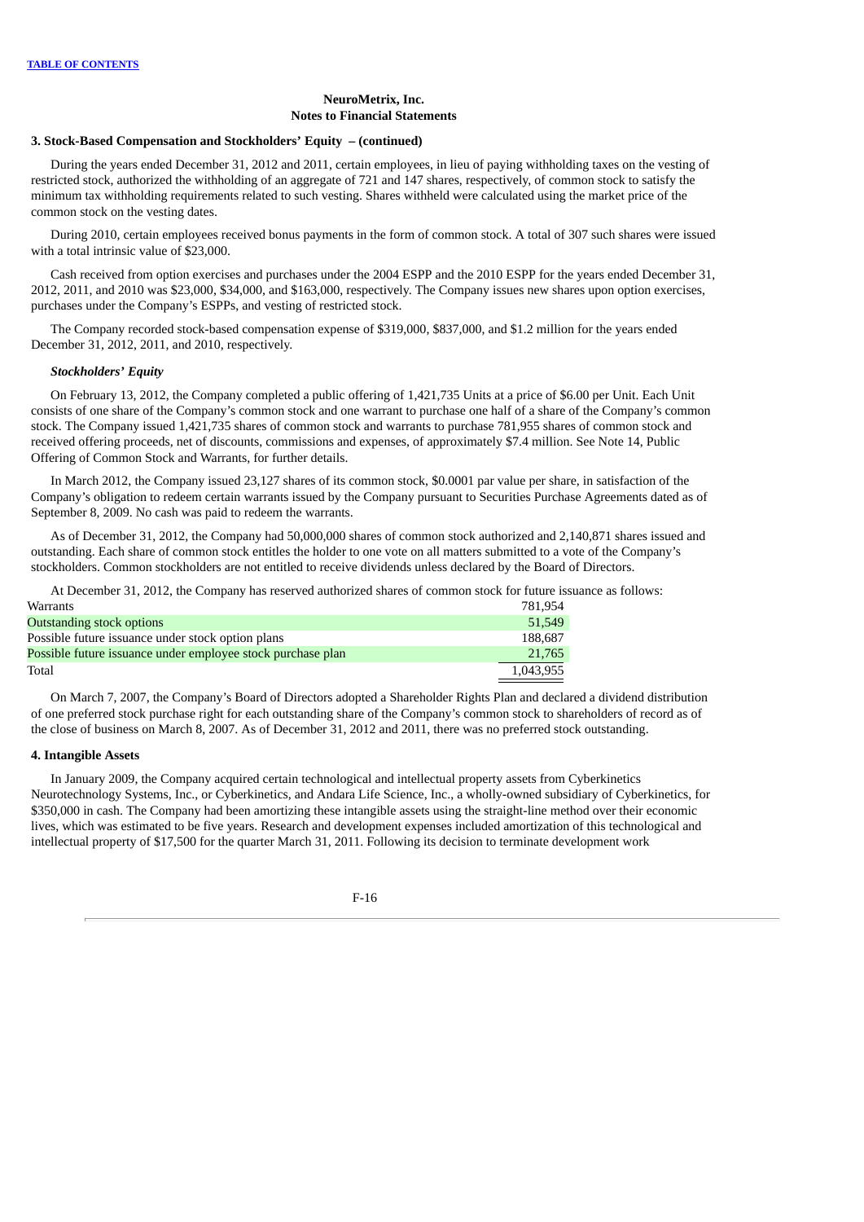#### **3. Stock-Based Compensation and Stockholders' Equity – (continued)**

During the years ended December 31, 2012 and 2011, certain employees, in lieu of paying withholding taxes on the vesting of restricted stock, authorized the withholding of an aggregate of 721 and 147 shares, respectively, of common stock to satisfy the minimum tax withholding requirements related to such vesting. Shares withheld were calculated using the market price of the common stock on the vesting dates.

During 2010, certain employees received bonus payments in the form of common stock. A total of 307 such shares were issued with a total intrinsic value of \$23,000.

Cash received from option exercises and purchases under the 2004 ESPP and the 2010 ESPP for the years ended December 31, 2012, 2011, and 2010 was \$23,000, \$34,000, and \$163,000, respectively. The Company issues new shares upon option exercises, purchases under the Company's ESPPs, and vesting of restricted stock.

The Company recorded stock-based compensation expense of \$319,000, \$837,000, and \$1.2 million for the years ended December 31, 2012, 2011, and 2010, respectively.

## *Stockholders' Equity*

On February 13, 2012, the Company completed a public offering of 1,421,735 Units at a price of \$6.00 per Unit. Each Unit consists of one share of the Company's common stock and one warrant to purchase one half of a share of the Company's common stock. The Company issued 1,421,735 shares of common stock and warrants to purchase 781,955 shares of common stock and received offering proceeds, net of discounts, commissions and expenses, of approximately \$7.4 million. See Note 14, Public Offering of Common Stock and Warrants, for further details.

In March 2012, the Company issued 23,127 shares of its common stock, \$0.0001 par value per share, in satisfaction of the Company's obligation to redeem certain warrants issued by the Company pursuant to Securities Purchase Agreements dated as of September 8, 2009. No cash was paid to redeem the warrants.

As of December 31, 2012, the Company had 50,000,000 shares of common stock authorized and 2,140,871 shares issued and outstanding. Each share of common stock entitles the holder to one vote on all matters submitted to a vote of the Company's stockholders. Common stockholders are not entitled to receive dividends unless declared by the Board of Directors.

At December 31, 2012, the Company has reserved authorized shares of common stock for future issuance as follows:

| Warrants                                                    | 781.954   |
|-------------------------------------------------------------|-----------|
| <b>Outstanding stock options</b>                            | 51,549    |
| Possible future issuance under stock option plans           | 188.687   |
| Possible future issuance under employee stock purchase plan | 21,765    |
| Total                                                       | 1,043,955 |

On March 7, 2007, the Company's Board of Directors adopted a Shareholder Rights Plan and declared a dividend distribution of one preferred stock purchase right for each outstanding share of the Company's common stock to shareholders of record as of the close of business on March 8, 2007. As of December 31, 2012 and 2011, there was no preferred stock outstanding.

## **4. Intangible Assets**

In January 2009, the Company acquired certain technological and intellectual property assets from Cyberkinetics Neurotechnology Systems, Inc., or Cyberkinetics, and Andara Life Science, Inc., a wholly-owned subsidiary of Cyberkinetics, for \$350,000 in cash. The Company had been amortizing these intangible assets using the straight-line method over their economic lives, which was estimated to be five years. Research and development expenses included amortization of this technological and intellectual property of \$17,500 for the quarter March 31, 2011. Following its decision to terminate development work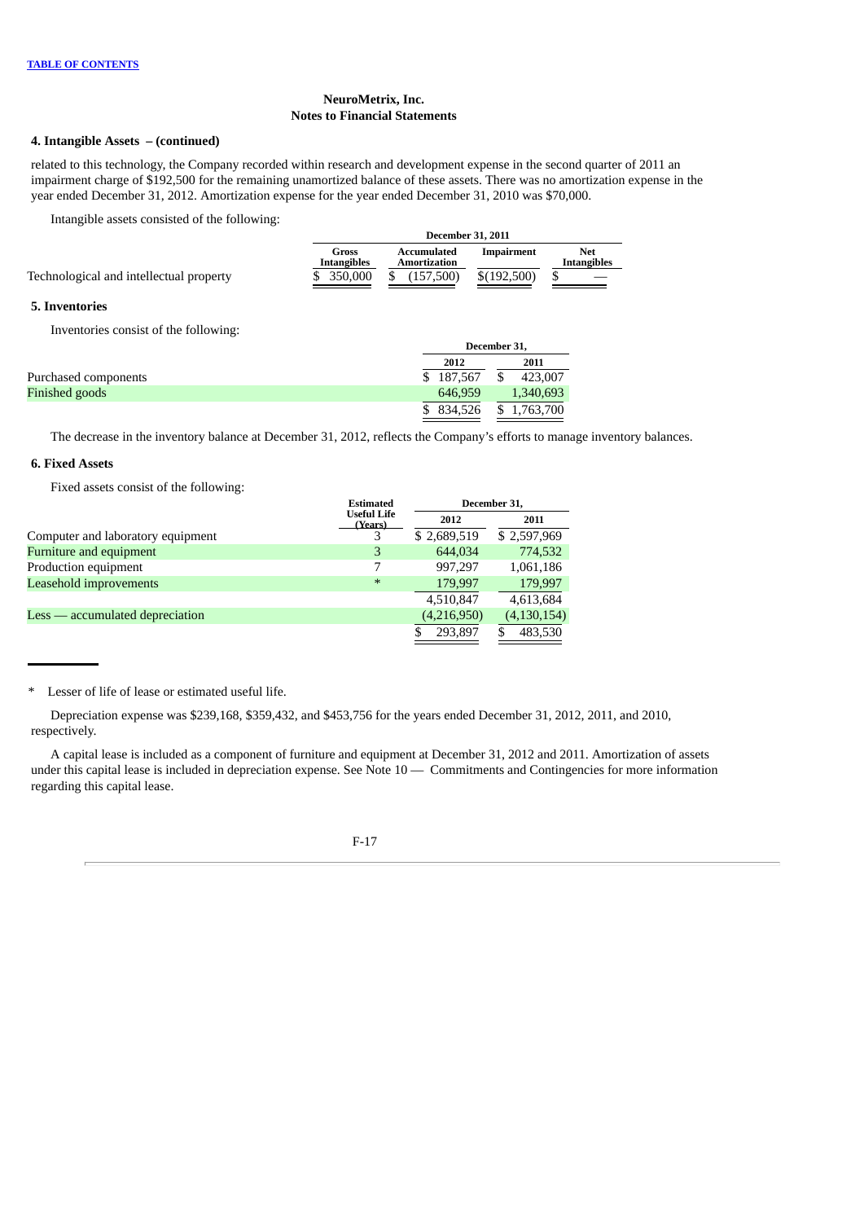# **4. Intangible Assets – (continued)**

related to this technology, the Company recorded within research and development expense in the second quarter of 2011 an impairment charge of \$192,500 for the remaining unamortized balance of these assets. There was no amortization expense in the year ended December 31, 2012. Amortization expense for the year ended December 31, 2010 was \$70,000.

Intangible assets consisted of the following:

|                                         | <b>December 31, 2011</b> |                                    |             |                           |
|-----------------------------------------|--------------------------|------------------------------------|-------------|---------------------------|
|                                         | Gross<br>Intangibles     | Accumulated<br><b>Amortization</b> | Impairment  | Net<br><b>Intangibles</b> |
| Technological and intellectual property | 350.000                  | \$.<br>(157,500)                   | \$(192,500) |                           |

# **5. Inventories**

Inventories consist of the following:

|                      |            | December 31, |  |  |
|----------------------|------------|--------------|--|--|
|                      | 2012       | 2011         |  |  |
| Purchased components | \$187,567  | 423,007      |  |  |
| Finished goods       | 646.959    | 1,340,693    |  |  |
|                      | \$ 834,526 | \$1,763,700  |  |  |

The decrease in the inventory balance at December 31, 2012, reflects the Company's efforts to manage inventory balances.

## **6. Fixed Assets**

Fixed assets consist of the following:

|                                   | <b>Estimated</b>              |             | December 31,  |
|-----------------------------------|-------------------------------|-------------|---------------|
|                                   | <b>Useful Life</b><br>(Years) | 2012        | 2011          |
| Computer and laboratory equipment | 3                             | \$2,689,519 | \$2,597,969   |
| Furniture and equipment           | 3                             | 644,034     | 774,532       |
| Production equipment              | 7                             | 997,297     | 1,061,186     |
| Leasehold improvements            | $*$                           | 179,997     | 179,997       |
|                                   |                               | 4,510,847   | 4,613,684     |
| Less — accumulated depreciation   |                               | (4,216,950) | (4, 130, 154) |
|                                   |                               | 293,897     | 483,530       |
|                                   |                               |             |               |

<sup>\*</sup> Lesser of life of lease or estimated useful life.

A capital lease is included as a component of furniture and equipment at December 31, 2012 and 2011. Amortization of assets under this capital lease is included in depreciation expense. See Note 10 — Commitments and Contingencies for more information regarding this capital lease.

Depreciation expense was \$239,168, \$359,432, and \$453,756 for the years ended December 31, 2012, 2011, and 2010, respectively.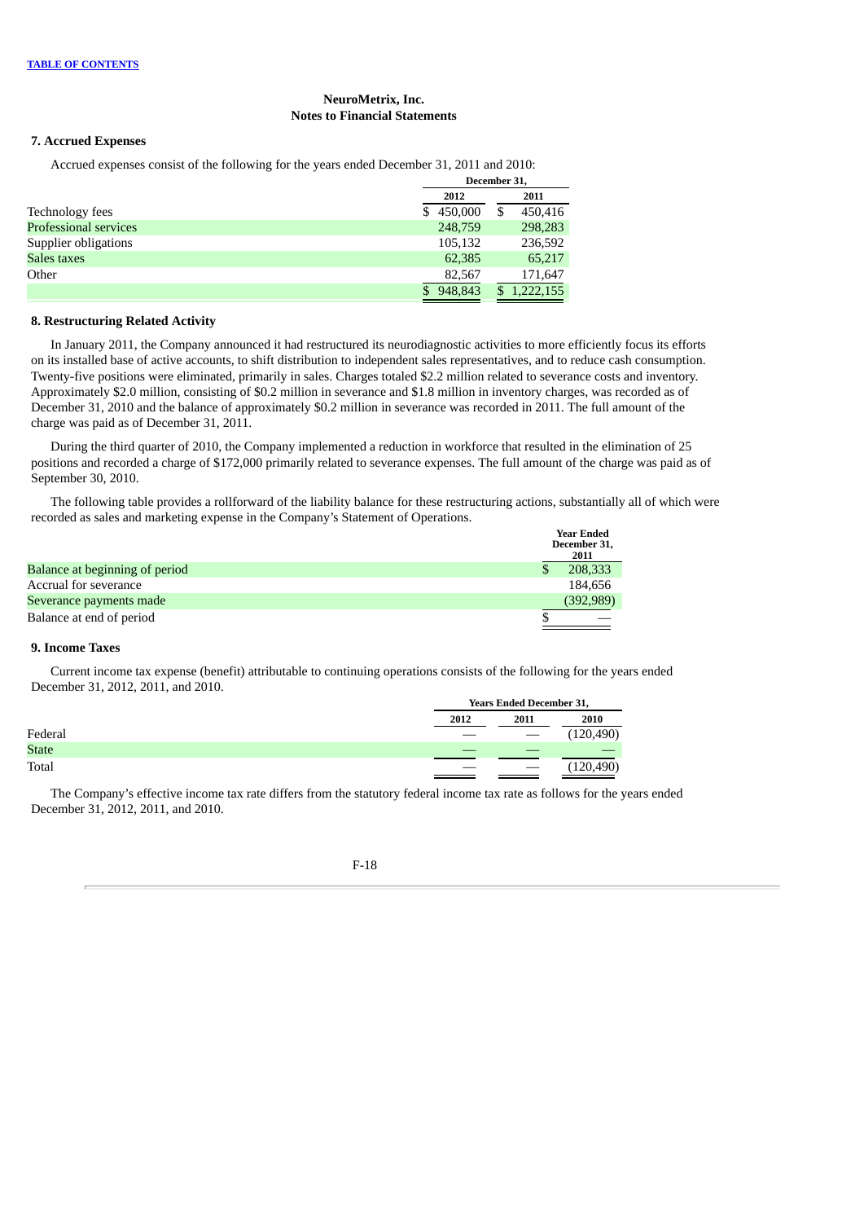## **7. Accrued Expenses**

Accrued expenses consist of the following for the years ended December 31, 2011 and 2010:

|                       |                | December 31, |  |  |
|-----------------------|----------------|--------------|--|--|
|                       | 2012           | 2011         |  |  |
| Technology fees       | 450,000<br>\$. | 450,416      |  |  |
| Professional services | 248,759        | 298,283      |  |  |
| Supplier obligations  | 105,132        | 236,592      |  |  |
| Sales taxes           | 62,385         | 65,217       |  |  |
| Other                 | 82,567         | 171,647      |  |  |
|                       | 948,843        | 1,222,155    |  |  |

#### **8. Restructuring Related Activity**

In January 2011, the Company announced it had restructured its neurodiagnostic activities to more efficiently focus its efforts on its installed base of active accounts, to shift distribution to independent sales representatives, and to reduce cash consumption. Twenty-five positions were eliminated, primarily in sales. Charges totaled \$2.2 million related to severance costs and inventory. Approximately \$2.0 million, consisting of \$0.2 million in severance and \$1.8 million in inventory charges, was recorded as of December 31, 2010 and the balance of approximately \$0.2 million in severance was recorded in 2011. The full amount of the charge was paid as of December 31, 2011.

During the third quarter of 2010, the Company implemented a reduction in workforce that resulted in the elimination of 25 positions and recorded a charge of \$172,000 primarily related to severance expenses. The full amount of the charge was paid as of September 30, 2010.

The following table provides a rollforward of the liability balance for these restructuring actions, substantially all of which were recorded as sales and marketing expense in the Company's Statement of Operations.

|                                | <b>Year Ended</b><br>December 31,<br>2011 |
|--------------------------------|-------------------------------------------|
| Balance at beginning of period | 208,333                                   |
| Accrual for severance          | 184.656                                   |
| Severance payments made        | (392, 989)                                |
| Balance at end of period       |                                           |

## **9. Income Taxes**

Current income tax expense (benefit) attributable to continuing operations consists of the following for the years ended December 31, 2012, 2011, and 2010.

|              |      | <b>Years Ended December 31,</b> |            |  |
|--------------|------|---------------------------------|------------|--|
|              | 2012 | 2011                            | 2010       |  |
| Federal      |      |                                 | (120, 490) |  |
| <b>State</b> |      |                                 |            |  |
| Total        |      |                                 | (120, 490) |  |

The Company's effective income tax rate differs from the statutory federal income tax rate as follows for the years ended December 31, 2012, 2011, and 2010.

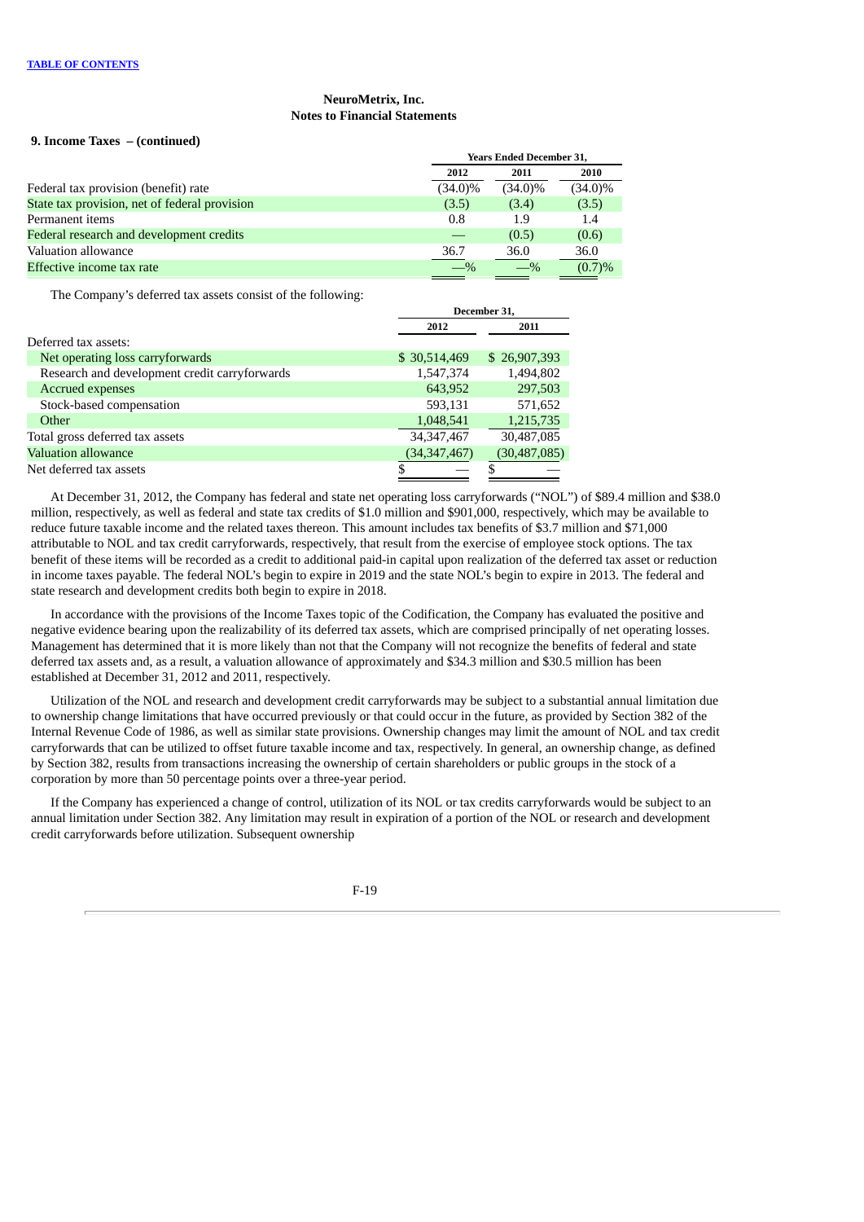## **9. Income Taxes – (continued)**

|                                               | <b>Years Ended December 31,</b> |            |            |
|-----------------------------------------------|---------------------------------|------------|------------|
|                                               | 2012                            | 2011       | 2010       |
| Federal tax provision (benefit) rate          | $(34.0)\%$                      | $(34.0)\%$ | $(34.0)\%$ |
| State tax provision, net of federal provision | (3.5)                           | (3.4)      | (3.5)      |
| Permanent items                               | 0.8                             | 1.9        | 1.4        |
| Federal research and development credits      |                                 | (0.5)      | (0.6)      |
| Valuation allowance                           | 36.7                            | 36.0       | 36.0       |
| Effective income tax rate                     | $-$ %                           | $-$ %      | (0.7)%     |

The Company's deferred tax assets consist of the following:

|                                               | December 31,   |                |  |
|-----------------------------------------------|----------------|----------------|--|
|                                               | 2012           | 2011           |  |
| Deferred tax assets:                          |                |                |  |
| Net operating loss carryforwards              | \$30,514,469   | \$26,907,393   |  |
| Research and development credit carryforwards | 1,547,374      | 1,494,802      |  |
| <b>Accrued expenses</b>                       | 643,952        | 297,503        |  |
| Stock-based compensation                      | 593,131        | 571,652        |  |
| Other                                         | 1,048,541      | 1,215,735      |  |
| Total gross deferred tax assets               | 34, 347, 467   | 30,487,085     |  |
| Valuation allowance                           | (34, 347, 467) | (30, 487, 085) |  |
| Net deferred tax assets                       |                |                |  |

At December 31, 2012, the Company has federal and state net operating loss carryforwards ("NOL") of \$89.4 million and \$38.0 million, respectively, as well as federal and state tax credits of \$1.0 million and \$901,000, respectively, which may be available to reduce future taxable income and the related taxes thereon. This amount includes tax benefits of \$3.7 million and \$71,000 attributable to NOL and tax credit carryforwards, respectively, that result from the exercise of employee stock options. The tax benefit of these items will be recorded as a credit to additional paid-in capital upon realization of the deferred tax asset or reduction in income taxes payable. The federal NOL's begin to expire in 2019 and the state NOL's begin to expire in 2013. The federal and state research and development credits both begin to expire in 2018.

In accordance with the provisions of the Income Taxes topic of the Codification, the Company has evaluated the positive and negative evidence bearing upon the realizability of its deferred tax assets, which are comprised principally of net operating losses. Management has determined that it is more likely than not that the Company will not recognize the benefits of federal and state deferred tax assets and, as a result, a valuation allowance of approximately and \$34.3 million and \$30.5 million has been established at December 31, 2012 and 2011, respectively.

Utilization of the NOL and research and development credit carryforwards may be subject to a substantial annual limitation due to ownership change limitations that have occurred previously or that could occur in the future, as provided by Section 382 of the Internal Revenue Code of 1986, as well as similar state provisions. Ownership changes may limit the amount of NOL and tax credit carryforwards that can be utilized to offset future taxable income and tax, respectively. In general, an ownership change, as defined by Section 382, results from transactions increasing the ownership of certain shareholders or public groups in the stock of a corporation by more than 50 percentage points over a three-year period.

If the Company has experienced a change of control, utilization of its NOL or tax credits carryforwards would be subject to an annual limitation under Section 382. Any limitation may result in expiration of a portion of the NOL or research and development credit carryforwards before utilization. Subsequent ownership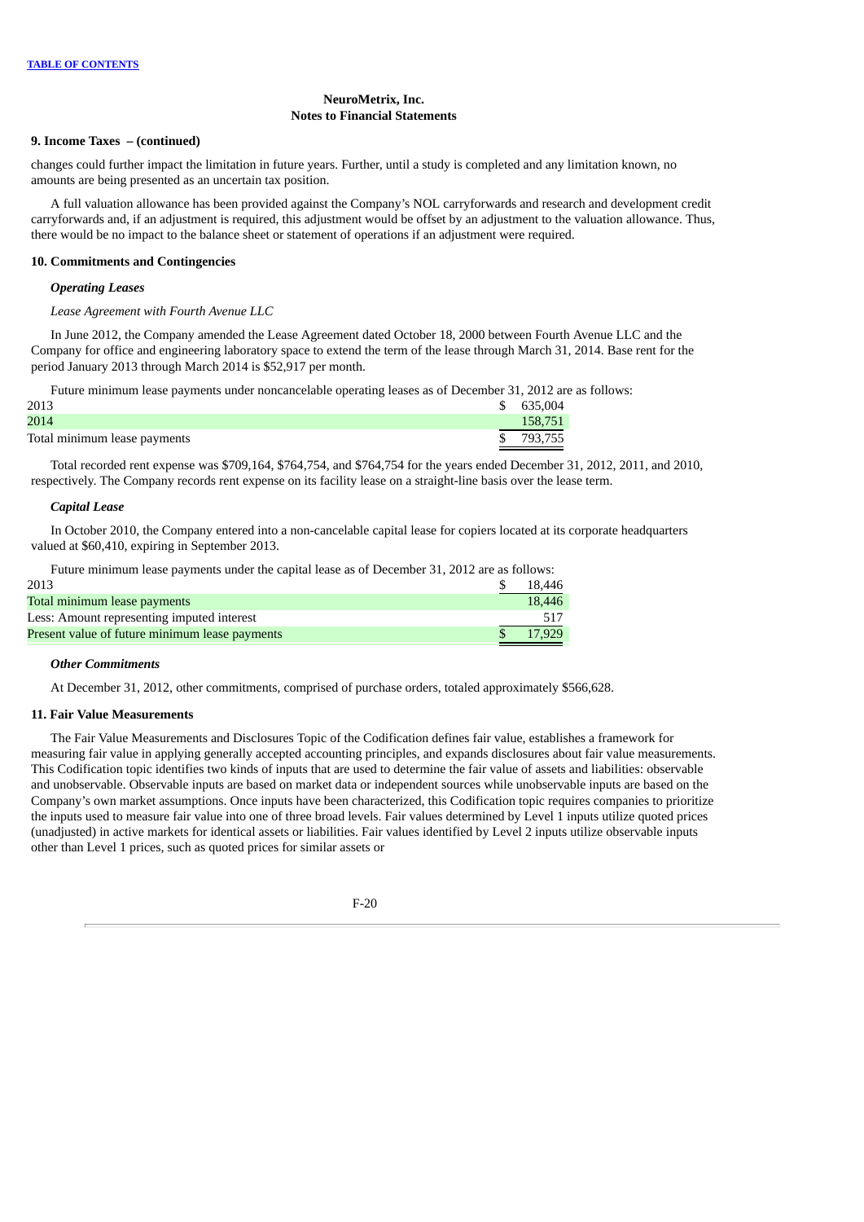## **9. Income Taxes – (continued)**

changes could further impact the limitation in future years. Further, until a study is completed and any limitation known, no amounts are being presented as an uncertain tax position.

A full valuation allowance has been provided against the Company's NOL carryforwards and research and development credit carryforwards and, if an adjustment is required, this adjustment would be offset by an adjustment to the valuation allowance. Thus, there would be no impact to the balance sheet or statement of operations if an adjustment were required.

## **10. Commitments and Contingencies**

## *Operating Leases*

*Lease Agreement with Fourth Avenue LLC*

In June 2012, the Company amended the Lease Agreement dated October 18, 2000 between Fourth Avenue LLC and the Company for office and engineering laboratory space to extend the term of the lease through March 31, 2014. Base rent for the period January 2013 through March 2014 is \$52,917 per month.

Future minimum lease payments under noncancelable operating leases as of December 31, 2012 are as follows:

| 2013                         | 635,004 |
|------------------------------|---------|
| 2014                         | 158.751 |
| Total minimum lease payments | 793.755 |

Total recorded rent expense was \$709,164, \$764,754, and \$764,754 for the years ended December 31, 2012, 2011, and 2010, respectively. The Company records rent expense on its facility lease on a straight-line basis over the lease term.

## *Capital Lease*

In October 2010, the Company entered into a non-cancelable capital lease for copiers located at its corporate headquarters valued at \$60,410, expiring in September 2013.

Future minimum lease payments under the capital lease as of December 31, 2012 are as follows:

| 2013                                           | 18.446 |
|------------------------------------------------|--------|
| Total minimum lease payments                   | 18.446 |
| Less: Amount representing imputed interest     | 517    |
| Present value of future minimum lease payments | 17,929 |

## *Other Commitments*

At December 31, 2012, other commitments, comprised of purchase orders, totaled approximately \$566,628.

## **11. Fair Value Measurements**

The Fair Value Measurements and Disclosures Topic of the Codification defines fair value, establishes a framework for measuring fair value in applying generally accepted accounting principles, and expands disclosures about fair value measurements. This Codification topic identifies two kinds of inputs that are used to determine the fair value of assets and liabilities: observable and unobservable. Observable inputs are based on market data or independent sources while unobservable inputs are based on the Company's own market assumptions. Once inputs have been characterized, this Codification topic requires companies to prioritize the inputs used to measure fair value into one of three broad levels. Fair values determined by Level 1 inputs utilize quoted prices (unadjusted) in active markets for identical assets or liabilities. Fair values identified by Level 2 inputs utilize observable inputs other than Level 1 prices, such as quoted prices for similar assets or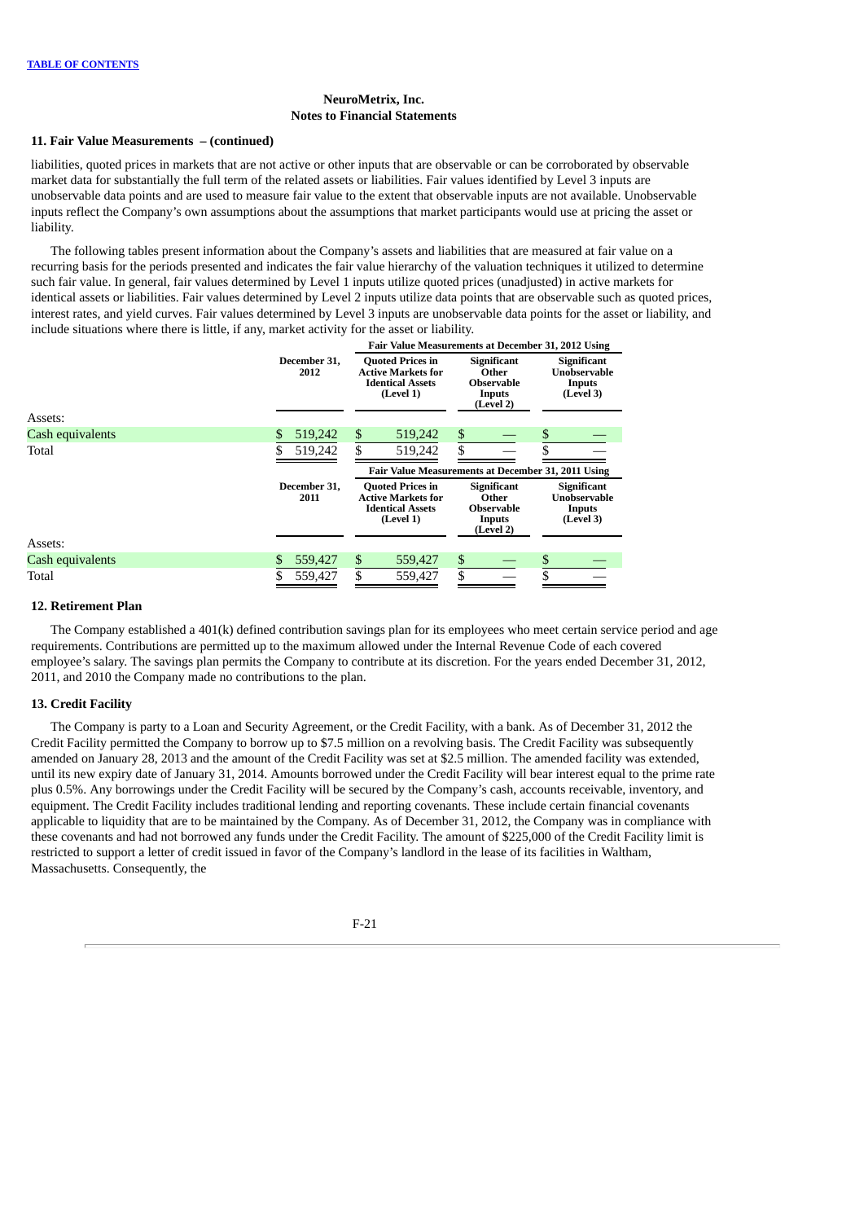#### **11. Fair Value Measurements – (continued)**

liabilities, quoted prices in markets that are not active or other inputs that are observable or can be corroborated by observable market data for substantially the full term of the related assets or liabilities. Fair values identified by Level 3 inputs are unobservable data points and are used to measure fair value to the extent that observable inputs are not available. Unobservable inputs reflect the Company's own assumptions about the assumptions that market participants would use at pricing the asset or liability.

The following tables present information about the Company's assets and liabilities that are measured at fair value on a recurring basis for the periods presented and indicates the fair value hierarchy of the valuation techniques it utilized to determine such fair value. In general, fair values determined by Level 1 inputs utilize quoted prices (unadjusted) in active markets for identical assets or liabilities. Fair values determined by Level 2 inputs utilize data points that are observable such as quoted prices, interest rates, and yield curves. Fair values determined by Level 3 inputs are unobservable data points for the asset or liability, and include situations where there is little, if any, market activity for the asset or liability.

|                  |                      | Fair Value Measurements at December 31, 2012 Using                                           |                                                                         |                                                                  |  |  |  |  |
|------------------|----------------------|----------------------------------------------------------------------------------------------|-------------------------------------------------------------------------|------------------------------------------------------------------|--|--|--|--|
| Assets:          | December 31.<br>2012 | <b>Quoted Prices in</b><br><b>Active Markets for</b><br><b>Identical Assets</b><br>(Level 1) | <b>Significant</b><br>Other<br><b>Observable</b><br>Inputs<br>(Level 2) | <b>Significant</b><br>Unobservable<br><b>Inputs</b><br>(Level 3) |  |  |  |  |
| Cash equivalents | \$<br>519,242        | 519,242<br>S                                                                                 | \$                                                                      | \$                                                               |  |  |  |  |
| Total            | \$<br>519,242        | 519,242                                                                                      | \$                                                                      |                                                                  |  |  |  |  |
|                  |                      | Fair Value Measurements at December 31, 2011 Using                                           |                                                                         |                                                                  |  |  |  |  |
|                  | December 31,<br>2011 | <b>Quoted Prices in</b><br><b>Active Markets for</b><br><b>Identical Assets</b><br>(Level 1) | Significant<br>Other<br><b>Observable</b><br>Inputs<br>(Level 2)        | <b>Significant</b><br>Unobservable<br>Inputs<br>(Level 3)        |  |  |  |  |
| Assets:          |                      |                                                                                              |                                                                         |                                                                  |  |  |  |  |
| Cash equivalents | \$<br>559,427        | 559,427<br>\$                                                                                | \$                                                                      | \$                                                               |  |  |  |  |
| Total            | 559,427              | 559,427                                                                                      | \$                                                                      | \$                                                               |  |  |  |  |

#### **12. Retirement Plan**

The Company established a 401(k) defined contribution savings plan for its employees who meet certain service period and age requirements. Contributions are permitted up to the maximum allowed under the Internal Revenue Code of each covered employee's salary. The savings plan permits the Company to contribute at its discretion. For the years ended December 31, 2012, 2011, and 2010 the Company made no contributions to the plan.

# **13. Credit Facility**

The Company is party to a Loan and Security Agreement, or the Credit Facility, with a bank. As of December 31, 2012 the Credit Facility permitted the Company to borrow up to \$7.5 million on a revolving basis. The Credit Facility was subsequently amended on January 28, 2013 and the amount of the Credit Facility was set at \$2.5 million. The amended facility was extended, until its new expiry date of January 31, 2014. Amounts borrowed under the Credit Facility will bear interest equal to the prime rate plus 0.5%. Any borrowings under the Credit Facility will be secured by the Company's cash, accounts receivable, inventory, and equipment. The Credit Facility includes traditional lending and reporting covenants. These include certain financial covenants applicable to liquidity that are to be maintained by the Company. As of December 31, 2012, the Company was in compliance with these covenants and had not borrowed any funds under the Credit Facility. The amount of \$225,000 of the Credit Facility limit is restricted to support a letter of credit issued in favor of the Company's landlord in the lease of its facilities in Waltham, Massachusetts. Consequently, the

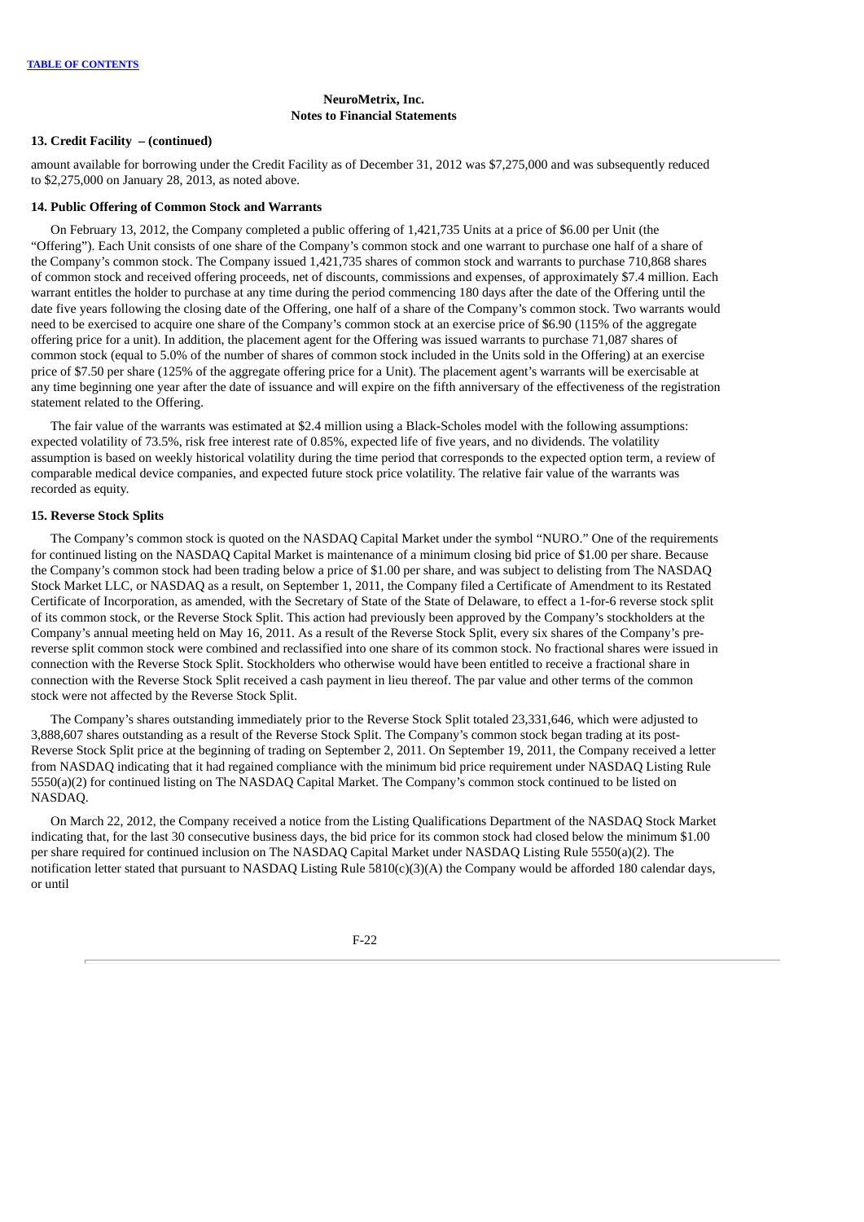## **13. Credit Facility – (continued)**

amount available for borrowing under the Credit Facility as of December 31, 2012 was \$7,275,000 and was subsequently reduced to \$2,275,000 on January 28, 2013, as noted above.

## **14. Public Offering of Common Stock and Warrants**

On February 13, 2012, the Company completed a public offering of 1,421,735 Units at a price of \$6.00 per Unit (the "Offering"). Each Unit consists of one share of the Company's common stock and one warrant to purchase one half of a share of the Company's common stock. The Company issued 1,421,735 shares of common stock and warrants to purchase 710,868 shares of common stock and received offering proceeds, net of discounts, commissions and expenses, of approximately \$7.4 million. Each warrant entitles the holder to purchase at any time during the period commencing 180 days after the date of the Offering until the date five years following the closing date of the Offering, one half of a share of the Company's common stock. Two warrants would need to be exercised to acquire one share of the Company's common stock at an exercise price of \$6.90 (115% of the aggregate offering price for a unit). In addition, the placement agent for the Offering was issued warrants to purchase 71,087 shares of common stock (equal to 5.0% of the number of shares of common stock included in the Units sold in the Offering) at an exercise price of \$7.50 per share (125% of the aggregate offering price for a Unit). The placement agent's warrants will be exercisable at any time beginning one year after the date of issuance and will expire on the fifth anniversary of the effectiveness of the registration statement related to the Offering.

The fair value of the warrants was estimated at \$2.4 million using a Black-Scholes model with the following assumptions: expected volatility of 73.5%, risk free interest rate of 0.85%, expected life of five years, and no dividends. The volatility assumption is based on weekly historical volatility during the time period that corresponds to the expected option term, a review of comparable medical device companies, and expected future stock price volatility. The relative fair value of the warrants was recorded as equity.

## **15. Reverse Stock Splits**

The Company's common stock is quoted on the NASDAQ Capital Market under the symbol "NURO." One of the requirements for continued listing on the NASDAQ Capital Market is maintenance of a minimum closing bid price of \$1.00 per share. Because the Company's common stock had been trading below a price of \$1.00 per share, and was subject to delisting from The NASDAQ Stock Market LLC, or NASDAQ as a result, on September 1, 2011, the Company filed a Certificate of Amendment to its Restated Certificate of Incorporation, as amended, with the Secretary of State of the State of Delaware, to effect a 1-for-6 reverse stock split of its common stock, or the Reverse Stock Split. This action had previously been approved by the Company's stockholders at the Company's annual meeting held on May 16, 2011. As a result of the Reverse Stock Split, every six shares of the Company's prereverse split common stock were combined and reclassified into one share of its common stock. No fractional shares were issued in connection with the Reverse Stock Split. Stockholders who otherwise would have been entitled to receive a fractional share in connection with the Reverse Stock Split received a cash payment in lieu thereof. The par value and other terms of the common stock were not affected by the Reverse Stock Split.

The Company's shares outstanding immediately prior to the Reverse Stock Split totaled 23,331,646, which were adjusted to 3,888,607 shares outstanding as a result of the Reverse Stock Split. The Company's common stock began trading at its post-Reverse Stock Split price at the beginning of trading on September 2, 2011. On September 19, 2011, the Company received a letter from NASDAQ indicating that it had regained compliance with the minimum bid price requirement under NASDAQ Listing Rule 5550(a)(2) for continued listing on The NASDAQ Capital Market. The Company's common stock continued to be listed on NASDAQ.

On March 22, 2012, the Company received a notice from the Listing Qualifications Department of the NASDAQ Stock Market indicating that, for the last 30 consecutive business days, the bid price for its common stock had closed below the minimum \$1.00 per share required for continued inclusion on The NASDAQ Capital Market under NASDAQ Listing Rule 5550(a)(2). The notification letter stated that pursuant to NASDAQ Listing Rule 5810(c)(3)(A) the Company would be afforded 180 calendar days, or until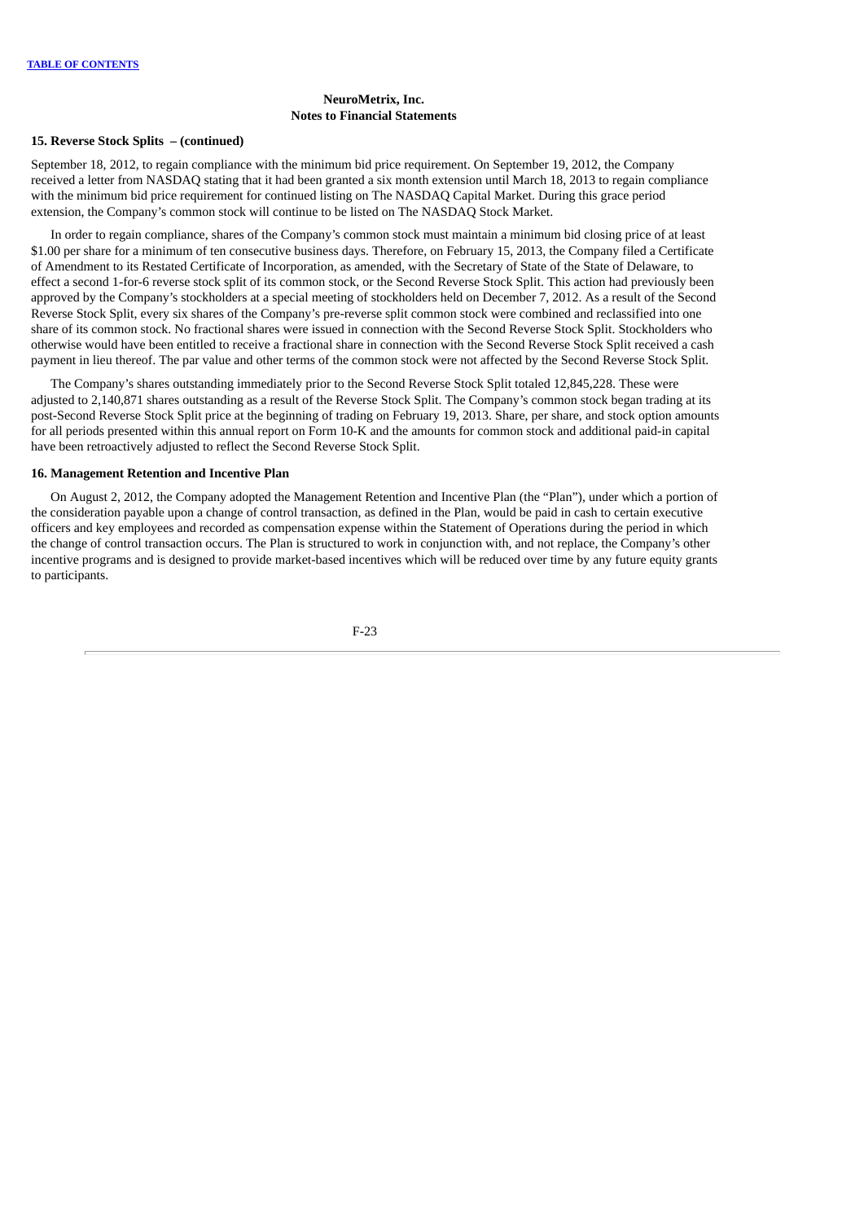#### **15. Reverse Stock Splits – (continued)**

September 18, 2012, to regain compliance with the minimum bid price requirement. On September 19, 2012, the Company received a letter from NASDAQ stating that it had been granted a six month extension until March 18, 2013 to regain compliance with the minimum bid price requirement for continued listing on The NASDAQ Capital Market. During this grace period extension, the Company's common stock will continue to be listed on The NASDAQ Stock Market.

In order to regain compliance, shares of the Company's common stock must maintain a minimum bid closing price of at least \$1.00 per share for a minimum of ten consecutive business days. Therefore, on February 15, 2013, the Company filed a Certificate of Amendment to its Restated Certificate of Incorporation, as amended, with the Secretary of State of the State of Delaware, to effect a second 1-for-6 reverse stock split of its common stock, or the Second Reverse Stock Split. This action had previously been approved by the Company's stockholders at a special meeting of stockholders held on December 7, 2012. As a result of the Second Reverse Stock Split, every six shares of the Company's pre-reverse split common stock were combined and reclassified into one share of its common stock. No fractional shares were issued in connection with the Second Reverse Stock Split. Stockholders who otherwise would have been entitled to receive a fractional share in connection with the Second Reverse Stock Split received a cash payment in lieu thereof. The par value and other terms of the common stock were not affected by the Second Reverse Stock Split.

The Company's shares outstanding immediately prior to the Second Reverse Stock Split totaled 12,845,228. These were adjusted to 2,140,871 shares outstanding as a result of the Reverse Stock Split. The Company's common stock began trading at its post-Second Reverse Stock Split price at the beginning of trading on February 19, 2013. Share, per share, and stock option amounts for all periods presented within this annual report on Form 10-K and the amounts for common stock and additional paid-in capital have been retroactively adjusted to reflect the Second Reverse Stock Split.

## **16. Management Retention and Incentive Plan**

On August 2, 2012, the Company adopted the Management Retention and Incentive Plan (the "Plan"), under which a portion of the consideration payable upon a change of control transaction, as defined in the Plan, would be paid in cash to certain executive officers and key employees and recorded as compensation expense within the Statement of Operations during the period in which the change of control transaction occurs. The Plan is structured to work in conjunction with, and not replace, the Company's other incentive programs and is designed to provide market-based incentives which will be reduced over time by any future equity grants to participants.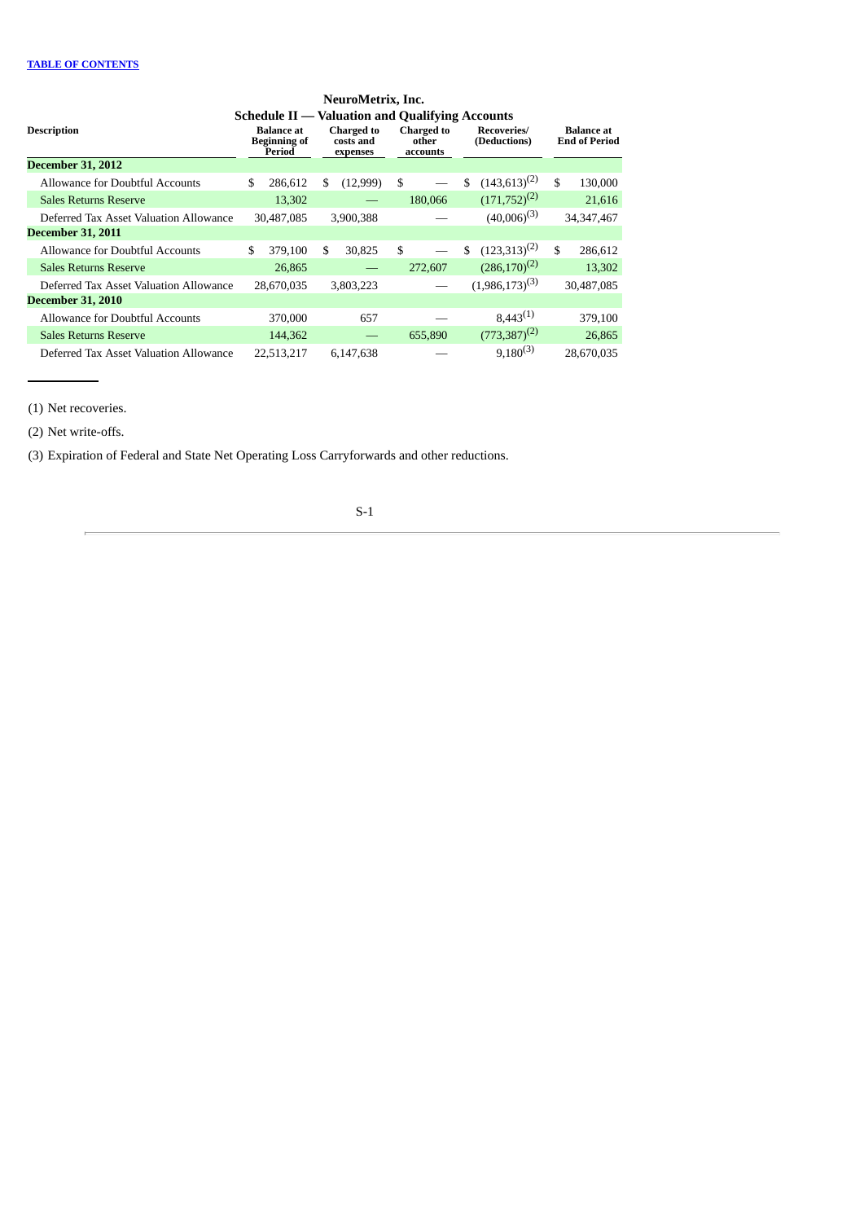# **TABLE OF CONTENTS**

|                          | NeuroMetrix, Inc.<br><b>Schedule II — Valuation and Qualifying Accounts</b> |                                                    |            |                                            |           |                                 |         |                                     |                     |                                           |            |
|--------------------------|-----------------------------------------------------------------------------|----------------------------------------------------|------------|--------------------------------------------|-----------|---------------------------------|---------|-------------------------------------|---------------------|-------------------------------------------|------------|
| <b>Description</b>       |                                                                             | <b>Balance</b> at<br><b>Beginning of</b><br>Period |            | <b>Charged to</b><br>costs and<br>expenses |           | Charged to<br>other<br>accounts |         | <b>Recoveries</b> /<br>(Deductions) |                     | <b>Balance</b> at<br><b>End of Period</b> |            |
| <b>December 31, 2012</b> |                                                                             |                                                    |            |                                            |           |                                 |         |                                     |                     |                                           |            |
|                          | Allowance for Doubtful Accounts                                             | \$                                                 | 286,612    | \$                                         | (12,999)  | \$                              |         | \$                                  | $(143,613)^{(2)}$   | \$                                        | 130,000    |
|                          | <b>Sales Returns Reserve</b>                                                |                                                    | 13,302     |                                            |           |                                 | 180,066 |                                     | $(171,752)^{(2)}$   |                                           | 21,616     |
|                          | Deferred Tax Asset Valuation Allowance                                      |                                                    | 30,487,085 | 3.900.388                                  |           |                                 |         |                                     | $(40,006)^{(3)}$    | 34, 347, 467                              |            |
| <b>December 31, 2011</b> |                                                                             |                                                    |            |                                            |           |                                 |         |                                     |                     |                                           |            |
|                          | Allowance for Doubtful Accounts                                             | \$                                                 | 379,100    | \$                                         | 30.825    | \$                              |         | \$                                  | $(123,313)^{(2)}$   | \$                                        | 286,612    |
|                          | <b>Sales Returns Reserve</b>                                                |                                                    | 26,865     |                                            |           |                                 | 272,607 |                                     | $(286,170)^{(2)}$   |                                           | 13,302     |
|                          | Deferred Tax Asset Valuation Allowance                                      |                                                    | 28,670,035 |                                            | 3,803,223 |                                 |         |                                     | $(1,986,173)^{(3)}$ |                                           | 30,487,085 |
| <b>December 31, 2010</b> |                                                                             |                                                    |            |                                            |           |                                 |         |                                     |                     |                                           |            |
|                          | Allowance for Doubtful Accounts                                             |                                                    | 370,000    |                                            | 657       |                                 |         |                                     | $8.443^{(1)}$       |                                           | 379,100    |
|                          | <b>Sales Returns Reserve</b>                                                |                                                    | 144,362    |                                            |           |                                 | 655,890 |                                     | $(773,387)^{(2)}$   |                                           | 26,865     |
|                          | Deferred Tax Asset Valuation Allowance                                      |                                                    | 22,513,217 |                                            | 6,147,638 |                                 |         |                                     | $9,180^{(3)}$       |                                           | 28.670.035 |

(1) Net recoveries.

(2) Net write-offs.

(3) Expiration of Federal and State Net Operating Loss Carryforwards and other reductions.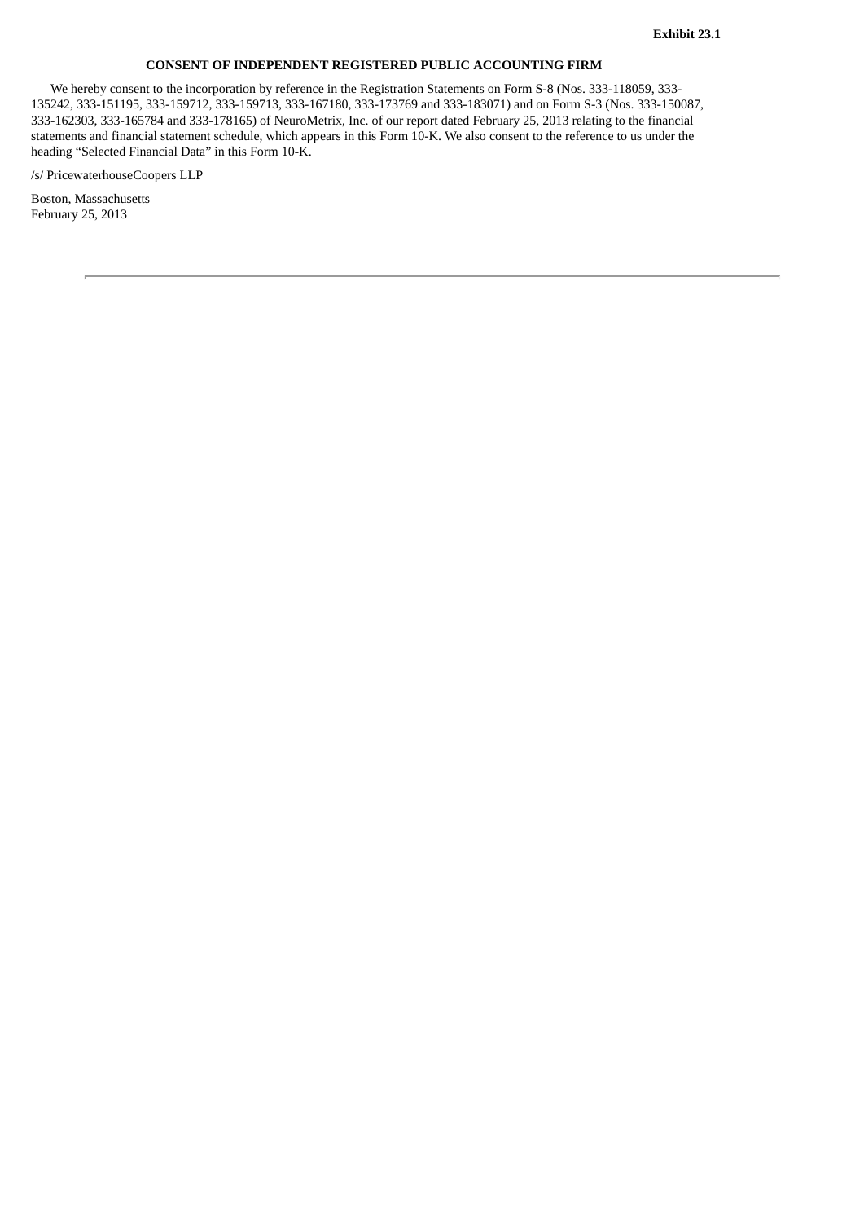# **CONSENT OF INDEPENDENT REGISTERED PUBLIC ACCOUNTING FIRM**

We hereby consent to the incorporation by reference in the Registration Statements on Form S-8 (Nos. 333-118059, 333- 135242, 333-151195, 333-159712, 333-159713, 333-167180, 333-173769 and 333-183071) and on Form S-3 (Nos. 333-150087, 333-162303, 333-165784 and 333-178165) of NeuroMetrix, Inc. of our report dated February 25, 2013 relating to the financial statements and financial statement schedule, which appears in this Form 10-K. We also consent to the reference to us under the heading "Selected Financial Data" in this Form 10-K.

/s/ PricewaterhouseCoopers LLP

Boston, Massachusetts February 25, 2013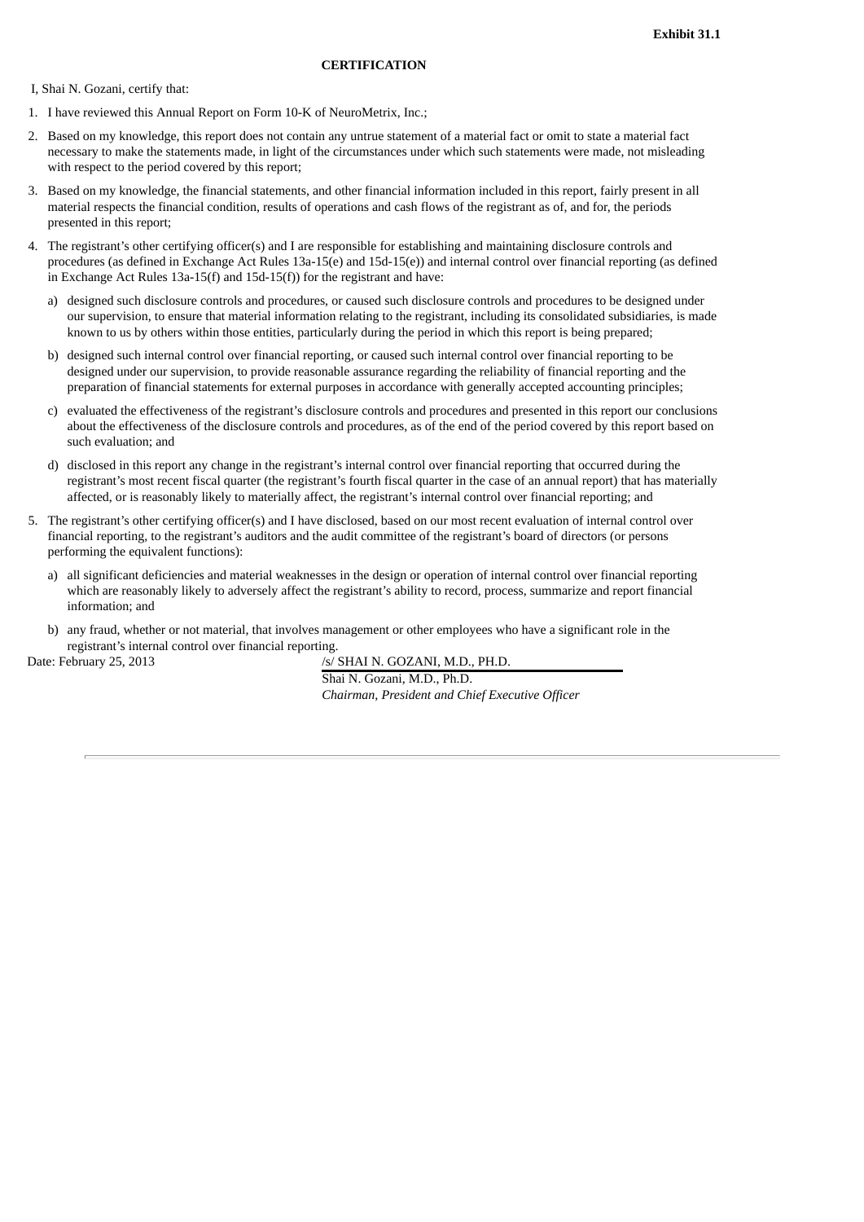I, Shai N. Gozani, certify that:

- 1. I have reviewed this Annual Report on Form 10-K of NeuroMetrix, Inc.;
- 2. Based on my knowledge, this report does not contain any untrue statement of a material fact or omit to state a material fact necessary to make the statements made, in light of the circumstances under which such statements were made, not misleading with respect to the period covered by this report;
- 3. Based on my knowledge, the financial statements, and other financial information included in this report, fairly present in all material respects the financial condition, results of operations and cash flows of the registrant as of, and for, the periods presented in this report;
- 4. The registrant's other certifying officer(s) and I are responsible for establishing and maintaining disclosure controls and procedures (as defined in Exchange Act Rules 13a-15(e) and 15d-15(e)) and internal control over financial reporting (as defined in Exchange Act Rules 13a-15(f) and 15d-15(f)) for the registrant and have:
	- a) designed such disclosure controls and procedures, or caused such disclosure controls and procedures to be designed under our supervision, to ensure that material information relating to the registrant, including its consolidated subsidiaries, is made known to us by others within those entities, particularly during the period in which this report is being prepared;
	- b) designed such internal control over financial reporting, or caused such internal control over financial reporting to be designed under our supervision, to provide reasonable assurance regarding the reliability of financial reporting and the preparation of financial statements for external purposes in accordance with generally accepted accounting principles;
	- c) evaluated the effectiveness of the registrant's disclosure controls and procedures and presented in this report our conclusions about the effectiveness of the disclosure controls and procedures, as of the end of the period covered by this report based on such evaluation; and
	- d) disclosed in this report any change in the registrant's internal control over financial reporting that occurred during the registrant's most recent fiscal quarter (the registrant's fourth fiscal quarter in the case of an annual report) that has materially affected, or is reasonably likely to materially affect, the registrant's internal control over financial reporting; and
- 5. The registrant's other certifying officer(s) and I have disclosed, based on our most recent evaluation of internal control over financial reporting, to the registrant's auditors and the audit committee of the registrant's board of directors (or persons performing the equivalent functions):
	- a) all significant deficiencies and material weaknesses in the design or operation of internal control over financial reporting which are reasonably likely to adversely affect the registrant's ability to record, process, summarize and report financial information; and
	- b) any fraud, whether or not material, that involves management or other employees who have a significant role in the registrant's internal control over financial reporting.

Date: February 25, 2013 /s/ SHAI N. GOZANI, M.D., PH.D. Shai N. Gozani, M.D., Ph.D. *Chairman, President and Chief Executive Officer*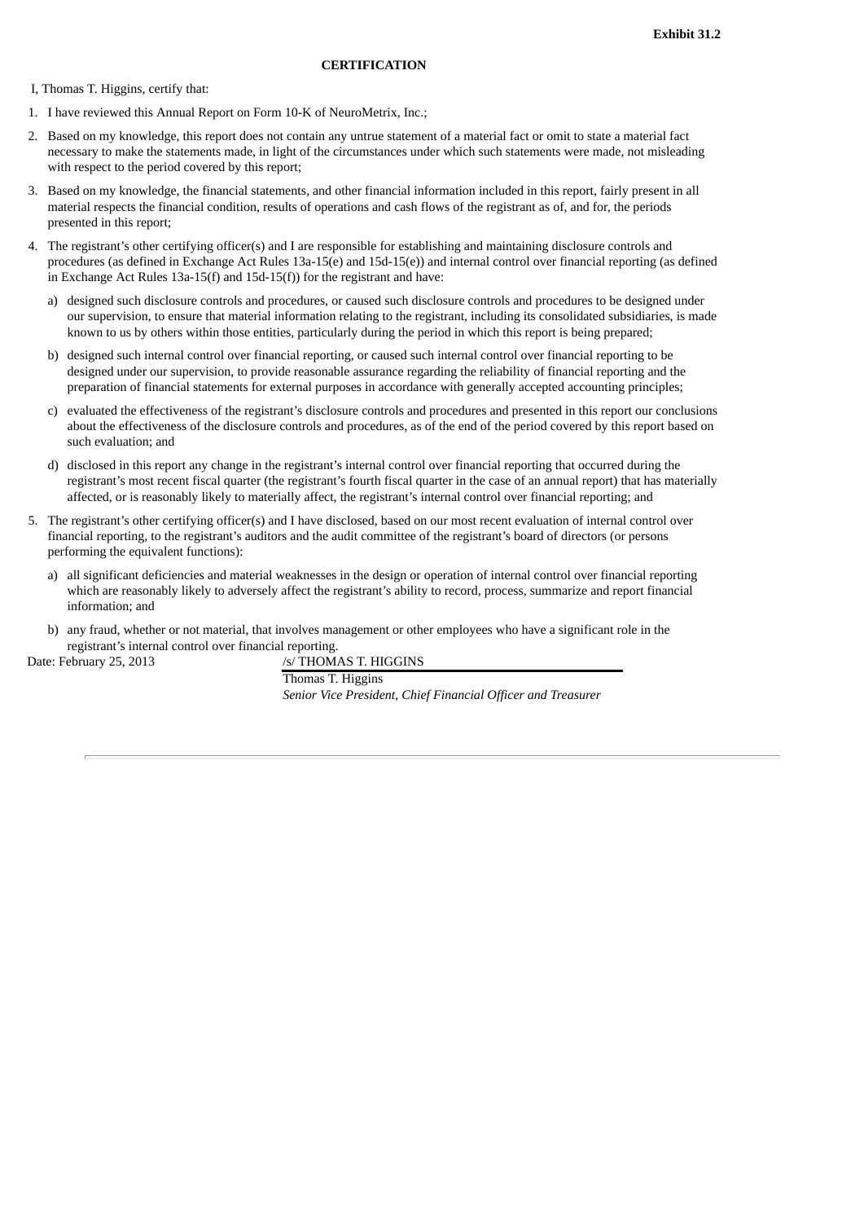I, Thomas T. Higgins, certify that:

- 1. I have reviewed this Annual Report on Form 10-K of NeuroMetrix, Inc.;
- 2. Based on my knowledge, this report does not contain any untrue statement of a material fact or omit to state a material fact necessary to make the statements made, in light of the circumstances under which such statements were made, not misleading with respect to the period covered by this report;
- 3. Based on my knowledge, the financial statements, and other financial information included in this report, fairly present in all material respects the financial condition, results of operations and cash flows of the registrant as of, and for, the periods presented in this report;
- 4. The registrant's other certifying officer(s) and I are responsible for establishing and maintaining disclosure controls and procedures (as defined in Exchange Act Rules 13a-15(e) and 15d-15(e)) and internal control over financial reporting (as defined in Exchange Act Rules 13a-15(f) and 15d-15(f)) for the registrant and have:
	- a) designed such disclosure controls and procedures, or caused such disclosure controls and procedures to be designed under our supervision, to ensure that material information relating to the registrant, including its consolidated subsidiaries, is made known to us by others within those entities, particularly during the period in which this report is being prepared;
	- b) designed such internal control over financial reporting, or caused such internal control over financial reporting to be designed under our supervision, to provide reasonable assurance regarding the reliability of financial reporting and the preparation of financial statements for external purposes in accordance with generally accepted accounting principles;
	- c) evaluated the effectiveness of the registrant's disclosure controls and procedures and presented in this report our conclusions about the effectiveness of the disclosure controls and procedures, as of the end of the period covered by this report based on such evaluation; and
	- d) disclosed in this report any change in the registrant's internal control over financial reporting that occurred during the registrant's most recent fiscal quarter (the registrant's fourth fiscal quarter in the case of an annual report) that has materially affected, or is reasonably likely to materially affect, the registrant's internal control over financial reporting; and
- 5. The registrant's other certifying officer(s) and I have disclosed, based on our most recent evaluation of internal control over financial reporting, to the registrant's auditors and the audit committee of the registrant's board of directors (or persons performing the equivalent functions):
	- a) all significant deficiencies and material weaknesses in the design or operation of internal control over financial reporting which are reasonably likely to adversely affect the registrant's ability to record, process, summarize and report financial information; and
	- b) any fraud, whether or not material, that involves management or other employees who have a significant role in the registrant's internal control over financial reporting.

Date: February 25, 2013 /s/ THOMAS T. HIGGINS

Thomas T. Higgins

*Senior Vice President, Chief Financial Officer and Treasurer*